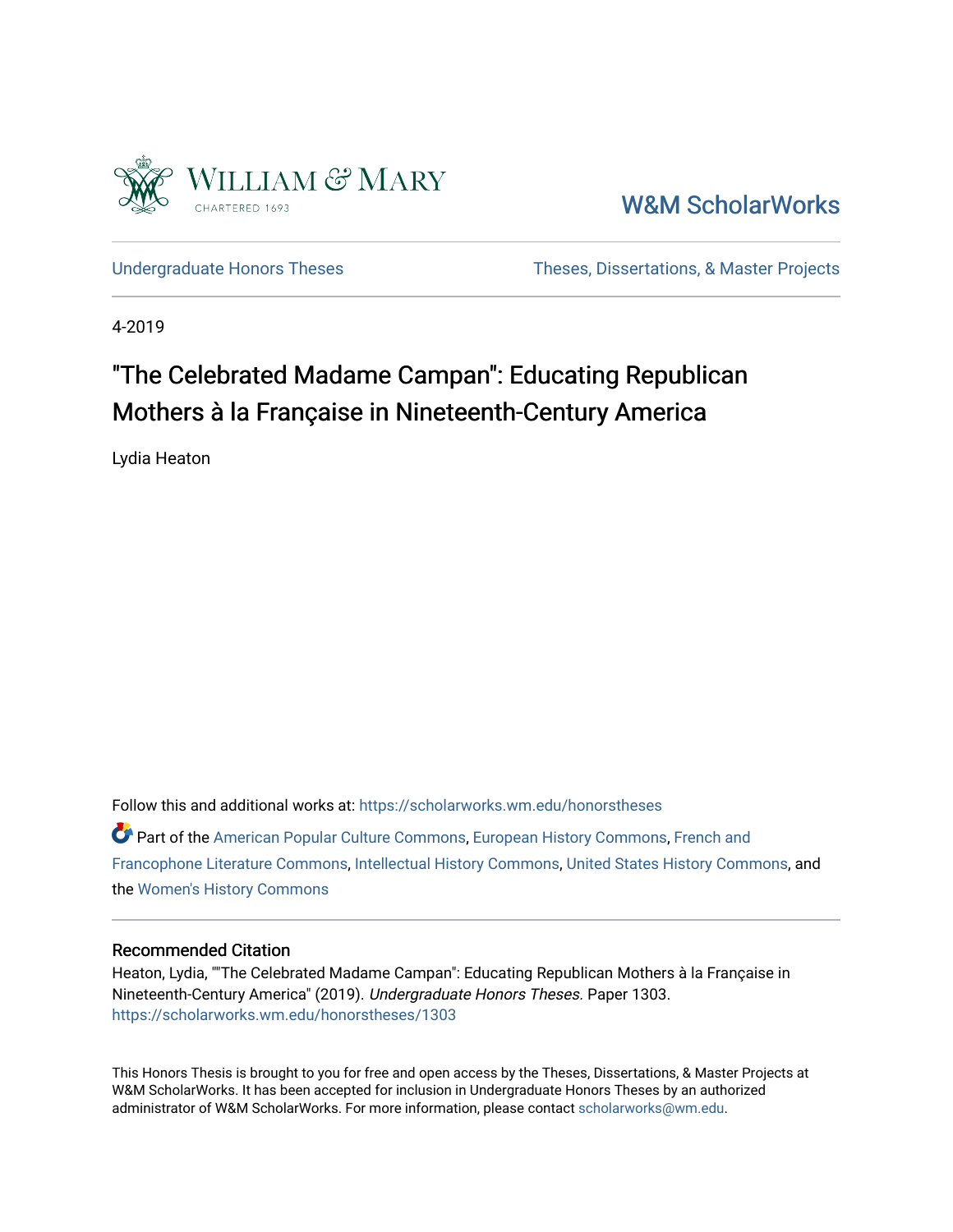

[W&M ScholarWorks](https://scholarworks.wm.edu/) 

[Undergraduate Honors Theses](https://scholarworks.wm.edu/honorstheses) Theses Theses, Dissertations, & Master Projects

4-2019

# "The Celebrated Madame Campan": Educating Republican Mothers à la Française in Nineteenth-Century America

Lydia Heaton

Follow this and additional works at: [https://scholarworks.wm.edu/honorstheses](https://scholarworks.wm.edu/honorstheses?utm_source=scholarworks.wm.edu%2Fhonorstheses%2F1303&utm_medium=PDF&utm_campaign=PDFCoverPages)  Part of the [American Popular Culture Commons,](http://network.bepress.com/hgg/discipline/443?utm_source=scholarworks.wm.edu%2Fhonorstheses%2F1303&utm_medium=PDF&utm_campaign=PDFCoverPages) [European History Commons,](http://network.bepress.com/hgg/discipline/492?utm_source=scholarworks.wm.edu%2Fhonorstheses%2F1303&utm_medium=PDF&utm_campaign=PDFCoverPages) [French and](http://network.bepress.com/hgg/discipline/465?utm_source=scholarworks.wm.edu%2Fhonorstheses%2F1303&utm_medium=PDF&utm_campaign=PDFCoverPages) 

[Francophone Literature Commons,](http://network.bepress.com/hgg/discipline/465?utm_source=scholarworks.wm.edu%2Fhonorstheses%2F1303&utm_medium=PDF&utm_campaign=PDFCoverPages) [Intellectual History Commons,](http://network.bepress.com/hgg/discipline/501?utm_source=scholarworks.wm.edu%2Fhonorstheses%2F1303&utm_medium=PDF&utm_campaign=PDFCoverPages) [United States History Commons](http://network.bepress.com/hgg/discipline/495?utm_source=scholarworks.wm.edu%2Fhonorstheses%2F1303&utm_medium=PDF&utm_campaign=PDFCoverPages), and the [Women's History Commons](http://network.bepress.com/hgg/discipline/507?utm_source=scholarworks.wm.edu%2Fhonorstheses%2F1303&utm_medium=PDF&utm_campaign=PDFCoverPages)

#### Recommended Citation

Heaton, Lydia, ""The Celebrated Madame Campan": Educating Republican Mothers à la Française in Nineteenth-Century America" (2019). Undergraduate Honors Theses. Paper 1303. [https://scholarworks.wm.edu/honorstheses/1303](https://scholarworks.wm.edu/honorstheses/1303?utm_source=scholarworks.wm.edu%2Fhonorstheses%2F1303&utm_medium=PDF&utm_campaign=PDFCoverPages)

This Honors Thesis is brought to you for free and open access by the Theses, Dissertations, & Master Projects at W&M ScholarWorks. It has been accepted for inclusion in Undergraduate Honors Theses by an authorized administrator of W&M ScholarWorks. For more information, please contact [scholarworks@wm.edu.](mailto:scholarworks@wm.edu)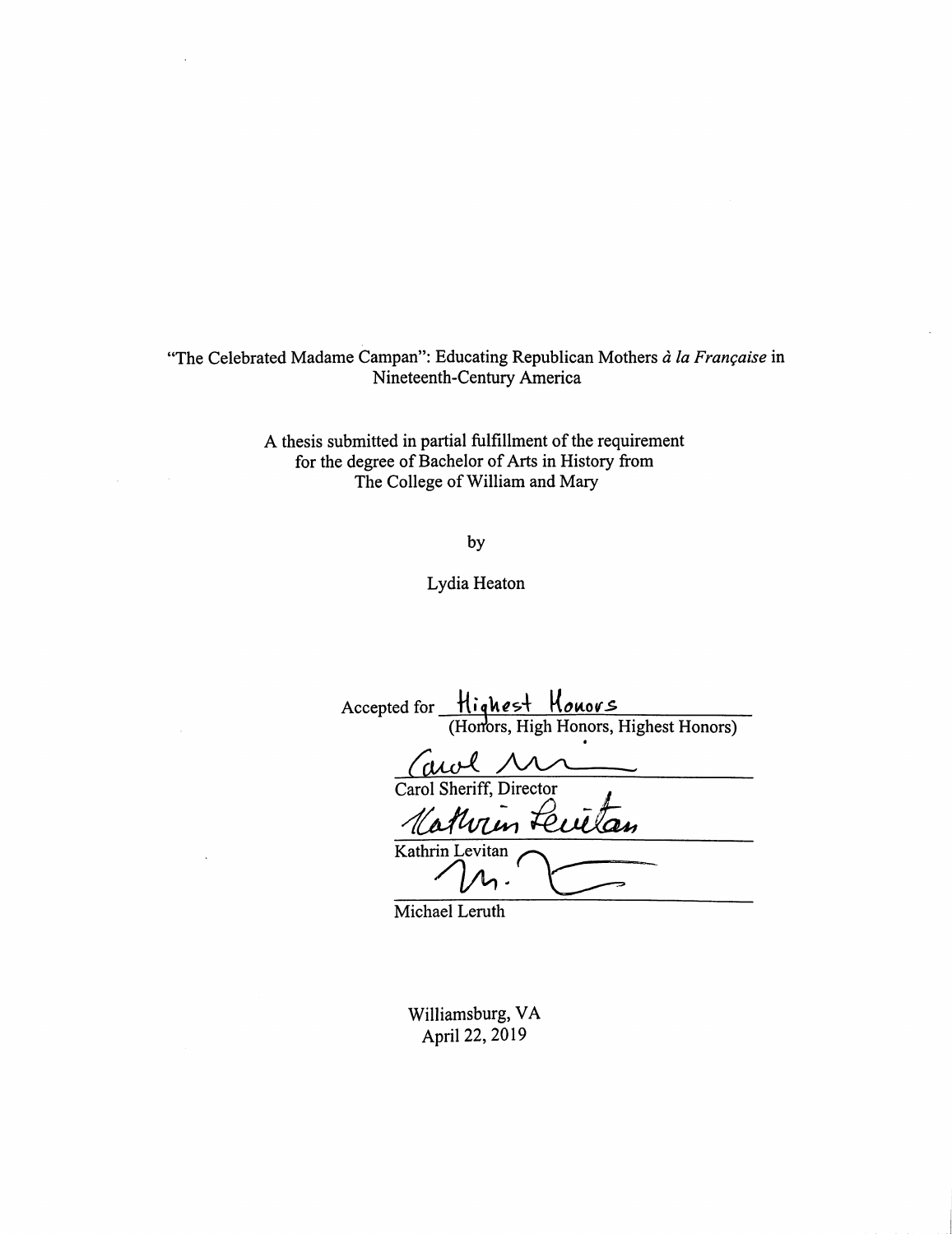"The Celebrated Madame Campan": Educating Republican Mothers à la Française in Nineteenth-Century America

 $\ddot{\phantom{a}}$ 

 $\mathcal{L}$ 

A thesis submitted in partial fulfillment of the requirement for the degree of Bachelor of Arts in History from The College of William and Mary

by

Lydia Heaton

| Accepted for Highest Honors           |
|---------------------------------------|
| (Honors, High Honors, Highest Honors) |
| awl M                                 |
| Carol Sheriff, Director               |
| Mathrin Feutan                        |
| Kathrin Levitan                       |

Michael Leruth

Williamsburg, VA April 22, 2019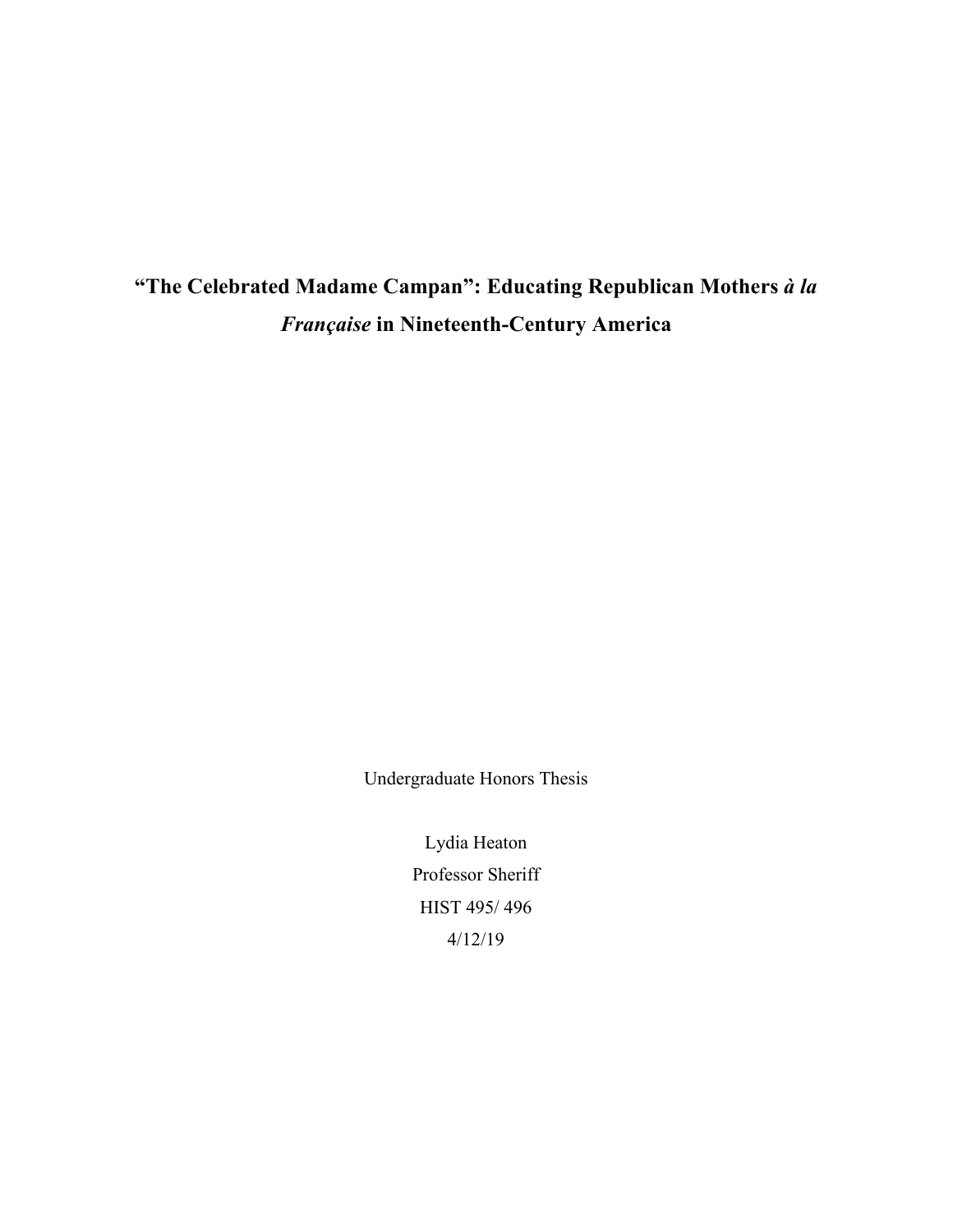**"The Celebrated Madame Campan": Educating Republican Mothers** *à la Française* **in Nineteenth-Century America**

Undergraduate Honors Thesis

Lydia Heaton Professor Sheriff HIST 495/ 496 4/12/19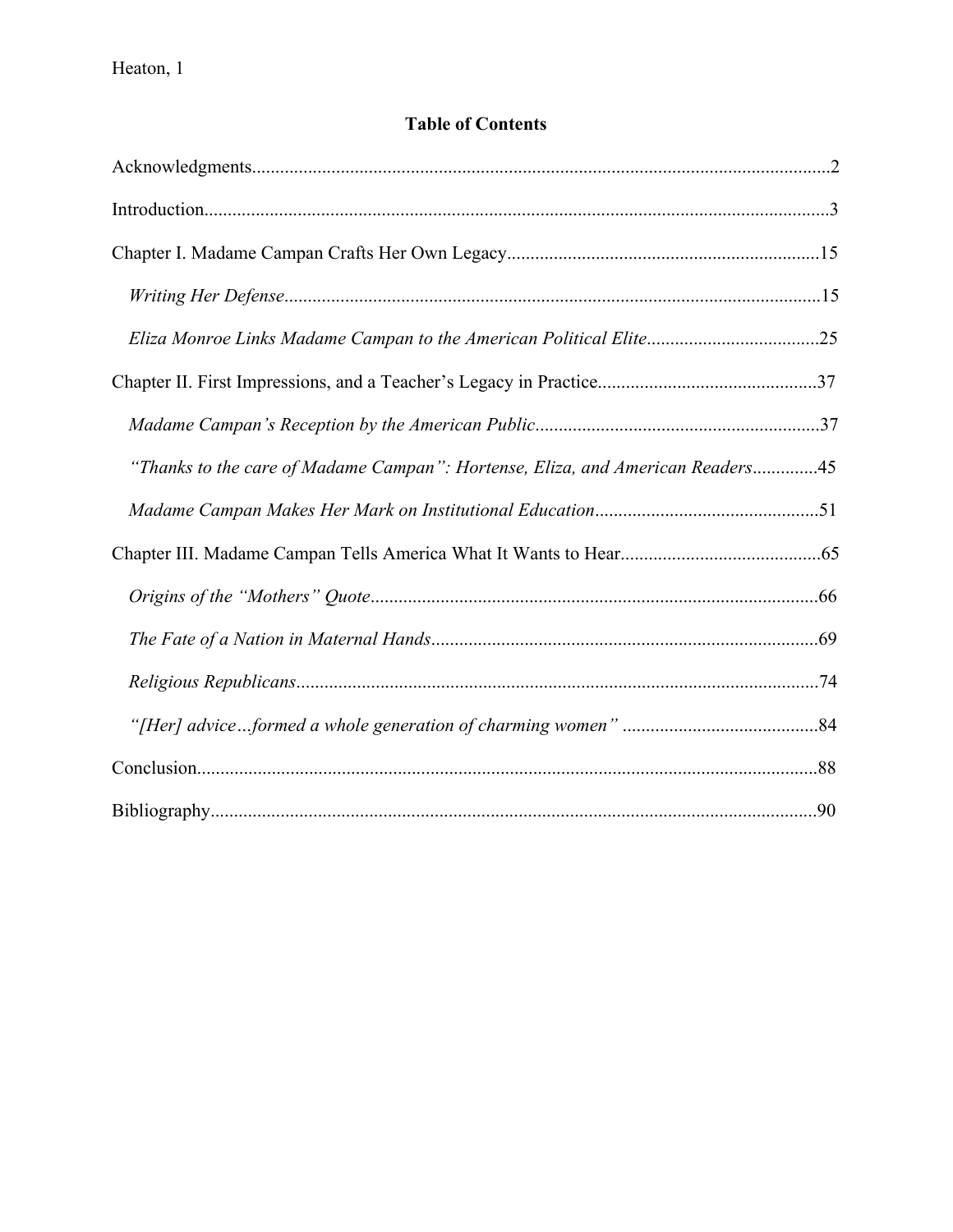## **Table of Contents**

| "Thanks to the care of Madame Campan": Hortense, Eliza, and American Readers45 |  |
|--------------------------------------------------------------------------------|--|
|                                                                                |  |
|                                                                                |  |
|                                                                                |  |
|                                                                                |  |
|                                                                                |  |
|                                                                                |  |
|                                                                                |  |
|                                                                                |  |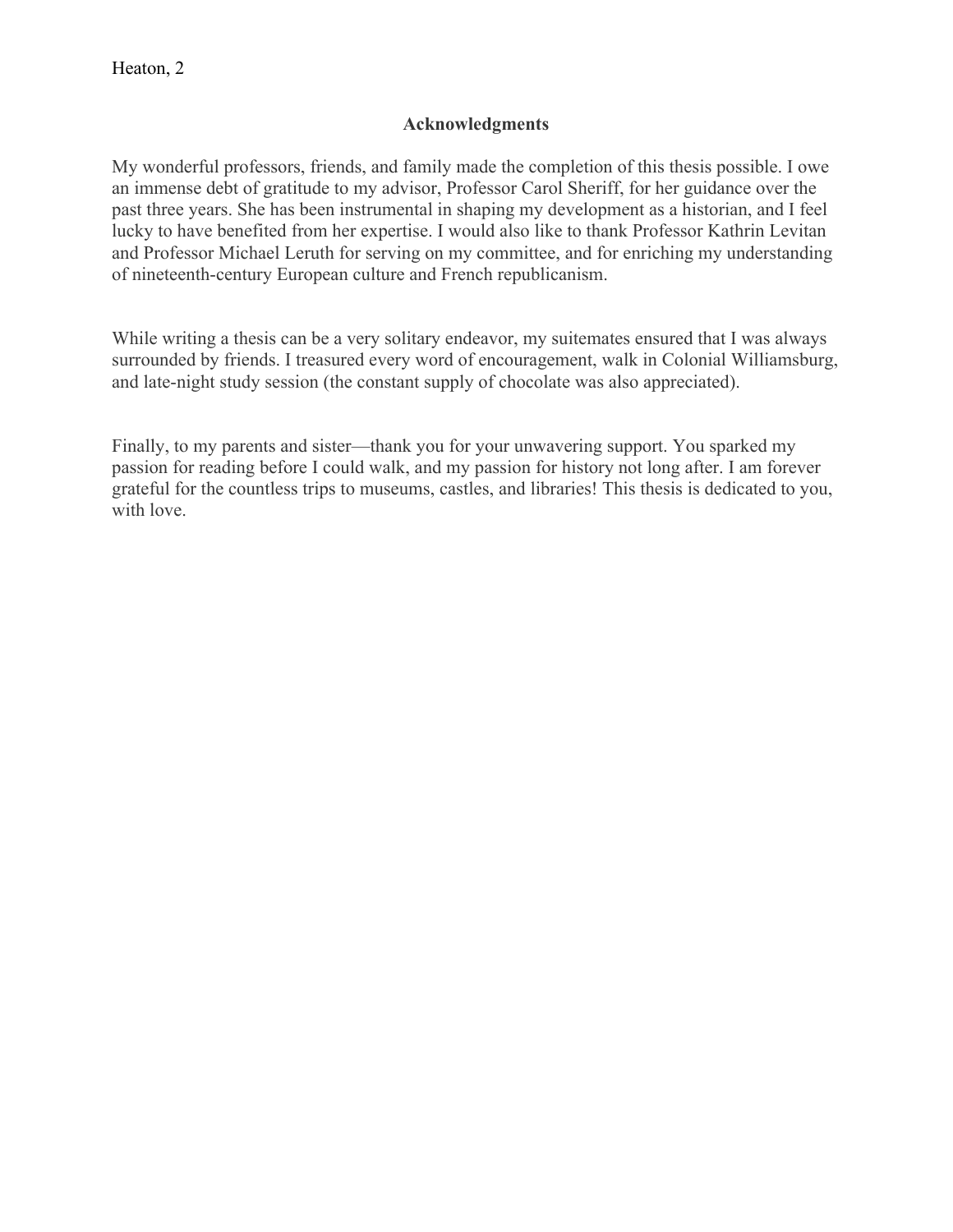### **Acknowledgments**

My wonderful professors, friends, and family made the completion of this thesis possible. I owe an immense debt of gratitude to my advisor, Professor Carol Sheriff, for her guidance over the past three years. She has been instrumental in shaping my development as a historian, and I feel lucky to have benefited from her expertise. I would also like to thank Professor Kathrin Levitan and Professor Michael Leruth for serving on my committee, and for enriching my understanding of nineteenth-century European culture and French republicanism.

While writing a thesis can be a very solitary endeavor, my suitemates ensured that I was always surrounded by friends. I treasured every word of encouragement, walk in Colonial Williamsburg, and late-night study session (the constant supply of chocolate was also appreciated).

Finally, to my parents and sister—thank you for your unwavering support. You sparked my passion for reading before I could walk, and my passion for history not long after. I am forever grateful for the countless trips to museums, castles, and libraries! This thesis is dedicated to you, with love.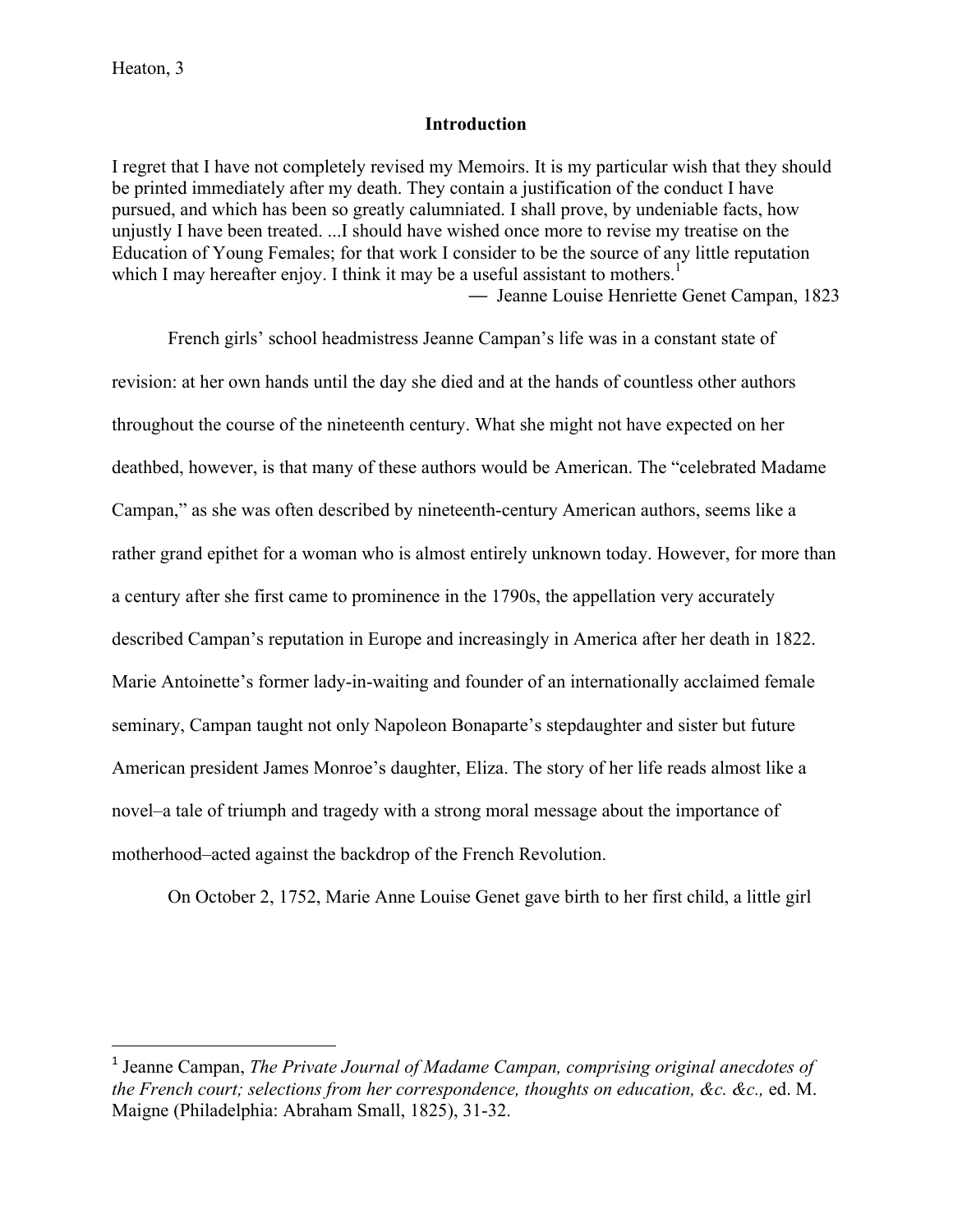#### **Introduction**

I regret that I have not completely revised my Memoirs. It is my particular wish that they should be printed immediately after my death. They contain a justification of the conduct I have pursued, and which has been so greatly calumniated. I shall prove, by undeniable facts, how unjustly I have been treated. ...I should have wished once more to revise my treatise on the Education of Young Females; for that work I consider to be the source of any little reputation which I may hereafter enjoy. I think it may be a useful assistant to mothers.<sup>1</sup>

— Jeanne Louise Henriette Genet Campan, 1823

French girls' school headmistress Jeanne Campan's life was in a constant state of revision: at her own hands until the day she died and at the hands of countless other authors throughout the course of the nineteenth century. What she might not have expected on her deathbed, however, is that many of these authors would be American. The "celebrated Madame Campan," as she was often described by nineteenth-century American authors, seems like a rather grand epithet for a woman who is almost entirely unknown today. However, for more than a century after she first came to prominence in the 1790s, the appellation very accurately described Campan's reputation in Europe and increasingly in America after her death in 1822. Marie Antoinette's former lady-in-waiting and founder of an internationally acclaimed female seminary, Campan taught not only Napoleon Bonaparte's stepdaughter and sister but future American president James Monroe's daughter, Eliza. The story of her life reads almost like a novel–a tale of triumph and tragedy with a strong moral message about the importance of motherhood–acted against the backdrop of the French Revolution.

On October 2, 1752, Marie Anne Louise Genet gave birth to her first child, a little girl

 

<sup>1</sup> Jeanne Campan, *The Private Journal of Madame Campan, comprising original anecdotes of the French court; selections from her correspondence, thoughts on education, &c. &c.,* ed. M. Maigne (Philadelphia: Abraham Small, 1825), 31-32.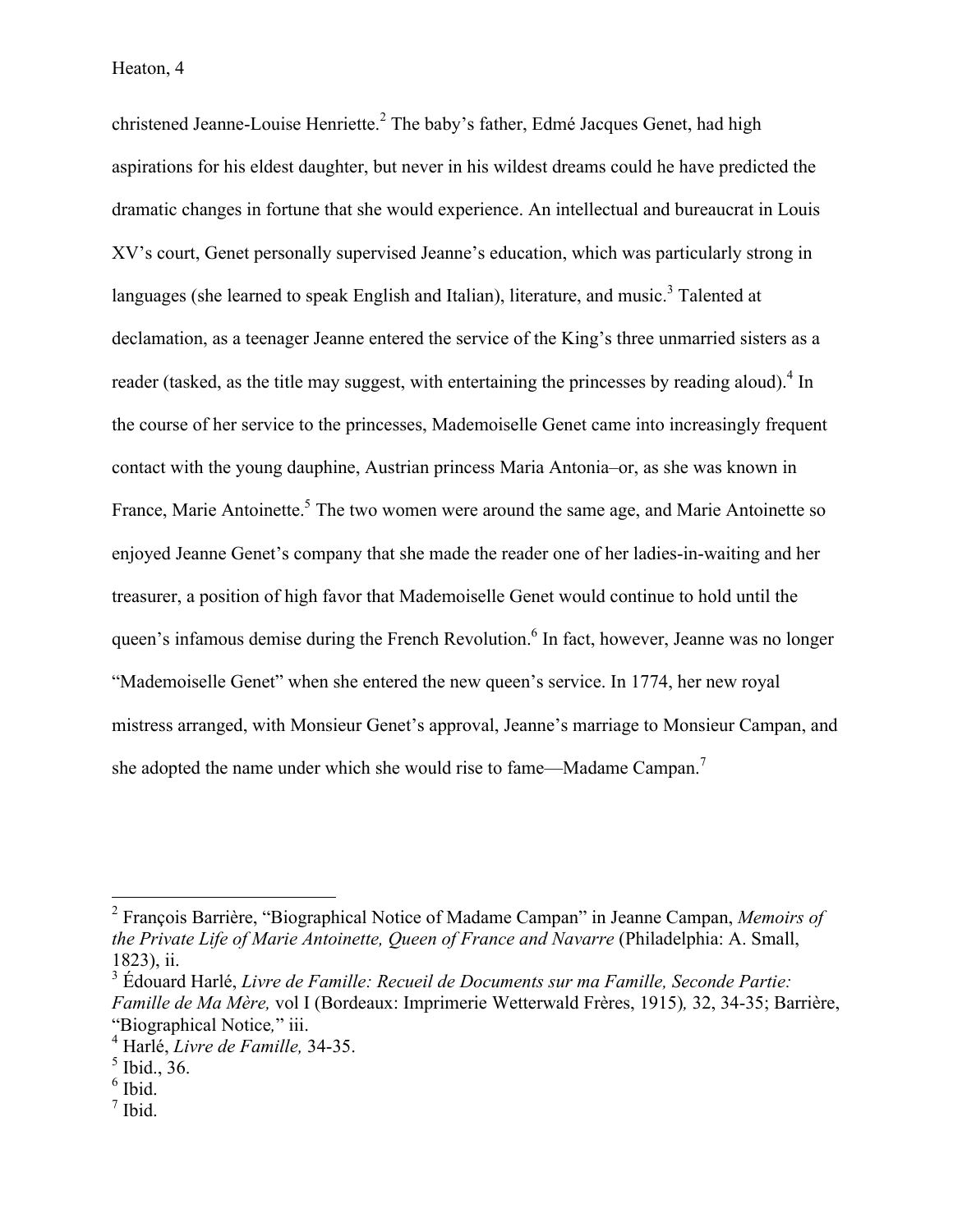christened Jeanne-Louise Henriette.<sup>2</sup> The baby's father, Edmé Jacques Genet, had high aspirations for his eldest daughter, but never in his wildest dreams could he have predicted the dramatic changes in fortune that she would experience. An intellectual and bureaucrat in Louis XV's court, Genet personally supervised Jeanne's education, which was particularly strong in languages (she learned to speak English and Italian), literature, and music.<sup>3</sup> Talented at declamation, as a teenager Jeanne entered the service of the King's three unmarried sisters as a reader (tasked, as the title may suggest, with entertaining the princesses by reading aloud).<sup>4</sup> In the course of her service to the princesses, Mademoiselle Genet came into increasingly frequent contact with the young dauphine, Austrian princess Maria Antonia–or, as she was known in France, Marie Antoinette.<sup>5</sup> The two women were around the same age, and Marie Antoinette so enjoyed Jeanne Genet's company that she made the reader one of her ladies-in-waiting and her treasurer, a position of high favor that Mademoiselle Genet would continue to hold until the queen's infamous demise during the French Revolution.<sup>6</sup> In fact, however, Jeanne was no longer "Mademoiselle Genet" when she entered the new queen's service. In 1774, her new royal mistress arranged, with Monsieur Genet's approval, Jeanne's marriage to Monsieur Campan, and she adopted the name under which she would rise to fame—Madame Campan.<sup>7</sup>

 $<sup>7</sup>$  Ibid.</sup>

 <sup>2</sup> François Barrière, "Biographical Notice of Madame Campan" in Jeanne Campan, *Memoirs of the Private Life of Marie Antoinette, Queen of France and Navarre* (Philadelphia: A. Small, 1823), ii.

<sup>3</sup> Édouard Harlé, *Livre de Famille: Recueil de Documents sur ma Famille, Seconde Partie: Famille de Ma Mère,* vol I (Bordeaux: Imprimerie Wetterwald Frères, 1915)*,* 32, 34-35; Barrière, "Biographical Notice*,*" iii.

<sup>4</sup> Harlé, *Livre de Famille,* 34-35.

 $<sup>5</sup>$  Ibid., 36.</sup>

 $6$  Ibid.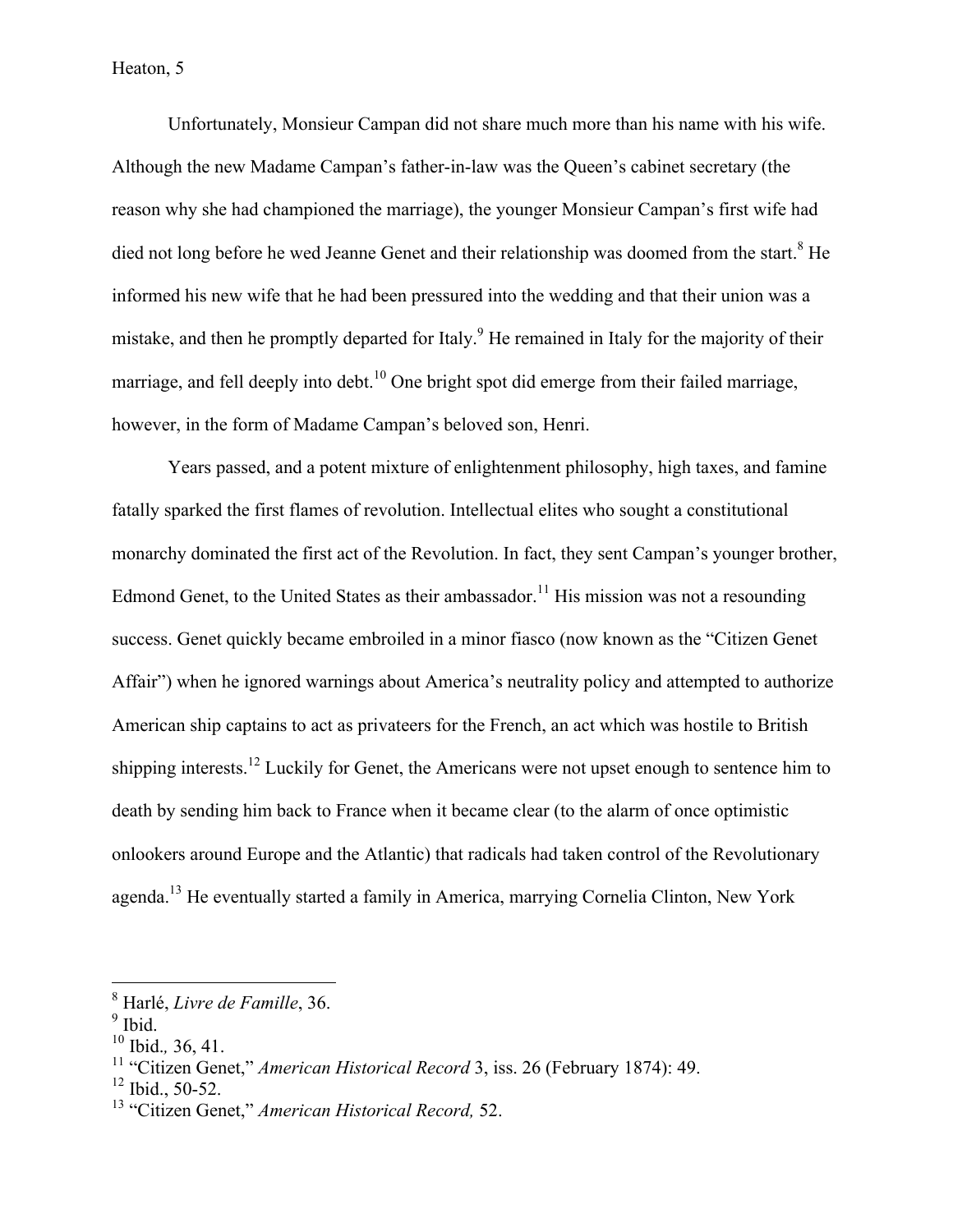#### Heaton, 5

Unfortunately, Monsieur Campan did not share much more than his name with his wife. Although the new Madame Campan's father-in-law was the Queen's cabinet secretary (the reason why she had championed the marriage), the younger Monsieur Campan's first wife had died not long before he wed Jeanne Genet and their relationship was doomed from the start.<sup>8</sup> He informed his new wife that he had been pressured into the wedding and that their union was a mistake, and then he promptly departed for Italy.<sup>9</sup> He remained in Italy for the majority of their marriage, and fell deeply into debt.<sup>10</sup> One bright spot did emerge from their failed marriage, however, in the form of Madame Campan's beloved son, Henri.

Years passed, and a potent mixture of enlightenment philosophy, high taxes, and famine fatally sparked the first flames of revolution. Intellectual elites who sought a constitutional monarchy dominated the first act of the Revolution. In fact, they sent Campan's younger brother, Edmond Genet, to the United States as their ambassador.<sup>11</sup> His mission was not a resounding success. Genet quickly became embroiled in a minor fiasco (now known as the "Citizen Genet Affair") when he ignored warnings about America's neutrality policy and attempted to authorize American ship captains to act as privateers for the French, an act which was hostile to British shipping interests.<sup>12</sup> Luckily for Genet, the Americans were not upset enough to sentence him to death by sending him back to France when it became clear (to the alarm of once optimistic onlookers around Europe and the Atlantic) that radicals had taken control of the Revolutionary agenda.<sup>13</sup> He eventually started a family in America, marrying Cornelia Clinton, New York

 <sup>8</sup> Harlé, *Livre de Famille*, 36.

 $9$  Ibid.

<sup>10</sup> Ibid.*,* 36, 41.

<sup>11</sup> "Citizen Genet," *American Historical Record* 3, iss. 26 (February 1874): 49.

 $12$  Ibid., 50-52.

<sup>13</sup> "Citizen Genet," *American Historical Record,* 52.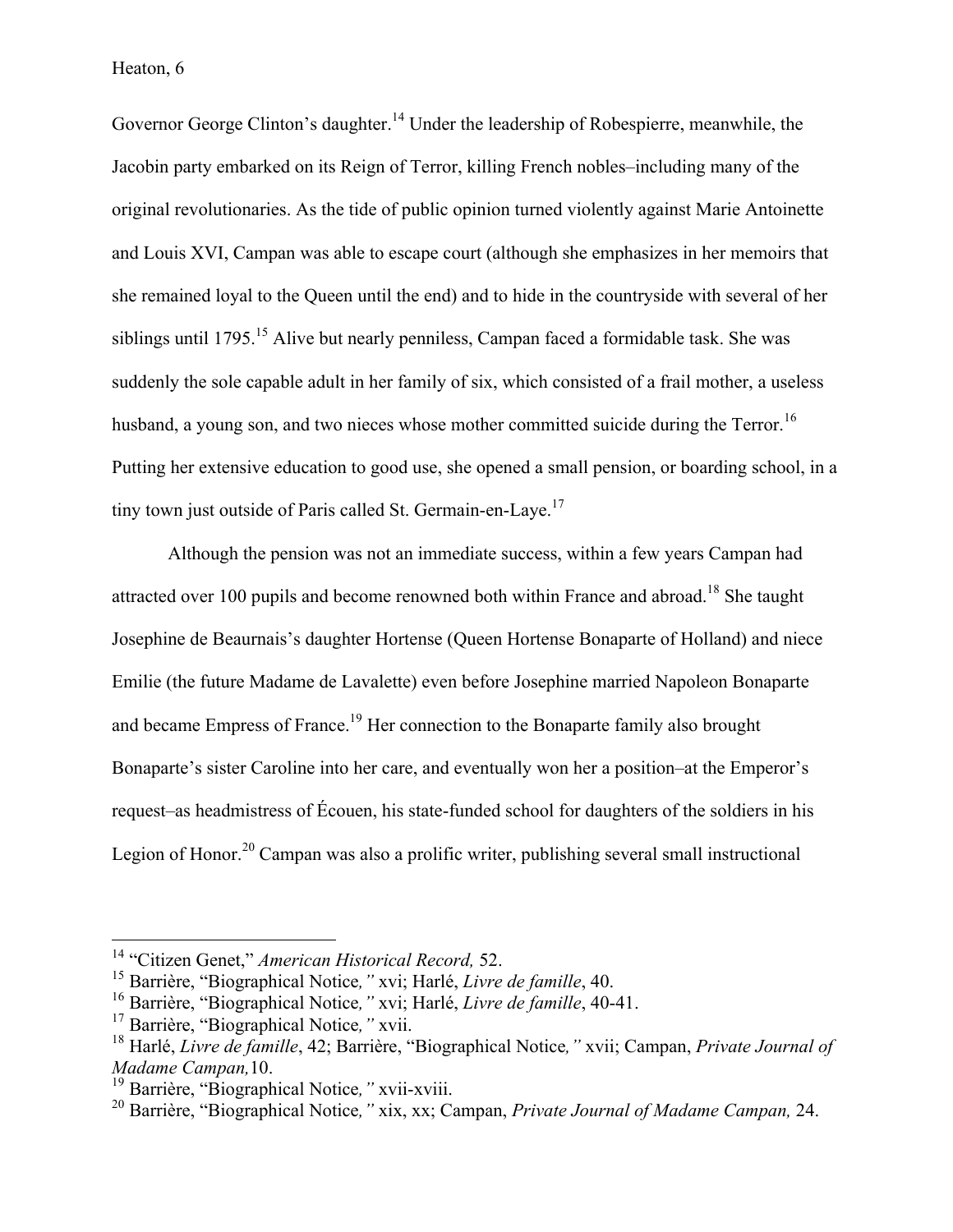Governor George Clinton's daughter.<sup>14</sup> Under the leadership of Robespierre, meanwhile, the Jacobin party embarked on its Reign of Terror, killing French nobles–including many of the original revolutionaries. As the tide of public opinion turned violently against Marie Antoinette and Louis XVI, Campan was able to escape court (although she emphasizes in her memoirs that she remained loyal to the Queen until the end) and to hide in the countryside with several of her siblings until 1795.<sup>15</sup> Alive but nearly penniless, Campan faced a formidable task. She was suddenly the sole capable adult in her family of six, which consisted of a frail mother, a useless husband, a young son, and two nieces whose mother committed suicide during the Terror.<sup>16</sup> Putting her extensive education to good use, she opened a small pension, or boarding school, in a tiny town just outside of Paris called St. Germain-en-Laye.<sup>17</sup>

Although the pension was not an immediate success, within a few years Campan had attracted over 100 pupils and become renowned both within France and abroad.<sup>18</sup> She taught Josephine de Beaurnais's daughter Hortense (Queen Hortense Bonaparte of Holland) and niece Emilie (the future Madame de Lavalette) even before Josephine married Napoleon Bonaparte and became Empress of France.<sup>19</sup> Her connection to the Bonaparte family also brought Bonaparte's sister Caroline into her care, and eventually won her a position–at the Emperor's request–as headmistress of Écouen, his state-funded school for daughters of the soldiers in his Legion of Honor.<sup>20</sup> Campan was also a prolific writer, publishing several small instructional

 <sup>14</sup> "Citizen Genet," *American Historical Record,* 52.

<sup>15</sup> Barrière, "Biographical Notice*,"* xvi; Harlé, *Livre de famille*, 40.

<sup>16</sup> Barrière, "Biographical Notice*,"* xvi; Harlé, *Livre de famille*, 40-41.

<sup>17</sup> Barrière, "Biographical Notice*,"* xvii.

<sup>18</sup> Harlé, *Livre de famille*, 42; Barrière, "Biographical Notice*,"* xvii; Campan, *Private Journal of Madame Campan,*10.

<sup>19</sup> Barrière, "Biographical Notice*,"* xvii-xviii.

<sup>20</sup> Barrière, "Biographical Notice*,"* xix, xx; Campan, *Private Journal of Madame Campan,* 24.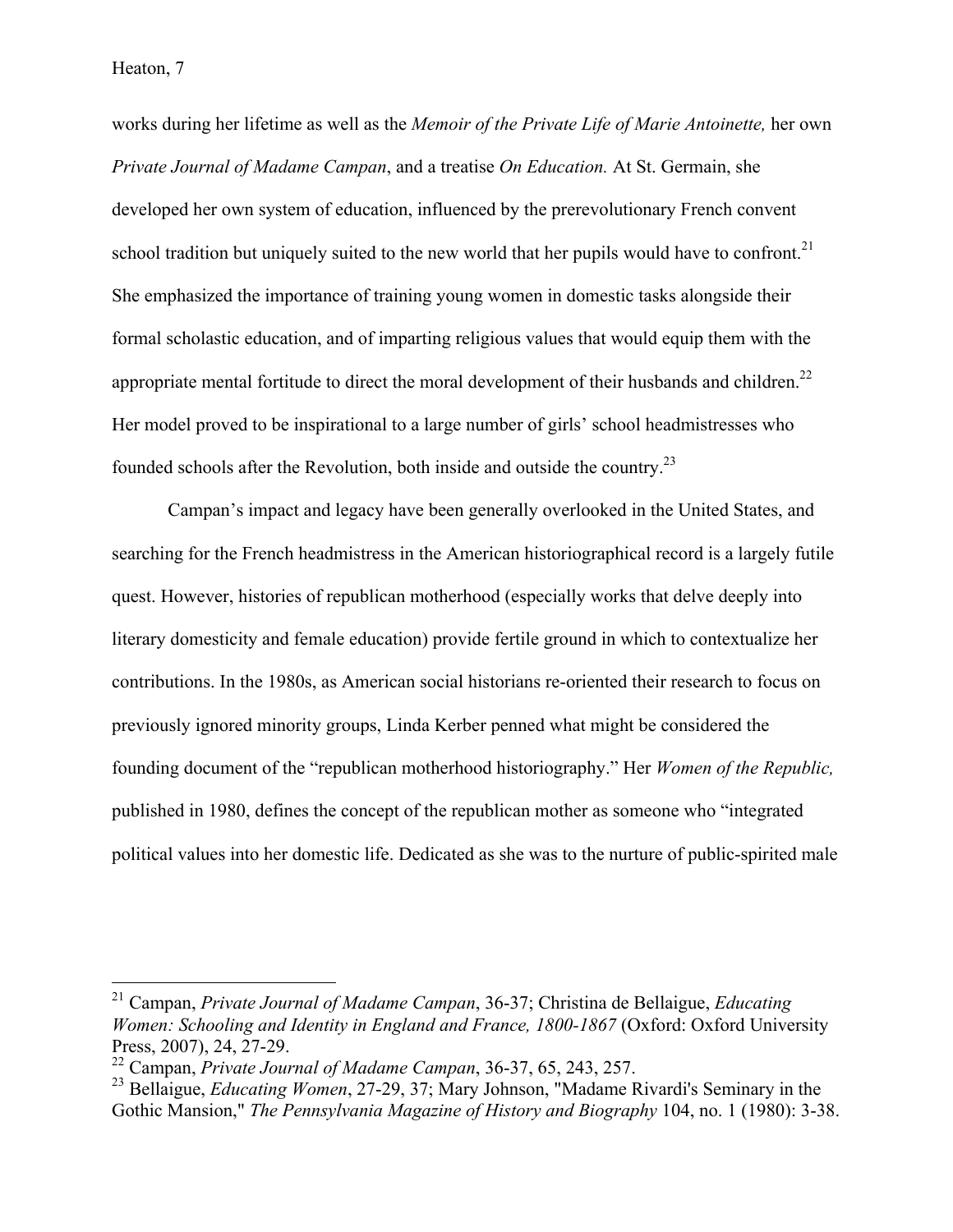works during her lifetime as well as the *Memoir of the Private Life of Marie Antoinette,* her own *Private Journal of Madame Campan*, and a treatise *On Education.* At St. Germain, she developed her own system of education, influenced by the prerevolutionary French convent school tradition but uniquely suited to the new world that her pupils would have to confront.<sup>21</sup> She emphasized the importance of training young women in domestic tasks alongside their formal scholastic education, and of imparting religious values that would equip them with the appropriate mental fortitude to direct the moral development of their husbands and children.<sup>22</sup> Her model proved to be inspirational to a large number of girls' school headmistresses who founded schools after the Revolution, both inside and outside the country.<sup>23</sup>

Campan's impact and legacy have been generally overlooked in the United States, and searching for the French headmistress in the American historiographical record is a largely futile quest. However, histories of republican motherhood (especially works that delve deeply into literary domesticity and female education) provide fertile ground in which to contextualize her contributions. In the 1980s, as American social historians re-oriented their research to focus on previously ignored minority groups, Linda Kerber penned what might be considered the founding document of the "republican motherhood historiography." Her *Women of the Republic,*  published in 1980, defines the concept of the republican mother as someone who "integrated political values into her domestic life. Dedicated as she was to the nurture of public-spirited male

 <sup>21</sup> Campan, *Private Journal of Madame Campan*, 36-37; Christina de Bellaigue, *Educating Women: Schooling and Identity in England and France, 1800-1867* (Oxford: Oxford University Press, 2007), 24, 27-29.

<sup>22</sup> Campan, *Private Journal of Madame Campan*, 36-37, 65, 243, 257.

<sup>23</sup> Bellaigue, *Educating Women*, 27-29, 37; Mary Johnson, "Madame Rivardi's Seminary in the Gothic Mansion," *The Pennsylvania Magazine of History and Biography* 104, no. 1 (1980): 3-38.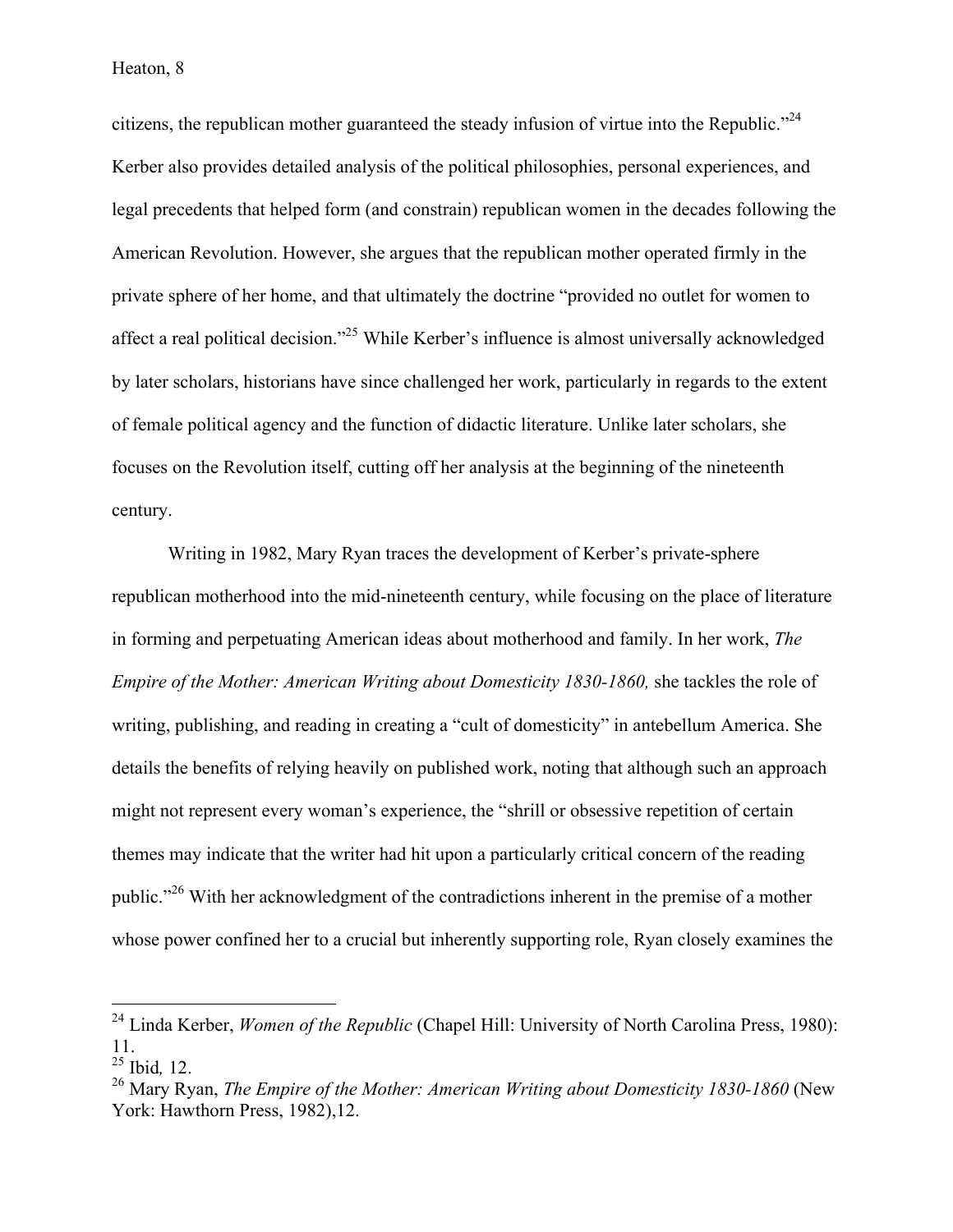citizens, the republican mother guaranteed the steady infusion of virtue into the Republic."<sup>24</sup> Kerber also provides detailed analysis of the political philosophies, personal experiences, and legal precedents that helped form (and constrain) republican women in the decades following the American Revolution. However, she argues that the republican mother operated firmly in the private sphere of her home, and that ultimately the doctrine "provided no outlet for women to affect a real political decision."25 While Kerber's influence is almost universally acknowledged by later scholars, historians have since challenged her work, particularly in regards to the extent of female political agency and the function of didactic literature. Unlike later scholars, she focuses on the Revolution itself, cutting off her analysis at the beginning of the nineteenth century.

Writing in 1982, Mary Ryan traces the development of Kerber's private-sphere republican motherhood into the mid-nineteenth century, while focusing on the place of literature in forming and perpetuating American ideas about motherhood and family. In her work, *The Empire of the Mother: American Writing about Domesticity 1830-1860*, she tackles the role of writing, publishing, and reading in creating a "cult of domesticity" in antebellum America. She details the benefits of relying heavily on published work, noting that although such an approach might not represent every woman's experience, the "shrill or obsessive repetition of certain themes may indicate that the writer had hit upon a particularly critical concern of the reading public."<sup>26</sup> With her acknowledgment of the contradictions inherent in the premise of a mother whose power confined her to a crucial but inherently supporting role, Ryan closely examines the

 <sup>24</sup> Linda Kerber, *Women of the Republic* (Chapel Hill: University of North Carolina Press, 1980): 11. <sup>25</sup> Ibid*,* 12.

<sup>&</sup>lt;sup>26</sup> Mary Ryan, *The Empire of the Mother: American Writing about Domesticity 1830-1860* (New York: Hawthorn Press, 1982),12.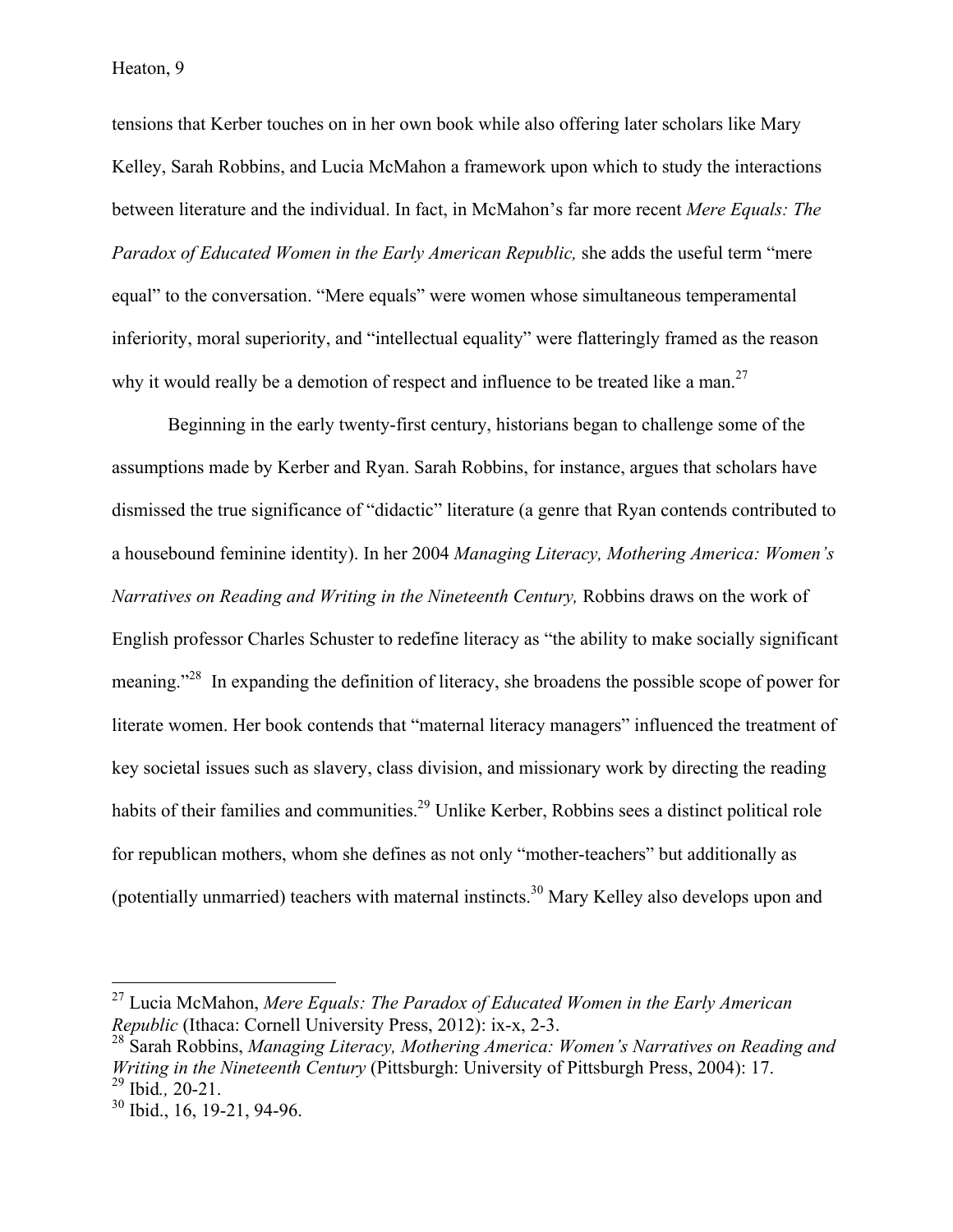tensions that Kerber touches on in her own book while also offering later scholars like Mary Kelley, Sarah Robbins, and Lucia McMahon a framework upon which to study the interactions between literature and the individual. In fact, in McMahon's far more recent *Mere Equals: The Paradox of Educated Women in the Early American Republic,* she adds the useful term "mere equal" to the conversation. "Mere equals" were women whose simultaneous temperamental inferiority, moral superiority, and "intellectual equality" were flatteringly framed as the reason why it would really be a demotion of respect and influence to be treated like a man.<sup>27</sup>

Beginning in the early twenty-first century, historians began to challenge some of the assumptions made by Kerber and Ryan. Sarah Robbins, for instance, argues that scholars have dismissed the true significance of "didactic" literature (a genre that Ryan contends contributed to a housebound feminine identity). In her 2004 *Managing Literacy, Mothering America: Women's Narratives on Reading and Writing in the Nineteenth Century,* Robbins draws on the work of English professor Charles Schuster to redefine literacy as "the ability to make socially significant meaning."<sup>28</sup> In expanding the definition of literacy, she broadens the possible scope of power for literate women. Her book contends that "maternal literacy managers" influenced the treatment of key societal issues such as slavery, class division, and missionary work by directing the reading habits of their families and communities.<sup>29</sup> Unlike Kerber, Robbins sees a distinct political role for republican mothers, whom she defines as not only "mother-teachers" but additionally as (potentially unmarried) teachers with maternal instincts.<sup>30</sup> Mary Kelley also develops upon and

 <sup>27</sup> Lucia McMahon, *Mere Equals: The Paradox of Educated Women in the Early American Republic* (Ithaca: Cornell University Press, 2012): ix-x, 2-3.

<sup>28</sup> Sarah Robbins, *Managing Literacy, Mothering America: Women's Narratives on Reading and Writing in the Nineteenth Century* (Pittsburgh: University of Pittsburgh Press, 2004): 17. <sup>29</sup> Ibid*.,* 20-21.

<sup>30</sup> Ibid., 16, 19-21, 94-96.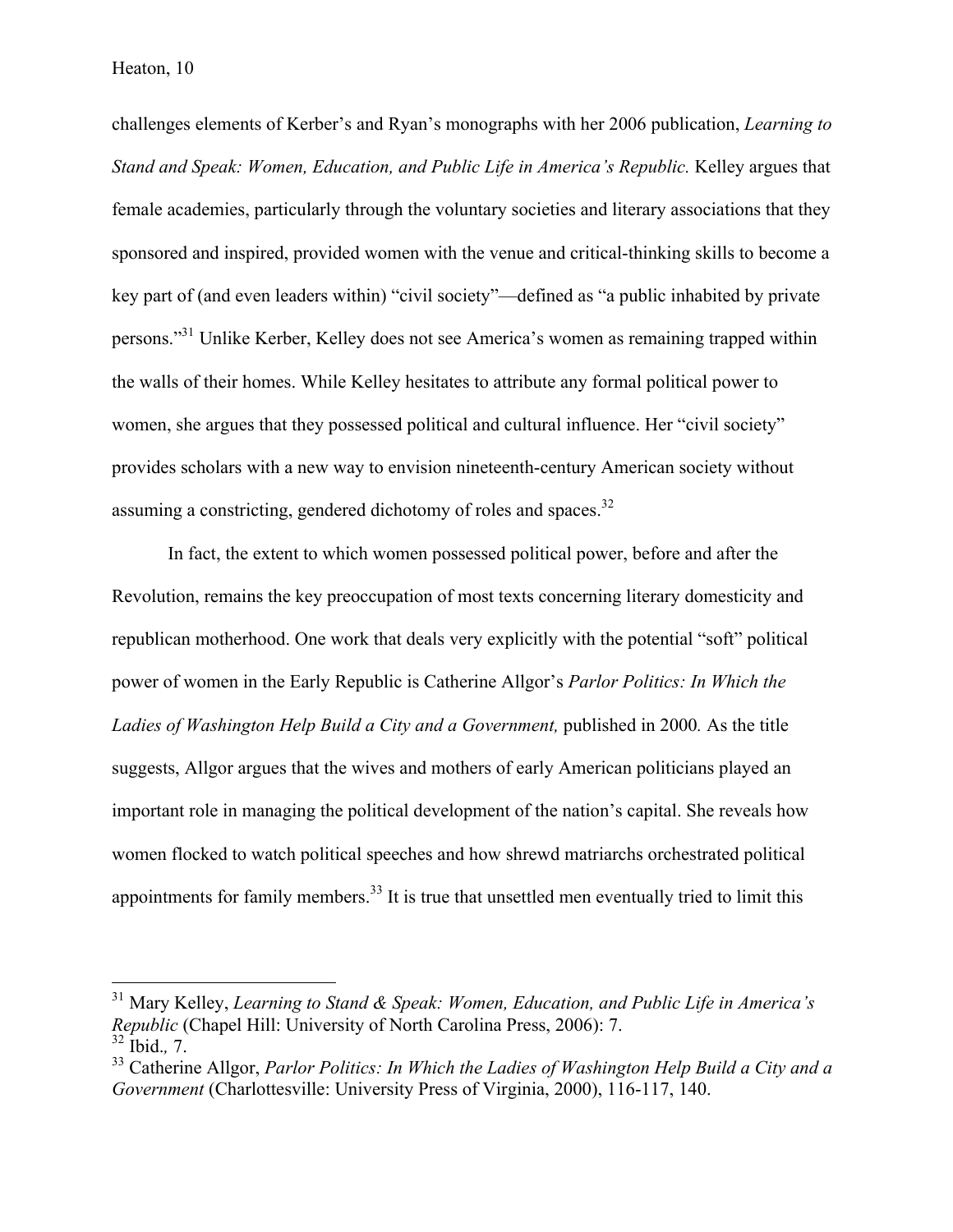challenges elements of Kerber's and Ryan's monographs with her 2006 publication, *Learning to Stand and Speak: Women, Education, and Public Life in America's Republic. Kelley argues that* female academies, particularly through the voluntary societies and literary associations that they sponsored and inspired, provided women with the venue and critical-thinking skills to become a key part of (and even leaders within) "civil society"—defined as "a public inhabited by private persons."31 Unlike Kerber, Kelley does not see America's women as remaining trapped within the walls of their homes. While Kelley hesitates to attribute any formal political power to women, she argues that they possessed political and cultural influence. Her "civil society" provides scholars with a new way to envision nineteenth-century American society without assuming a constricting, gendered dichotomy of roles and spaces.<sup>32</sup>

In fact, the extent to which women possessed political power, before and after the Revolution, remains the key preoccupation of most texts concerning literary domesticity and republican motherhood. One work that deals very explicitly with the potential "soft" political power of women in the Early Republic is Catherine Allgor's *Parlor Politics: In Which the*  Ladies of Washington Help Build a City and a Government, published in 2000. As the title suggests, Allgor argues that the wives and mothers of early American politicians played an important role in managing the political development of the nation's capital. She reveals how women flocked to watch political speeches and how shrewd matriarchs orchestrated political appointments for family members.<sup>33</sup> It is true that unsettled men eventually tried to limit this

 <sup>31</sup> Mary Kelley, *Learning to Stand & Speak: Women, Education, and Public Life in America's Republic* (Chapel Hill: University of North Carolina Press, 2006): 7. <sup>32</sup> Ibid.*,* 7.

<sup>33</sup> Catherine Allgor, *Parlor Politics: In Which the Ladies of Washington Help Build a City and a Government* (Charlottesville: University Press of Virginia, 2000), 116-117, 140.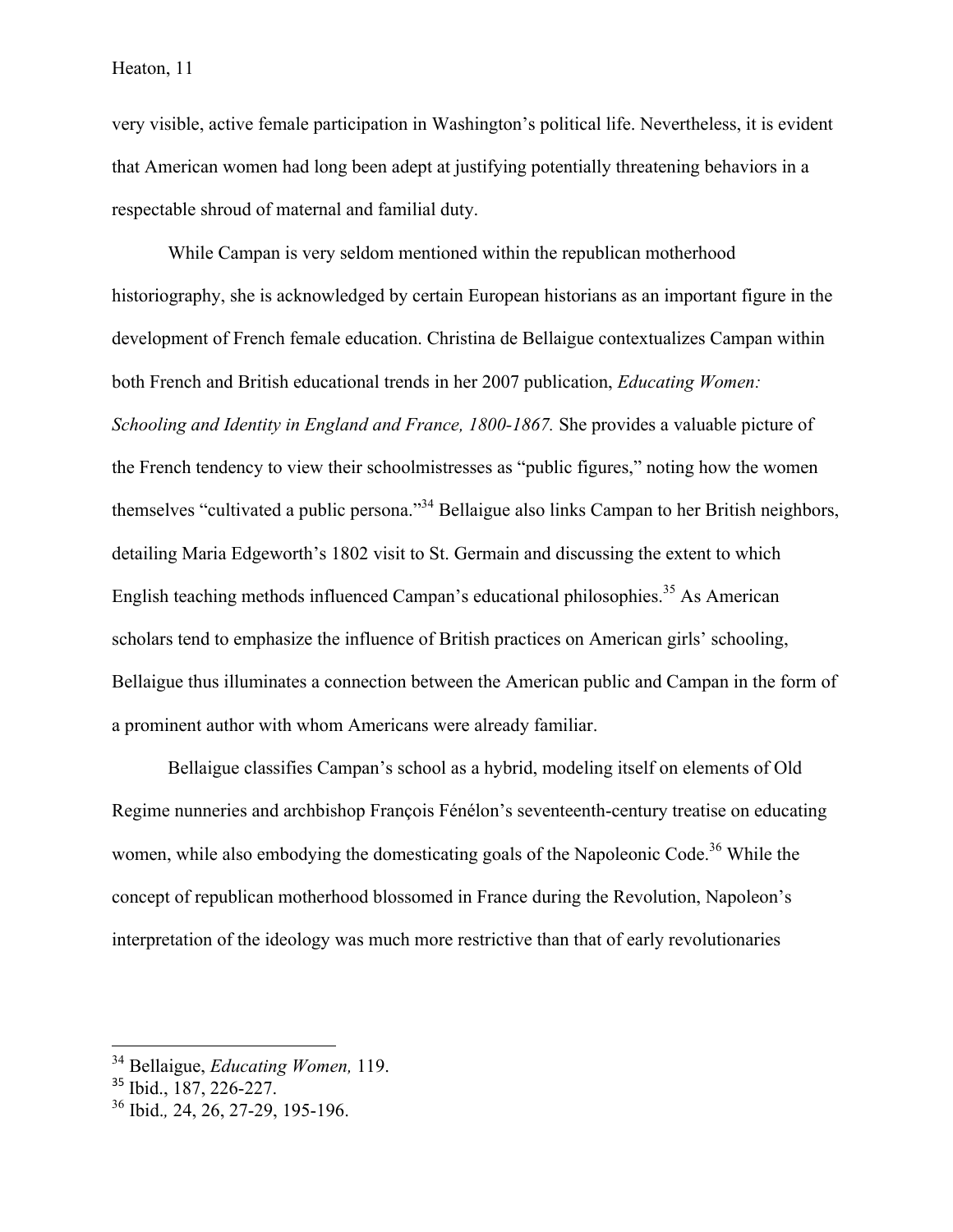#### Heaton, 11

very visible, active female participation in Washington's political life. Nevertheless, it is evident that American women had long been adept at justifying potentially threatening behaviors in a respectable shroud of maternal and familial duty.

While Campan is very seldom mentioned within the republican motherhood historiography, she is acknowledged by certain European historians as an important figure in the development of French female education. Christina de Bellaigue contextualizes Campan within both French and British educational trends in her 2007 publication, *Educating Women: Schooling and Identity in England and France, 1800-1867.* She provides a valuable picture of the French tendency to view their schoolmistresses as "public figures," noting how the women themselves "cultivated a public persona."<sup>34</sup> Bellaigue also links Campan to her British neighbors, detailing Maria Edgeworth's 1802 visit to St. Germain and discussing the extent to which English teaching methods influenced Campan's educational philosophies.<sup>35</sup> As American scholars tend to emphasize the influence of British practices on American girls' schooling, Bellaigue thus illuminates a connection between the American public and Campan in the form of a prominent author with whom Americans were already familiar.

Bellaigue classifies Campan's school as a hybrid, modeling itself on elements of Old Regime nunneries and archbishop François Fénélon's seventeenth-century treatise on educating women, while also embodying the domesticating goals of the Napoleonic Code.<sup>36</sup> While the concept of republican motherhood blossomed in France during the Revolution, Napoleon's interpretation of the ideology was much more restrictive than that of early revolutionaries

 <sup>34</sup> Bellaigue, *Educating Women,* 119.

<sup>&</sup>lt;sup>35</sup> Ibid., 187, 226-227.

<sup>36</sup> Ibid.*,* 24, 26, 27-29, 195-196.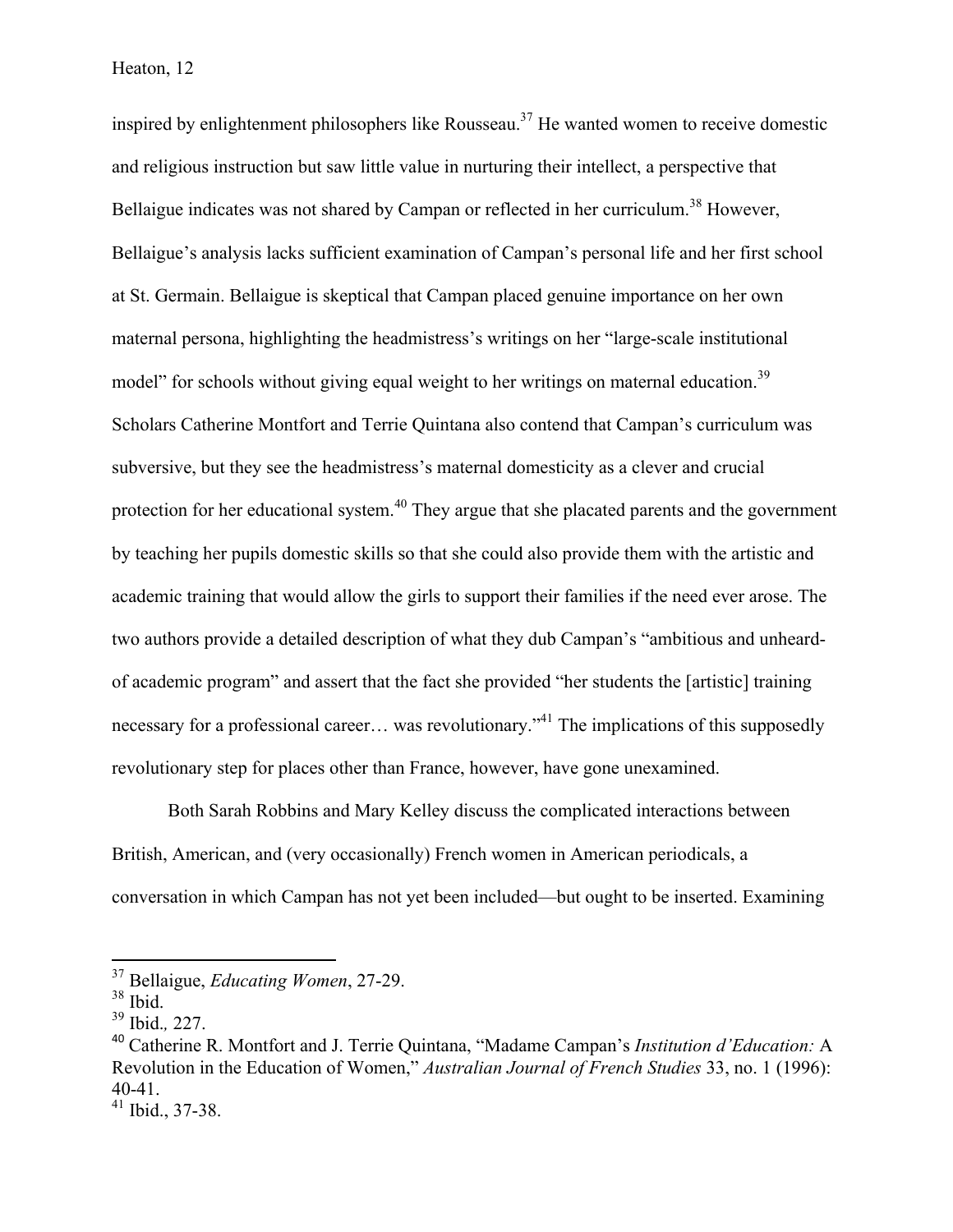Heaton, 12

inspired by enlightenment philosophers like Rousseau.<sup>37</sup> He wanted women to receive domestic and religious instruction but saw little value in nurturing their intellect, a perspective that Bellaigue indicates was not shared by Campan or reflected in her curriculum.<sup>38</sup> However, Bellaigue's analysis lacks sufficient examination of Campan's personal life and her first school at St. Germain. Bellaigue is skeptical that Campan placed genuine importance on her own maternal persona, highlighting the headmistress's writings on her "large-scale institutional model" for schools without giving equal weight to her writings on maternal education.<sup>39</sup> Scholars Catherine Montfort and Terrie Quintana also contend that Campan's curriculum was subversive, but they see the headmistress's maternal domesticity as a clever and crucial protection for her educational system.<sup>40</sup> They argue that she placated parents and the government by teaching her pupils domestic skills so that she could also provide them with the artistic and academic training that would allow the girls to support their families if the need ever arose. The two authors provide a detailed description of what they dub Campan's "ambitious and unheardof academic program" and assert that the fact she provided "her students the [artistic] training necessary for a professional career... was revolutionary.<sup>"41</sup> The implications of this supposedly revolutionary step for places other than France, however, have gone unexamined.

Both Sarah Robbins and Mary Kelley discuss the complicated interactions between British, American, and (very occasionally) French women in American periodicals, a conversation in which Campan has not yet been included—but ought to be inserted. Examining

 <sup>37</sup> Bellaigue, *Educating Women*, 27-29.

 $38$  Ibid.

<sup>39</sup> Ibid.*,* 227.

<sup>40</sup> Catherine R. Montfort and J. Terrie Quintana, "Madame Campan's *Institution d'Education:* A Revolution in the Education of Women," *Australian Journal of French Studies* 33, no. 1 (1996): 40-41.

<sup>41</sup> Ibid., 37-38.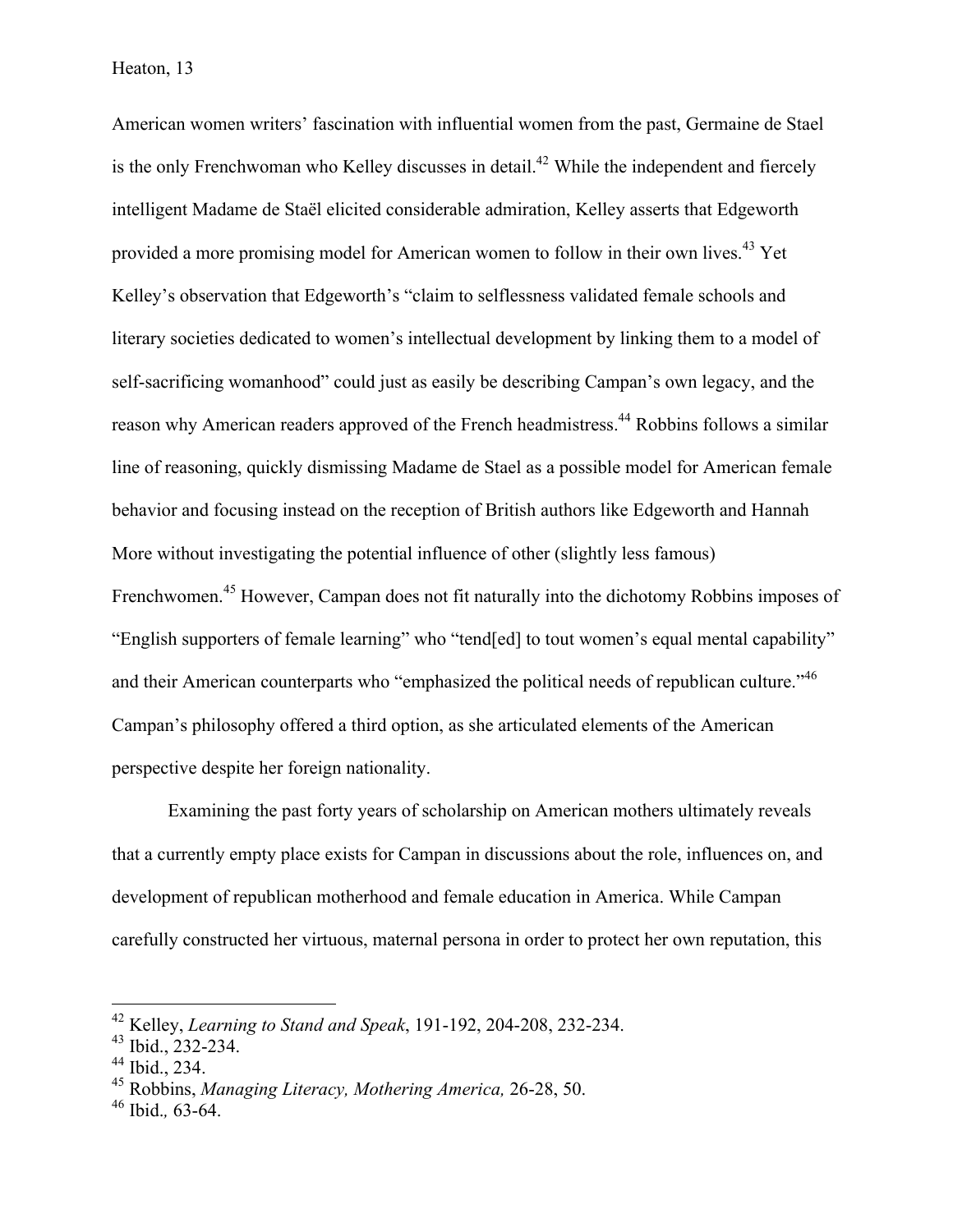American women writers' fascination with influential women from the past, Germaine de Stael is the only Frenchwoman who Kelley discusses in detail.<sup>42</sup> While the independent and fiercely intelligent Madame de Staël elicited considerable admiration, Kelley asserts that Edgeworth provided a more promising model for American women to follow in their own lives.<sup>43</sup> Yet Kelley's observation that Edgeworth's "claim to selflessness validated female schools and literary societies dedicated to women's intellectual development by linking them to a model of self-sacrificing womanhood" could just as easily be describing Campan's own legacy, and the reason why American readers approved of the French headmistress.<sup>44</sup> Robbins follows a similar line of reasoning, quickly dismissing Madame de Stael as a possible model for American female behavior and focusing instead on the reception of British authors like Edgeworth and Hannah More without investigating the potential influence of other (slightly less famous) Frenchwomen.<sup>45</sup> However, Campan does not fit naturally into the dichotomy Robbins imposes of "English supporters of female learning" who "tend[ed] to tout women's equal mental capability" and their American counterparts who "emphasized the political needs of republican culture."<sup>46</sup> Campan's philosophy offered a third option, as she articulated elements of the American perspective despite her foreign nationality.

Examining the past forty years of scholarship on American mothers ultimately reveals that a currently empty place exists for Campan in discussions about the role, influences on, and development of republican motherhood and female education in America. While Campan carefully constructed her virtuous, maternal persona in order to protect her own reputation, this

 <sup>42</sup> Kelley, *Learning to Stand and Speak*, 191-192, 204-208, 232-234.

<sup>43</sup> Ibid., 232-234.

 $44$  Ibid., 234.

<sup>45</sup> Robbins, *Managing Literacy, Mothering America,* 26-28, 50.

<sup>46</sup> Ibid.*,* 63-64.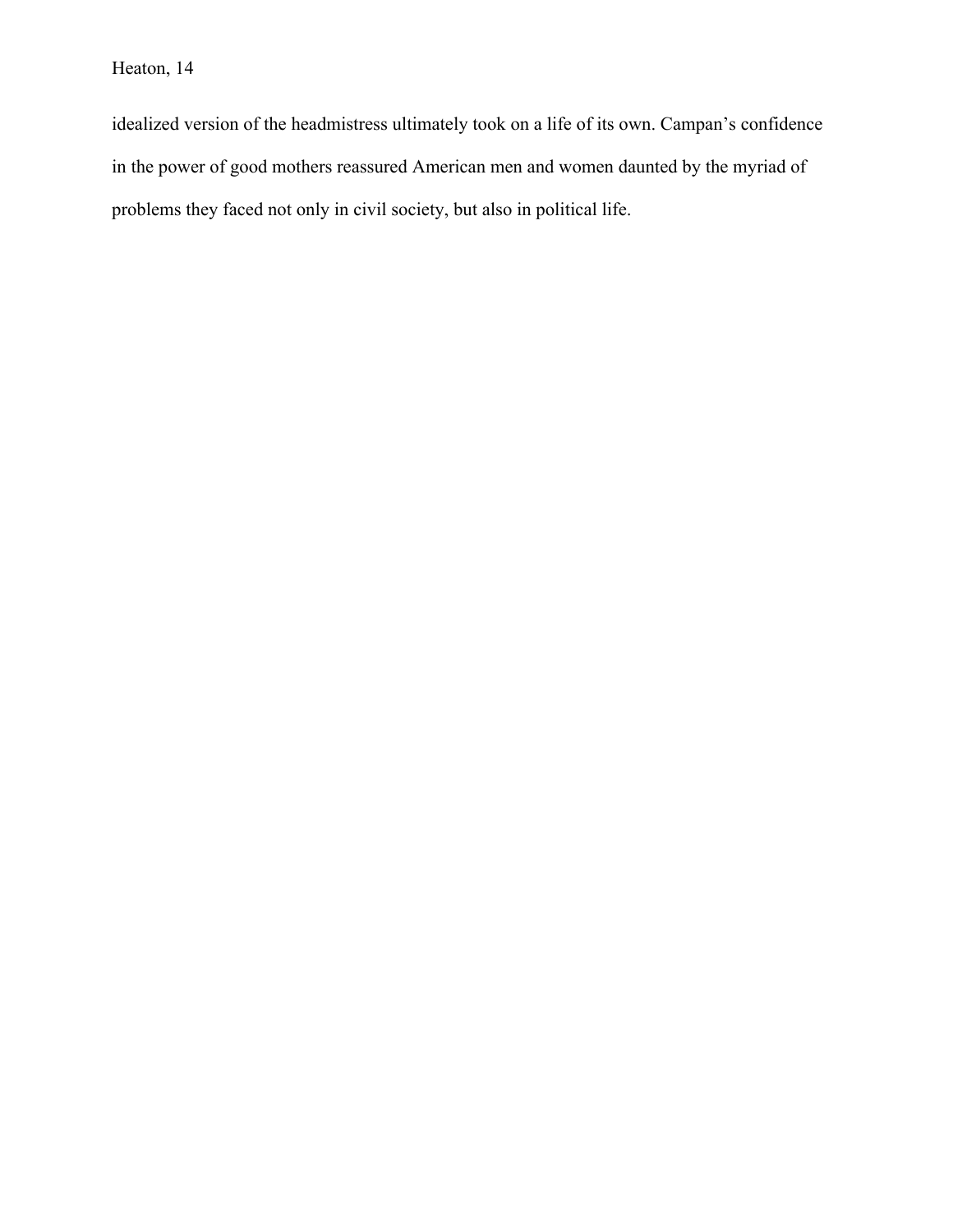idealized version of the headmistress ultimately took on a life of its own. Campan's confidence in the power of good mothers reassured American men and women daunted by the myriad of problems they faced not only in civil society, but also in political life.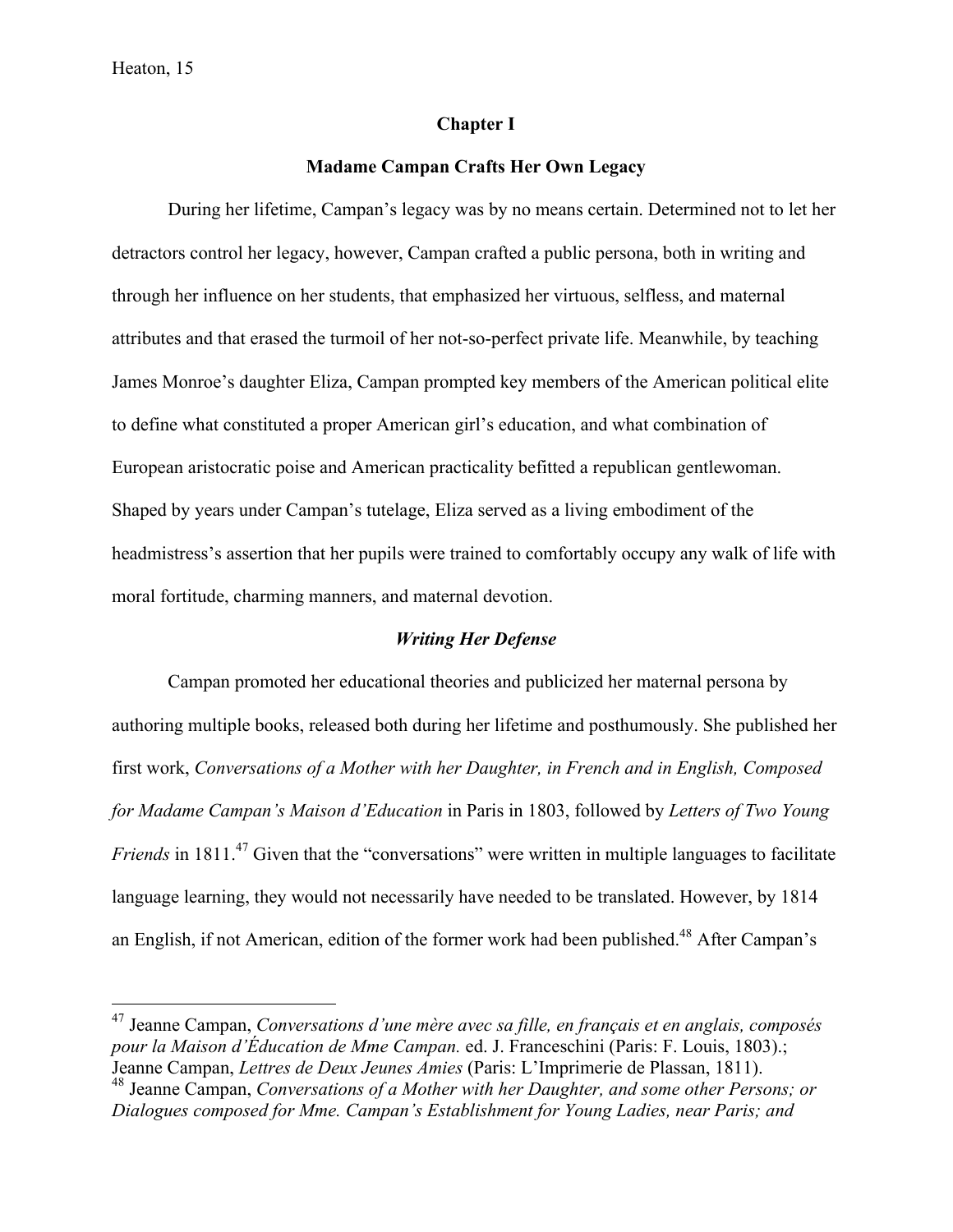#### **Chapter I**

#### **Madame Campan Crafts Her Own Legacy**

During her lifetime, Campan's legacy was by no means certain. Determined not to let her detractors control her legacy, however, Campan crafted a public persona, both in writing and through her influence on her students, that emphasized her virtuous, selfless, and maternal attributes and that erased the turmoil of her not-so-perfect private life. Meanwhile, by teaching James Monroe's daughter Eliza, Campan prompted key members of the American political elite to define what constituted a proper American girl's education, and what combination of European aristocratic poise and American practicality befitted a republican gentlewoman. Shaped by years under Campan's tutelage, Eliza served as a living embodiment of the headmistress's assertion that her pupils were trained to comfortably occupy any walk of life with moral fortitude, charming manners, and maternal devotion.

#### *Writing Her Defense*

Campan promoted her educational theories and publicized her maternal persona by authoring multiple books, released both during her lifetime and posthumously. She published her first work, *Conversations of a Mother with her Daughter, in French and in English, Composed for Madame Campan's Maison d'Education* in Paris in 1803, followed by *Letters of Two Young Friends* in 1811.<sup>47</sup> Given that the "conversations" were written in multiple languages to facilitate language learning, they would not necessarily have needed to be translated. However, by 1814 an English, if not American, edition of the former work had been published.<sup>48</sup> After Campan's

 <sup>47</sup> Jeanne Campan, *Conversations d'une mère avec sa fille, en français et en anglais, composés pour la Maison d'Éducation de Mme Campan.* ed. J. Franceschini (Paris: F. Louis, 1803).; Jeanne Campan, *Lettres de Deux Jeunes Amies* (Paris: L'Imprimerie de Plassan, 1811).

<sup>48</sup> Jeanne Campan, *Conversations of a Mother with her Daughter, and some other Persons; or Dialogues composed for Mme. Campan's Establishment for Young Ladies, near Paris; and*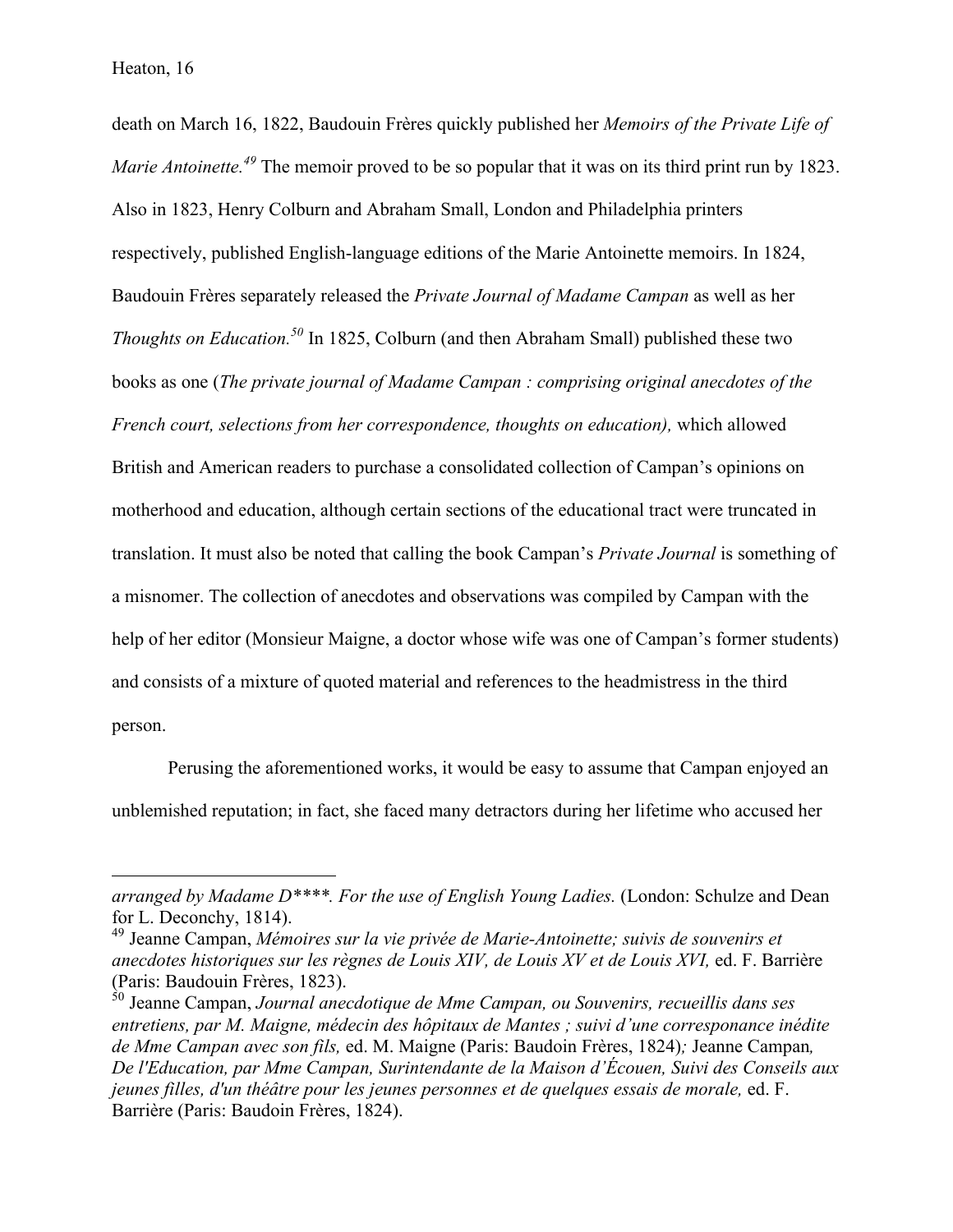death on March 16, 1822, Baudouin Frères quickly published her *Memoirs of the Private Life of Marie Antoinette.<sup>49</sup>* The memoir proved to be so popular that it was on its third print run by 1823. Also in 1823, Henry Colburn and Abraham Small, London and Philadelphia printers respectively, published English-language editions of the Marie Antoinette memoirs. In 1824, Baudouin Frères separately released the *Private Journal of Madame Campan* as well as her *Thoughts on Education.50* In 1825, Colburn (and then Abraham Small) published these two books as one (*The private journal of Madame Campan : comprising original anecdotes of the French court, selections from her correspondence, thoughts on education),* which allowed British and American readers to purchase a consolidated collection of Campan's opinions on motherhood and education, although certain sections of the educational tract were truncated in translation. It must also be noted that calling the book Campan's *Private Journal* is something of a misnomer. The collection of anecdotes and observations was compiled by Campan with the help of her editor (Monsieur Maigne, a doctor whose wife was one of Campan's former students) and consists of a mixture of quoted material and references to the headmistress in the third person.

Perusing the aforementioned works, it would be easy to assume that Campan enjoyed an unblemished reputation; in fact, she faced many detractors during her lifetime who accused her

*arranged by Madame D\*\*\*\*. For the use of English Young Ladies.* (London: Schulze and Dean for L. Deconchy, 1814).

<sup>49</sup> Jeanne Campan, *Mémoires sur la vie privée de Marie-Antoinette; suivis de souvenirs et anecdotes historiques sur les règnes de Louis XIV, de Louis XV et de Louis XVI,* ed. F. Barrière (Paris: Baudouin Frères, 1823).

<sup>50</sup> Jeanne Campan, *Journal anecdotique de Mme Campan, ou Souvenirs, recueillis dans ses entretiens, par M. Maigne, médecin des hôpitaux de Mantes ; suivi d'une corresponance inédite de Mme Campan avec son fils,* ed. M. Maigne (Paris: Baudoin Frères, 1824)*;* Jeanne Campan*, De l'Education, par Mme Campan, Surintendante de la Maison d'Écouen, Suivi des Conseils aux jeunes filles, d'un théâtre pour les jeunes personnes et de quelques essais de morale,* ed. F. Barrière (Paris: Baudoin Frères, 1824).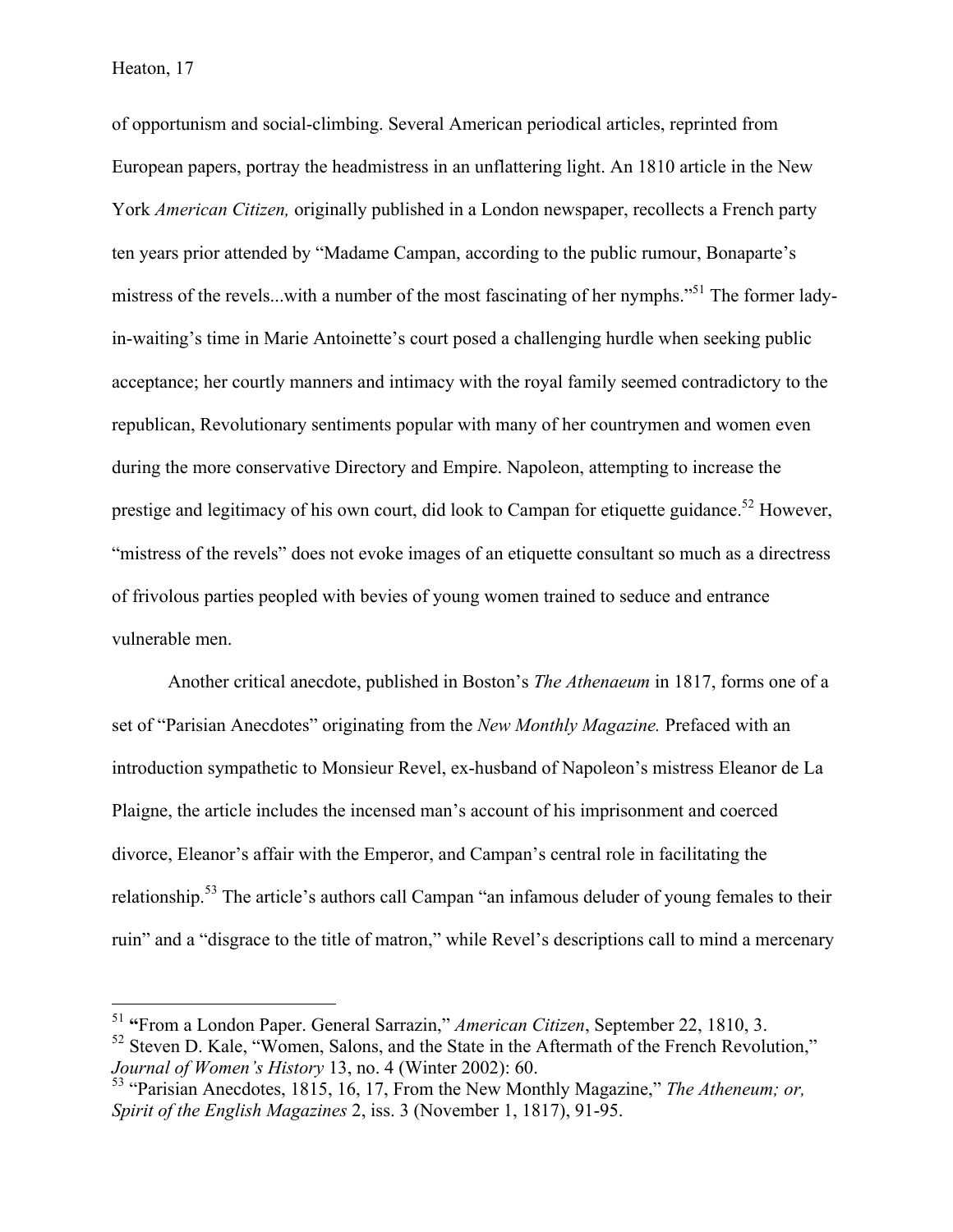Heaton, 17

of opportunism and social-climbing. Several American periodical articles, reprinted from European papers, portray the headmistress in an unflattering light. An 1810 article in the New York *American Citizen,* originally published in a London newspaper, recollects a French party ten years prior attended by "Madame Campan, according to the public rumour, Bonaparte's mistress of the revels...with a number of the most fascinating of her nymphs.<sup>51</sup> The former ladyin-waiting's time in Marie Antoinette's court posed a challenging hurdle when seeking public acceptance; her courtly manners and intimacy with the royal family seemed contradictory to the republican, Revolutionary sentiments popular with many of her countrymen and women even during the more conservative Directory and Empire. Napoleon, attempting to increase the prestige and legitimacy of his own court, did look to Campan for etiquette guidance.<sup>52</sup> However, "mistress of the revels" does not evoke images of an etiquette consultant so much as a directress of frivolous parties peopled with bevies of young women trained to seduce and entrance vulnerable men.

Another critical anecdote, published in Boston's *The Athenaeum* in 1817, forms one of a set of "Parisian Anecdotes" originating from the *New Monthly Magazine.* Prefaced with an introduction sympathetic to Monsieur Revel, ex-husband of Napoleon's mistress Eleanor de La Plaigne, the article includes the incensed man's account of his imprisonment and coerced divorce, Eleanor's affair with the Emperor, and Campan's central role in facilitating the relationship.<sup>53</sup> The article's authors call Campan "an infamous deluder of young females to their ruin" and a "disgrace to the title of matron," while Revel's descriptions call to mind a mercenary

 <sup>51</sup> **"**From a London Paper. General Sarrazin," *American Citizen*, September 22, 1810, 3.  $52$  Steven D. Kale, "Women, Salons, and the State in the Aftermath of the French Revolution,"

*Journal of Women's History* 13, no. 4 (Winter 2002): 60.

<sup>53</sup> "Parisian Anecdotes, 1815, 16, 17, From the New Monthly Magazine," *The Atheneum; or, Spirit of the English Magazines* 2, iss. 3 (November 1, 1817), 91-95.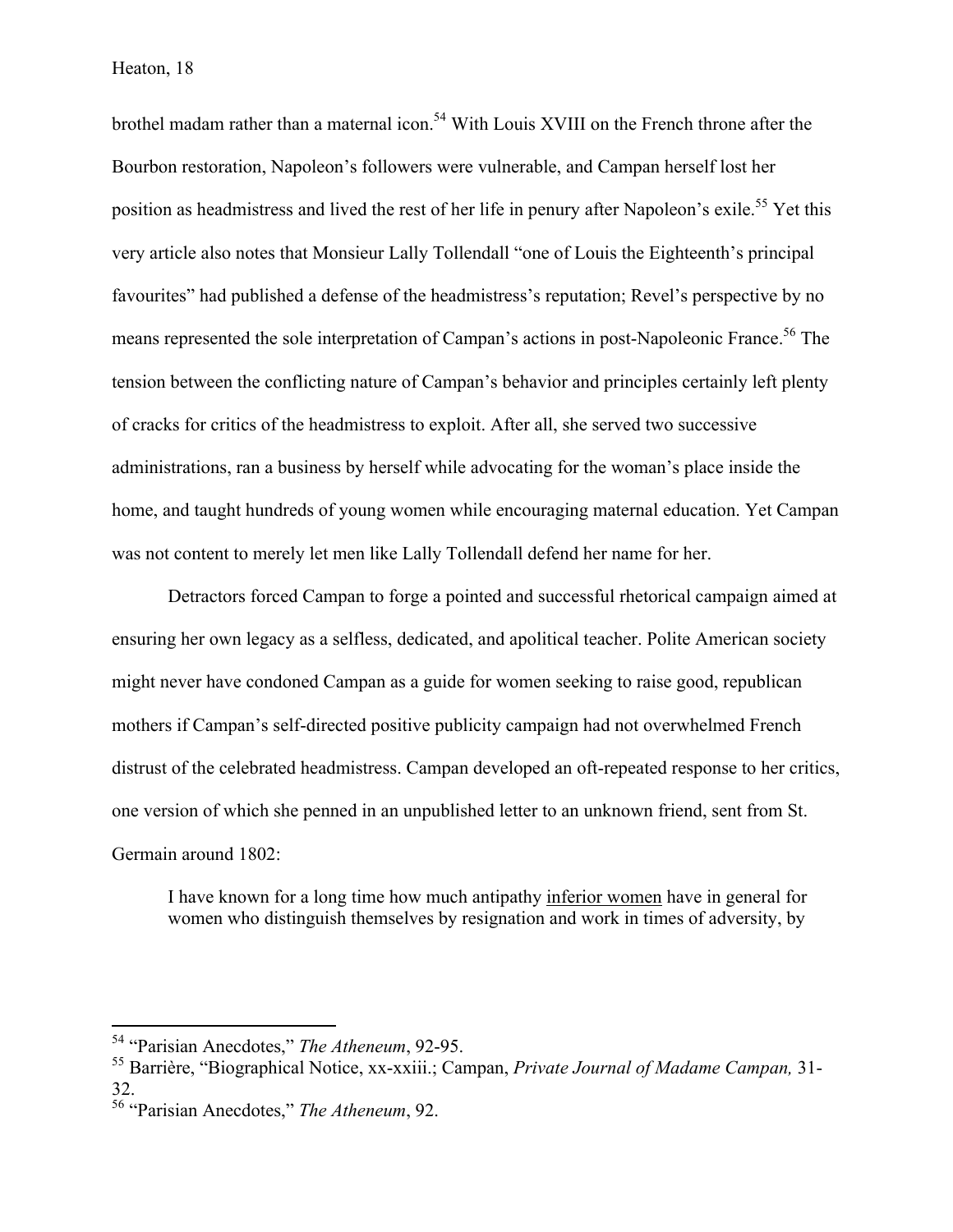Heaton, 18

brothel madam rather than a maternal icon.<sup>54</sup> With Louis XVIII on the French throne after the Bourbon restoration, Napoleon's followers were vulnerable, and Campan herself lost her position as headmistress and lived the rest of her life in penury after Napoleon's exile.<sup>55</sup> Yet this very article also notes that Monsieur Lally Tollendall "one of Louis the Eighteenth's principal favourites" had published a defense of the headmistress's reputation; Revel's perspective by no means represented the sole interpretation of Campan's actions in post-Napoleonic France.<sup>56</sup> The tension between the conflicting nature of Campan's behavior and principles certainly left plenty of cracks for critics of the headmistress to exploit. After all, she served two successive administrations, ran a business by herself while advocating for the woman's place inside the home, and taught hundreds of young women while encouraging maternal education. Yet Campan was not content to merely let men like Lally Tollendall defend her name for her.

Detractors forced Campan to forge a pointed and successful rhetorical campaign aimed at ensuring her own legacy as a selfless, dedicated, and apolitical teacher. Polite American society might never have condoned Campan as a guide for women seeking to raise good, republican mothers if Campan's self-directed positive publicity campaign had not overwhelmed French distrust of the celebrated headmistress. Campan developed an oft-repeated response to her critics, one version of which she penned in an unpublished letter to an unknown friend, sent from St. Germain around 1802:

I have known for a long time how much antipathy inferior women have in general for women who distinguish themselves by resignation and work in times of adversity, by

 <sup>54</sup> "Parisian Anecdotes," *The Atheneum*, 92-95.

<sup>55</sup> Barrière, "Biographical Notice, xx-xxiii.; Campan, *Private Journal of Madame Campan,* 31- 32.

<sup>56</sup> "Parisian Anecdotes," *The Atheneum*, 92.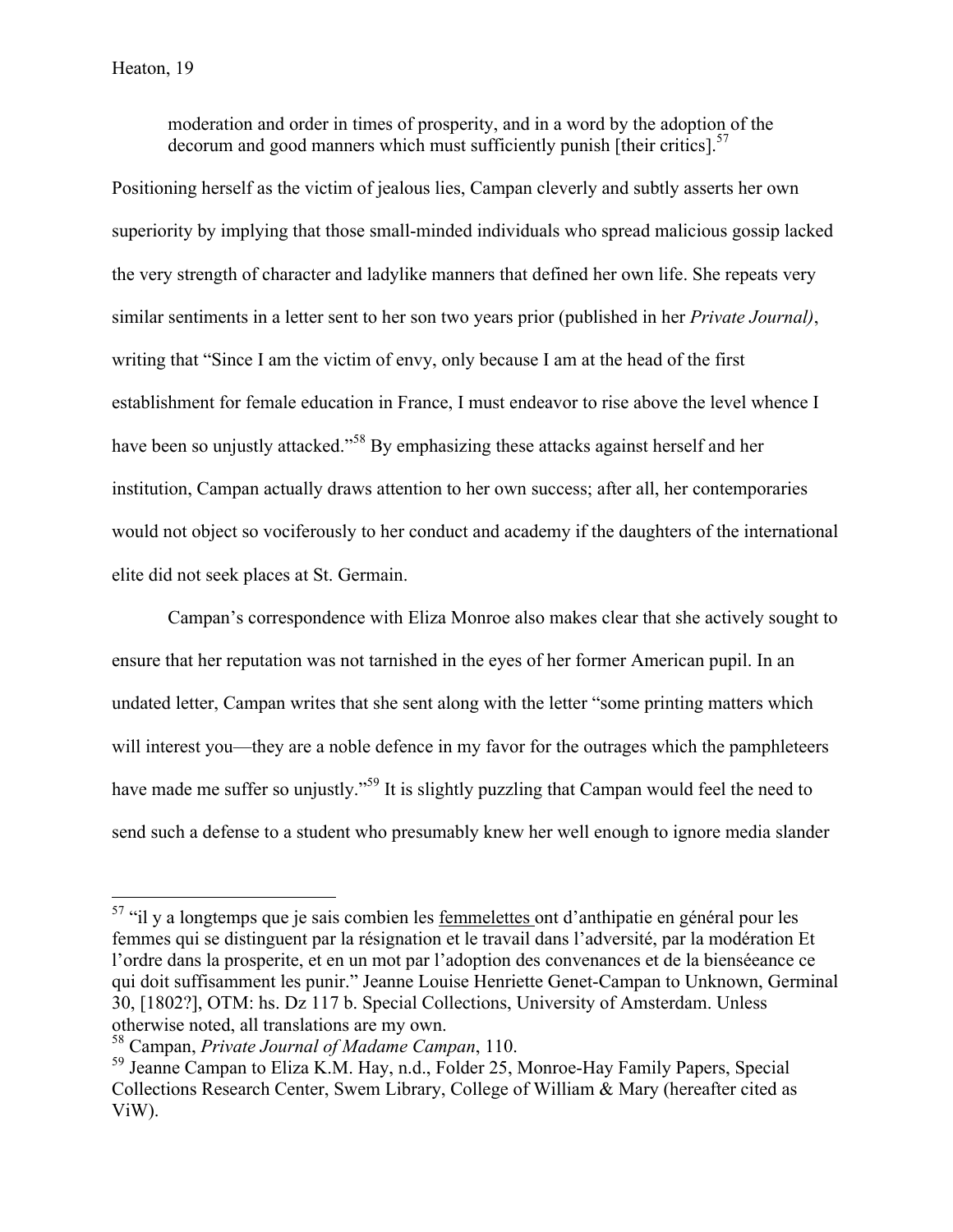moderation and order in times of prosperity, and in a word by the adoption of the decorum and good manners which must sufficiently punish [their critics].<sup>57</sup>

Positioning herself as the victim of jealous lies, Campan cleverly and subtly asserts her own superiority by implying that those small-minded individuals who spread malicious gossip lacked the very strength of character and ladylike manners that defined her own life. She repeats very similar sentiments in a letter sent to her son two years prior (published in her *Private Journal)*, writing that "Since I am the victim of envy, only because I am at the head of the first establishment for female education in France, I must endeavor to rise above the level whence I have been so unjustly attacked."<sup>58</sup> By emphasizing these attacks against herself and her institution, Campan actually draws attention to her own success; after all, her contemporaries would not object so vociferously to her conduct and academy if the daughters of the international elite did not seek places at St. Germain.

Campan's correspondence with Eliza Monroe also makes clear that she actively sought to ensure that her reputation was not tarnished in the eyes of her former American pupil. In an undated letter, Campan writes that she sent along with the letter "some printing matters which will interest you—they are a noble defence in my favor for the outrages which the pamphleteers have made me suffer so unjustly."<sup>59</sup> It is slightly puzzling that Campan would feel the need to send such a defense to a student who presumably knew her well enough to ignore media slander

<sup>&</sup>lt;sup>57</sup> "il y a longtemps que je sais combien les femmelettes ont d'anthipatie en général pour les femmes qui se distinguent par la résignation et le travail dans l'adversité, par la modération Et l'ordre dans la prosperite, et en un mot par l'adoption des convenances et de la bienséeance ce qui doit suffisamment les punir." Jeanne Louise Henriette Genet-Campan to Unknown, Germinal 30, [1802?], OTM: hs. Dz 117 b. Special Collections, University of Amsterdam. Unless otherwise noted, all translations are my own.

<sup>58</sup> Campan, *Private Journal of Madame Campan*, 110.

<sup>59</sup> Jeanne Campan to Eliza K.M. Hay, n.d., Folder 25, Monroe-Hay Family Papers, Special Collections Research Center, Swem Library, College of William & Mary (hereafter cited as ViW).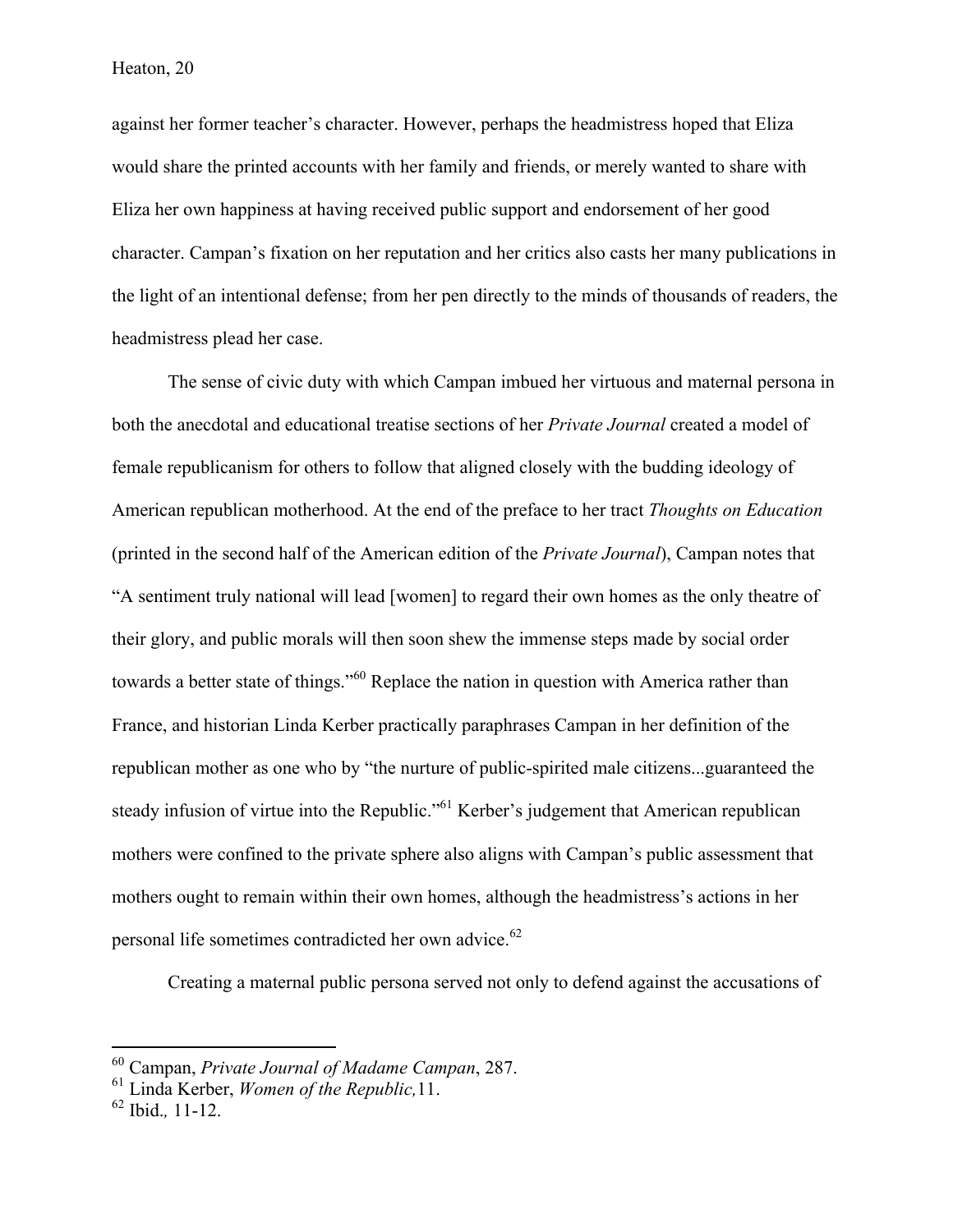against her former teacher's character. However, perhaps the headmistress hoped that Eliza would share the printed accounts with her family and friends, or merely wanted to share with Eliza her own happiness at having received public support and endorsement of her good character. Campan's fixation on her reputation and her critics also casts her many publications in the light of an intentional defense; from her pen directly to the minds of thousands of readers, the headmistress plead her case.

The sense of civic duty with which Campan imbued her virtuous and maternal persona in both the anecdotal and educational treatise sections of her *Private Journal* created a model of female republicanism for others to follow that aligned closely with the budding ideology of American republican motherhood. At the end of the preface to her tract *Thoughts on Education* (printed in the second half of the American edition of the *Private Journal*), Campan notes that "A sentiment truly national will lead [women] to regard their own homes as the only theatre of their glory, and public morals will then soon shew the immense steps made by social order towards a better state of things."<sup>60</sup> Replace the nation in question with America rather than France, and historian Linda Kerber practically paraphrases Campan in her definition of the republican mother as one who by "the nurture of public-spirited male citizens...guaranteed the steady infusion of virtue into the Republic."<sup>61</sup> Kerber's judgement that American republican mothers were confined to the private sphere also aligns with Campan's public assessment that mothers ought to remain within their own homes, although the headmistress's actions in her personal life sometimes contradicted her own advice.<sup>62</sup>

Creating a maternal public persona served not only to defend against the accusations of

 <sup>60</sup> Campan, *Private Journal of Madame Campan*, 287.

<sup>61</sup> Linda Kerber, *Women of the Republic,*11.

<sup>62</sup> Ibid.*,* 11-12.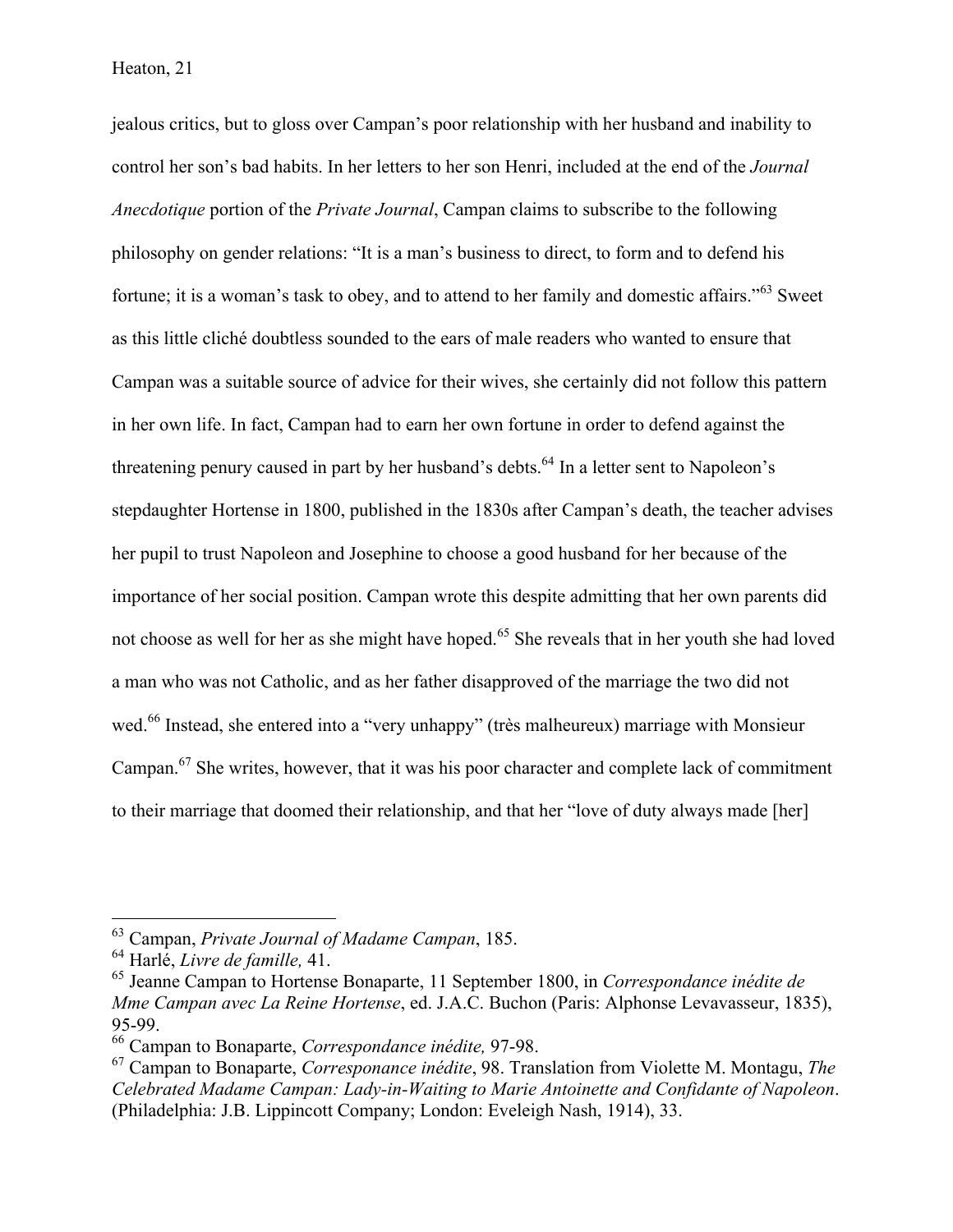jealous critics, but to gloss over Campan's poor relationship with her husband and inability to control her son's bad habits. In her letters to her son Henri, included at the end of the *Journal Anecdotique* portion of the *Private Journal*, Campan claims to subscribe to the following philosophy on gender relations: "It is a man's business to direct, to form and to defend his fortune; it is a woman's task to obey, and to attend to her family and domestic affairs."<sup>63</sup> Sweet as this little cliché doubtless sounded to the ears of male readers who wanted to ensure that Campan was a suitable source of advice for their wives, she certainly did not follow this pattern in her own life. In fact, Campan had to earn her own fortune in order to defend against the threatening penury caused in part by her husband's debts.<sup>64</sup> In a letter sent to Napoleon's stepdaughter Hortense in 1800, published in the 1830s after Campan's death, the teacher advises her pupil to trust Napoleon and Josephine to choose a good husband for her because of the importance of her social position. Campan wrote this despite admitting that her own parents did not choose as well for her as she might have hoped.<sup>65</sup> She reveals that in her youth she had loved a man who was not Catholic, and as her father disapproved of the marriage the two did not wed.<sup>66</sup> Instead, she entered into a "very unhappy" (très malheureux) marriage with Monsieur Campan.67 She writes, however, that it was his poor character and complete lack of commitment to their marriage that doomed their relationship, and that her "love of duty always made [her]

 <sup>63</sup> Campan, *Private Journal of Madame Campan*, 185.

<sup>64</sup> Harlé, *Livre de famille,* 41.

<sup>65</sup> Jeanne Campan to Hortense Bonaparte, 11 September 1800, in *Correspondance inédite de Mme Campan avec La Reine Hortense*, ed. J.A.C. Buchon (Paris: Alphonse Levavasseur, 1835), 95-99.

<sup>66</sup> Campan to Bonaparte, *Correspondance inédite,* 97-98.

<sup>67</sup> Campan to Bonaparte, *Corresponance inédite*, 98. Translation from Violette M. Montagu, *The Celebrated Madame Campan: Lady-in-Waiting to Marie Antoinette and Confidante of Napoleon*. (Philadelphia: J.B. Lippincott Company; London: Eveleigh Nash, 1914), 33.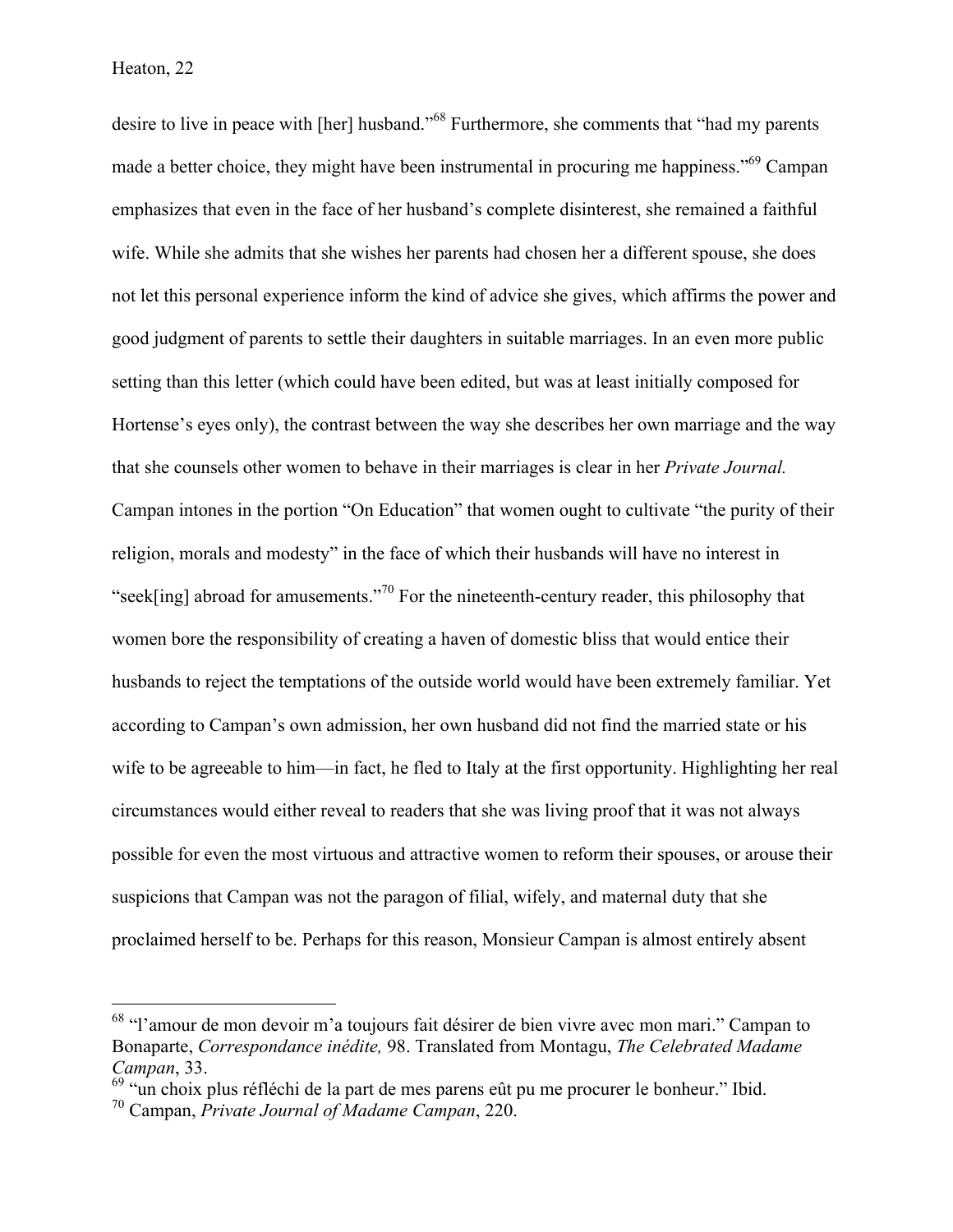#### Heaton, 22

desire to live in peace with [her] husband."<sup>68</sup> Furthermore, she comments that "had my parents made a better choice, they might have been instrumental in procuring me happiness."<sup>69</sup> Campan emphasizes that even in the face of her husband's complete disinterest, she remained a faithful wife. While she admits that she wishes her parents had chosen her a different spouse, she does not let this personal experience inform the kind of advice she gives, which affirms the power and good judgment of parents to settle their daughters in suitable marriages. In an even more public setting than this letter (which could have been edited, but was at least initially composed for Hortense's eyes only), the contrast between the way she describes her own marriage and the way that she counsels other women to behave in their marriages is clear in her *Private Journal.*  Campan intones in the portion "On Education" that women ought to cultivate "the purity of their religion, morals and modesty" in the face of which their husbands will have no interest in "seek[ing] abroad for amusements."<sup>70</sup> For the nineteenth-century reader, this philosophy that women bore the responsibility of creating a haven of domestic bliss that would entice their husbands to reject the temptations of the outside world would have been extremely familiar. Yet according to Campan's own admission, her own husband did not find the married state or his wife to be agreeable to him—in fact, he fled to Italy at the first opportunity. Highlighting her real circumstances would either reveal to readers that she was living proof that it was not always possible for even the most virtuous and attractive women to reform their spouses, or arouse their suspicions that Campan was not the paragon of filial, wifely, and maternal duty that she proclaimed herself to be. Perhaps for this reason, Monsieur Campan is almost entirely absent

 <sup>68</sup> "l'amour de mon devoir m'a toujours fait désirer de bien vivre avec mon mari." Campan to Bonaparte, *Correspondance inédite,* 98. Translated from Montagu, *The Celebrated Madame Campan*, 33.

<sup>&</sup>lt;sup>69</sup> "un choix plus réfléchi de la part de mes parens eût pu me procurer le bonheur." Ibid.

<sup>70</sup> Campan, *Private Journal of Madame Campan*, 220.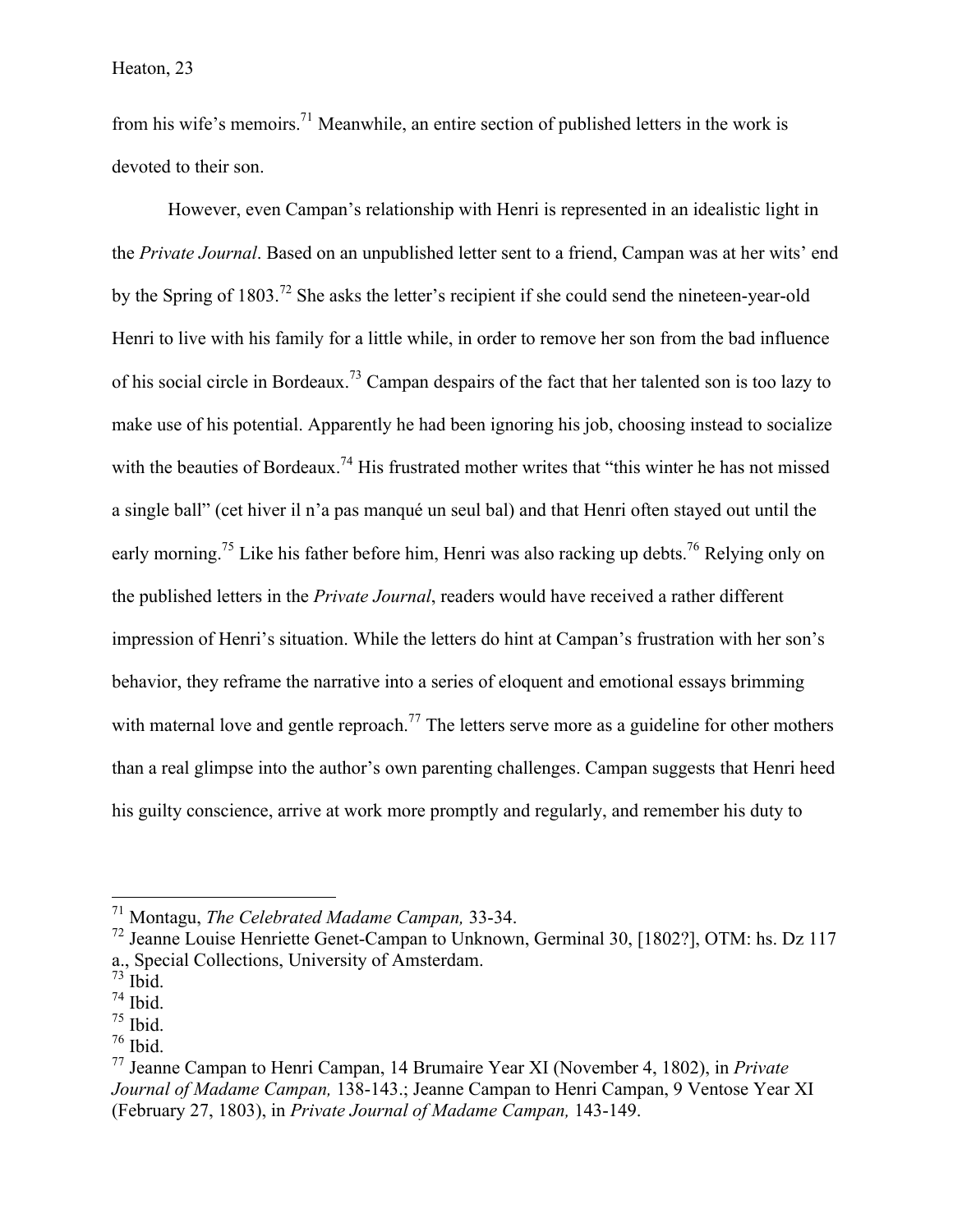from his wife's memoirs.71 Meanwhile, an entire section of published letters in the work is devoted to their son.

However, even Campan's relationship with Henri is represented in an idealistic light in the *Private Journal*. Based on an unpublished letter sent to a friend, Campan was at her wits' end by the Spring of 1803.<sup>72</sup> She asks the letter's recipient if she could send the nineteen-year-old Henri to live with his family for a little while, in order to remove her son from the bad influence of his social circle in Bordeaux.<sup>73</sup> Campan despairs of the fact that her talented son is too lazy to make use of his potential. Apparently he had been ignoring his job, choosing instead to socialize with the beauties of Bordeaux.<sup>74</sup> His frustrated mother writes that "this winter he has not missed a single ball" (cet hiver il n'a pas manqué un seul bal) and that Henri often stayed out until the early morning.<sup>75</sup> Like his father before him, Henri was also racking up debts.<sup>76</sup> Relying only on the published letters in the *Private Journal*, readers would have received a rather different impression of Henri's situation. While the letters do hint at Campan's frustration with her son's behavior, they reframe the narrative into a series of eloquent and emotional essays brimming with maternal love and gentle reproach.<sup>77</sup> The letters serve more as a guideline for other mothers than a real glimpse into the author's own parenting challenges. Campan suggests that Henri heed his guilty conscience, arrive at work more promptly and regularly, and remember his duty to

 <sup>71</sup> Montagu, *The Celebrated Madame Campan,* 33-34.

<sup>&</sup>lt;sup>72</sup> Jeanne Louise Henriette Genet-Campan to Unknown, Germinal 30, [1802?], OTM: hs. Dz 117 a., Special Collections, University of Amsterdam.

 $73$  Ibid.

 $74$  Ibid.

 $75$  Ibid.

 $76$  Ibid.

<sup>77</sup> Jeanne Campan to Henri Campan, 14 Brumaire Year XI (November 4, 1802), in *Private Journal of Madame Campan,* 138-143.; Jeanne Campan to Henri Campan, 9 Ventose Year XI (February 27, 1803), in *Private Journal of Madame Campan,* 143-149.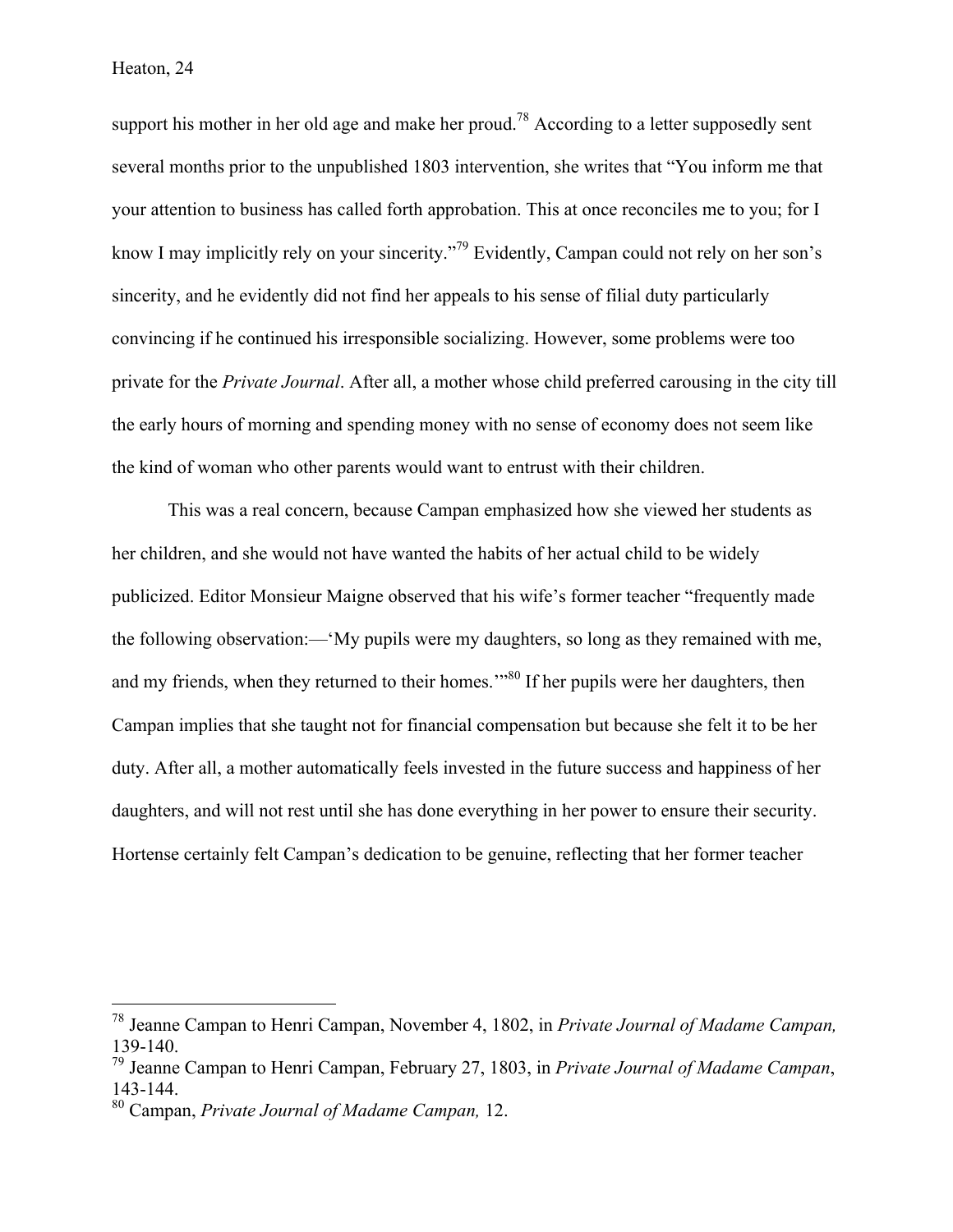support his mother in her old age and make her proud.<sup>78</sup> According to a letter supposedly sent several months prior to the unpublished 1803 intervention, she writes that "You inform me that your attention to business has called forth approbation. This at once reconciles me to you; for I know I may implicitly rely on your sincerity."<sup>79</sup> Evidently, Campan could not rely on her son's sincerity, and he evidently did not find her appeals to his sense of filial duty particularly convincing if he continued his irresponsible socializing. However, some problems were too private for the *Private Journal*. After all, a mother whose child preferred carousing in the city till the early hours of morning and spending money with no sense of economy does not seem like the kind of woman who other parents would want to entrust with their children.

This was a real concern, because Campan emphasized how she viewed her students as her children, and she would not have wanted the habits of her actual child to be widely publicized. Editor Monsieur Maigne observed that his wife's former teacher "frequently made the following observation:—'My pupils were my daughters, so long as they remained with me, and my friends, when they returned to their homes.<sup>"80</sup> If her pupils were her daughters, then Campan implies that she taught not for financial compensation but because she felt it to be her duty. After all, a mother automatically feels invested in the future success and happiness of her daughters, and will not rest until she has done everything in her power to ensure their security. Hortense certainly felt Campan's dedication to be genuine, reflecting that her former teacher

 <sup>78</sup> Jeanne Campan to Henri Campan, November 4, 1802, in *Private Journal of Madame Campan,*  139-140.

<sup>79</sup> Jeanne Campan to Henri Campan, February 27, 1803, in *Private Journal of Madame Campan*, 143-144. <sup>80</sup> Campan, *Private Journal of Madame Campan,* 12.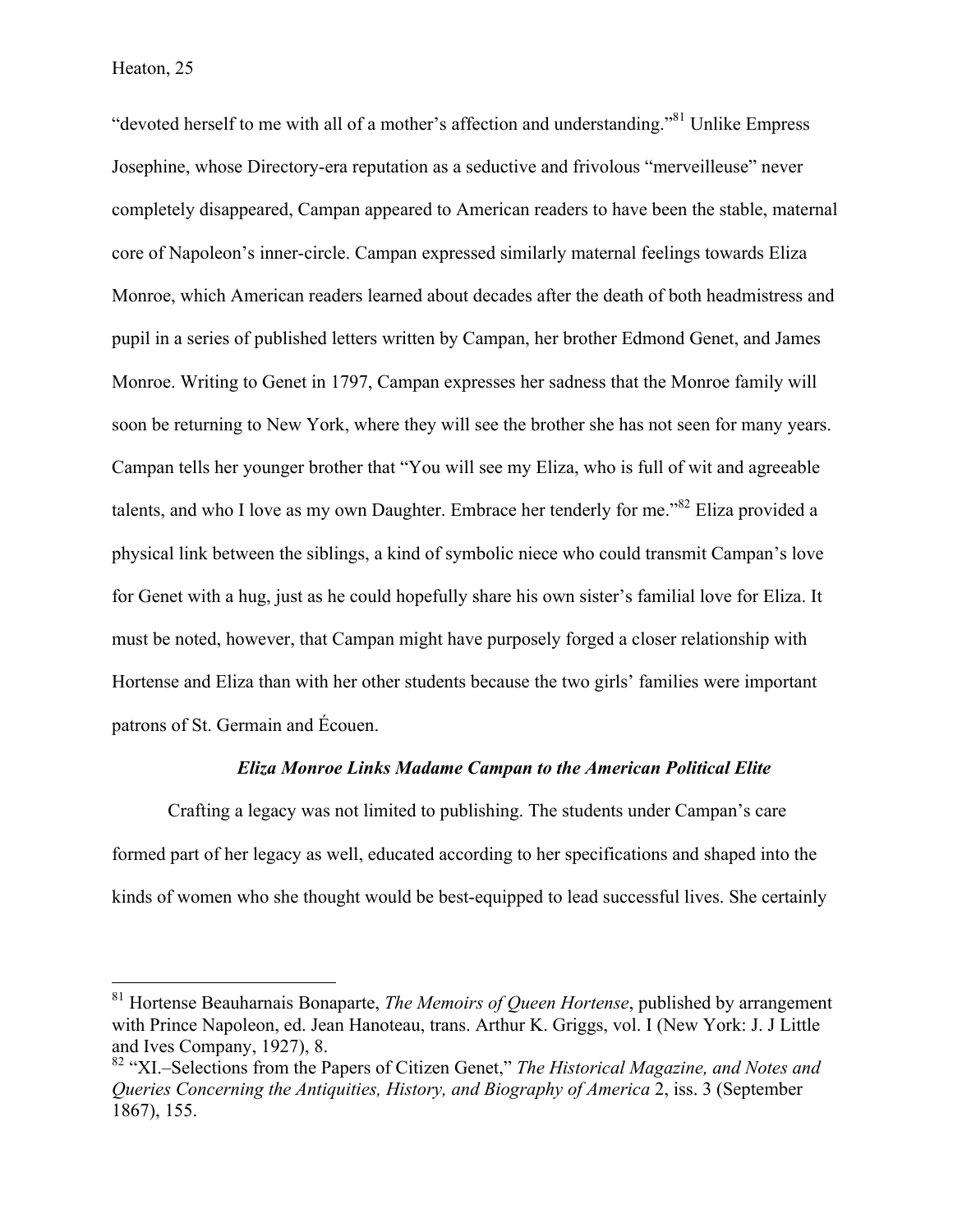"devoted herself to me with all of a mother's affection and understanding."<sup>81</sup> Unlike Empress Josephine, whose Directory-era reputation as a seductive and frivolous "merveilleuse" never completely disappeared, Campan appeared to American readers to have been the stable, maternal core of Napoleon's inner-circle. Campan expressed similarly maternal feelings towards Eliza Monroe, which American readers learned about decades after the death of both headmistress and pupil in a series of published letters written by Campan, her brother Edmond Genet, and James Monroe. Writing to Genet in 1797, Campan expresses her sadness that the Monroe family will soon be returning to New York, where they will see the brother she has not seen for many years. Campan tells her younger brother that "You will see my Eliza, who is full of wit and agreeable talents, and who I love as my own Daughter. Embrace her tenderly for me."<sup>82</sup> Eliza provided a physical link between the siblings, a kind of symbolic niece who could transmit Campan's love for Genet with a hug, just as he could hopefully share his own sister's familial love for Eliza. It must be noted, however, that Campan might have purposely forged a closer relationship with Hortense and Eliza than with her other students because the two girls' families were important patrons of St. Germain and Écouen.

#### *Eliza Monroe Links Madame Campan to the American Political Elite*

Crafting a legacy was not limited to publishing. The students under Campan's care formed part of her legacy as well, educated according to her specifications and shaped into the kinds of women who she thought would be best-equipped to lead successful lives. She certainly

 <sup>81</sup> Hortense Beauharnais Bonaparte, *The Memoirs of Queen Hortense*, published by arrangement with Prince Napoleon, ed. Jean Hanoteau, trans. Arthur K. Griggs, vol. I (New York: J. J Little and Ives Company, 1927), 8.

<sup>82</sup> "XI.–Selections from the Papers of Citizen Genet," *The Historical Magazine, and Notes and Queries Concerning the Antiquities, History, and Biography of America* 2, iss. 3 (September 1867), 155.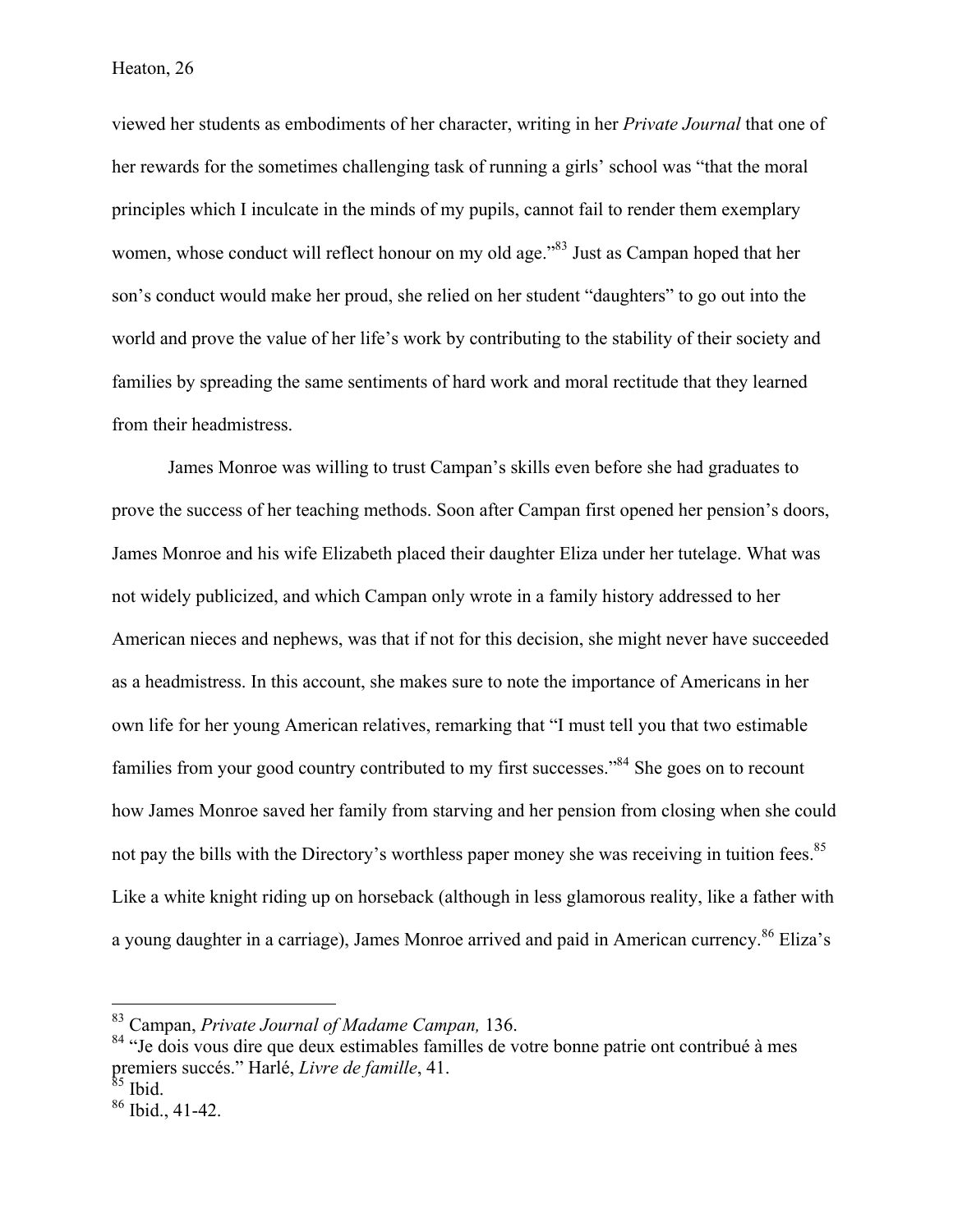viewed her students as embodiments of her character, writing in her *Private Journal* that one of her rewards for the sometimes challenging task of running a girls' school was "that the moral principles which I inculcate in the minds of my pupils, cannot fail to render them exemplary women, whose conduct will reflect honour on my old age.<sup>83</sup> Just as Campan hoped that her son's conduct would make her proud, she relied on her student "daughters" to go out into the world and prove the value of her life's work by contributing to the stability of their society and families by spreading the same sentiments of hard work and moral rectitude that they learned from their headmistress.

James Monroe was willing to trust Campan's skills even before she had graduates to prove the success of her teaching methods. Soon after Campan first opened her pension's doors, James Monroe and his wife Elizabeth placed their daughter Eliza under her tutelage. What was not widely publicized, and which Campan only wrote in a family history addressed to her American nieces and nephews, was that if not for this decision, she might never have succeeded as a headmistress. In this account, she makes sure to note the importance of Americans in her own life for her young American relatives, remarking that "I must tell you that two estimable families from your good country contributed to my first successes."<sup>84</sup> She goes on to recount how James Monroe saved her family from starving and her pension from closing when she could not pay the bills with the Directory's worthless paper money she was receiving in tuition fees.<sup>85</sup> Like a white knight riding up on horseback (although in less glamorous reality, like a father with a young daughter in a carriage), James Monroe arrived and paid in American currency.<sup>86</sup> Eliza's

 <sup>83</sup> Campan, *Private Journal of Madame Campan,* 136.

<sup>&</sup>lt;sup>84</sup> "Je dois vous dire que deux estimables familles de votre bonne patrie ont contribué à mes premiers succés." Harlé, *Livre de famille*, 41.

 $86$  Ibid., 41-42.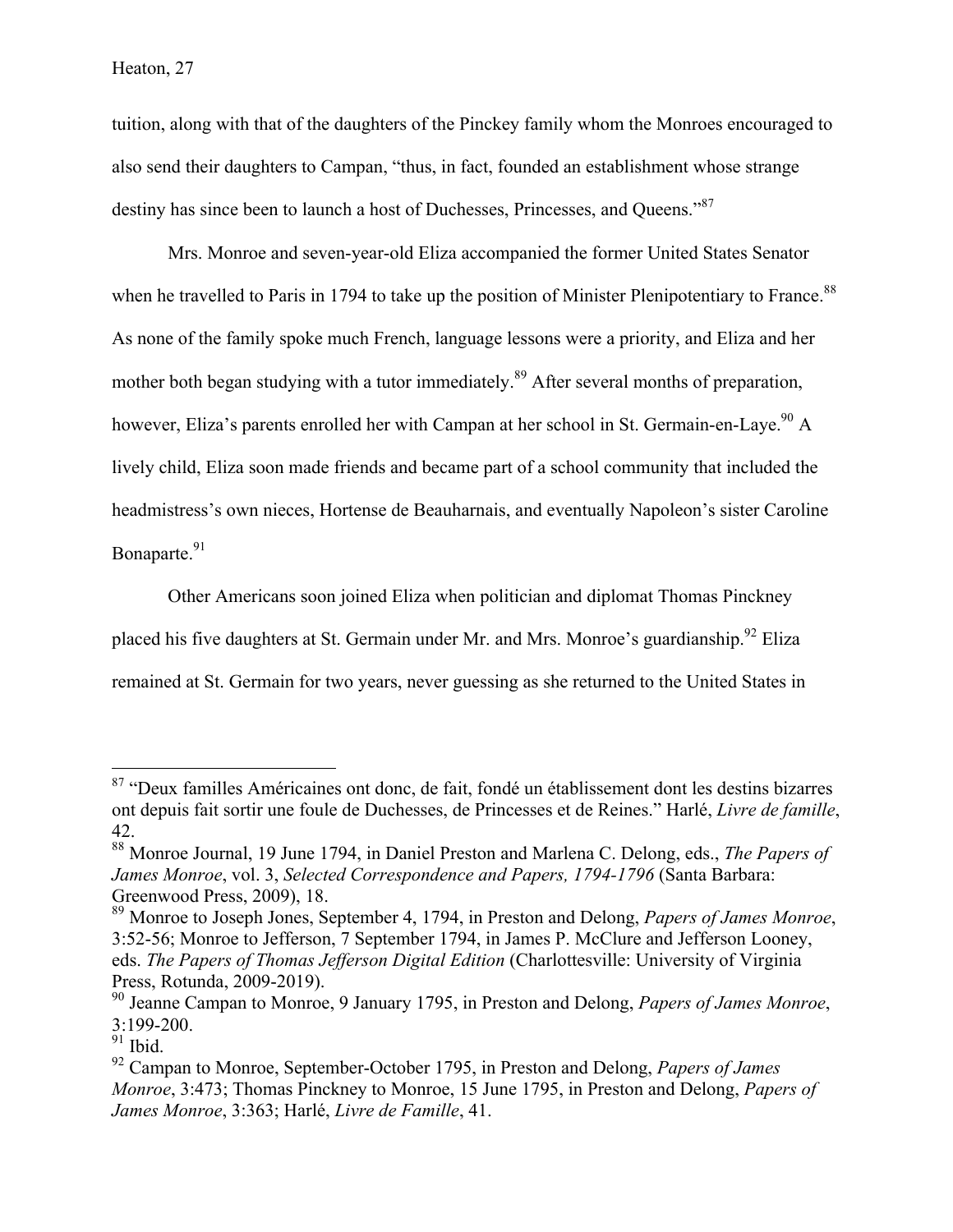tuition, along with that of the daughters of the Pinckey family whom the Monroes encouraged to also send their daughters to Campan, "thus, in fact, founded an establishment whose strange destiny has since been to launch a host of Duchesses, Princesses, and Oueens."<sup>87</sup>

Mrs. Monroe and seven-year-old Eliza accompanied the former United States Senator when he travelled to Paris in 1794 to take up the position of Minister Plenipotentiary to France.<sup>88</sup> As none of the family spoke much French, language lessons were a priority, and Eliza and her mother both began studying with a tutor immediately.<sup>89</sup> After several months of preparation, however, Eliza's parents enrolled her with Campan at her school in St. Germain-en-Laye.<sup>90</sup> A lively child, Eliza soon made friends and became part of a school community that included the headmistress's own nieces, Hortense de Beauharnais, and eventually Napoleon's sister Caroline Bonaparte.<sup>91</sup>

Other Americans soon joined Eliza when politician and diplomat Thomas Pinckney placed his five daughters at St. Germain under Mr. and Mrs. Monroe's guardianship.<sup>92</sup> Eliza remained at St. Germain for two years, never guessing as she returned to the United States in

<sup>&</sup>lt;sup>87</sup> "Deux familles Américaines ont donc, de fait, fondé un établissement dont les destins bizarres ont depuis fait sortir une foule de Duchesses, de Princesses et de Reines." Harlé, *Livre de famille*, 42.

<sup>88</sup> Monroe Journal, 19 June 1794, in Daniel Preston and Marlena C. Delong, eds., *The Papers of James Monroe*, vol. 3, *Selected Correspondence and Papers, 1794-1796* (Santa Barbara: Greenwood Press, 2009), 18.

<sup>89</sup> Monroe to Joseph Jones, September 4, 1794, in Preston and Delong, *Papers of James Monroe*, 3:52-56; Monroe to Jefferson, 7 September 1794, in James P. McClure and Jefferson Looney, eds. *The Papers of Thomas Jefferson Digital Edition* (Charlottesville: University of Virginia Press, Rotunda, 2009-2019).

<sup>90</sup> Jeanne Campan to Monroe, 9 January 1795, in Preston and Delong, *Papers of James Monroe*, 3:199-200.

 $\overline{91}$  Ibid.

<sup>92</sup> Campan to Monroe, September-October 1795, in Preston and Delong, *Papers of James Monroe*, 3:473; Thomas Pinckney to Monroe, 15 June 1795, in Preston and Delong, *Papers of James Monroe*, 3:363; Harlé, *Livre de Famille*, 41.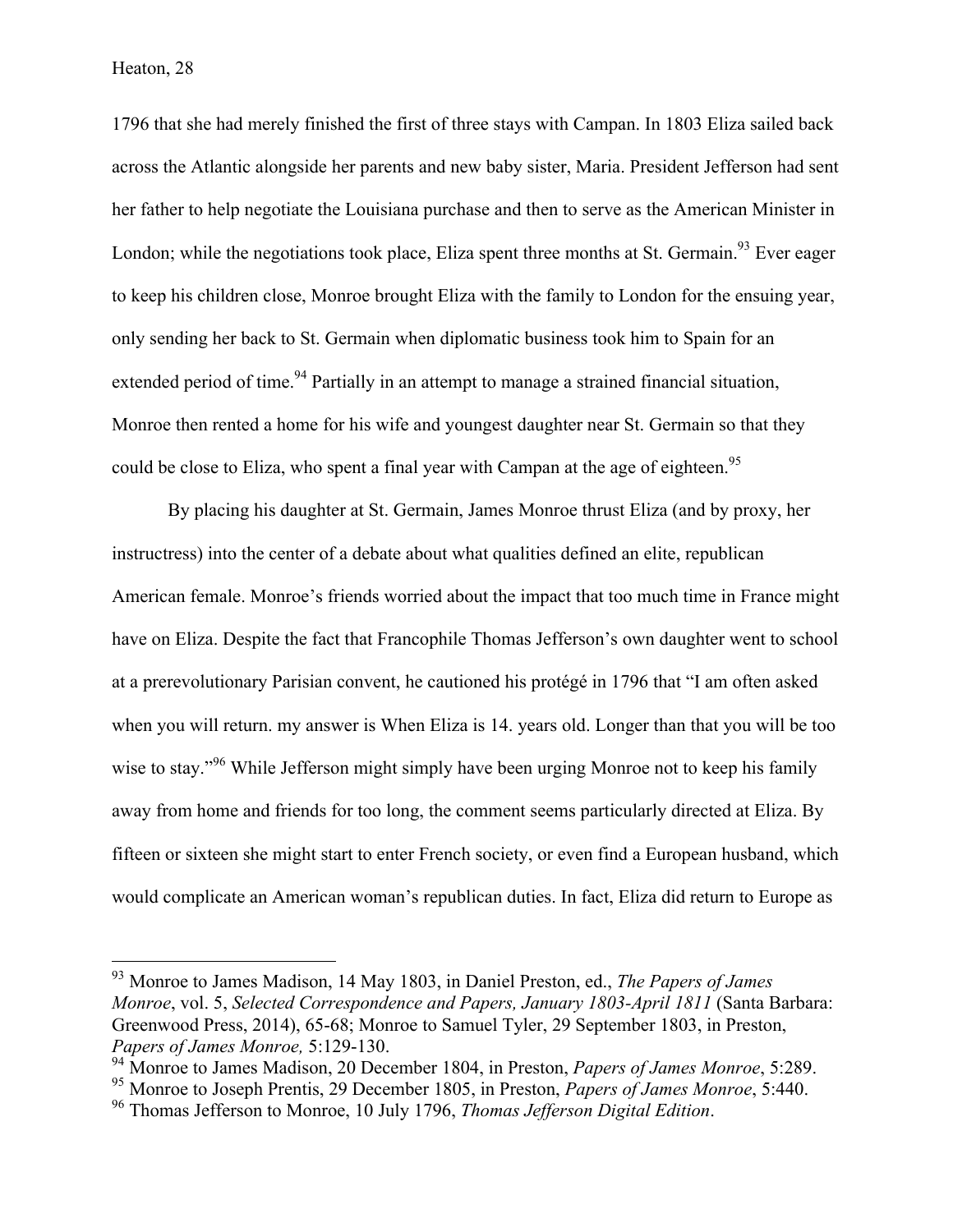1796 that she had merely finished the first of three stays with Campan. In 1803 Eliza sailed back across the Atlantic alongside her parents and new baby sister, Maria. President Jefferson had sent her father to help negotiate the Louisiana purchase and then to serve as the American Minister in London; while the negotiations took place, Eliza spent three months at St. Germain.<sup>93</sup> Ever eager to keep his children close, Monroe brought Eliza with the family to London for the ensuing year, only sending her back to St. Germain when diplomatic business took him to Spain for an extended period of time.<sup>94</sup> Partially in an attempt to manage a strained financial situation, Monroe then rented a home for his wife and youngest daughter near St. Germain so that they could be close to Eliza, who spent a final year with Campan at the age of eighteen.<sup>95</sup>

By placing his daughter at St. Germain, James Monroe thrust Eliza (and by proxy, her instructress) into the center of a debate about what qualities defined an elite, republican American female. Monroe's friends worried about the impact that too much time in France might have on Eliza. Despite the fact that Francophile Thomas Jefferson's own daughter went to school at a prerevolutionary Parisian convent, he cautioned his protégé in 1796 that "I am often asked when you will return. my answer is When Eliza is 14. years old. Longer than that you will be too wise to stay."<sup>96</sup> While Jefferson might simply have been urging Monroe not to keep his family away from home and friends for too long, the comment seems particularly directed at Eliza. By fifteen or sixteen she might start to enter French society, or even find a European husband, which would complicate an American woman's republican duties. In fact, Eliza did return to Europe as

 <sup>93</sup> Monroe to James Madison, 14 May 1803, in Daniel Preston, ed., *The Papers of James Monroe*, vol. 5, *Selected Correspondence and Papers, January 1803-April 1811* (Santa Barbara: Greenwood Press, 2014), 65-68; Monroe to Samuel Tyler, 29 September 1803, in Preston, *Papers of James Monroe,* 5:129-130.

<sup>94</sup> Monroe to James Madison, 20 December 1804, in Preston, *Papers of James Monroe*, 5:289.

<sup>95</sup> Monroe to Joseph Prentis, 29 December 1805, in Preston, *Papers of James Monroe*, 5:440.

<sup>96</sup> Thomas Jefferson to Monroe, 10 July 1796, *Thomas Jefferson Digital Edition*.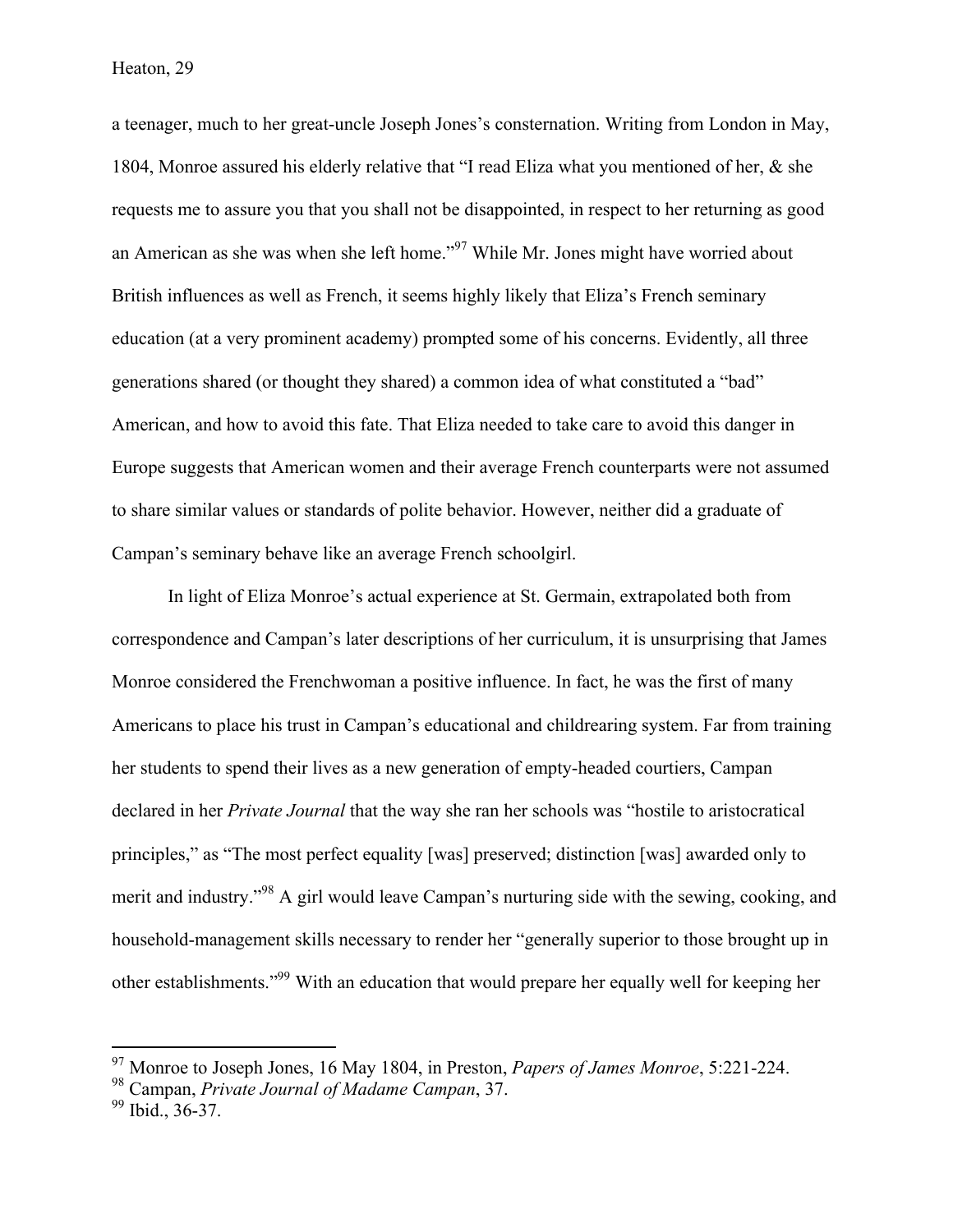a teenager, much to her great-uncle Joseph Jones's consternation. Writing from London in May, 1804, Monroe assured his elderly relative that "I read Eliza what you mentioned of her, & she requests me to assure you that you shall not be disappointed, in respect to her returning as good an American as she was when she left home."<sup>97</sup> While Mr. Jones might have worried about British influences as well as French, it seems highly likely that Eliza's French seminary education (at a very prominent academy) prompted some of his concerns. Evidently, all three generations shared (or thought they shared) a common idea of what constituted a "bad" American, and how to avoid this fate. That Eliza needed to take care to avoid this danger in Europe suggests that American women and their average French counterparts were not assumed to share similar values or standards of polite behavior. However, neither did a graduate of Campan's seminary behave like an average French schoolgirl.

In light of Eliza Monroe's actual experience at St. Germain, extrapolated both from correspondence and Campan's later descriptions of her curriculum, it is unsurprising that James Monroe considered the Frenchwoman a positive influence. In fact, he was the first of many Americans to place his trust in Campan's educational and childrearing system. Far from training her students to spend their lives as a new generation of empty-headed courtiers, Campan declared in her *Private Journal* that the way she ran her schools was "hostile to aristocratical principles," as "The most perfect equality [was] preserved; distinction [was] awarded only to merit and industry."98 A girl would leave Campan's nurturing side with the sewing, cooking, and household-management skills necessary to render her "generally superior to those brought up in other establishments."99 With an education that would prepare her equally well for keeping her

 <sup>97</sup> Monroe to Joseph Jones, 16 May 1804, in Preston, *Papers of James Monroe*, 5:221-224.

<sup>98</sup> Campan, *Private Journal of Madame Campan*, 37.

 $99$  Ibid., 36-37.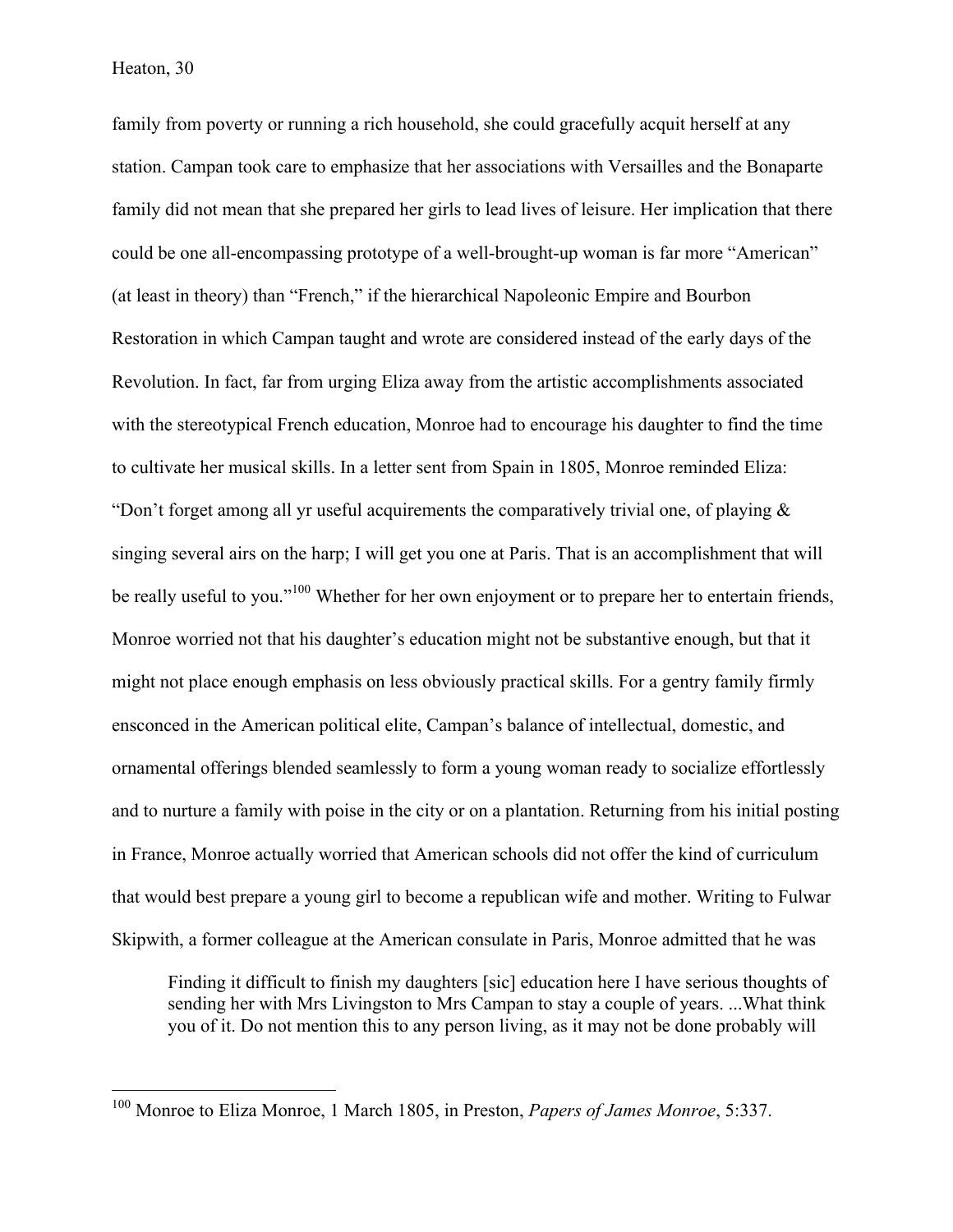family from poverty or running a rich household, she could gracefully acquit herself at any station. Campan took care to emphasize that her associations with Versailles and the Bonaparte family did not mean that she prepared her girls to lead lives of leisure. Her implication that there could be one all-encompassing prototype of a well-brought-up woman is far more "American" (at least in theory) than "French," if the hierarchical Napoleonic Empire and Bourbon Restoration in which Campan taught and wrote are considered instead of the early days of the Revolution. In fact, far from urging Eliza away from the artistic accomplishments associated with the stereotypical French education, Monroe had to encourage his daughter to find the time to cultivate her musical skills. In a letter sent from Spain in 1805, Monroe reminded Eliza: "Don't forget among all yr useful acquirements the comparatively trivial one, of playing & singing several airs on the harp; I will get you one at Paris. That is an accomplishment that will be really useful to you."<sup>100</sup> Whether for her own enjoyment or to prepare her to entertain friends, Monroe worried not that his daughter's education might not be substantive enough, but that it might not place enough emphasis on less obviously practical skills. For a gentry family firmly ensconced in the American political elite, Campan's balance of intellectual, domestic, and ornamental offerings blended seamlessly to form a young woman ready to socialize effortlessly and to nurture a family with poise in the city or on a plantation. Returning from his initial posting in France, Monroe actually worried that American schools did not offer the kind of curriculum that would best prepare a young girl to become a republican wife and mother. Writing to Fulwar Skipwith, a former colleague at the American consulate in Paris, Monroe admitted that he was

Finding it difficult to finish my daughters [sic] education here I have serious thoughts of sending her with Mrs Livingston to Mrs Campan to stay a couple of years. ...What think you of it. Do not mention this to any person living, as it may not be done probably will

 <sup>100</sup> Monroe to Eliza Monroe, 1 March 1805, in Preston, *Papers of James Monroe*, 5:337.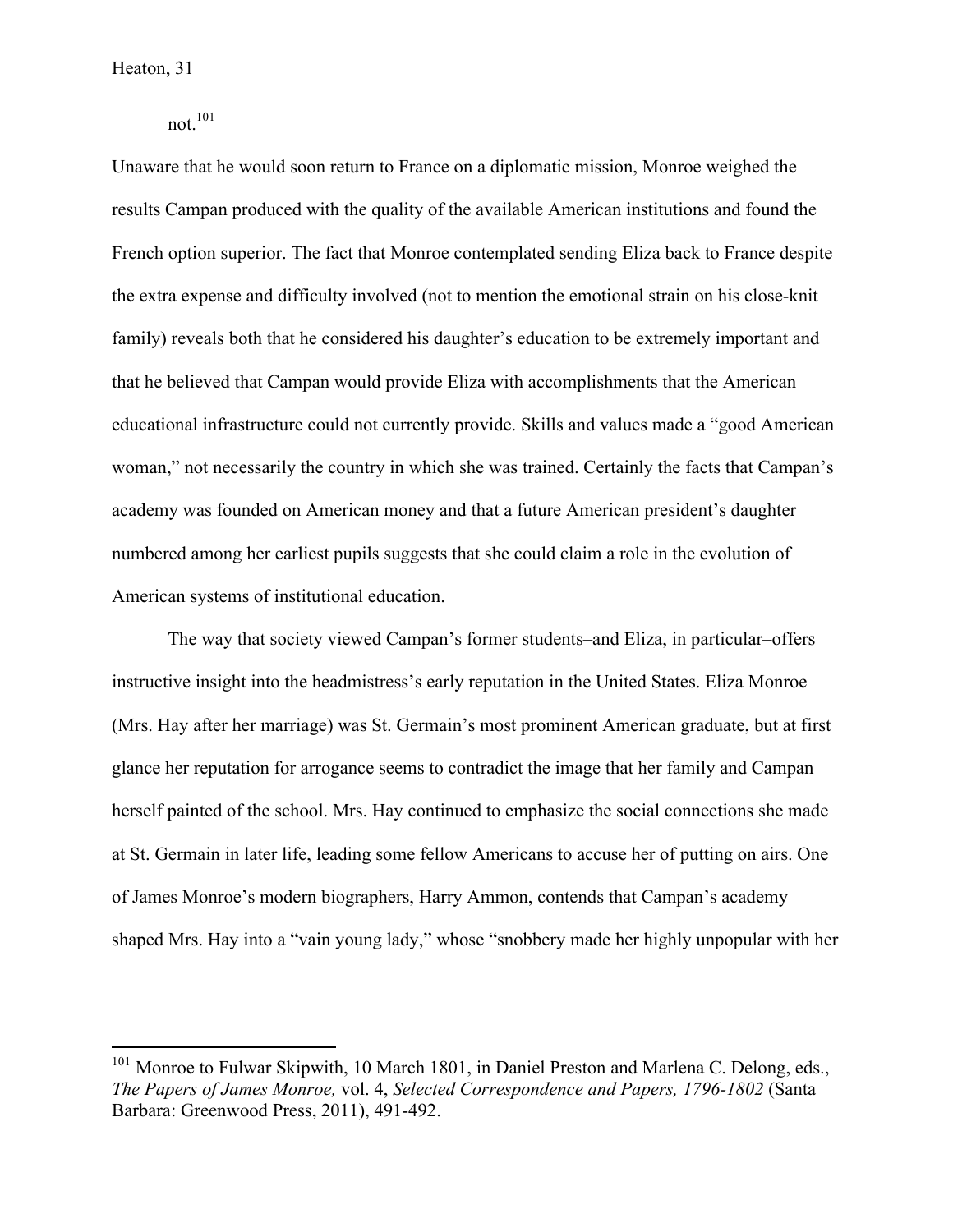not $101$ 

Unaware that he would soon return to France on a diplomatic mission, Monroe weighed the results Campan produced with the quality of the available American institutions and found the French option superior. The fact that Monroe contemplated sending Eliza back to France despite the extra expense and difficulty involved (not to mention the emotional strain on his close-knit family) reveals both that he considered his daughter's education to be extremely important and that he believed that Campan would provide Eliza with accomplishments that the American educational infrastructure could not currently provide. Skills and values made a "good American woman," not necessarily the country in which she was trained. Certainly the facts that Campan's academy was founded on American money and that a future American president's daughter numbered among her earliest pupils suggests that she could claim a role in the evolution of American systems of institutional education.

The way that society viewed Campan's former students–and Eliza, in particular–offers instructive insight into the headmistress's early reputation in the United States. Eliza Monroe (Mrs. Hay after her marriage) was St. Germain's most prominent American graduate, but at first glance her reputation for arrogance seems to contradict the image that her family and Campan herself painted of the school. Mrs. Hay continued to emphasize the social connections she made at St. Germain in later life, leading some fellow Americans to accuse her of putting on airs. One of James Monroe's modern biographers, Harry Ammon, contends that Campan's academy shaped Mrs. Hay into a "vain young lady," whose "snobbery made her highly unpopular with her

 $101$  Monroe to Fulwar Skipwith, 10 March 1801, in Daniel Preston and Marlena C. Delong, eds., *The Papers of James Monroe,* vol. 4, *Selected Correspondence and Papers, 1796-1802* (Santa Barbara: Greenwood Press, 2011), 491-492.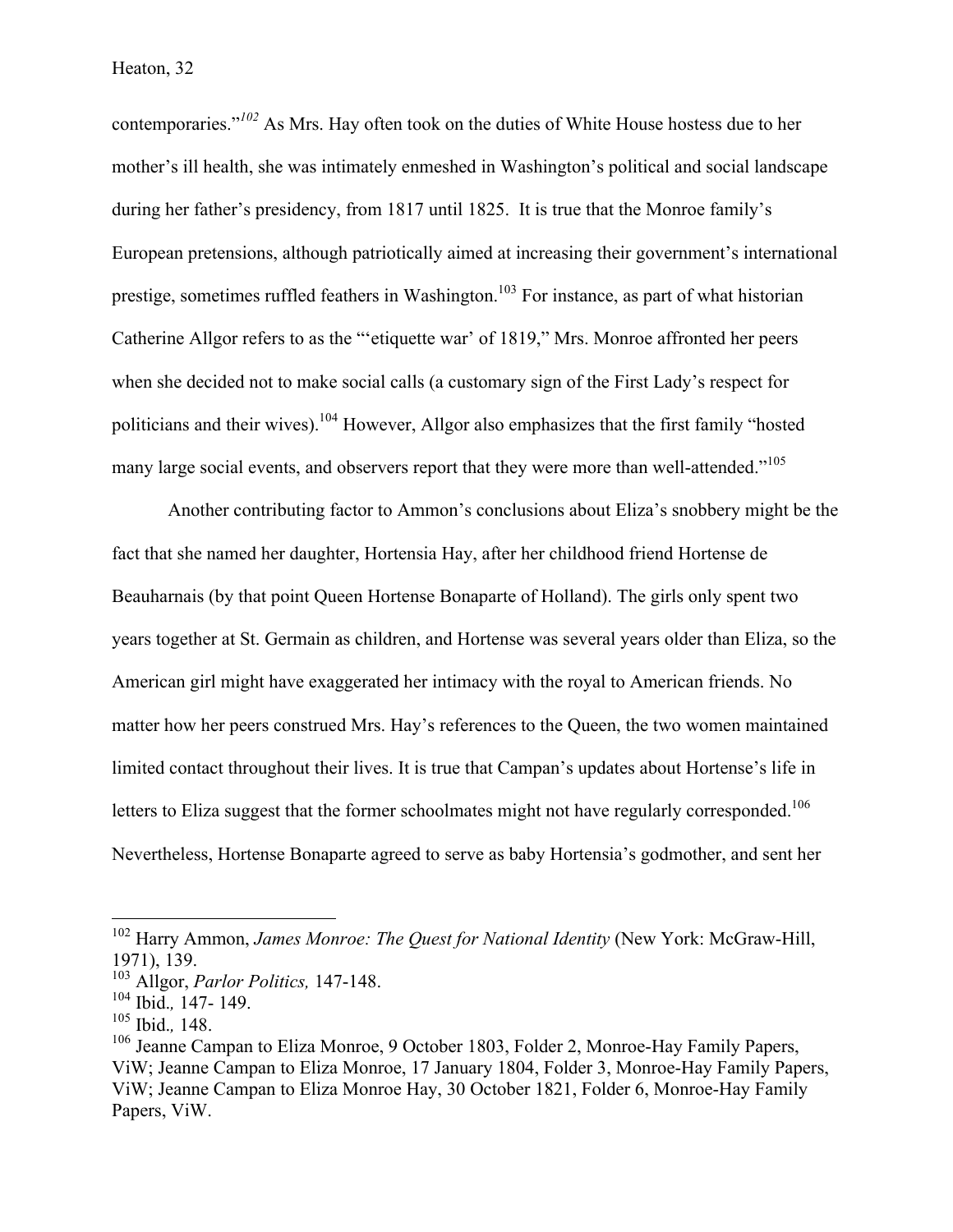contemporaries."*<sup>102</sup>* As Mrs. Hay often took on the duties of White House hostess due to her mother's ill health, she was intimately enmeshed in Washington's political and social landscape during her father's presidency, from 1817 until 1825. It is true that the Monroe family's European pretensions, although patriotically aimed at increasing their government's international prestige, sometimes ruffled feathers in Washington.<sup>103</sup> For instance, as part of what historian Catherine Allgor refers to as the "'etiquette war' of 1819," Mrs. Monroe affronted her peers when she decided not to make social calls (a customary sign of the First Lady's respect for politicians and their wives).104 However, Allgor also emphasizes that the first family "hosted many large social events, and observers report that they were more than well-attended."<sup>105</sup>

Another contributing factor to Ammon's conclusions about Eliza's snobbery might be the fact that she named her daughter, Hortensia Hay, after her childhood friend Hortense de Beauharnais (by that point Queen Hortense Bonaparte of Holland). The girls only spent two years together at St. Germain as children, and Hortense was several years older than Eliza, so the American girl might have exaggerated her intimacy with the royal to American friends. No matter how her peers construed Mrs. Hay's references to the Queen, the two women maintained limited contact throughout their lives. It is true that Campan's updates about Hortense's life in letters to Eliza suggest that the former schoolmates might not have regularly corresponded.<sup>106</sup> Nevertheless, Hortense Bonaparte agreed to serve as baby Hortensia's godmother, and sent her

 <sup>102</sup> Harry Ammon, *James Monroe: The Quest for National Identity* (New York: McGraw-Hill, 1971), 139.

<sup>103</sup> Allgor, *Parlor Politics,* 147-148.

<sup>104</sup> Ibid.*,* 147- 149. <sup>105</sup> Ibid.*,* 148.

 $106$  Jeanne Campan to Eliza Monroe, 9 October 1803, Folder 2, Monroe-Hay Family Papers, ViW; Jeanne Campan to Eliza Monroe, 17 January 1804, Folder 3, Monroe-Hay Family Papers, ViW; Jeanne Campan to Eliza Monroe Hay, 30 October 1821, Folder 6, Monroe-Hay Family Papers, ViW.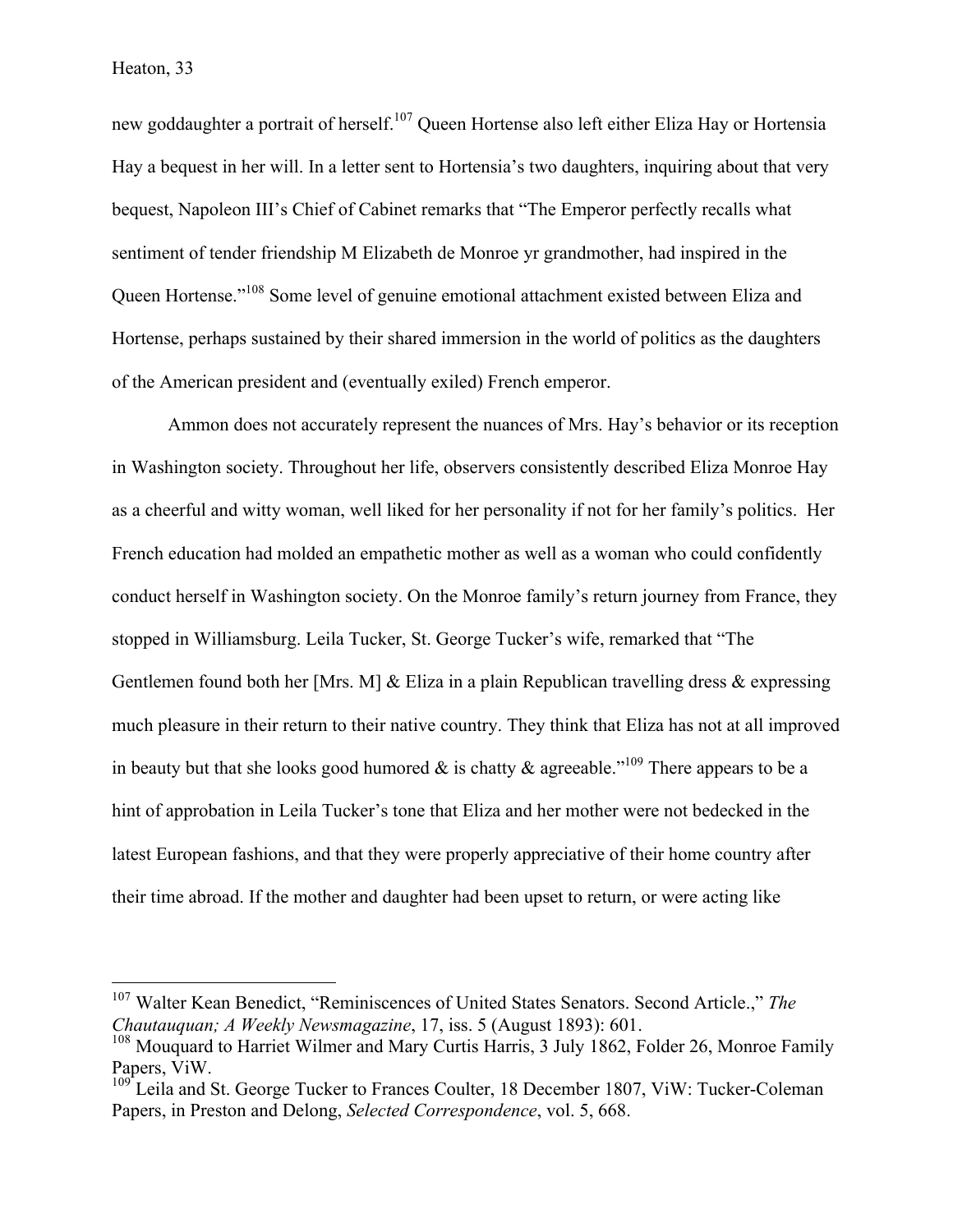new goddaughter a portrait of herself.<sup>107</sup> Queen Hortense also left either Eliza Hay or Hortensia Hay a bequest in her will. In a letter sent to Hortensia's two daughters, inquiring about that very bequest, Napoleon III's Chief of Cabinet remarks that "The Emperor perfectly recalls what sentiment of tender friendship M Elizabeth de Monroe yr grandmother, had inspired in the Queen Hortense."108 Some level of genuine emotional attachment existed between Eliza and Hortense, perhaps sustained by their shared immersion in the world of politics as the daughters of the American president and (eventually exiled) French emperor.

Ammon does not accurately represent the nuances of Mrs. Hay's behavior or its reception in Washington society. Throughout her life, observers consistently described Eliza Monroe Hay as a cheerful and witty woman, well liked for her personality if not for her family's politics. Her French education had molded an empathetic mother as well as a woman who could confidently conduct herself in Washington society. On the Monroe family's return journey from France, they stopped in Williamsburg. Leila Tucker, St. George Tucker's wife, remarked that "The Gentlemen found both her [Mrs. M] & Eliza in a plain Republican travelling dress & expressing much pleasure in their return to their native country. They think that Eliza has not at all improved in beauty but that she looks good humored  $\&$  is chatty  $\&$  agreeable."<sup>109</sup> There appears to be a hint of approbation in Leila Tucker's tone that Eliza and her mother were not bedecked in the latest European fashions, and that they were properly appreciative of their home country after their time abroad. If the mother and daughter had been upset to return, or were acting like

 <sup>107</sup> Walter Kean Benedict, "Reminiscences of United States Senators. Second Article.," *The Chautauquan; A Weekly Newsmagazine*, 17, iss. 5 (August 1893): 601.

<sup>&</sup>lt;sup>108</sup> Mouquard to Harriet Wilmer and Mary Curtis Harris, 3 July 1862, Folder 26, Monroe Family Papers, ViW.

 $109^{\circ}$  Leila and St. George Tucker to Frances Coulter, 18 December 1807, ViW: Tucker-Coleman Papers, in Preston and Delong, *Selected Correspondence*, vol. 5, 668.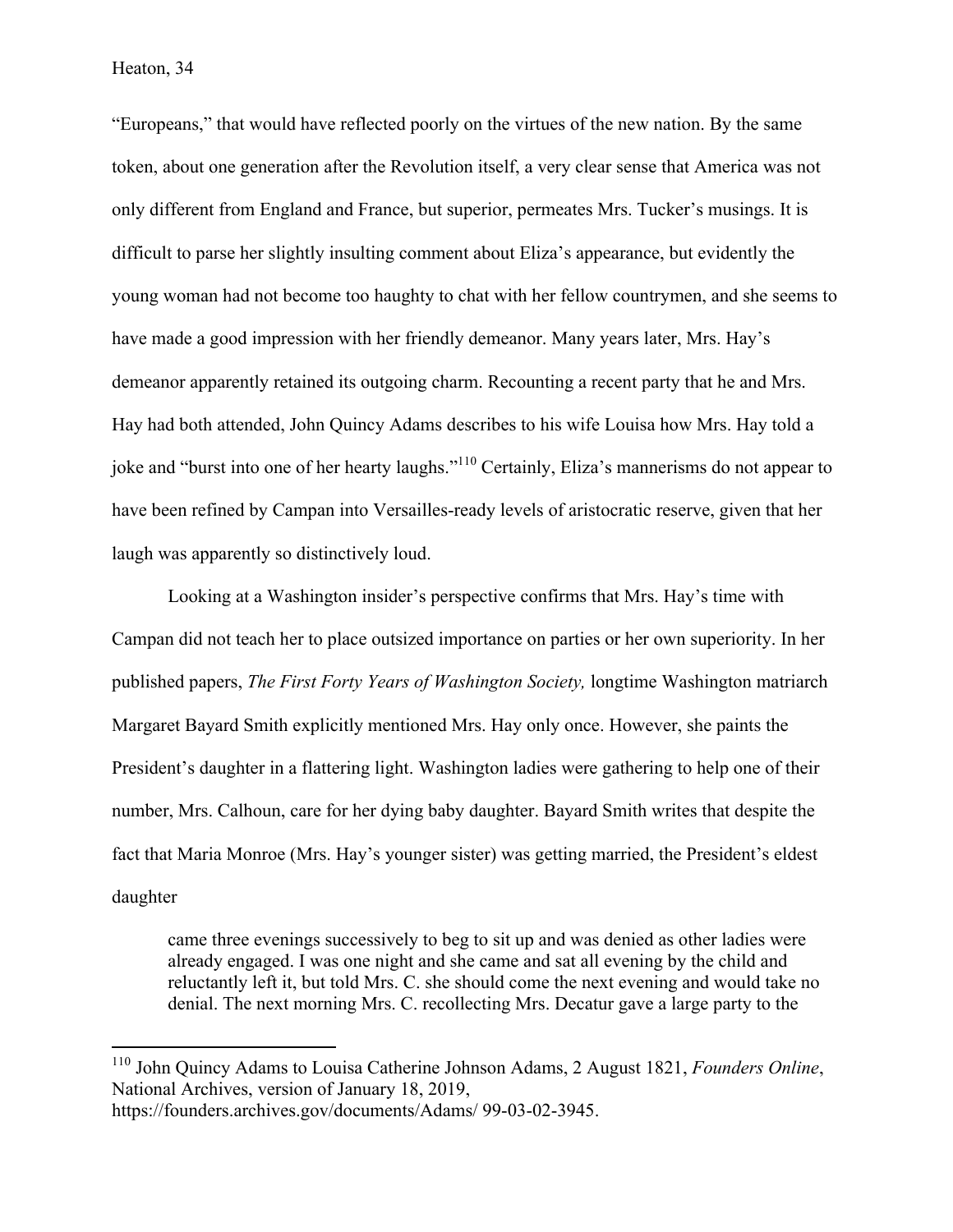"Europeans," that would have reflected poorly on the virtues of the new nation. By the same token, about one generation after the Revolution itself, a very clear sense that America was not only different from England and France, but superior, permeates Mrs. Tucker's musings. It is difficult to parse her slightly insulting comment about Eliza's appearance, but evidently the young woman had not become too haughty to chat with her fellow countrymen, and she seems to have made a good impression with her friendly demeanor. Many years later, Mrs. Hay's demeanor apparently retained its outgoing charm. Recounting a recent party that he and Mrs. Hay had both attended, John Quincy Adams describes to his wife Louisa how Mrs. Hay told a joke and "burst into one of her hearty laughs."110 Certainly, Eliza's mannerisms do not appear to have been refined by Campan into Versailles-ready levels of aristocratic reserve, given that her laugh was apparently so distinctively loud.

Looking at a Washington insider's perspective confirms that Mrs. Hay's time with Campan did not teach her to place outsized importance on parties or her own superiority. In her published papers, *The First Forty Years of Washington Society,* longtime Washington matriarch Margaret Bayard Smith explicitly mentioned Mrs. Hay only once. However, she paints the President's daughter in a flattering light. Washington ladies were gathering to help one of their number, Mrs. Calhoun, care for her dying baby daughter. Bayard Smith writes that despite the fact that Maria Monroe (Mrs. Hay's younger sister) was getting married, the President's eldest daughter

came three evenings successively to beg to sit up and was denied as other ladies were already engaged. I was one night and she came and sat all evening by the child and reluctantly left it, but told Mrs. C. she should come the next evening and would take no denial. The next morning Mrs. C. recollecting Mrs. Decatur gave a large party to the

 <sup>110</sup> John Quincy Adams to Louisa Catherine Johnson Adams, 2 August 1821, *Founders Online*, National Archives, version of January 18, 2019,

https://founders.archives.gov/documents/Adams/ 99-03-02-3945.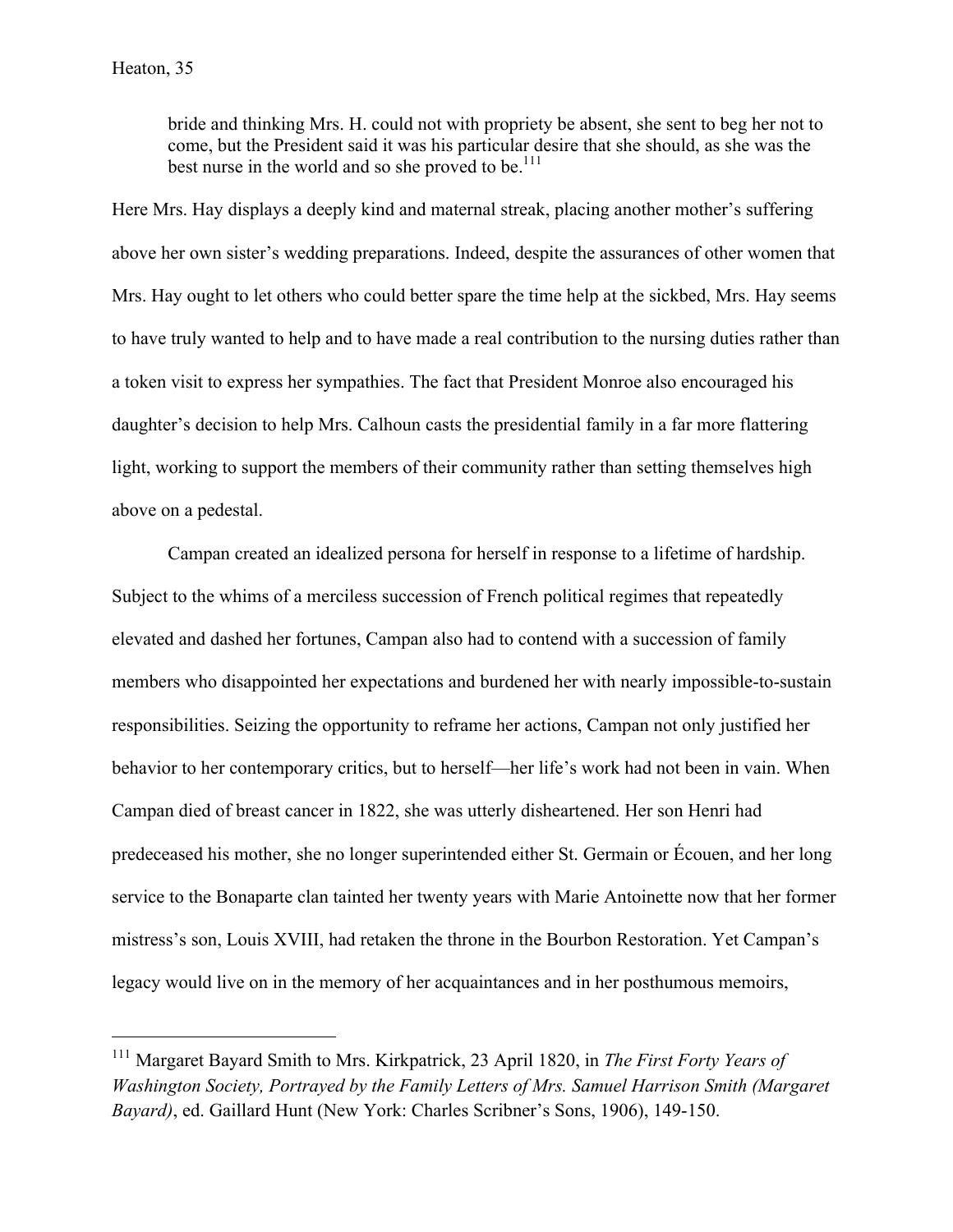bride and thinking Mrs. H. could not with propriety be absent, she sent to beg her not to come, but the President said it was his particular desire that she should, as she was the best nurse in the world and so she proved to be.<sup>111</sup>

Here Mrs. Hay displays a deeply kind and maternal streak, placing another mother's suffering above her own sister's wedding preparations. Indeed, despite the assurances of other women that Mrs. Hay ought to let others who could better spare the time help at the sickbed, Mrs. Hay seems to have truly wanted to help and to have made a real contribution to the nursing duties rather than a token visit to express her sympathies. The fact that President Monroe also encouraged his daughter's decision to help Mrs. Calhoun casts the presidential family in a far more flattering light, working to support the members of their community rather than setting themselves high above on a pedestal.

Campan created an idealized persona for herself in response to a lifetime of hardship. Subject to the whims of a merciless succession of French political regimes that repeatedly elevated and dashed her fortunes, Campan also had to contend with a succession of family members who disappointed her expectations and burdened her with nearly impossible-to-sustain responsibilities. Seizing the opportunity to reframe her actions, Campan not only justified her behavior to her contemporary critics, but to herself—her life's work had not been in vain. When Campan died of breast cancer in 1822, she was utterly disheartened. Her son Henri had predeceased his mother, she no longer superintended either St. Germain or Écouen, and her long service to the Bonaparte clan tainted her twenty years with Marie Antoinette now that her former mistress's son, Louis XVIII, had retaken the throne in the Bourbon Restoration. Yet Campan's legacy would live on in the memory of her acquaintances and in her posthumous memoirs,

 

<sup>111</sup> Margaret Bayard Smith to Mrs. Kirkpatrick, 23 April 1820, in *The First Forty Years of Washington Society, Portrayed by the Family Letters of Mrs. Samuel Harrison Smith (Margaret Bayard)*, ed. Gaillard Hunt (New York: Charles Scribner's Sons, 1906), 149-150.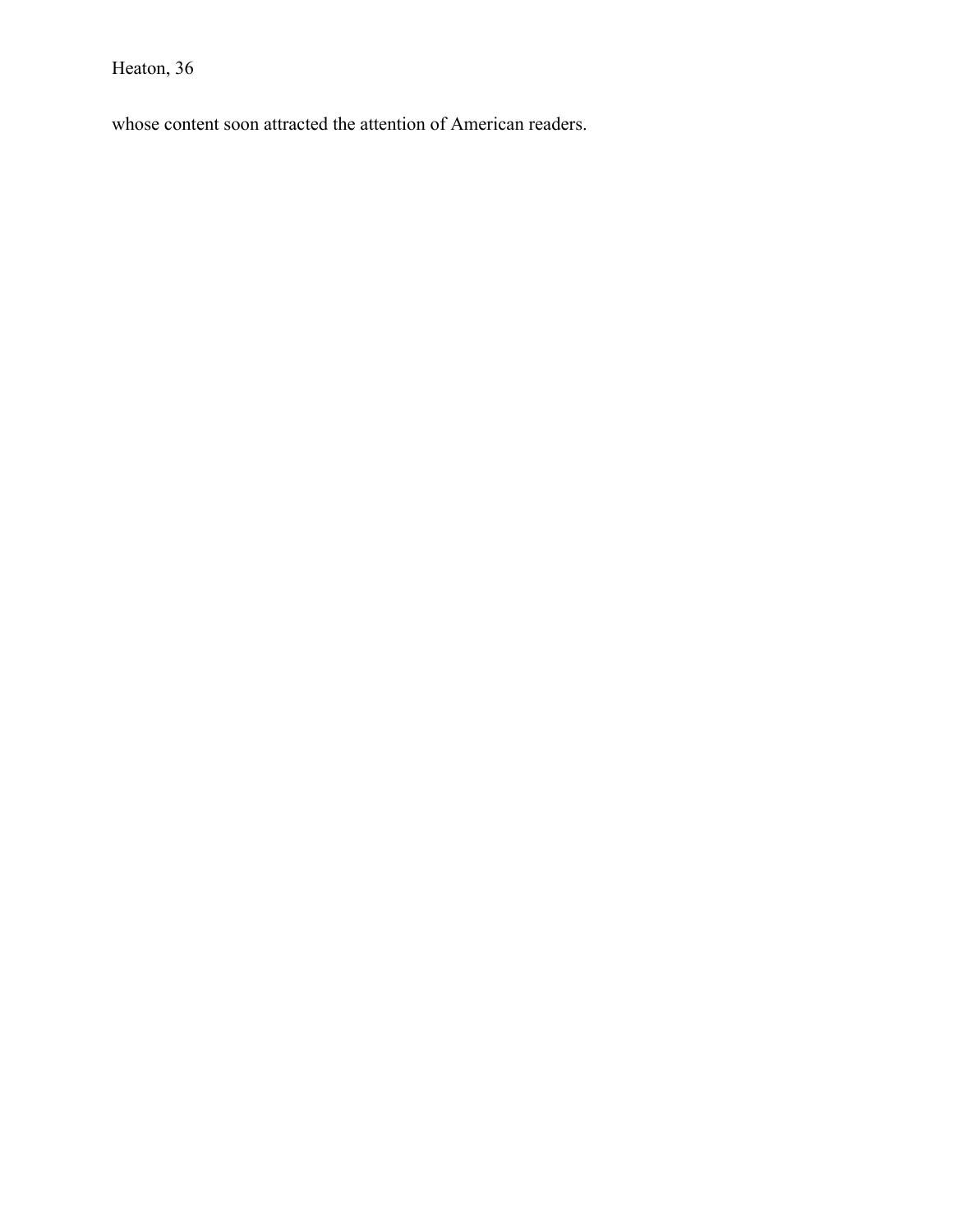whose content soon attracted the attention of American readers.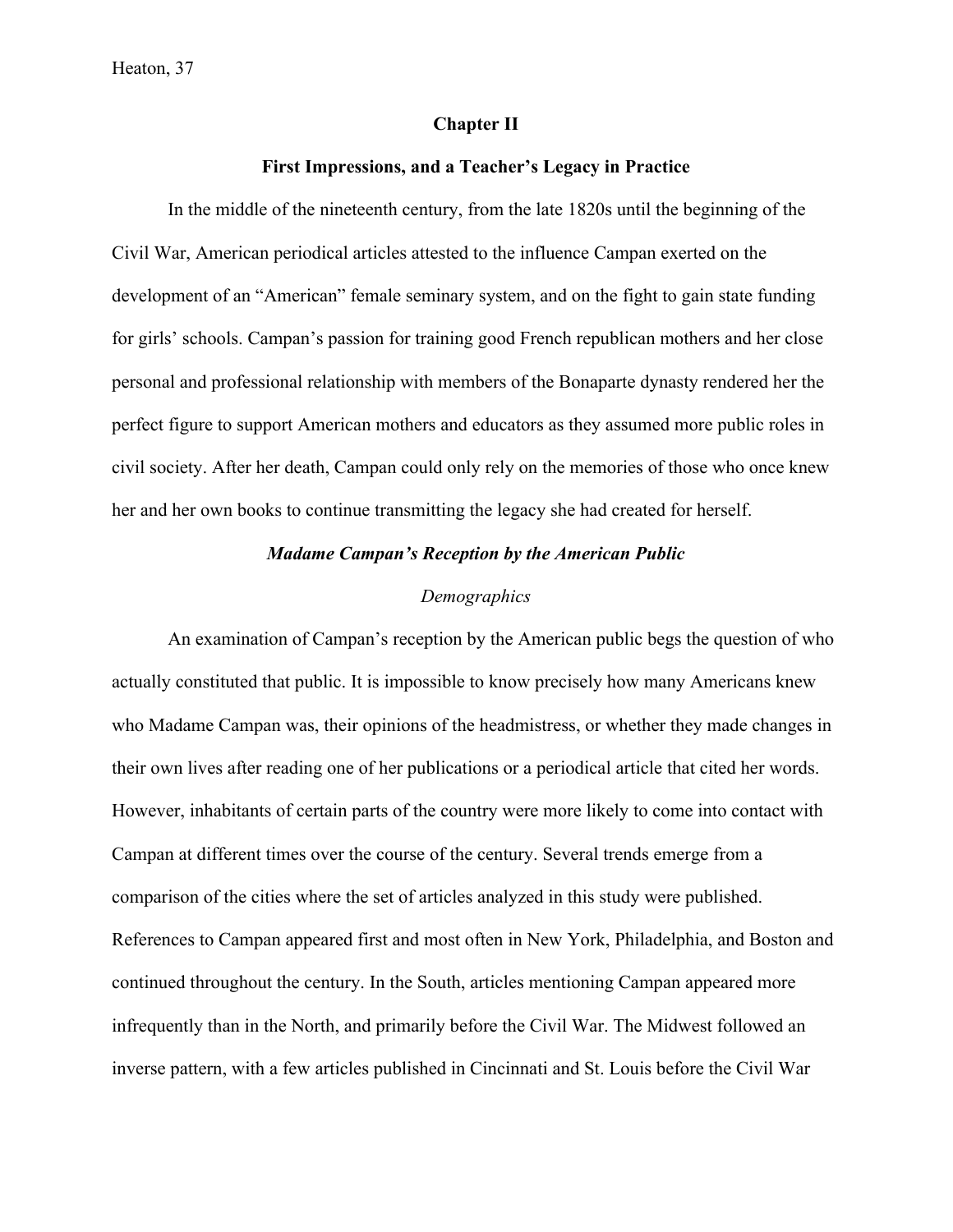## **Chapter II**

## **First Impressions, and a Teacher's Legacy in Practice**

In the middle of the nineteenth century, from the late 1820s until the beginning of the Civil War, American periodical articles attested to the influence Campan exerted on the development of an "American" female seminary system, and on the fight to gain state funding for girls' schools. Campan's passion for training good French republican mothers and her close personal and professional relationship with members of the Bonaparte dynasty rendered her the perfect figure to support American mothers and educators as they assumed more public roles in civil society. After her death, Campan could only rely on the memories of those who once knew her and her own books to continue transmitting the legacy she had created for herself.

## *Madame Campan's Reception by the American Public*

#### *Demographics*

An examination of Campan's reception by the American public begs the question of who actually constituted that public. It is impossible to know precisely how many Americans knew who Madame Campan was, their opinions of the headmistress, or whether they made changes in their own lives after reading one of her publications or a periodical article that cited her words. However, inhabitants of certain parts of the country were more likely to come into contact with Campan at different times over the course of the century. Several trends emerge from a comparison of the cities where the set of articles analyzed in this study were published. References to Campan appeared first and most often in New York, Philadelphia, and Boston and continued throughout the century. In the South, articles mentioning Campan appeared more infrequently than in the North, and primarily before the Civil War. The Midwest followed an inverse pattern, with a few articles published in Cincinnati and St. Louis before the Civil War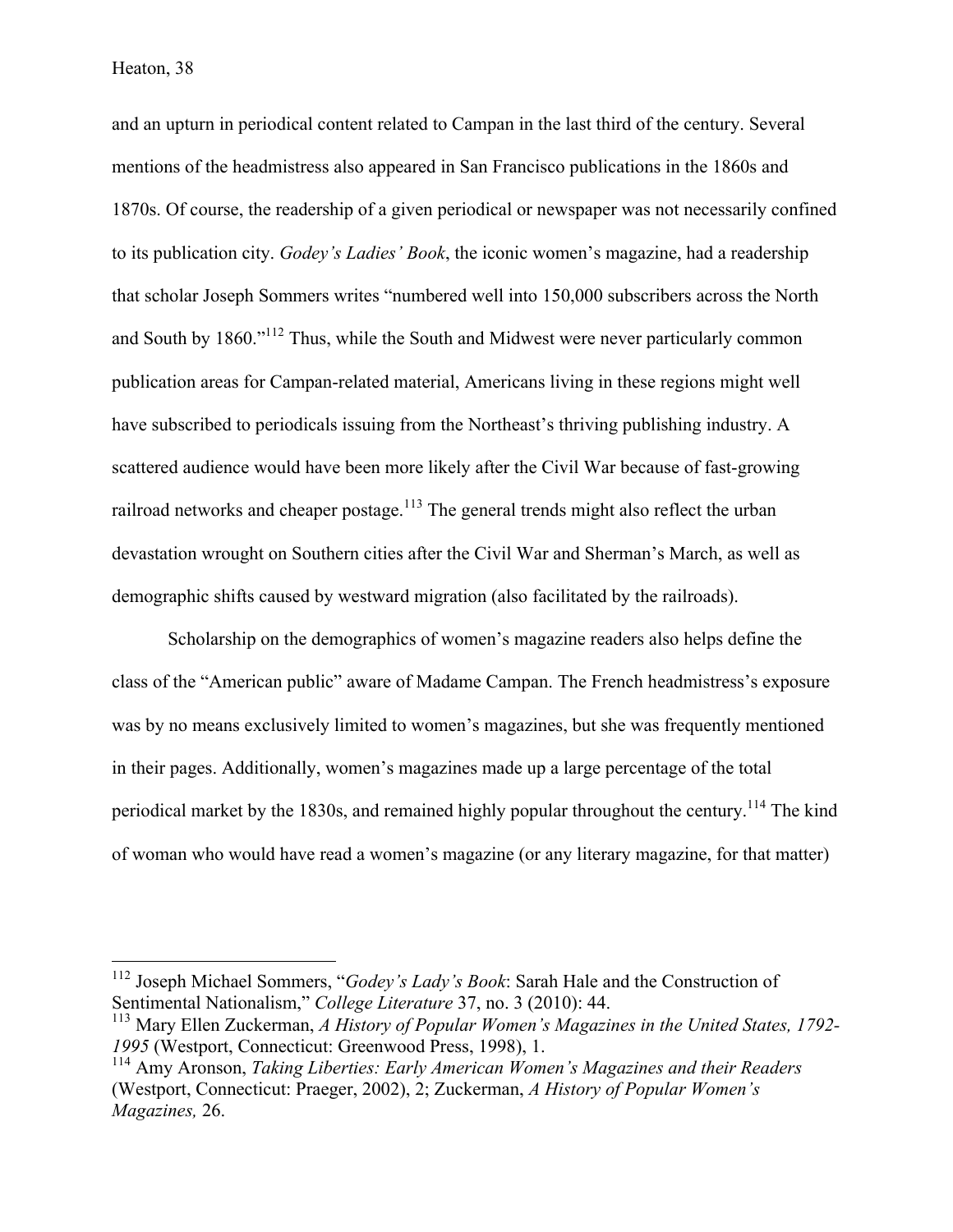and an upturn in periodical content related to Campan in the last third of the century. Several mentions of the headmistress also appeared in San Francisco publications in the 1860s and 1870s. Of course, the readership of a given periodical or newspaper was not necessarily confined to its publication city. *Godey's Ladies' Book*, the iconic women's magazine, had a readership that scholar Joseph Sommers writes "numbered well into 150,000 subscribers across the North and South by 1860."<sup>112</sup> Thus, while the South and Midwest were never particularly common publication areas for Campan-related material, Americans living in these regions might well have subscribed to periodicals issuing from the Northeast's thriving publishing industry. A scattered audience would have been more likely after the Civil War because of fast-growing railroad networks and cheaper postage.<sup>113</sup> The general trends might also reflect the urban devastation wrought on Southern cities after the Civil War and Sherman's March, as well as demographic shifts caused by westward migration (also facilitated by the railroads).

Scholarship on the demographics of women's magazine readers also helps define the class of the "American public" aware of Madame Campan. The French headmistress's exposure was by no means exclusively limited to women's magazines, but she was frequently mentioned in their pages. Additionally, women's magazines made up a large percentage of the total periodical market by the 1830s, and remained highly popular throughout the century.<sup>114</sup> The kind of woman who would have read a women's magazine (or any literary magazine, for that matter)

 <sup>112</sup> Joseph Michael Sommers, "*Godey's Lady's Book*: Sarah Hale and the Construction of Sentimental Nationalism," *College Literature* 37, no. 3 (2010): 44.

<sup>113</sup> Mary Ellen Zuckerman, *A History of Popular Women's Magazines in the United States, 1792- 1995* (Westport, Connecticut: Greenwood Press, 1998), 1.

<sup>114</sup> Amy Aronson, *Taking Liberties: Early American Women's Magazines and their Readers* (Westport, Connecticut: Praeger, 2002), 2; Zuckerman, *A History of Popular Women's Magazines,* 26.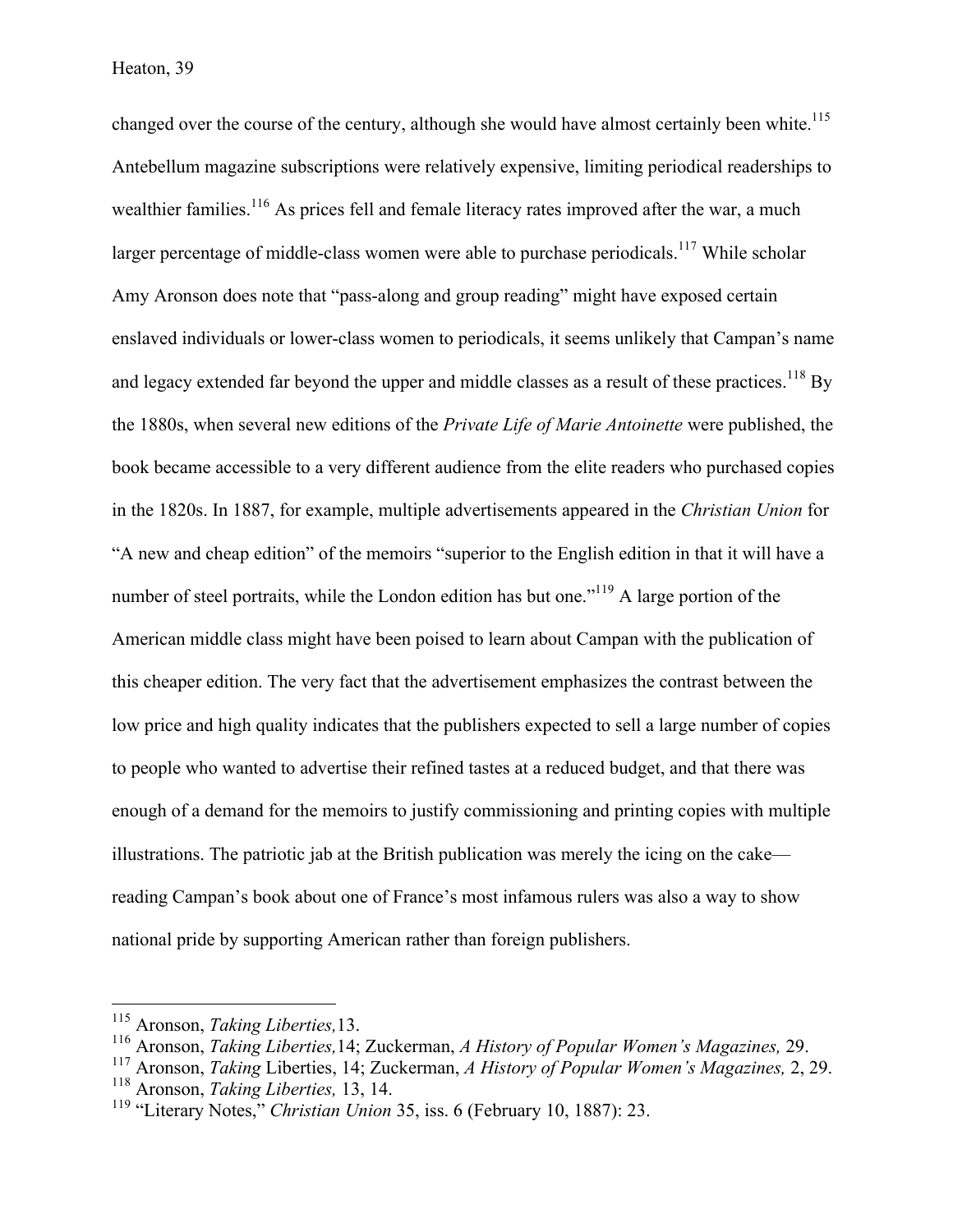changed over the course of the century, although she would have almost certainly been white.<sup>115</sup> Antebellum magazine subscriptions were relatively expensive, limiting periodical readerships to wealthier families.<sup>116</sup> As prices fell and female literacy rates improved after the war, a much larger percentage of middle-class women were able to purchase periodicals.<sup>117</sup> While scholar Amy Aronson does note that "pass-along and group reading" might have exposed certain enslaved individuals or lower-class women to periodicals, it seems unlikely that Campan's name and legacy extended far beyond the upper and middle classes as a result of these practices.<sup>118</sup> By the 1880s, when several new editions of the *Private Life of Marie Antoinette* were published, the book became accessible to a very different audience from the elite readers who purchased copies in the 1820s. In 1887, for example, multiple advertisements appeared in the *Christian Union* for "A new and cheap edition" of the memoirs "superior to the English edition in that it will have a number of steel portraits, while the London edition has but one."<sup>119</sup> A large portion of the American middle class might have been poised to learn about Campan with the publication of this cheaper edition. The very fact that the advertisement emphasizes the contrast between the low price and high quality indicates that the publishers expected to sell a large number of copies to people who wanted to advertise their refined tastes at a reduced budget, and that there was enough of a demand for the memoirs to justify commissioning and printing copies with multiple illustrations. The patriotic jab at the British publication was merely the icing on the cake reading Campan's book about one of France's most infamous rulers was also a way to show national pride by supporting American rather than foreign publishers.

 <sup>115</sup> Aronson, *Taking Liberties,*13.

<sup>116</sup> Aronson, *Taking Liberties,*14; Zuckerman, *A History of Popular Women's Magazines,* 29.

<sup>117</sup> Aronson, *Taking* Liberties, 14; Zuckerman, *A History of Popular Women's Magazines,* 2, 29.

<sup>118</sup> Aronson, *Taking Liberties,* 13, 14.

<sup>119</sup> "Literary Notes," *Christian Union* 35, iss. 6 (February 10, 1887): 23.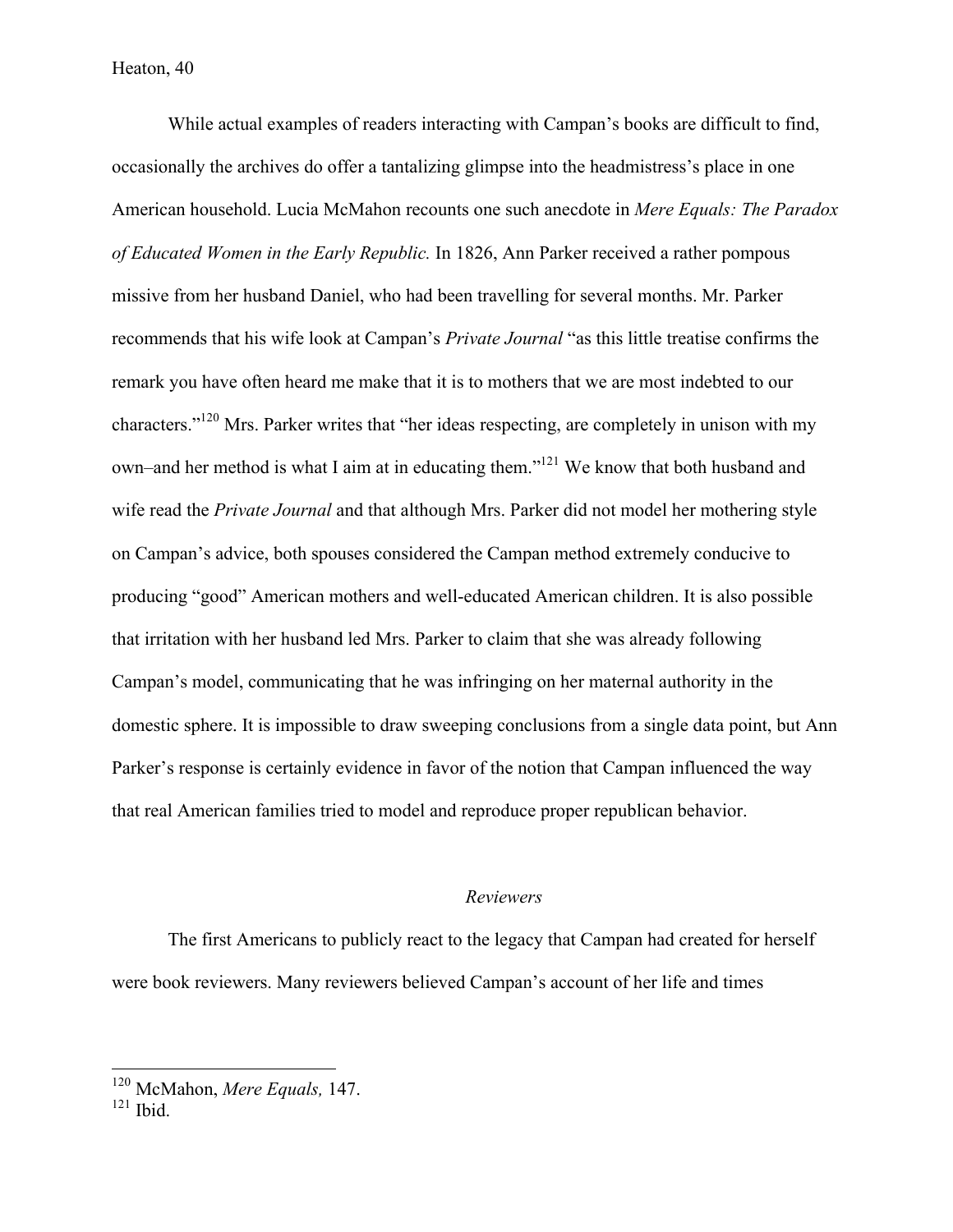While actual examples of readers interacting with Campan's books are difficult to find, occasionally the archives do offer a tantalizing glimpse into the headmistress's place in one American household. Lucia McMahon recounts one such anecdote in *Mere Equals: The Paradox of Educated Women in the Early Republic.* In 1826, Ann Parker received a rather pompous missive from her husband Daniel, who had been travelling for several months. Mr. Parker recommends that his wife look at Campan's *Private Journal* "as this little treatise confirms the remark you have often heard me make that it is to mothers that we are most indebted to our characters."120 Mrs. Parker writes that "her ideas respecting, are completely in unison with my own–and her method is what I aim at in educating them."121 We know that both husband and wife read the *Private Journal* and that although Mrs. Parker did not model her mothering style on Campan's advice, both spouses considered the Campan method extremely conducive to producing "good" American mothers and well-educated American children. It is also possible that irritation with her husband led Mrs. Parker to claim that she was already following Campan's model, communicating that he was infringing on her maternal authority in the domestic sphere. It is impossible to draw sweeping conclusions from a single data point, but Ann Parker's response is certainly evidence in favor of the notion that Campan influenced the way that real American families tried to model and reproduce proper republican behavior.

## *Reviewers*

The first Americans to publicly react to the legacy that Campan had created for herself were book reviewers. Many reviewers believed Campan's account of her life and times

 <sup>120</sup> McMahon, *Mere Equals,* 147.

 $121$  Ibid.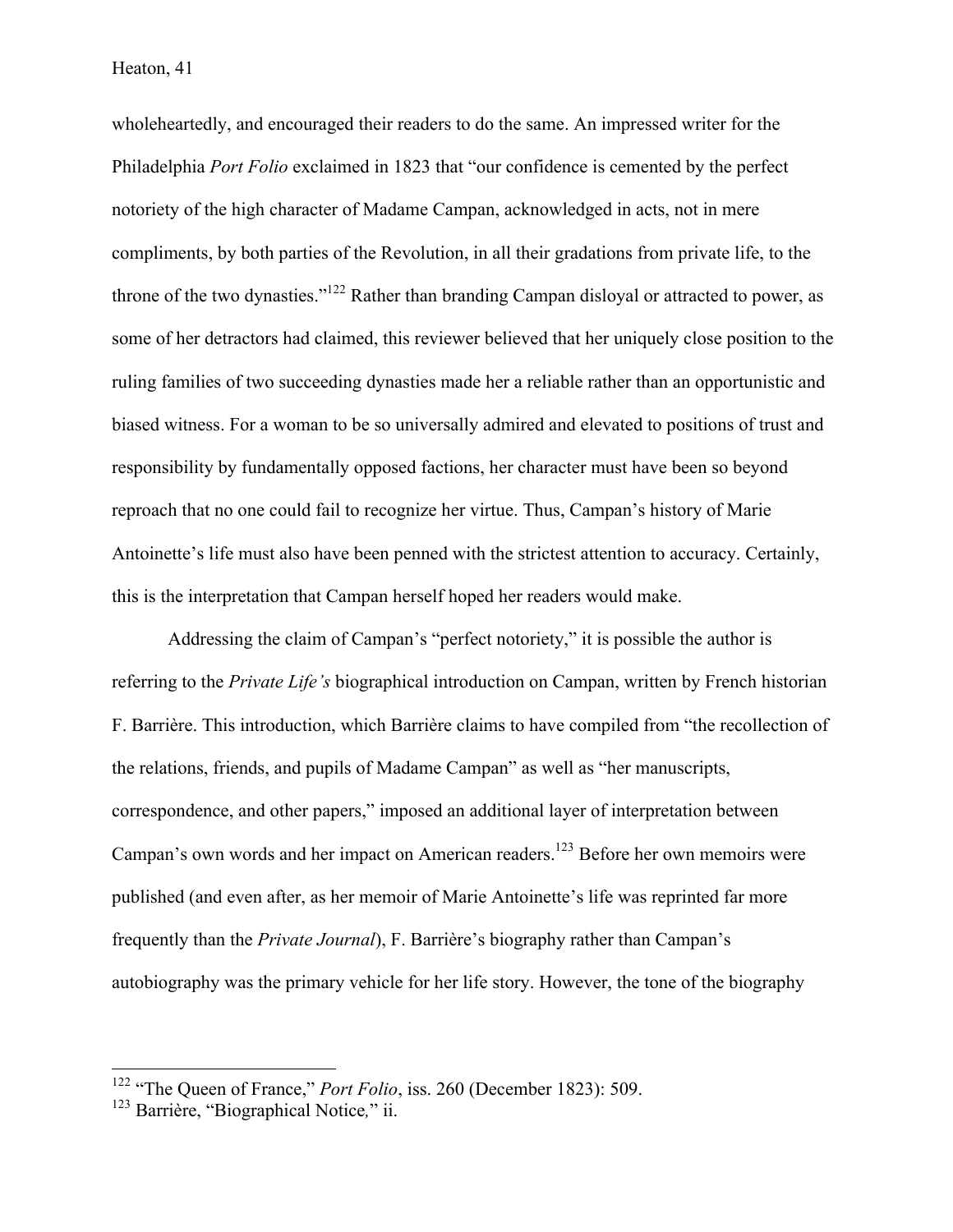wholeheartedly, and encouraged their readers to do the same. An impressed writer for the Philadelphia *Port Folio* exclaimed in 1823 that "our confidence is cemented by the perfect notoriety of the high character of Madame Campan, acknowledged in acts, not in mere compliments, by both parties of the Revolution, in all their gradations from private life, to the throne of the two dynasties."122 Rather than branding Campan disloyal or attracted to power, as some of her detractors had claimed, this reviewer believed that her uniquely close position to the ruling families of two succeeding dynasties made her a reliable rather than an opportunistic and biased witness. For a woman to be so universally admired and elevated to positions of trust and responsibility by fundamentally opposed factions, her character must have been so beyond reproach that no one could fail to recognize her virtue. Thus, Campan's history of Marie Antoinette's life must also have been penned with the strictest attention to accuracy. Certainly, this is the interpretation that Campan herself hoped her readers would make.

Addressing the claim of Campan's "perfect notoriety," it is possible the author is referring to the *Private Life's* biographical introduction on Campan, written by French historian F. Barrière. This introduction, which Barrière claims to have compiled from "the recollection of the relations, friends, and pupils of Madame Campan" as well as "her manuscripts, correspondence, and other papers," imposed an additional layer of interpretation between Campan's own words and her impact on American readers.<sup>123</sup> Before her own memoirs were published (and even after, as her memoir of Marie Antoinette's life was reprinted far more frequently than the *Private Journal*), F. Barrière's biography rather than Campan's autobiography was the primary vehicle for her life story. However, the tone of the biography

<sup>&</sup>lt;sup>122</sup> "The Queen of France," *Port Folio*, iss. 260 (December 1823): 509.

<sup>123</sup> Barrière, "Biographical Notice*,*" ii.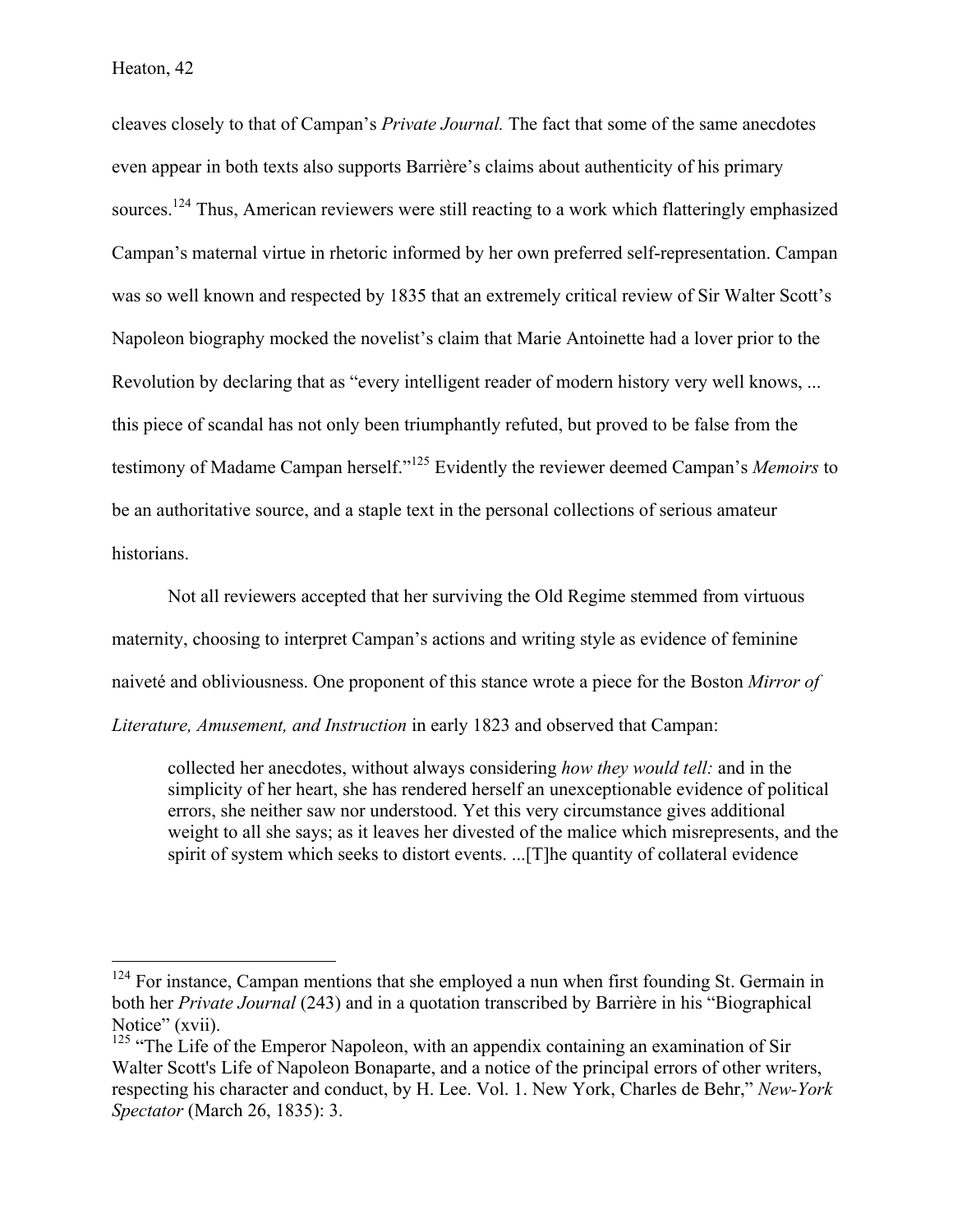cleaves closely to that of Campan's *Private Journal.* The fact that some of the same anecdotes even appear in both texts also supports Barrière's claims about authenticity of his primary sources.<sup>124</sup> Thus, American reviewers were still reacting to a work which flatteringly emphasized Campan's maternal virtue in rhetoric informed by her own preferred self-representation. Campan was so well known and respected by 1835 that an extremely critical review of Sir Walter Scott's Napoleon biography mocked the novelist's claim that Marie Antoinette had a lover prior to the Revolution by declaring that as "every intelligent reader of modern history very well knows, ... this piece of scandal has not only been triumphantly refuted, but proved to be false from the testimony of Madame Campan herself."125 Evidently the reviewer deemed Campan's *Memoirs* to be an authoritative source, and a staple text in the personal collections of serious amateur historians.

Not all reviewers accepted that her surviving the Old Regime stemmed from virtuous maternity, choosing to interpret Campan's actions and writing style as evidence of feminine naiveté and obliviousness. One proponent of this stance wrote a piece for the Boston *Mirror of Literature, Amusement, and Instruction* in early 1823 and observed that Campan:

collected her anecdotes, without always considering *how they would tell:* and in the simplicity of her heart, she has rendered herself an unexceptionable evidence of political errors, she neither saw nor understood. Yet this very circumstance gives additional weight to all she says; as it leaves her divested of the malice which misrepresents, and the spirit of system which seeks to distort events. ...[T]he quantity of collateral evidence

<sup>&</sup>lt;sup>124</sup> For instance, Campan mentions that she employed a nun when first founding St. Germain in both her *Private Journal* (243) and in a quotation transcribed by Barrière in his "Biographical Notice" (xvii).

<sup>&</sup>lt;sup>125</sup> "The Life of the Emperor Napoleon, with an appendix containing an examination of Sir Walter Scott's Life of Napoleon Bonaparte, and a notice of the principal errors of other writers, respecting his character and conduct, by H. Lee. Vol. 1. New York, Charles de Behr," *New-York Spectator* (March 26, 1835): 3.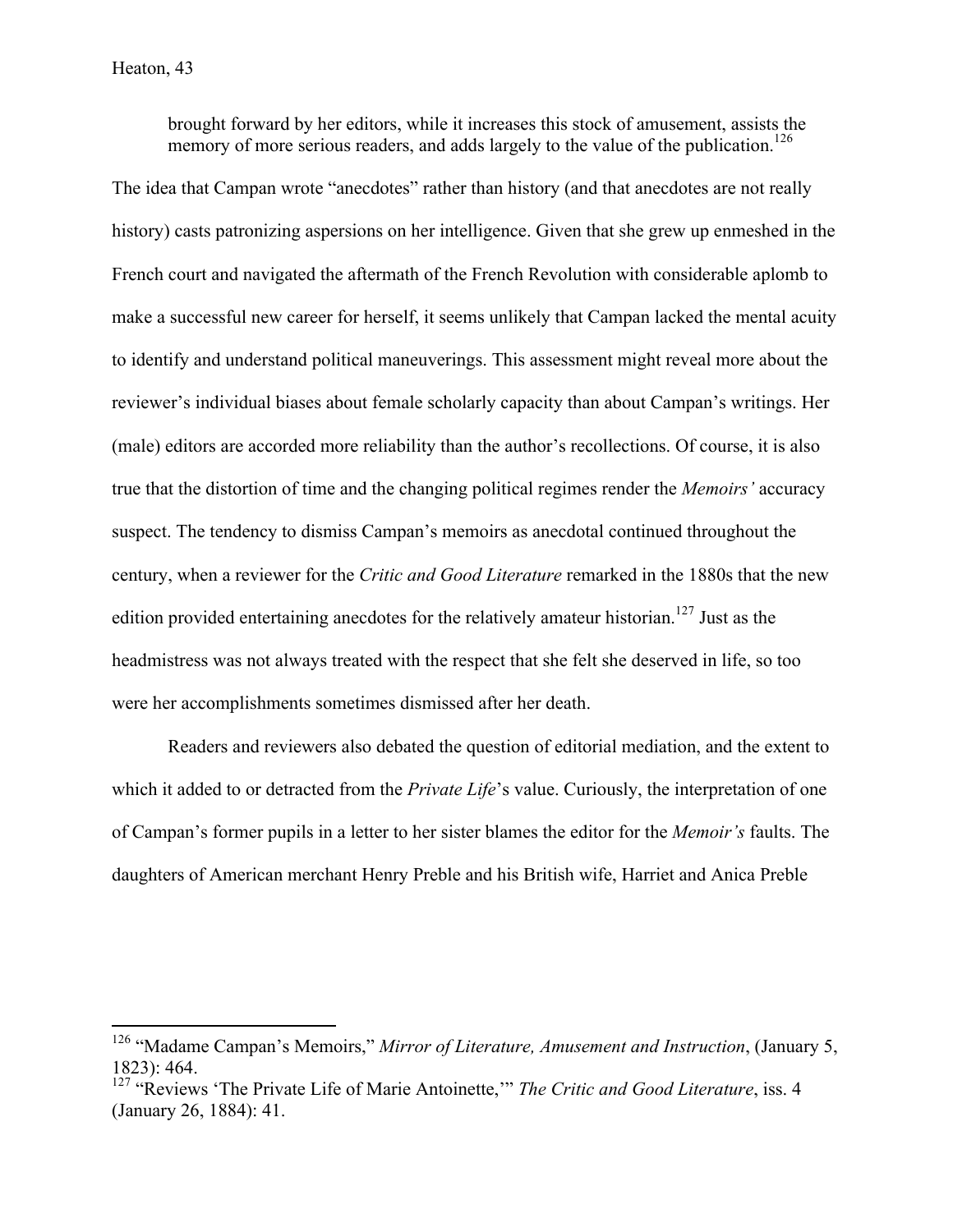brought forward by her editors, while it increases this stock of amusement, assists the memory of more serious readers, and adds largely to the value of the publication.<sup>126</sup>

The idea that Campan wrote "anecdotes" rather than history (and that anecdotes are not really history) casts patronizing aspersions on her intelligence. Given that she grew up enmeshed in the French court and navigated the aftermath of the French Revolution with considerable aplomb to make a successful new career for herself, it seems unlikely that Campan lacked the mental acuity to identify and understand political maneuverings. This assessment might reveal more about the reviewer's individual biases about female scholarly capacity than about Campan's writings. Her (male) editors are accorded more reliability than the author's recollections. Of course, it is also true that the distortion of time and the changing political regimes render the *Memoirs'* accuracy suspect. The tendency to dismiss Campan's memoirs as anecdotal continued throughout the century, when a reviewer for the *Critic and Good Literature* remarked in the 1880s that the new edition provided entertaining anecdotes for the relatively amateur historian.<sup>127</sup> Just as the headmistress was not always treated with the respect that she felt she deserved in life, so too were her accomplishments sometimes dismissed after her death.

Readers and reviewers also debated the question of editorial mediation, and the extent to which it added to or detracted from the *Private Life*'s value. Curiously, the interpretation of one of Campan's former pupils in a letter to her sister blames the editor for the *Memoir's* faults. The daughters of American merchant Henry Preble and his British wife, Harriet and Anica Preble

 <sup>126</sup> "Madame Campan's Memoirs," *Mirror of Literature, Amusement and Instruction*, (January 5, 1823): 464.

<sup>&</sup>lt;sup>127</sup> "Reviews 'The Private Life of Marie Antoinette,'" *The Critic and Good Literature*, iss. 4 (January 26, 1884): 41.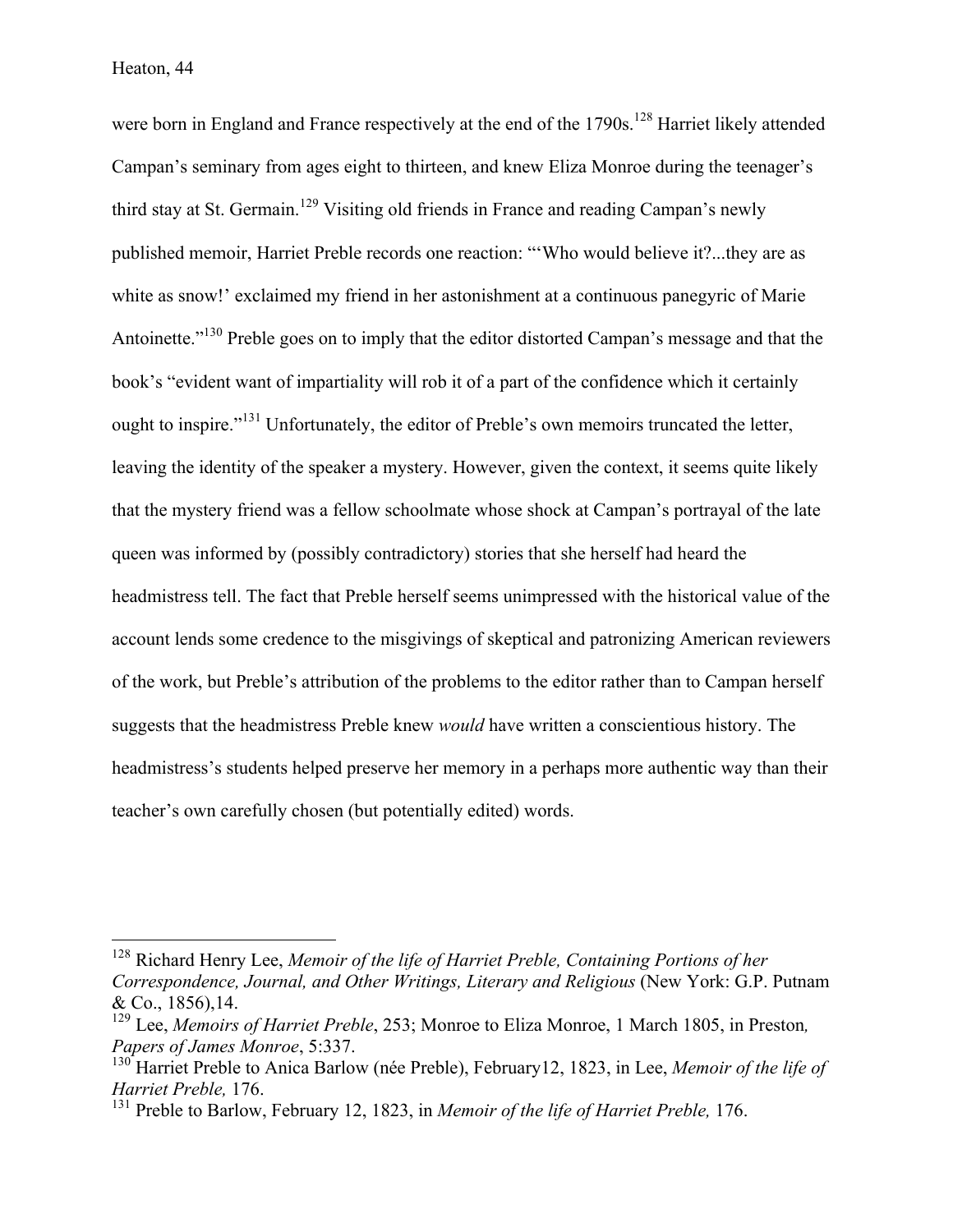were born in England and France respectively at the end of the 1790s.<sup>128</sup> Harriet likely attended Campan's seminary from ages eight to thirteen, and knew Eliza Monroe during the teenager's third stay at St. Germain.<sup>129</sup> Visiting old friends in France and reading Campan's newly published memoir, Harriet Preble records one reaction: "'Who would believe it?...they are as white as snow!' exclaimed my friend in her astonishment at a continuous panegyric of Marie Antoinette."<sup>130</sup> Preble goes on to imply that the editor distorted Campan's message and that the book's "evident want of impartiality will rob it of a part of the confidence which it certainly ought to inspire."<sup>131</sup> Unfortunately, the editor of Preble's own memoirs truncated the letter, leaving the identity of the speaker a mystery. However, given the context, it seems quite likely that the mystery friend was a fellow schoolmate whose shock at Campan's portrayal of the late queen was informed by (possibly contradictory) stories that she herself had heard the headmistress tell. The fact that Preble herself seems unimpressed with the historical value of the account lends some credence to the misgivings of skeptical and patronizing American reviewers of the work, but Preble's attribution of the problems to the editor rather than to Campan herself suggests that the headmistress Preble knew *would* have written a conscientious history. The headmistress's students helped preserve her memory in a perhaps more authentic way than their teacher's own carefully chosen (but potentially edited) words.

 <sup>128</sup> Richard Henry Lee, *Memoir of the life of Harriet Preble, Containing Portions of her Correspondence, Journal, and Other Writings, Literary and Religious* (New York: G.P. Putnam & Co., 1856),14.

<sup>129</sup> Lee, *Memoirs of Harriet Preble*, 253; Monroe to Eliza Monroe, 1 March 1805, in Preston*, Papers of James Monroe*, 5:337.

<sup>130</sup> Harriet Preble to Anica Barlow (née Preble), February12, 1823, in Lee, *Memoir of the life of Harriet Preble,* 176.

<sup>131</sup> Preble to Barlow, February 12, 1823, in *Memoir of the life of Harriet Preble,* 176.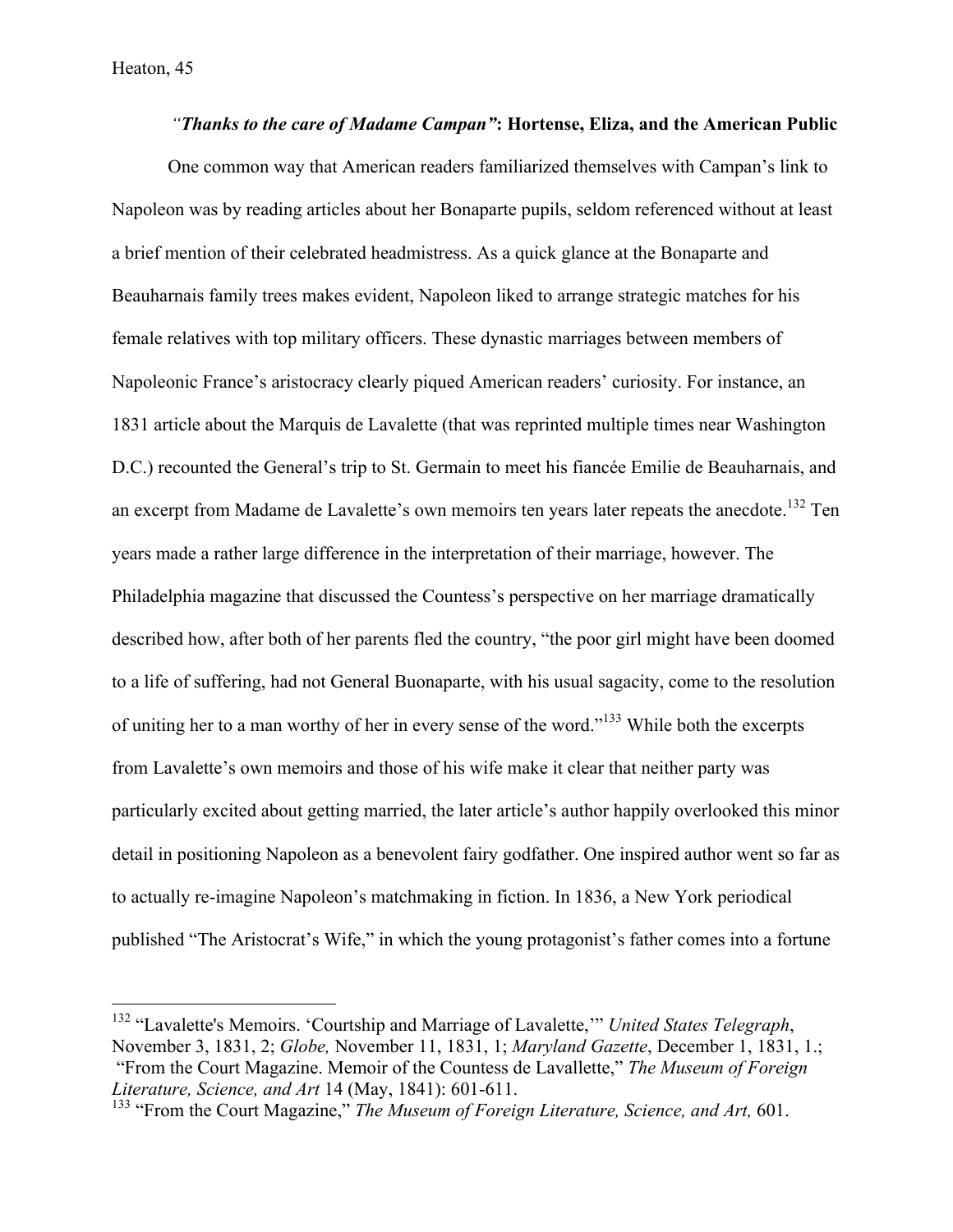*"Thanks to the care of Madame Campan"***: Hortense, Eliza, and the American Public**  One common way that American readers familiarized themselves with Campan's link to Napoleon was by reading articles about her Bonaparte pupils, seldom referenced without at least a brief mention of their celebrated headmistress. As a quick glance at the Bonaparte and Beauharnais family trees makes evident, Napoleon liked to arrange strategic matches for his female relatives with top military officers. These dynastic marriages between members of Napoleonic France's aristocracy clearly piqued American readers' curiosity. For instance, an 1831 article about the Marquis de Lavalette (that was reprinted multiple times near Washington D.C.) recounted the General's trip to St. Germain to meet his fiancée Emilie de Beauharnais, and an excerpt from Madame de Lavalette's own memoirs ten years later repeats the anecdote.<sup>132</sup> Ten years made a rather large difference in the interpretation of their marriage, however. The Philadelphia magazine that discussed the Countess's perspective on her marriage dramatically described how, after both of her parents fled the country, "the poor girl might have been doomed to a life of suffering, had not General Buonaparte, with his usual sagacity, come to the resolution of uniting her to a man worthy of her in every sense of the word."<sup>133</sup> While both the excerpts from Lavalette's own memoirs and those of his wife make it clear that neither party was particularly excited about getting married, the later article's author happily overlooked this minor detail in positioning Napoleon as a benevolent fairy godfather. One inspired author went so far as to actually re-imagine Napoleon's matchmaking in fiction. In 1836, a New York periodical published "The Aristocrat's Wife," in which the young protagonist's father comes into a fortune

 <sup>132</sup> "Lavalette's Memoirs. 'Courtship and Marriage of Lavalette,'" *United States Telegraph*, November 3, 1831, 2; *Globe,* November 11, 1831, 1; *Maryland Gazette*, December 1, 1831, 1.; "From the Court Magazine. Memoir of the Countess de Lavallette," *The Museum of Foreign Literature, Science, and Art* 14 (May, 1841): 601-611.

<sup>&</sup>lt;sup>133</sup> "From the Court Magazine," *The Museum of Foreign Literature, Science, and Art,* 601.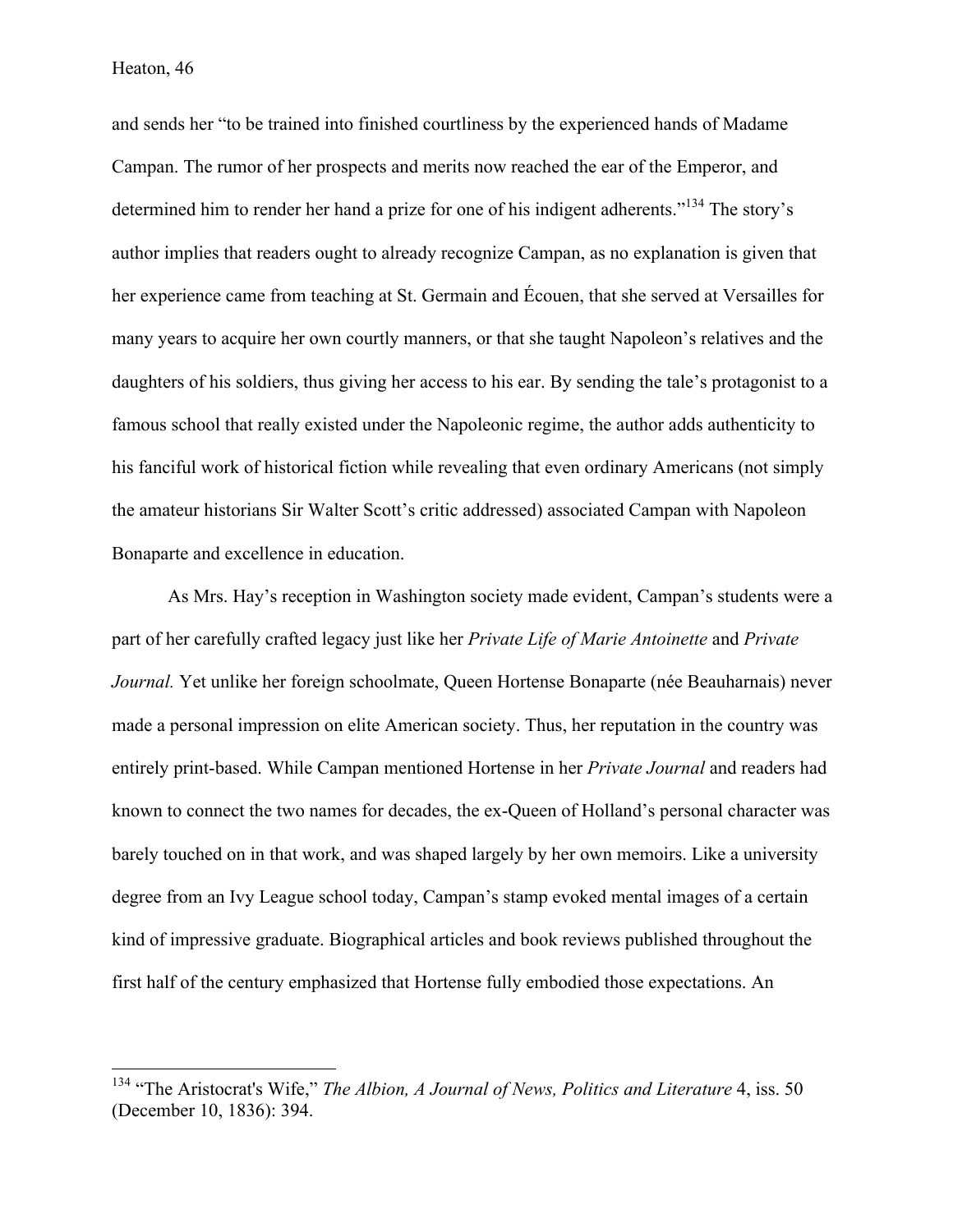and sends her "to be trained into finished courtliness by the experienced hands of Madame Campan. The rumor of her prospects and merits now reached the ear of the Emperor, and determined him to render her hand a prize for one of his indigent adherents."<sup>134</sup> The story's author implies that readers ought to already recognize Campan, as no explanation is given that her experience came from teaching at St. Germain and Écouen, that she served at Versailles for many years to acquire her own courtly manners, or that she taught Napoleon's relatives and the daughters of his soldiers, thus giving her access to his ear. By sending the tale's protagonist to a famous school that really existed under the Napoleonic regime, the author adds authenticity to his fanciful work of historical fiction while revealing that even ordinary Americans (not simply the amateur historians Sir Walter Scott's critic addressed) associated Campan with Napoleon Bonaparte and excellence in education.

As Mrs. Hay's reception in Washington society made evident, Campan's students were a part of her carefully crafted legacy just like her *Private Life of Marie Antoinette* and *Private Journal.* Yet unlike her foreign schoolmate, Queen Hortense Bonaparte (née Beauharnais) never made a personal impression on elite American society. Thus, her reputation in the country was entirely print-based. While Campan mentioned Hortense in her *Private Journal* and readers had known to connect the two names for decades, the ex-Queen of Holland's personal character was barely touched on in that work, and was shaped largely by her own memoirs. Like a university degree from an Ivy League school today, Campan's stamp evoked mental images of a certain kind of impressive graduate. Biographical articles and book reviews published throughout the first half of the century emphasized that Hortense fully embodied those expectations. An

<sup>&</sup>lt;sup>134</sup> "The Aristocrat's Wife," *The Albion, A Journal of News, Politics and Literature* 4, iss. 50 (December 10, 1836): 394.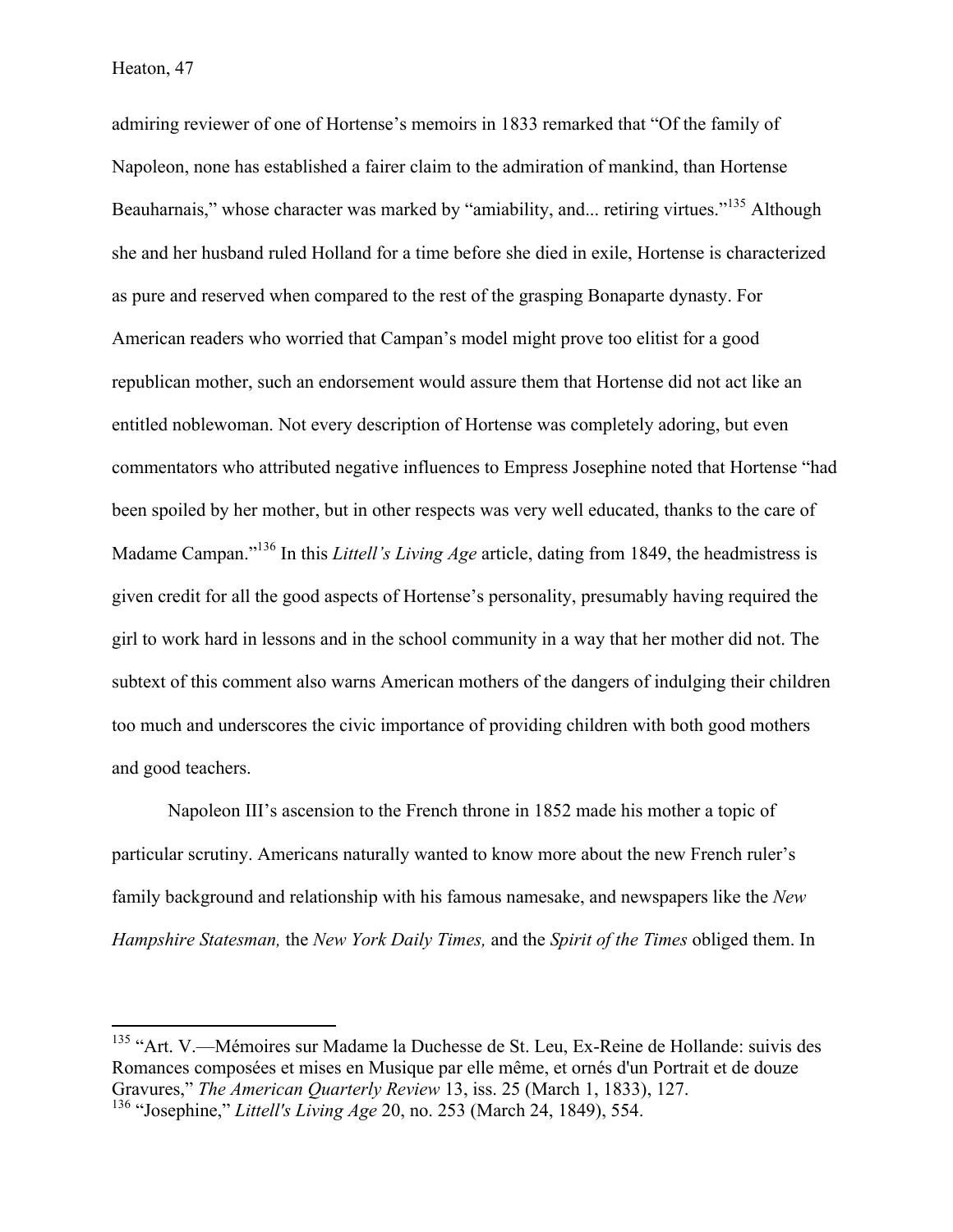admiring reviewer of one of Hortense's memoirs in 1833 remarked that "Of the family of Napoleon, none has established a fairer claim to the admiration of mankind, than Hortense Beauharnais," whose character was marked by "amiability, and... retiring virtues."<sup>135</sup> Although she and her husband ruled Holland for a time before she died in exile, Hortense is characterized as pure and reserved when compared to the rest of the grasping Bonaparte dynasty. For American readers who worried that Campan's model might prove too elitist for a good republican mother, such an endorsement would assure them that Hortense did not act like an entitled noblewoman. Not every description of Hortense was completely adoring, but even commentators who attributed negative influences to Empress Josephine noted that Hortense "had been spoiled by her mother, but in other respects was very well educated, thanks to the care of Madame Campan."<sup>136</sup> In this *Littell's Living Age* article, dating from 1849, the headmistress is given credit for all the good aspects of Hortense's personality, presumably having required the girl to work hard in lessons and in the school community in a way that her mother did not. The subtext of this comment also warns American mothers of the dangers of indulging their children too much and underscores the civic importance of providing children with both good mothers and good teachers.

Napoleon III's ascension to the French throne in 1852 made his mother a topic of particular scrutiny. Americans naturally wanted to know more about the new French ruler's family background and relationship with his famous namesake, and newspapers like the *New Hampshire Statesman,* the *New York Daily Times,* and the *Spirit of the Times* obliged them. In

<sup>&</sup>lt;sup>135</sup> "Art. V.—Mémoires sur Madame la Duchesse de St. Leu, Ex-Reine de Hollande: suivis des Romances composées et mises en Musique par elle même, et ornés d'un Portrait et de douze Gravures," *The American Quarterly Review* 13, iss. 25 (March 1, 1833), 127. <sup>136</sup> "Josephine," *Littell's Living Age* 20, no. 253 (March 24, 1849), 554.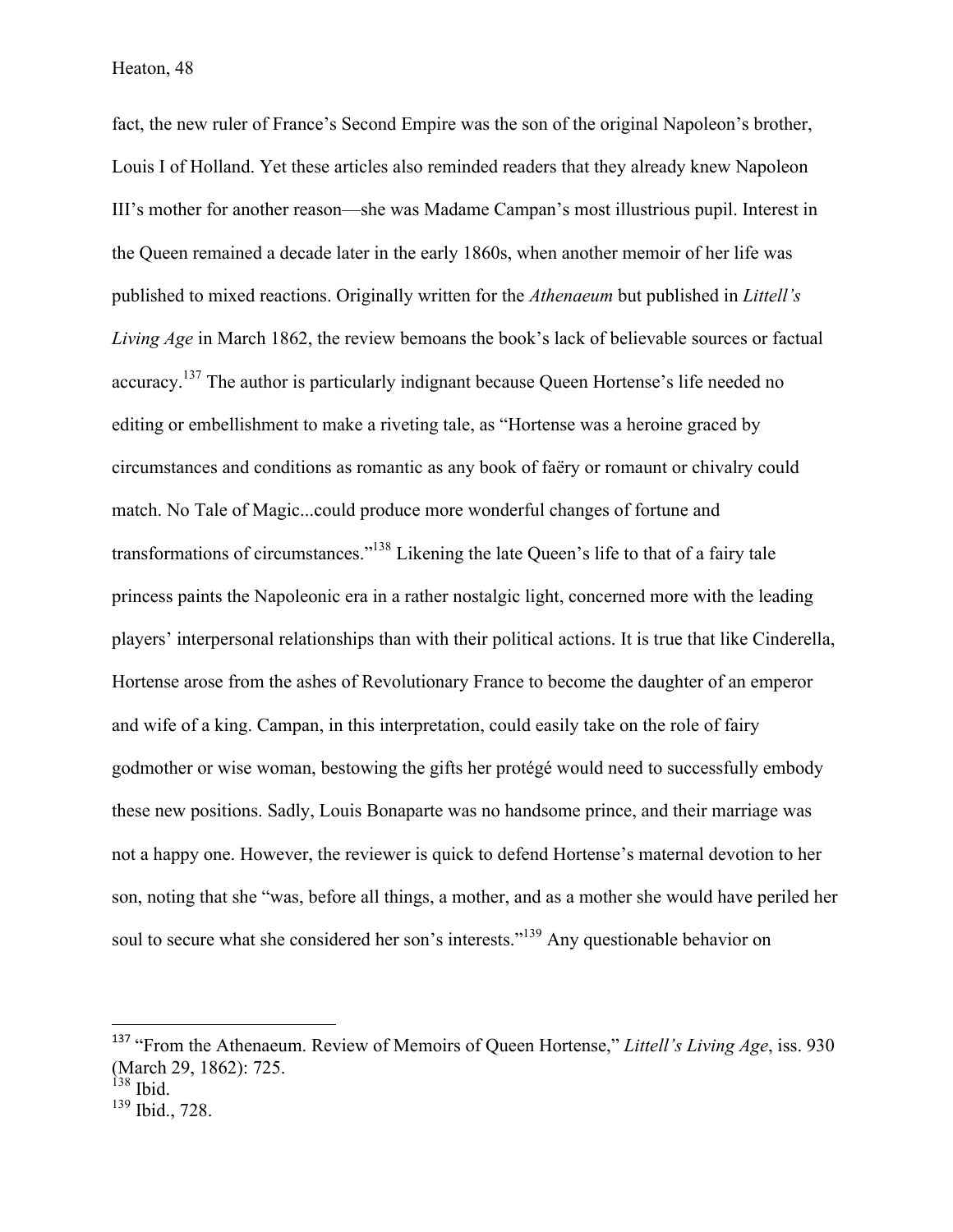fact, the new ruler of France's Second Empire was the son of the original Napoleon's brother, Louis I of Holland. Yet these articles also reminded readers that they already knew Napoleon III's mother for another reason—she was Madame Campan's most illustrious pupil. Interest in the Queen remained a decade later in the early 1860s, when another memoir of her life was published to mixed reactions. Originally written for the *Athenaeum* but published in *Littell's Living Age* in March 1862, the review bemoans the book's lack of believable sources or factual accuracy.137 The author is particularly indignant because Queen Hortense's life needed no editing or embellishment to make a riveting tale, as "Hortense was a heroine graced by circumstances and conditions as romantic as any book of faëry or romaunt or chivalry could match. No Tale of Magic...could produce more wonderful changes of fortune and transformations of circumstances."138 Likening the late Queen's life to that of a fairy tale princess paints the Napoleonic era in a rather nostalgic light, concerned more with the leading players' interpersonal relationships than with their political actions. It is true that like Cinderella, Hortense arose from the ashes of Revolutionary France to become the daughter of an emperor and wife of a king. Campan, in this interpretation, could easily take on the role of fairy godmother or wise woman, bestowing the gifts her protégé would need to successfully embody these new positions. Sadly, Louis Bonaparte was no handsome prince, and their marriage was not a happy one. However, the reviewer is quick to defend Hortense's maternal devotion to her son, noting that she "was, before all things, a mother, and as a mother she would have periled her soul to secure what she considered her son's interests."<sup>139</sup> Any questionable behavior on

 

<sup>137</sup> "From the Athenaeum. Review of Memoirs of Queen Hortense," *Littell's Living Age*, iss. 930 (March 29, 1862): 725.

 $138$  Ibid.

<sup>139</sup> Ibid., 728.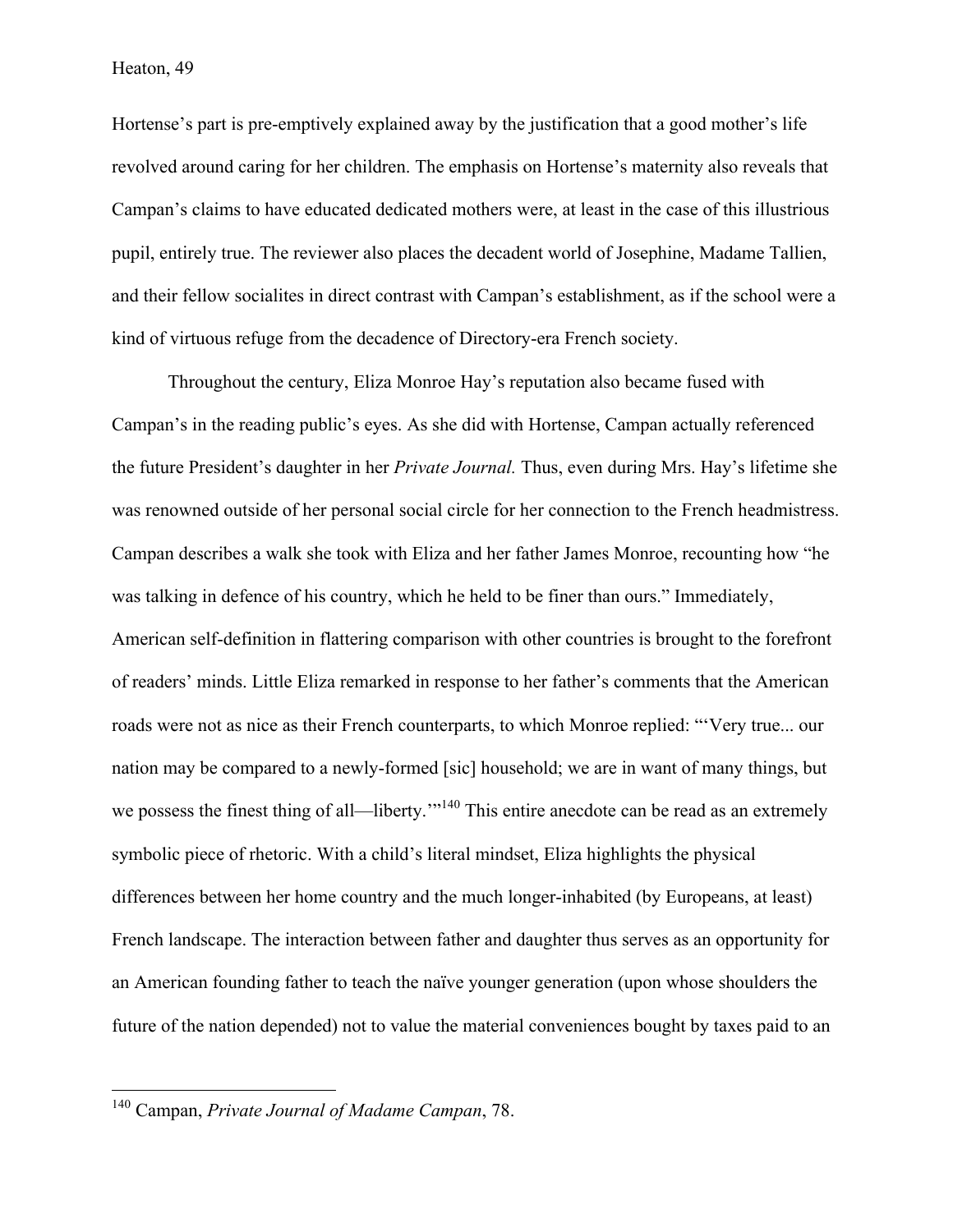Hortense's part is pre-emptively explained away by the justification that a good mother's life revolved around caring for her children. The emphasis on Hortense's maternity also reveals that Campan's claims to have educated dedicated mothers were, at least in the case of this illustrious pupil, entirely true. The reviewer also places the decadent world of Josephine, Madame Tallien, and their fellow socialites in direct contrast with Campan's establishment, as if the school were a kind of virtuous refuge from the decadence of Directory-era French society.

Throughout the century, Eliza Monroe Hay's reputation also became fused with Campan's in the reading public's eyes. As she did with Hortense, Campan actually referenced the future President's daughter in her *Private Journal.* Thus, even during Mrs. Hay's lifetime she was renowned outside of her personal social circle for her connection to the French headmistress. Campan describes a walk she took with Eliza and her father James Monroe, recounting how "he was talking in defence of his country, which he held to be finer than ours." Immediately, American self-definition in flattering comparison with other countries is brought to the forefront of readers' minds. Little Eliza remarked in response to her father's comments that the American roads were not as nice as their French counterparts, to which Monroe replied: "'Very true... our nation may be compared to a newly-formed [sic] household; we are in want of many things, but we possess the finest thing of all—liberty."<sup>140</sup> This entire anecdote can be read as an extremely symbolic piece of rhetoric. With a child's literal mindset, Eliza highlights the physical differences between her home country and the much longer-inhabited (by Europeans, at least) French landscape. The interaction between father and daughter thus serves as an opportunity for an American founding father to teach the naïve younger generation (upon whose shoulders the future of the nation depended) not to value the material conveniences bought by taxes paid to an

 <sup>140</sup> Campan, *Private Journal of Madame Campan*, 78.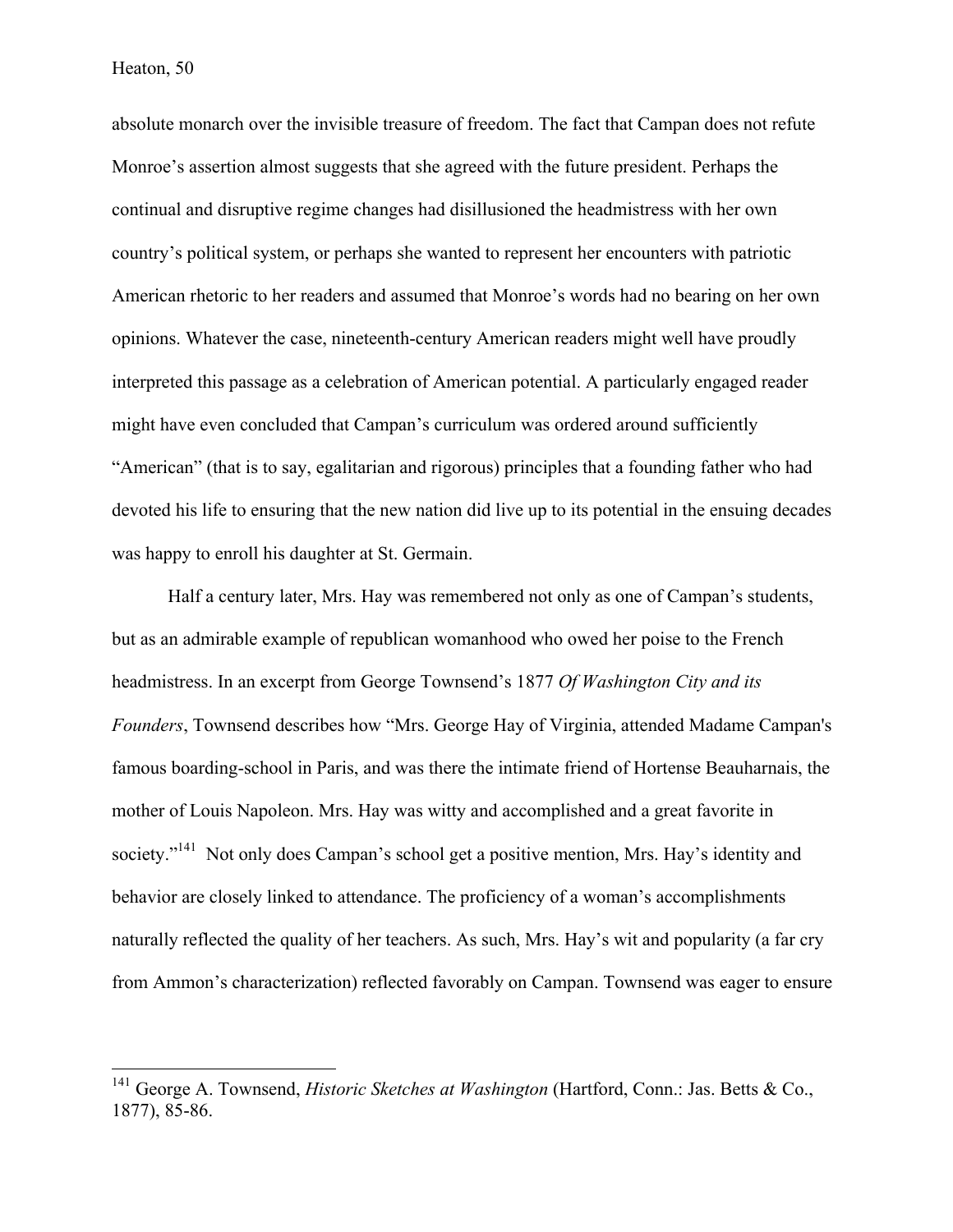absolute monarch over the invisible treasure of freedom. The fact that Campan does not refute Monroe's assertion almost suggests that she agreed with the future president. Perhaps the continual and disruptive regime changes had disillusioned the headmistress with her own country's political system, or perhaps she wanted to represent her encounters with patriotic American rhetoric to her readers and assumed that Monroe's words had no bearing on her own opinions. Whatever the case, nineteenth-century American readers might well have proudly interpreted this passage as a celebration of American potential. A particularly engaged reader might have even concluded that Campan's curriculum was ordered around sufficiently "American" (that is to say, egalitarian and rigorous) principles that a founding father who had devoted his life to ensuring that the new nation did live up to its potential in the ensuing decades was happy to enroll his daughter at St. Germain.

Half a century later, Mrs. Hay was remembered not only as one of Campan's students, but as an admirable example of republican womanhood who owed her poise to the French headmistress. In an excerpt from George Townsend's 1877 *Of Washington City and its Founders*, Townsend describes how "Mrs. George Hay of Virginia, attended Madame Campan's famous boarding-school in Paris, and was there the intimate friend of Hortense Beauharnais, the mother of Louis Napoleon. Mrs. Hay was witty and accomplished and a great favorite in society."<sup>141</sup> Not only does Campan's school get a positive mention, Mrs. Hay's identity and behavior are closely linked to attendance. The proficiency of a woman's accomplishments naturally reflected the quality of her teachers. As such, Mrs. Hay's wit and popularity (a far cry from Ammon's characterization) reflected favorably on Campan. Townsend was eager to ensure

<sup>&</sup>lt;sup>141</sup> George A. Townsend, *Historic Sketches at Washington* (Hartford, Conn.: Jas. Betts & Co., 1877), 85-86.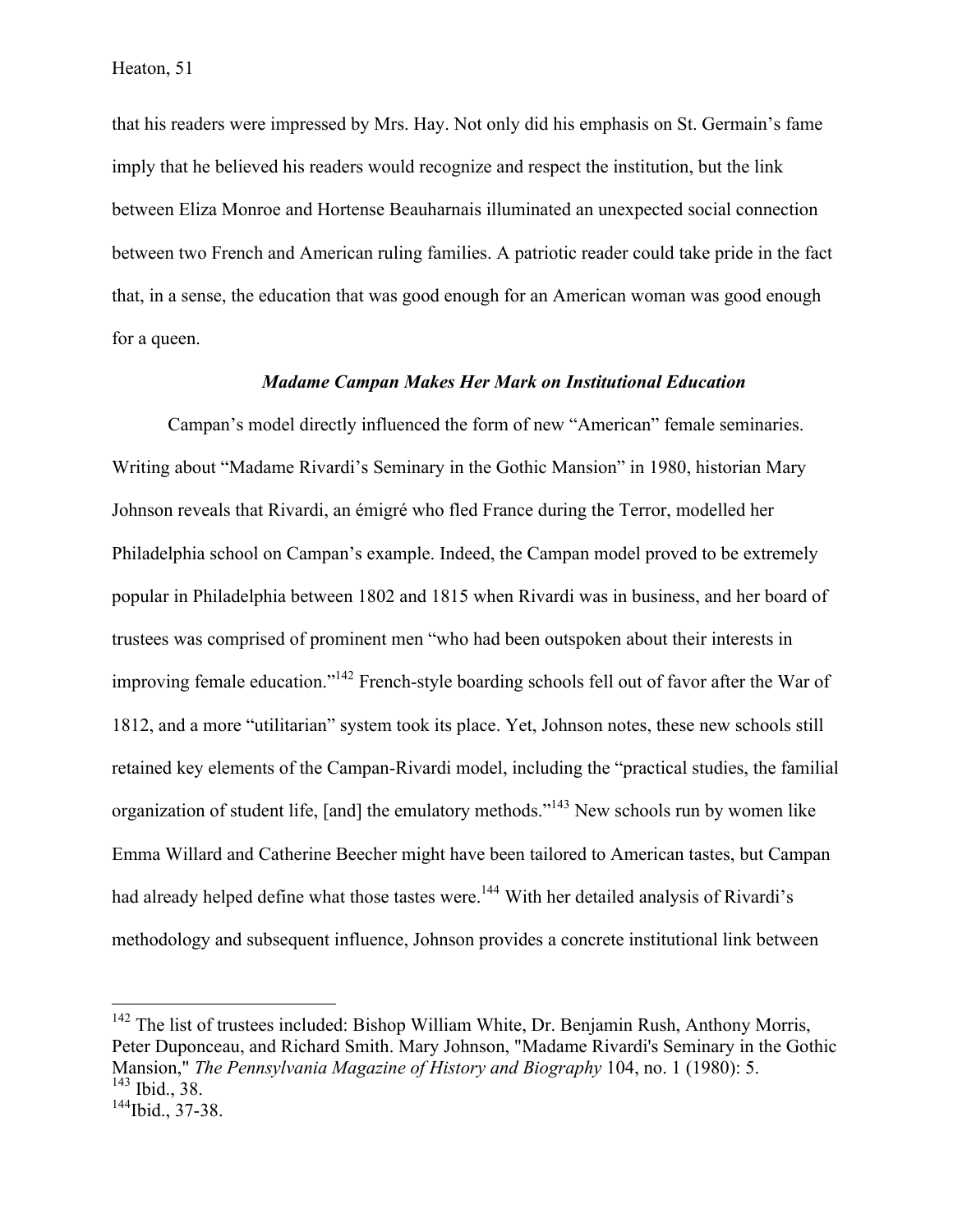that his readers were impressed by Mrs. Hay. Not only did his emphasis on St. Germain's fame imply that he believed his readers would recognize and respect the institution, but the link between Eliza Monroe and Hortense Beauharnais illuminated an unexpected social connection between two French and American ruling families. A patriotic reader could take pride in the fact that, in a sense, the education that was good enough for an American woman was good enough for a queen.

## *Madame Campan Makes Her Mark on Institutional Education*

Campan's model directly influenced the form of new "American" female seminaries. Writing about "Madame Rivardi's Seminary in the Gothic Mansion" in 1980, historian Mary Johnson reveals that Rivardi, an émigré who fled France during the Terror, modelled her Philadelphia school on Campan's example. Indeed, the Campan model proved to be extremely popular in Philadelphia between 1802 and 1815 when Rivardi was in business, and her board of trustees was comprised of prominent men "who had been outspoken about their interests in improving female education."142 French-style boarding schools fell out of favor after the War of 1812, and a more "utilitarian" system took its place. Yet, Johnson notes, these new schools still retained key elements of the Campan-Rivardi model, including the "practical studies, the familial organization of student life, [and] the emulatory methods."143 New schools run by women like Emma Willard and Catherine Beecher might have been tailored to American tastes, but Campan had already helped define what those tastes were.<sup>144</sup> With her detailed analysis of Rivardi's methodology and subsequent influence, Johnson provides a concrete institutional link between

<sup>&</sup>lt;sup>142</sup> The list of trustees included: Bishop William White, Dr. Benjamin Rush, Anthony Morris, Peter Duponceau, and Richard Smith. Mary Johnson, "Madame Rivardi's Seminary in the Gothic Mansion," *The Pennsylvania Magazine of History and Biography* 104, no. 1 (1980): 5.<br><sup>143</sup> Ibid., 38.<br><sup>144</sup>Ibid., 37-38.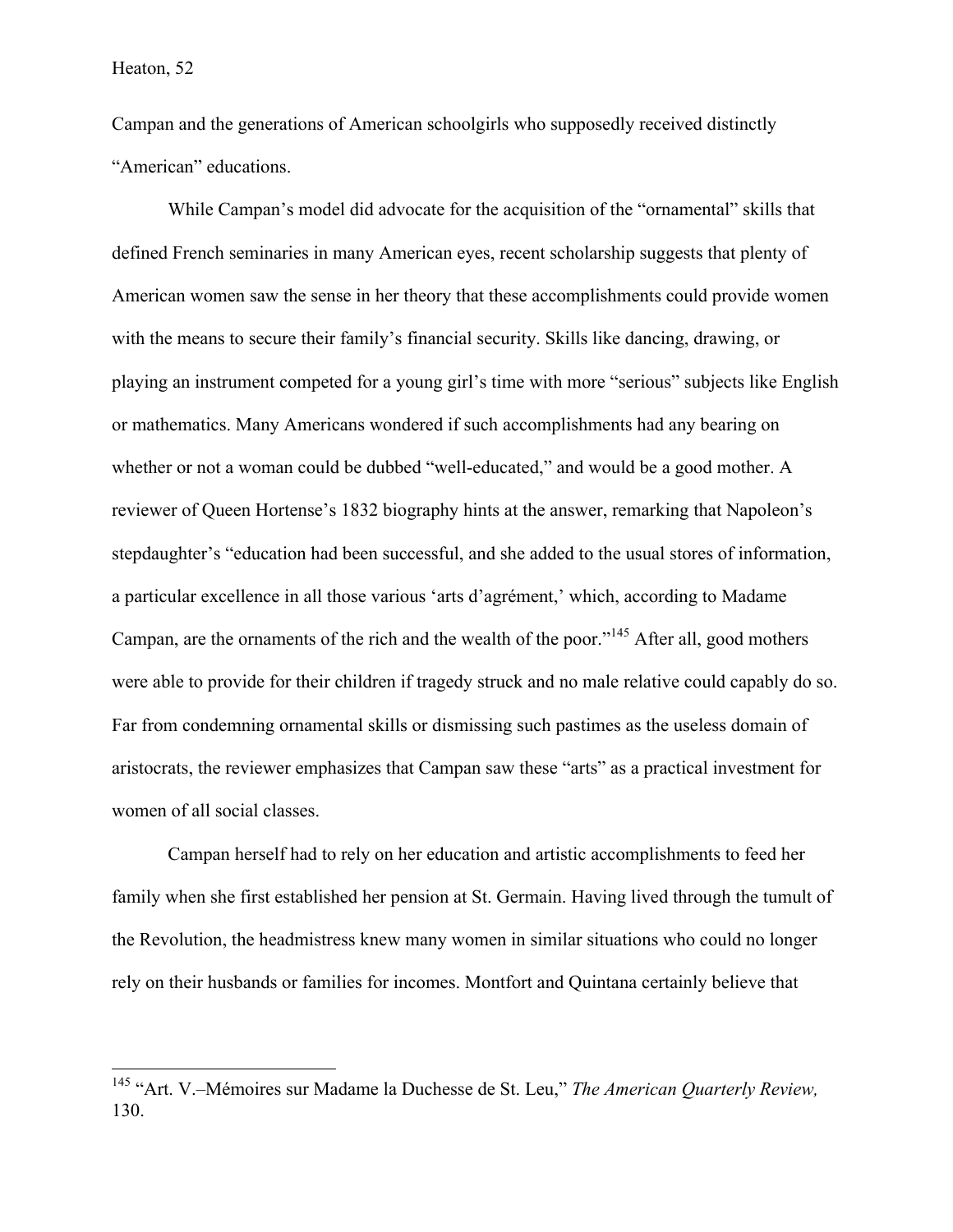Campan and the generations of American schoolgirls who supposedly received distinctly "American" educations.

While Campan's model did advocate for the acquisition of the "ornamental" skills that defined French seminaries in many American eyes, recent scholarship suggests that plenty of American women saw the sense in her theory that these accomplishments could provide women with the means to secure their family's financial security. Skills like dancing, drawing, or playing an instrument competed for a young girl's time with more "serious" subjects like English or mathematics. Many Americans wondered if such accomplishments had any bearing on whether or not a woman could be dubbed "well-educated," and would be a good mother. A reviewer of Queen Hortense's 1832 biography hints at the answer, remarking that Napoleon's stepdaughter's "education had been successful, and she added to the usual stores of information, a particular excellence in all those various 'arts d'agrément,' which, according to Madame Campan, are the ornaments of the rich and the wealth of the poor."<sup>145</sup> After all, good mothers were able to provide for their children if tragedy struck and no male relative could capably do so. Far from condemning ornamental skills or dismissing such pastimes as the useless domain of aristocrats, the reviewer emphasizes that Campan saw these "arts" as a practical investment for women of all social classes.

Campan herself had to rely on her education and artistic accomplishments to feed her family when she first established her pension at St. Germain. Having lived through the tumult of the Revolution, the headmistress knew many women in similar situations who could no longer rely on their husbands or families for incomes. Montfort and Quintana certainly believe that

 <sup>145</sup> "Art. V.–Mémoires sur Madame la Duchesse de St. Leu," *The American Quarterly Review,*  130.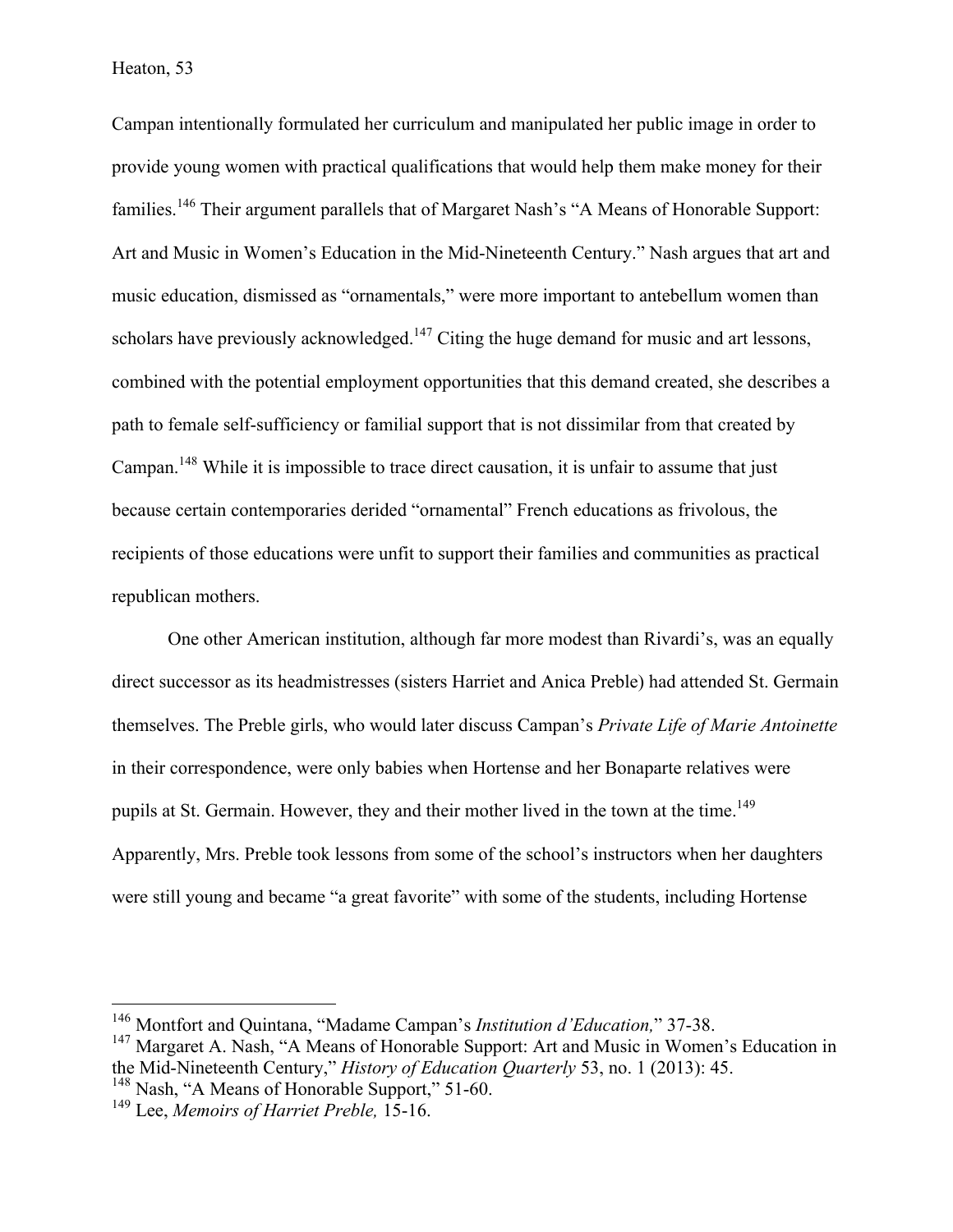Campan intentionally formulated her curriculum and manipulated her public image in order to provide young women with practical qualifications that would help them make money for their families.<sup>146</sup> Their argument parallels that of Margaret Nash's "A Means of Honorable Support: Art and Music in Women's Education in the Mid-Nineteenth Century." Nash argues that art and music education, dismissed as "ornamentals," were more important to antebellum women than scholars have previously acknowledged.<sup>147</sup> Citing the huge demand for music and art lessons, combined with the potential employment opportunities that this demand created, she describes a path to female self-sufficiency or familial support that is not dissimilar from that created by Campan.<sup>148</sup> While it is impossible to trace direct causation, it is unfair to assume that just because certain contemporaries derided "ornamental" French educations as frivolous, the recipients of those educations were unfit to support their families and communities as practical republican mothers.

One other American institution, although far more modest than Rivardi's, was an equally direct successor as its headmistresses (sisters Harriet and Anica Preble) had attended St. Germain themselves. The Preble girls, who would later discuss Campan's *Private Life of Marie Antoinette*  in their correspondence, were only babies when Hortense and her Bonaparte relatives were pupils at St. Germain. However, they and their mother lived in the town at the time.<sup>149</sup> Apparently, Mrs. Preble took lessons from some of the school's instructors when her daughters were still young and became "a great favorite" with some of the students, including Hortense

 <sup>146</sup> Montfort and Quintana, "Madame Campan's *Institution d'Education,*" 37-38.

<sup>&</sup>lt;sup>147</sup> Margaret A. Nash, "A Means of Honorable Support: Art and Music in Women's Education in the Mid-Nineteenth Century," *History of Education Quarterly* 53, no. 1 (2013): 45.

<sup>&</sup>lt;sup>148</sup> Nash, "A Means of Honorable Support," 51-60.

<sup>149</sup> Lee, *Memoirs of Harriet Preble,* 15-16.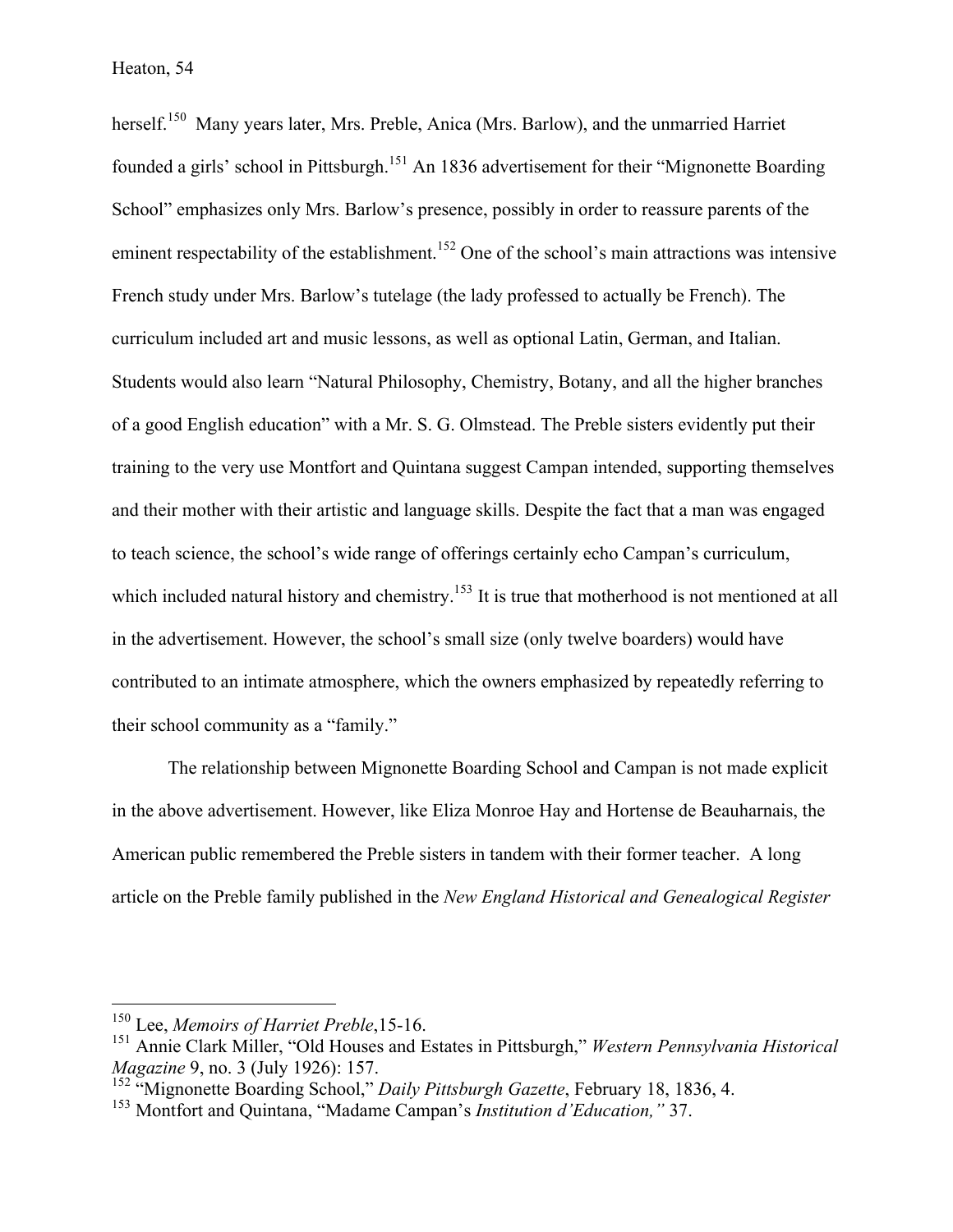herself.<sup>150</sup> Many years later, Mrs. Preble, Anica (Mrs. Barlow), and the unmarried Harriet founded a girls' school in Pittsburgh.<sup>151</sup> An 1836 advertisement for their "Mignonette Boarding" School" emphasizes only Mrs. Barlow's presence, possibly in order to reassure parents of the eminent respectability of the establishment.<sup>152</sup> One of the school's main attractions was intensive French study under Mrs. Barlow's tutelage (the lady professed to actually be French). The curriculum included art and music lessons, as well as optional Latin, German, and Italian. Students would also learn "Natural Philosophy, Chemistry, Botany, and all the higher branches of a good English education" with a Mr. S. G. Olmstead. The Preble sisters evidently put their training to the very use Montfort and Quintana suggest Campan intended, supporting themselves and their mother with their artistic and language skills. Despite the fact that a man was engaged to teach science, the school's wide range of offerings certainly echo Campan's curriculum, which included natural history and chemistry.<sup>153</sup> It is true that motherhood is not mentioned at all in the advertisement. However, the school's small size (only twelve boarders) would have contributed to an intimate atmosphere, which the owners emphasized by repeatedly referring to their school community as a "family."

The relationship between Mignonette Boarding School and Campan is not made explicit in the above advertisement. However, like Eliza Monroe Hay and Hortense de Beauharnais, the American public remembered the Preble sisters in tandem with their former teacher. A long article on the Preble family published in the *New England Historical and Genealogical Register*

 <sup>150</sup> Lee, *Memoirs of Harriet Preble*,15-16.

<sup>151</sup> Annie Clark Miller, "Old Houses and Estates in Pittsburgh," *Western Pennsylvania Historical Magazine* 9, no. 3 (July 1926): 157.

<sup>152</sup> "Mignonette Boarding School," *Daily Pittsburgh Gazette*, February 18, 1836, 4.

<sup>153</sup> Montfort and Quintana, "Madame Campan's *Institution d'Education,"* 37.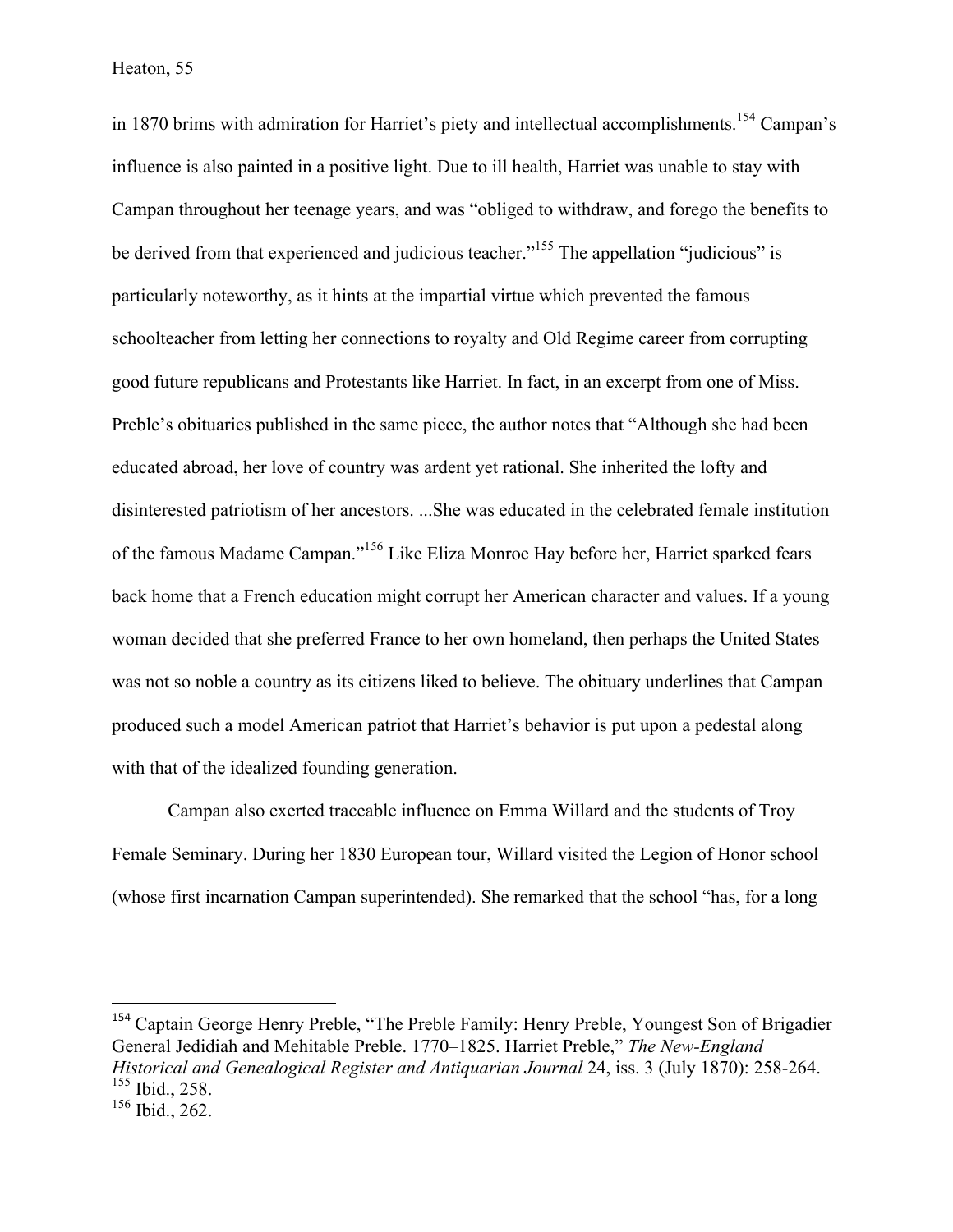in 1870 brims with admiration for Harriet's piety and intellectual accomplishments.<sup>154</sup> Campan's influence is also painted in a positive light. Due to ill health, Harriet was unable to stay with Campan throughout her teenage years, and was "obliged to withdraw, and forego the benefits to be derived from that experienced and judicious teacher."<sup>155</sup> The appellation "judicious" is particularly noteworthy, as it hints at the impartial virtue which prevented the famous schoolteacher from letting her connections to royalty and Old Regime career from corrupting good future republicans and Protestants like Harriet. In fact, in an excerpt from one of Miss. Preble's obituaries published in the same piece, the author notes that "Although she had been educated abroad, her love of country was ardent yet rational. She inherited the lofty and disinterested patriotism of her ancestors. ...She was educated in the celebrated female institution of the famous Madame Campan."156 Like Eliza Monroe Hay before her, Harriet sparked fears back home that a French education might corrupt her American character and values. If a young woman decided that she preferred France to her own homeland, then perhaps the United States was not so noble a country as its citizens liked to believe. The obituary underlines that Campan produced such a model American patriot that Harriet's behavior is put upon a pedestal along with that of the idealized founding generation.

Campan also exerted traceable influence on Emma Willard and the students of Troy Female Seminary. During her 1830 European tour, Willard visited the Legion of Honor school (whose first incarnation Campan superintended). She remarked that the school "has, for a long

<sup>154</sup> Captain George Henry Preble, "The Preble Family: Henry Preble, Youngest Son of Brigadier General Jedidiah and Mehitable Preble. 1770–1825. Harriet Preble," *The New-England Historical and Genealogical Register and Antiquarian Journal* 24, iss. 3 (July 1870): 258-264. <sup>155</sup> Ibid., 258.

 

 $156$  Ibid., 262.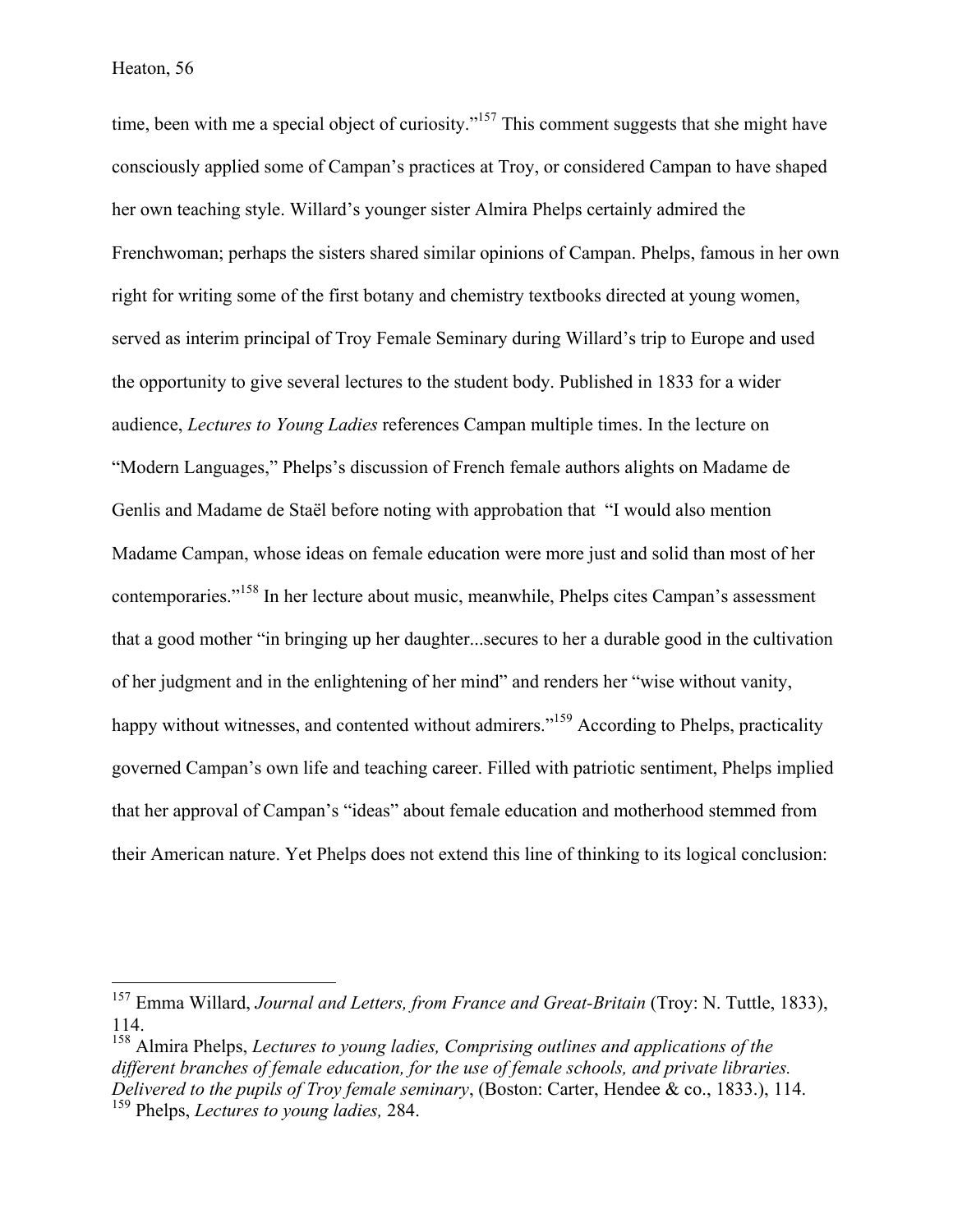time, been with me a special object of curiosity."<sup>157</sup> This comment suggests that she might have consciously applied some of Campan's practices at Troy, or considered Campan to have shaped her own teaching style. Willard's younger sister Almira Phelps certainly admired the Frenchwoman; perhaps the sisters shared similar opinions of Campan. Phelps, famous in her own right for writing some of the first botany and chemistry textbooks directed at young women, served as interim principal of Troy Female Seminary during Willard's trip to Europe and used the opportunity to give several lectures to the student body. Published in 1833 for a wider audience, *Lectures to Young Ladies* references Campan multiple times. In the lecture on "Modern Languages," Phelps's discussion of French female authors alights on Madame de Genlis and Madame de Staël before noting with approbation that "I would also mention Madame Campan, whose ideas on female education were more just and solid than most of her contemporaries."<sup>158</sup> In her lecture about music, meanwhile, Phelps cites Campan's assessment that a good mother "in bringing up her daughter...secures to her a durable good in the cultivation of her judgment and in the enlightening of her mind" and renders her "wise without vanity, happy without witnesses, and contented without admirers."<sup>159</sup> According to Phelps, practicality governed Campan's own life and teaching career. Filled with patriotic sentiment, Phelps implied that her approval of Campan's "ideas" about female education and motherhood stemmed from their American nature. Yet Phelps does not extend this line of thinking to its logical conclusion:

 <sup>157</sup> Emma Willard, *Journal and Letters, from France and Great-Britain* (Troy: N. Tuttle, 1833), 114.

<sup>158</sup> Almira Phelps, *Lectures to young ladies, Comprising outlines and applications of the different branches of female education, for the use of female schools, and private libraries. Delivered to the pupils of Troy female seminary*, (Boston: Carter, Hendee & co., 1833.), 114. <sup>159</sup> Phelps, *Lectures to young ladies,* 284.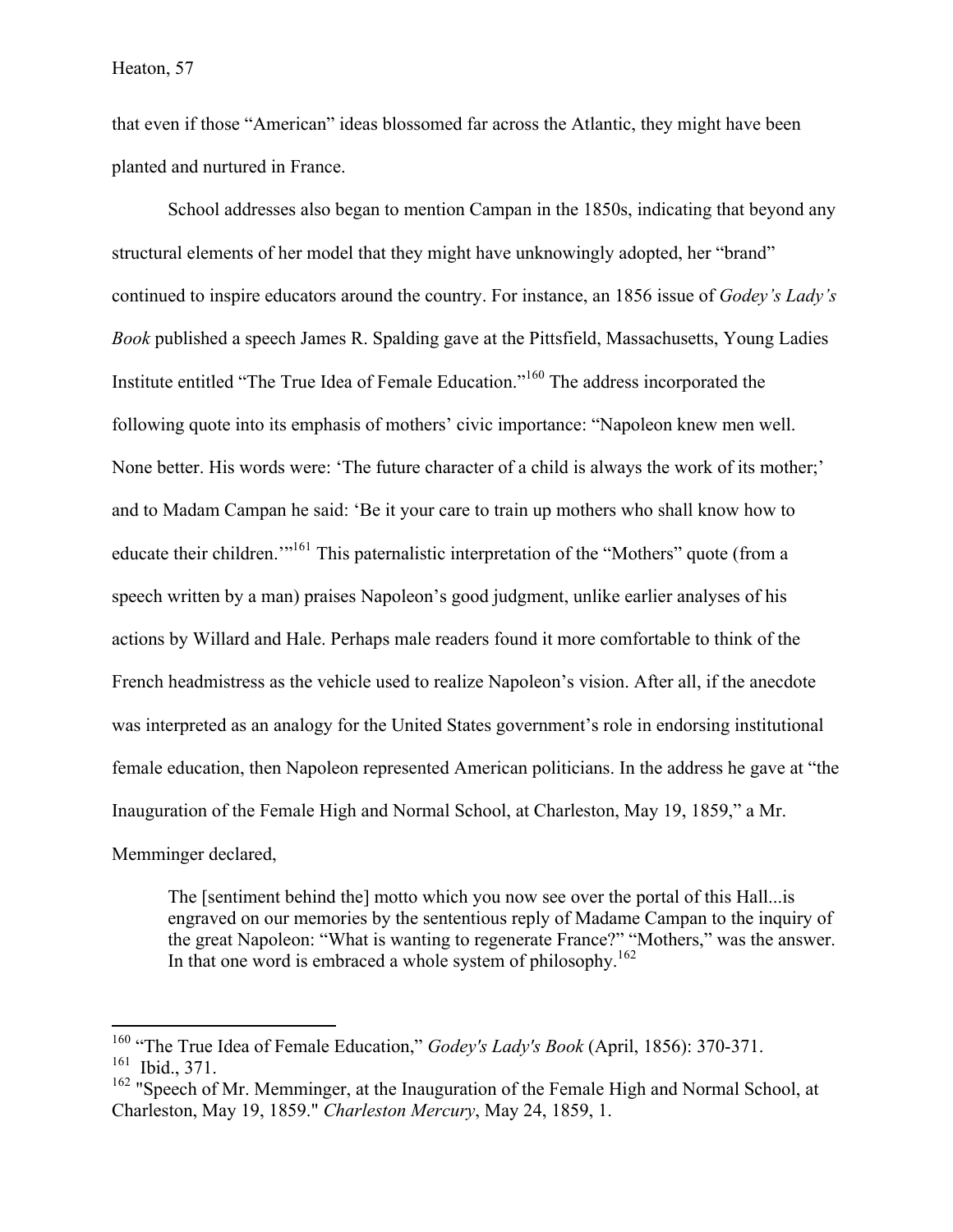that even if those "American" ideas blossomed far across the Atlantic, they might have been planted and nurtured in France.

School addresses also began to mention Campan in the 1850s, indicating that beyond any structural elements of her model that they might have unknowingly adopted, her "brand" continued to inspire educators around the country. For instance, an 1856 issue of *Godey's Lady's Book* published a speech James R. Spalding gave at the Pittsfield, Massachusetts, Young Ladies Institute entitled "The True Idea of Female Education."<sup>160</sup> The address incorporated the following quote into its emphasis of mothers' civic importance: "Napoleon knew men well. None better. His words were: 'The future character of a child is always the work of its mother;' and to Madam Campan he said: 'Be it your care to train up mothers who shall know how to educate their children.<sup>'"161</sup> This paternalistic interpretation of the "Mothers" quote (from a speech written by a man) praises Napoleon's good judgment, unlike earlier analyses of his actions by Willard and Hale. Perhaps male readers found it more comfortable to think of the French headmistress as the vehicle used to realize Napoleon's vision. After all, if the anecdote was interpreted as an analogy for the United States government's role in endorsing institutional female education, then Napoleon represented American politicians. In the address he gave at "the Inauguration of the Female High and Normal School, at Charleston, May 19, 1859," a Mr. Memminger declared,

The [sentiment behind the] motto which you now see over the portal of this Hall...is engraved on our memories by the sententious reply of Madame Campan to the inquiry of the great Napoleon: "What is wanting to regenerate France?" "Mothers," was the answer. In that one word is embraced a whole system of philosophy.<sup>162</sup>

 <sup>160</sup> "The True Idea of Female Education," *Godey's Lady's Book* (April, 1856): 370-371.  $161$  Ibid., 371.

<sup>&</sup>lt;sup>162</sup> "Speech of Mr. Memminger, at the Inauguration of the Female High and Normal School, at Charleston, May 19, 1859." *Charleston Mercury*, May 24, 1859, 1.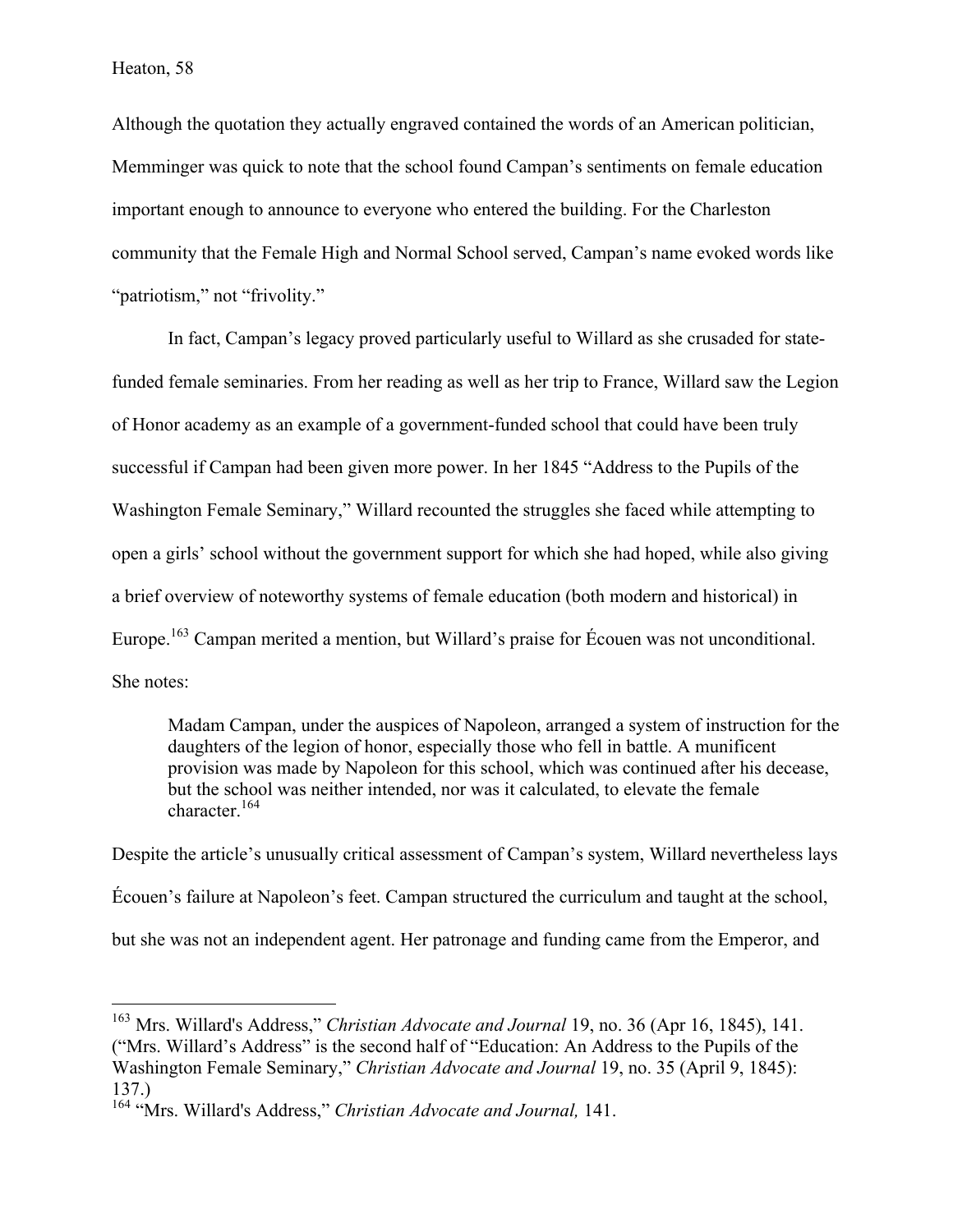Although the quotation they actually engraved contained the words of an American politician, Memminger was quick to note that the school found Campan's sentiments on female education important enough to announce to everyone who entered the building. For the Charleston community that the Female High and Normal School served, Campan's name evoked words like "patriotism," not "frivolity."

In fact, Campan's legacy proved particularly useful to Willard as she crusaded for statefunded female seminaries. From her reading as well as her trip to France, Willard saw the Legion of Honor academy as an example of a government-funded school that could have been truly successful if Campan had been given more power. In her 1845 "Address to the Pupils of the Washington Female Seminary," Willard recounted the struggles she faced while attempting to open a girls' school without the government support for which she had hoped, while also giving a brief overview of noteworthy systems of female education (both modern and historical) in Europe.<sup>163</sup> Campan merited a mention, but Willard's praise for Écouen was not unconditional. She notes:

Madam Campan, under the auspices of Napoleon, arranged a system of instruction for the daughters of the legion of honor, especially those who fell in battle. A munificent provision was made by Napoleon for this school, which was continued after his decease, but the school was neither intended, nor was it calculated, to elevate the female character.<sup>164</sup>

Despite the article's unusually critical assessment of Campan's system, Willard nevertheless lays Écouen's failure at Napoleon's feet. Campan structured the curriculum and taught at the school, but she was not an independent agent. Her patronage and funding came from the Emperor, and

<sup>&</sup>lt;sup>163</sup> Mrs. Willard's Address," *Christian Advocate and Journal* 19, no. 36 (Apr 16, 1845), 141. ("Mrs. Willard's Address" is the second half of "Education: An Address to the Pupils of the Washington Female Seminary," *Christian Advocate and Journal* 19, no. 35 (April 9, 1845): 137.)

<sup>164</sup> "Mrs. Willard's Address," *Christian Advocate and Journal,* 141.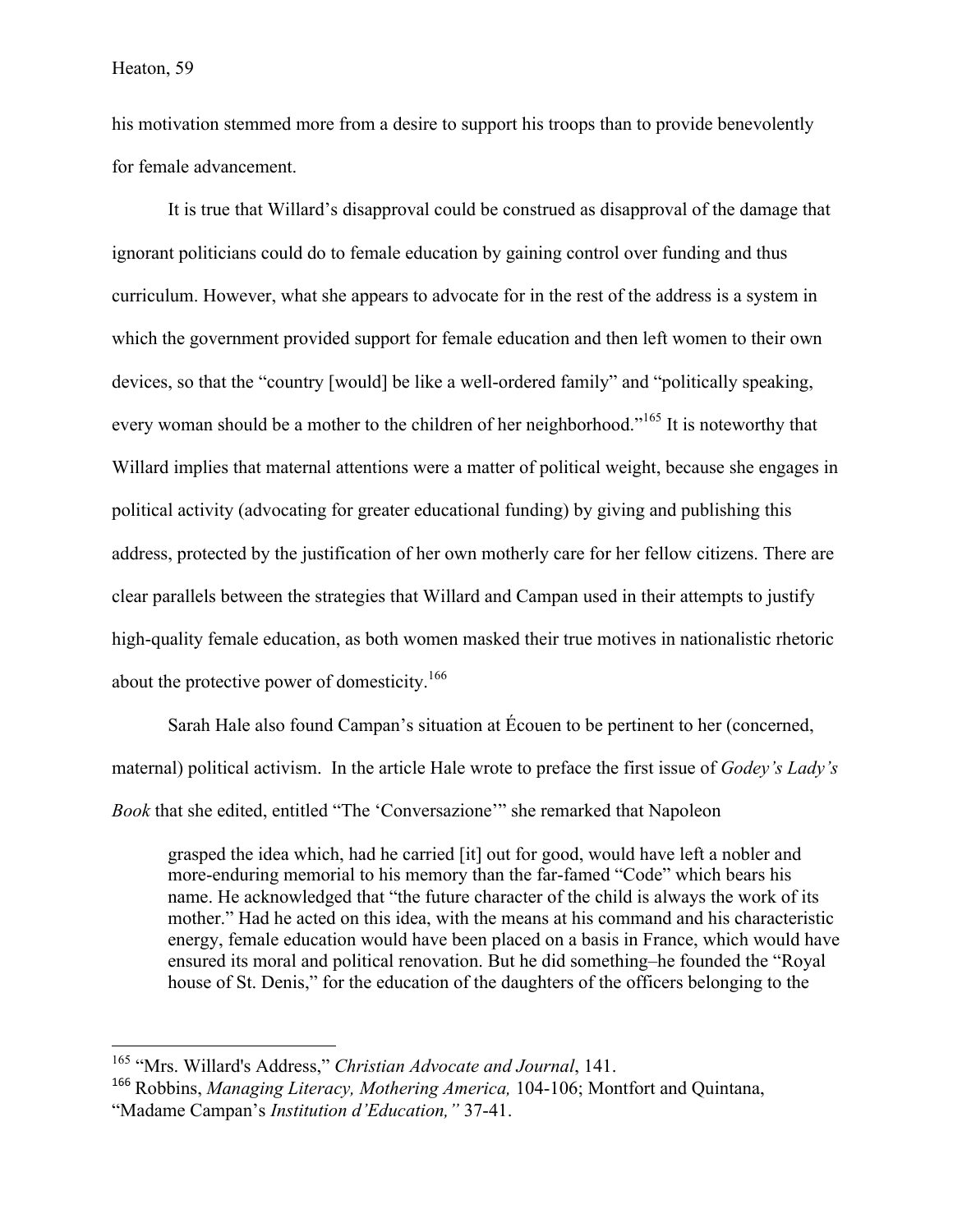his motivation stemmed more from a desire to support his troops than to provide benevolently for female advancement.

It is true that Willard's disapproval could be construed as disapproval of the damage that ignorant politicians could do to female education by gaining control over funding and thus curriculum. However, what she appears to advocate for in the rest of the address is a system in which the government provided support for female education and then left women to their own devices, so that the "country [would] be like a well-ordered family" and "politically speaking, every woman should be a mother to the children of her neighborhood."<sup>165</sup> It is noteworthy that Willard implies that maternal attentions were a matter of political weight, because she engages in political activity (advocating for greater educational funding) by giving and publishing this address, protected by the justification of her own motherly care for her fellow citizens. There are clear parallels between the strategies that Willard and Campan used in their attempts to justify high-quality female education, as both women masked their true motives in nationalistic rhetoric about the protective power of domesticity.<sup>166</sup>

Sarah Hale also found Campan's situation at Écouen to be pertinent to her (concerned, maternal) political activism. In the article Hale wrote to preface the first issue of *Godey's Lady's Book* that she edited, entitled "The 'Conversazione'" she remarked that Napoleon

grasped the idea which, had he carried [it] out for good, would have left a nobler and more-enduring memorial to his memory than the far-famed "Code" which bears his name. He acknowledged that "the future character of the child is always the work of its mother." Had he acted on this idea, with the means at his command and his characteristic energy, female education would have been placed on a basis in France, which would have ensured its moral and political renovation. But he did something–he founded the "Royal house of St. Denis," for the education of the daughters of the officers belonging to the

 <sup>165</sup> "Mrs. Willard's Address," *Christian Advocate and Journal*, 141.

<sup>166</sup> Robbins, *Managing Literacy, Mothering America,* 104-106; Montfort and Quintana, "Madame Campan's *Institution d'Education,"* 37-41.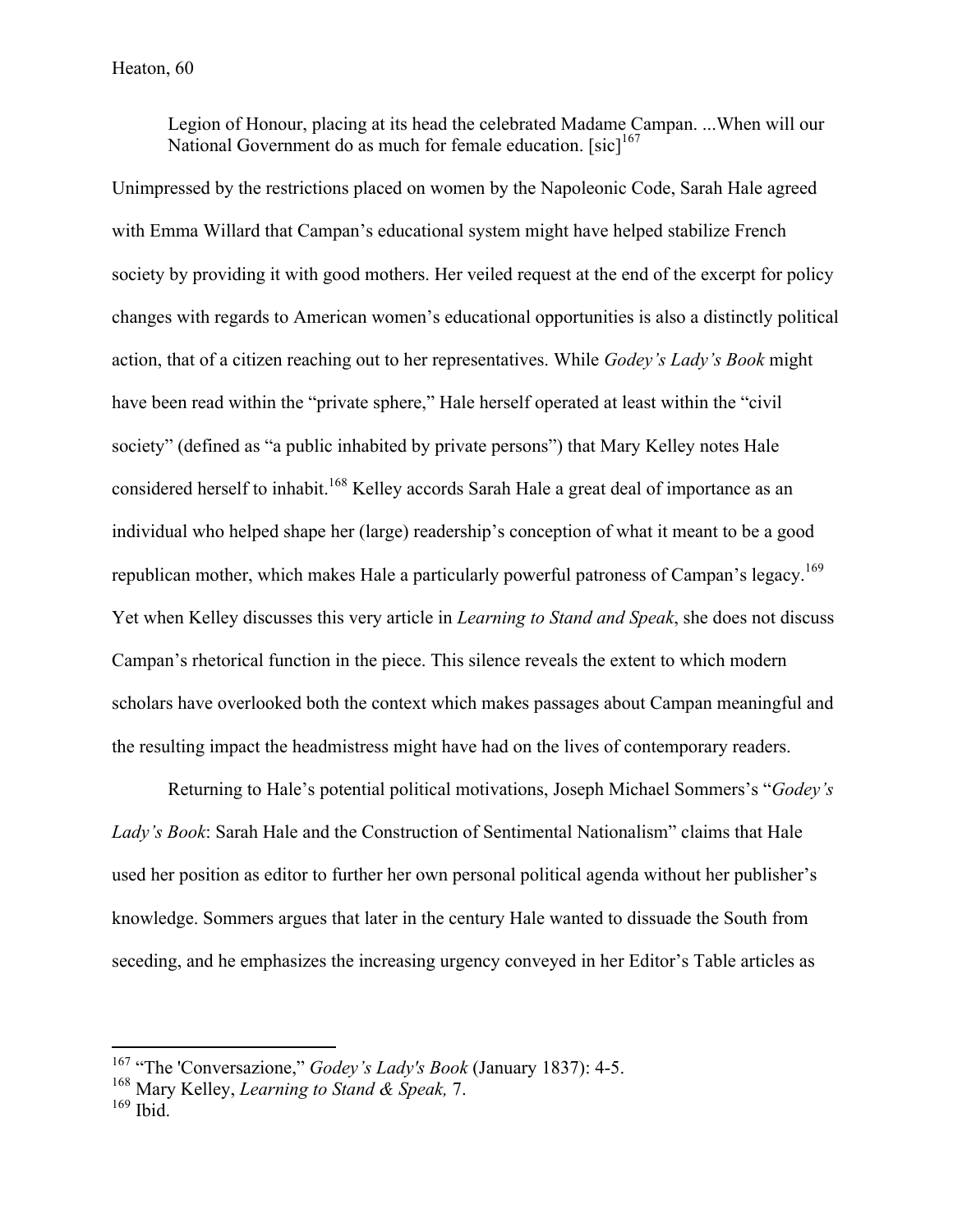Legion of Honour, placing at its head the celebrated Madame Campan. ...When will our National Government do as much for female education.  $[sic]^{167}$ 

Unimpressed by the restrictions placed on women by the Napoleonic Code, Sarah Hale agreed with Emma Willard that Campan's educational system might have helped stabilize French society by providing it with good mothers. Her veiled request at the end of the excerpt for policy changes with regards to American women's educational opportunities is also a distinctly political action, that of a citizen reaching out to her representatives. While *Godey's Lady's Book* might have been read within the "private sphere," Hale herself operated at least within the "civil society" (defined as "a public inhabited by private persons") that Mary Kelley notes Hale considered herself to inhabit.<sup>168</sup> Kelley accords Sarah Hale a great deal of importance as an individual who helped shape her (large) readership's conception of what it meant to be a good republican mother, which makes Hale a particularly powerful patroness of Campan's legacy.<sup>169</sup> Yet when Kelley discusses this very article in *Learning to Stand and Speak*, she does not discuss Campan's rhetorical function in the piece. This silence reveals the extent to which modern scholars have overlooked both the context which makes passages about Campan meaningful and the resulting impact the headmistress might have had on the lives of contemporary readers.

Returning to Hale's potential political motivations, Joseph Michael Sommers's "*Godey's Lady's Book*: Sarah Hale and the Construction of Sentimental Nationalism" claims that Hale used her position as editor to further her own personal political agenda without her publisher's knowledge. Sommers argues that later in the century Hale wanted to dissuade the South from seceding, and he emphasizes the increasing urgency conveyed in her Editor's Table articles as

 <sup>167</sup> "The 'Conversazione," *Godey's Lady's Book* (January 1837): 4-5.

<sup>168</sup> Mary Kelley, *Learning to Stand & Speak,* 7.

 $169$  Ibid.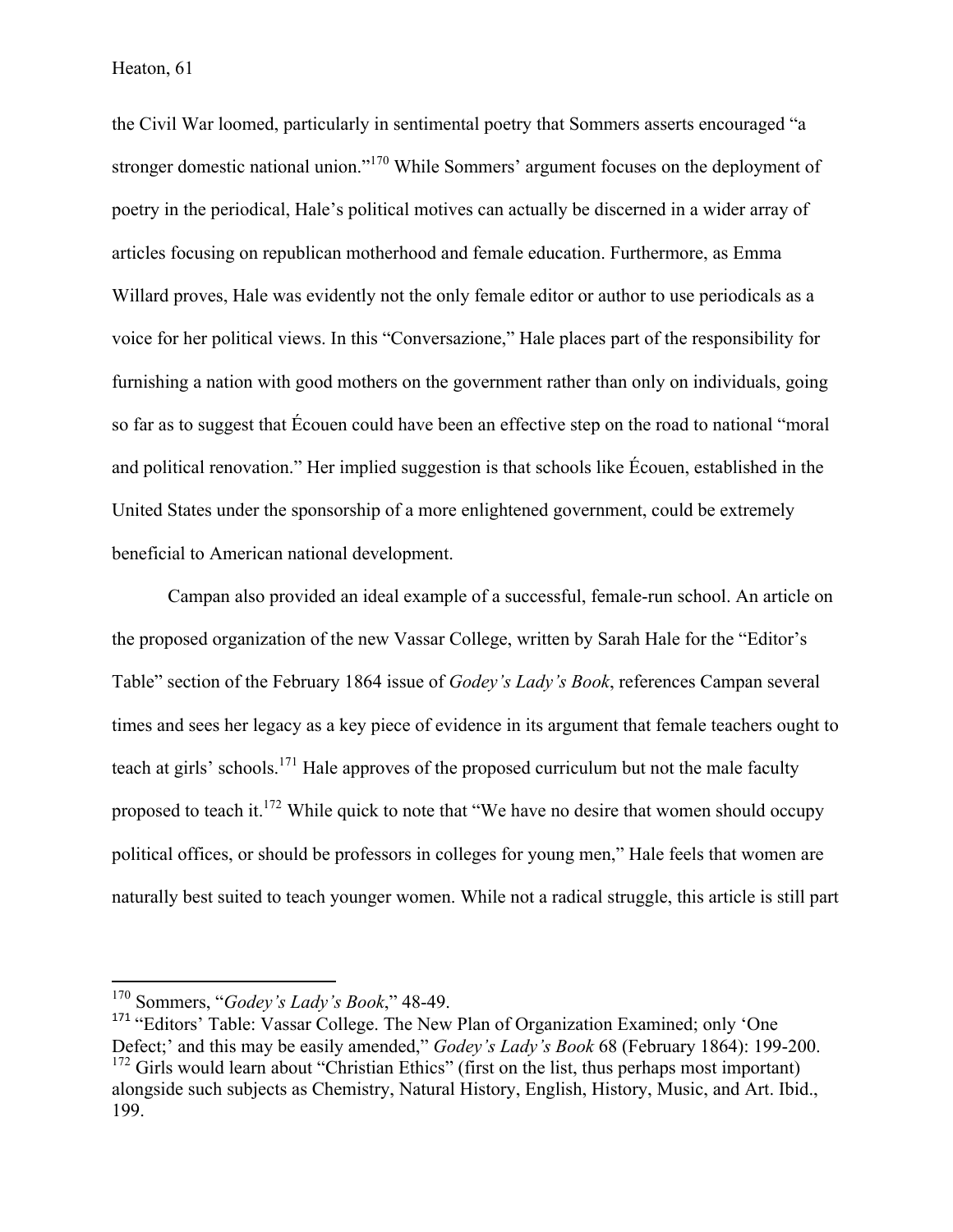the Civil War loomed, particularly in sentimental poetry that Sommers asserts encouraged "a stronger domestic national union."<sup>170</sup> While Sommers' argument focuses on the deployment of poetry in the periodical, Hale's political motives can actually be discerned in a wider array of articles focusing on republican motherhood and female education. Furthermore, as Emma Willard proves, Hale was evidently not the only female editor or author to use periodicals as a voice for her political views. In this "Conversazione," Hale places part of the responsibility for furnishing a nation with good mothers on the government rather than only on individuals, going so far as to suggest that Écouen could have been an effective step on the road to national "moral and political renovation." Her implied suggestion is that schools like Écouen, established in the United States under the sponsorship of a more enlightened government, could be extremely beneficial to American national development.

Campan also provided an ideal example of a successful, female-run school. An article on the proposed organization of the new Vassar College, written by Sarah Hale for the "Editor's Table" section of the February 1864 issue of *Godey's Lady's Book*, references Campan several times and sees her legacy as a key piece of evidence in its argument that female teachers ought to teach at girls' schools.<sup>171</sup> Hale approves of the proposed curriculum but not the male faculty proposed to teach it.<sup>172</sup> While quick to note that "We have no desire that women should occupy political offices, or should be professors in colleges for young men," Hale feels that women are naturally best suited to teach younger women. While not a radical struggle, this article is still part

 <sup>170</sup> Sommers, "*Godey's Lady's Book*," 48-49.

<sup>&</sup>lt;sup>171</sup> "Editors' Table: Vassar College. The New Plan of Organization Examined; only 'One Defect;' and this may be easily amended," *Godey's Lady's Book* 68 (February 1864): 199-200.  $172$  Girls would learn about "Christian Ethics" (first on the list, thus perhaps most important) alongside such subjects as Chemistry, Natural History, English, History, Music, and Art. Ibid., 199.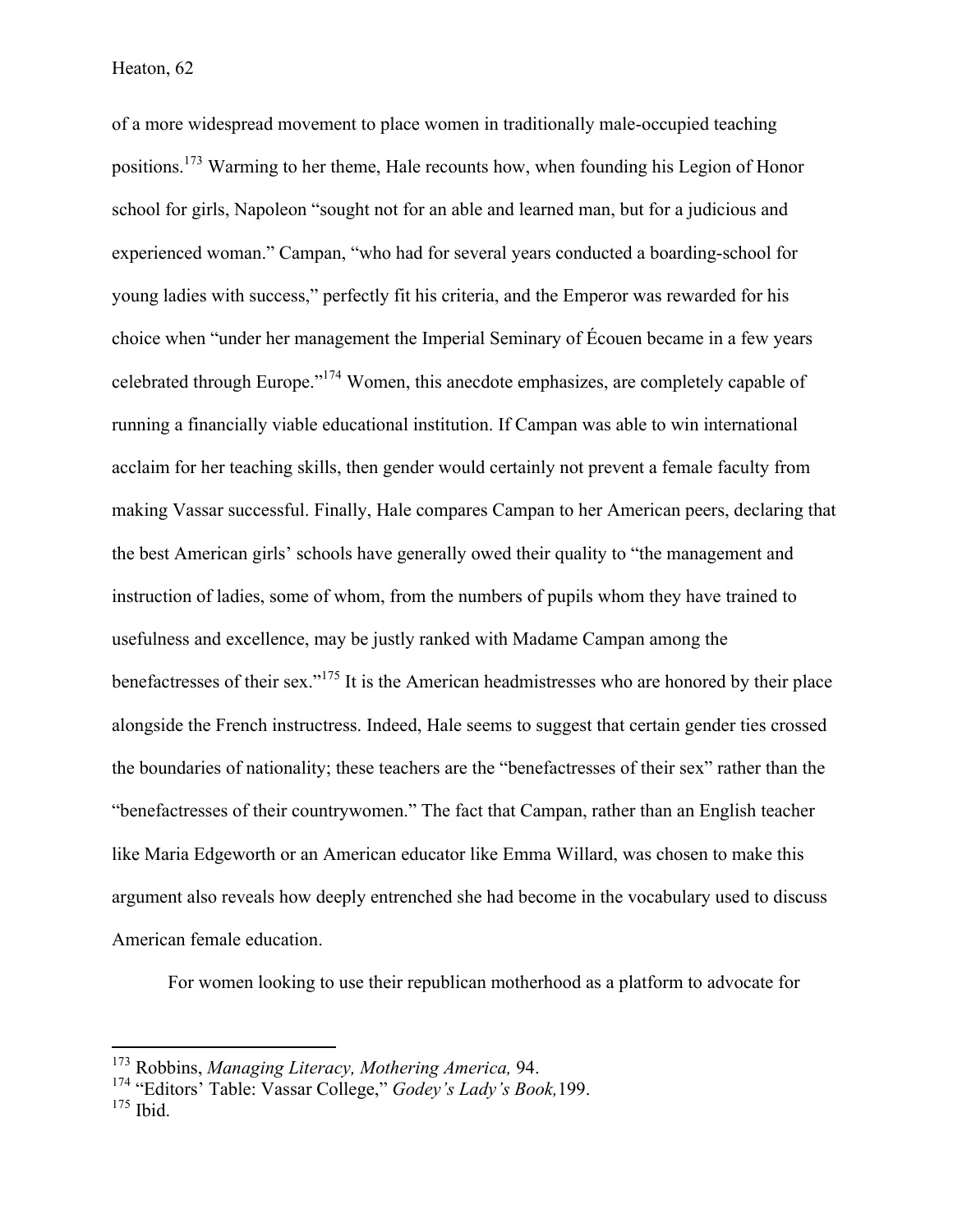of a more widespread movement to place women in traditionally male-occupied teaching positions.173 Warming to her theme, Hale recounts how, when founding his Legion of Honor school for girls, Napoleon "sought not for an able and learned man, but for a judicious and experienced woman." Campan, "who had for several years conducted a boarding-school for young ladies with success," perfectly fit his criteria, and the Emperor was rewarded for his choice when "under her management the Imperial Seminary of Écouen became in a few years celebrated through Europe."174 Women, this anecdote emphasizes, are completely capable of running a financially viable educational institution. If Campan was able to win international acclaim for her teaching skills, then gender would certainly not prevent a female faculty from making Vassar successful. Finally, Hale compares Campan to her American peers, declaring that the best American girls' schools have generally owed their quality to "the management and instruction of ladies, some of whom, from the numbers of pupils whom they have trained to usefulness and excellence, may be justly ranked with Madame Campan among the benefactresses of their sex."<sup>175</sup> It is the American headmistresses who are honored by their place alongside the French instructress. Indeed, Hale seems to suggest that certain gender ties crossed the boundaries of nationality; these teachers are the "benefactresses of their sex" rather than the "benefactresses of their countrywomen." The fact that Campan, rather than an English teacher like Maria Edgeworth or an American educator like Emma Willard, was chosen to make this argument also reveals how deeply entrenched she had become in the vocabulary used to discuss American female education.

For women looking to use their republican motherhood as a platform to advocate for

 <sup>173</sup> Robbins, *Managing Literacy, Mothering America,* 94.

<sup>174</sup> "Editors' Table: Vassar College," *Godey's Lady's Book,*199.  $175$  Ibid.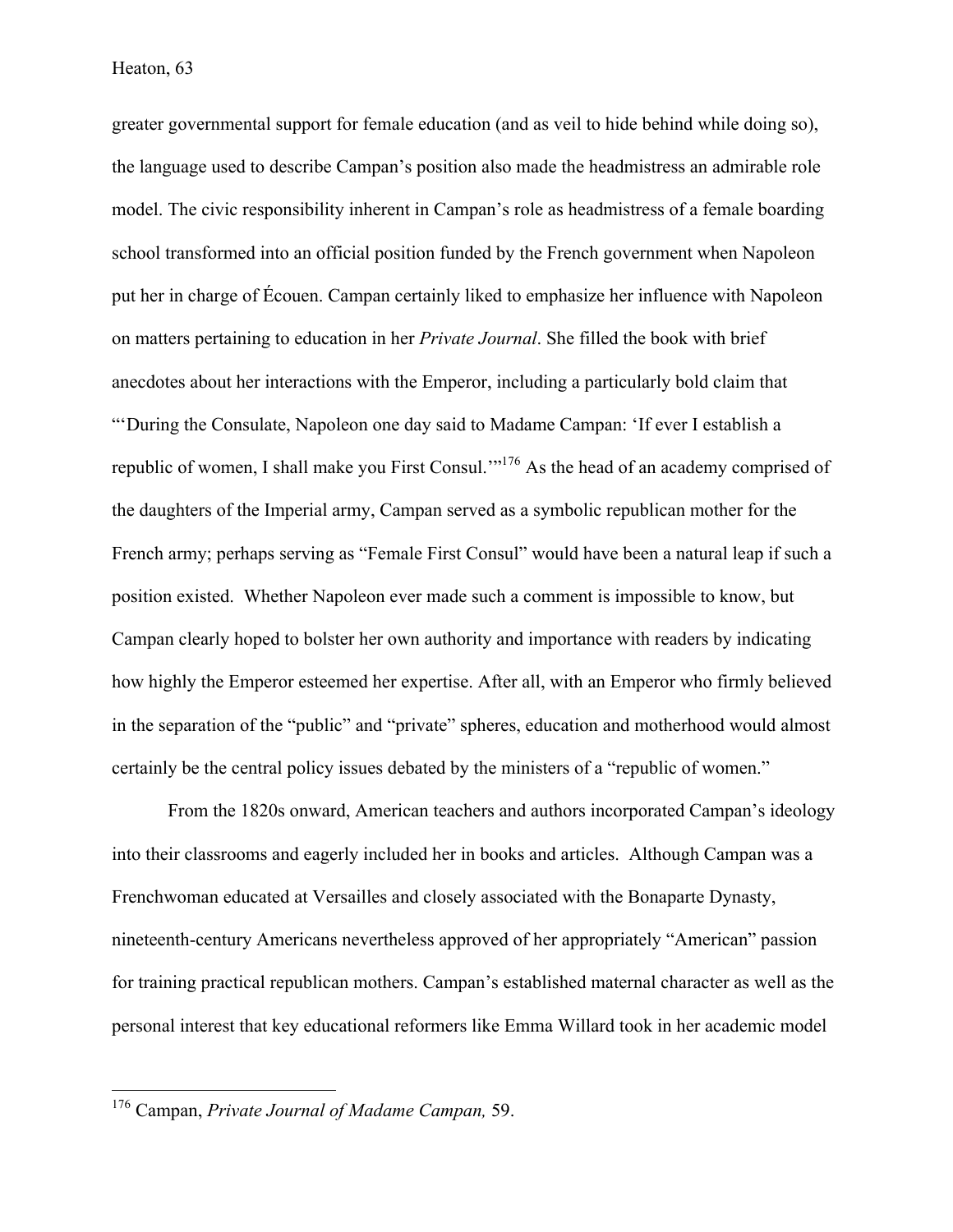greater governmental support for female education (and as veil to hide behind while doing so), the language used to describe Campan's position also made the headmistress an admirable role model. The civic responsibility inherent in Campan's role as headmistress of a female boarding school transformed into an official position funded by the French government when Napoleon put her in charge of Écouen. Campan certainly liked to emphasize her influence with Napoleon on matters pertaining to education in her *Private Journal*. She filled the book with brief anecdotes about her interactions with the Emperor, including a particularly bold claim that "'During the Consulate, Napoleon one day said to Madame Campan: 'If ever I establish a republic of women, I shall make you First Consul.'"176 As the head of an academy comprised of the daughters of the Imperial army, Campan served as a symbolic republican mother for the French army; perhaps serving as "Female First Consul" would have been a natural leap if such a position existed. Whether Napoleon ever made such a comment is impossible to know, but Campan clearly hoped to bolster her own authority and importance with readers by indicating how highly the Emperor esteemed her expertise. After all, with an Emperor who firmly believed in the separation of the "public" and "private" spheres, education and motherhood would almost certainly be the central policy issues debated by the ministers of a "republic of women."

From the 1820s onward, American teachers and authors incorporated Campan's ideology into their classrooms and eagerly included her in books and articles. Although Campan was a Frenchwoman educated at Versailles and closely associated with the Bonaparte Dynasty, nineteenth-century Americans nevertheless approved of her appropriately "American" passion for training practical republican mothers. Campan's established maternal character as well as the personal interest that key educational reformers like Emma Willard took in her academic model

 <sup>176</sup> Campan, *Private Journal of Madame Campan,* 59.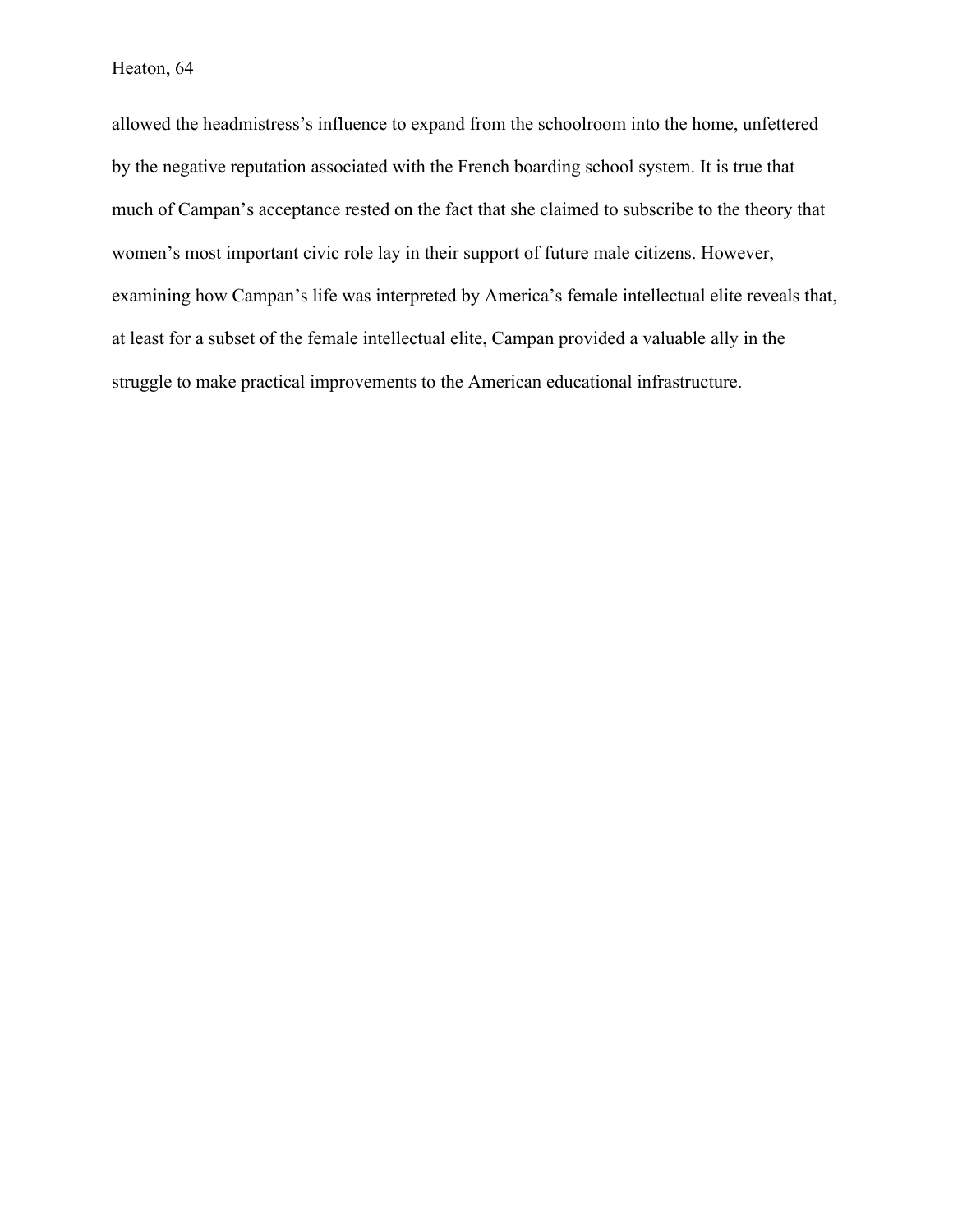allowed the headmistress's influence to expand from the schoolroom into the home, unfettered by the negative reputation associated with the French boarding school system. It is true that much of Campan's acceptance rested on the fact that she claimed to subscribe to the theory that women's most important civic role lay in their support of future male citizens. However, examining how Campan's life was interpreted by America's female intellectual elite reveals that, at least for a subset of the female intellectual elite, Campan provided a valuable ally in the struggle to make practical improvements to the American educational infrastructure.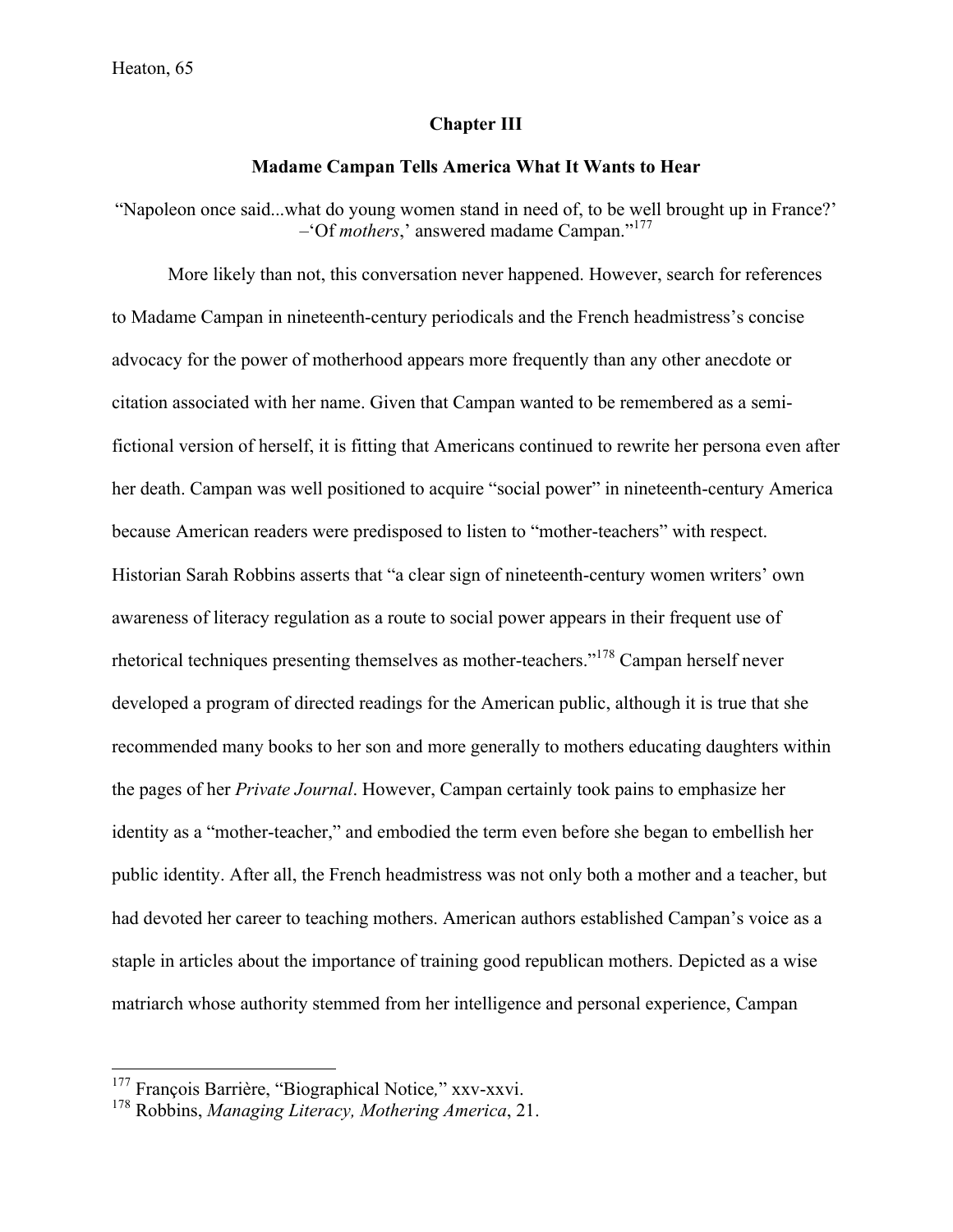## **Chapter III**

## **Madame Campan Tells America What It Wants to Hear**

"Napoleon once said...what do young women stand in need of, to be well brought up in France?' –'Of *mothers*,' answered madame Campan." 177

More likely than not, this conversation never happened. However, search for references to Madame Campan in nineteenth-century periodicals and the French headmistress's concise advocacy for the power of motherhood appears more frequently than any other anecdote or citation associated with her name. Given that Campan wanted to be remembered as a semifictional version of herself, it is fitting that Americans continued to rewrite her persona even after her death. Campan was well positioned to acquire "social power" in nineteenth-century America because American readers were predisposed to listen to "mother-teachers" with respect. Historian Sarah Robbins asserts that "a clear sign of nineteenth-century women writers' own awareness of literacy regulation as a route to social power appears in their frequent use of rhetorical techniques presenting themselves as mother-teachers."<sup>178</sup> Campan herself never developed a program of directed readings for the American public, although it is true that she recommended many books to her son and more generally to mothers educating daughters within the pages of her *Private Journal*. However, Campan certainly took pains to emphasize her identity as a "mother-teacher," and embodied the term even before she began to embellish her public identity. After all, the French headmistress was not only both a mother and a teacher, but had devoted her career to teaching mothers. American authors established Campan's voice as a staple in articles about the importance of training good republican mothers. Depicted as a wise matriarch whose authority stemmed from her intelligence and personal experience, Campan

 <sup>177</sup> François Barrière, "Biographical Notice*,*" xxv-xxvi.

<sup>178</sup> Robbins, *Managing Literacy, Mothering America*, 21.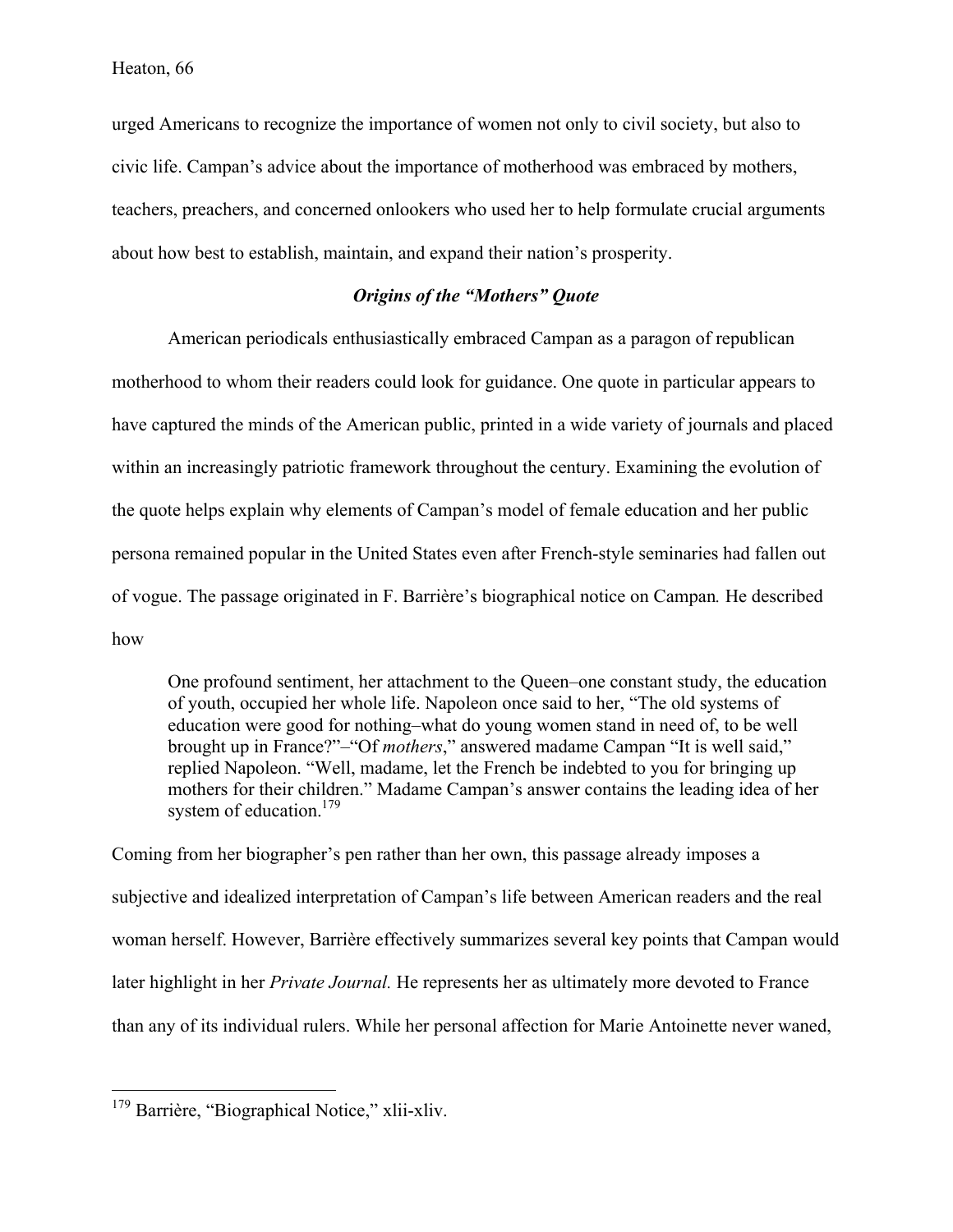urged Americans to recognize the importance of women not only to civil society, but also to civic life. Campan's advice about the importance of motherhood was embraced by mothers, teachers, preachers, and concerned onlookers who used her to help formulate crucial arguments about how best to establish, maintain, and expand their nation's prosperity.

# *Origins of the "Mothers" Quote*

American periodicals enthusiastically embraced Campan as a paragon of republican motherhood to whom their readers could look for guidance. One quote in particular appears to have captured the minds of the American public, printed in a wide variety of journals and placed within an increasingly patriotic framework throughout the century. Examining the evolution of the quote helps explain why elements of Campan's model of female education and her public persona remained popular in the United States even after French-style seminaries had fallen out of vogue. The passage originated in F. Barrière's biographical notice on Campan*.* He described how

One profound sentiment, her attachment to the Queen–one constant study, the education of youth, occupied her whole life. Napoleon once said to her, "The old systems of education were good for nothing–what do young women stand in need of, to be well brought up in France?"–"Of *mothers*," answered madame Campan "It is well said," replied Napoleon. "Well, madame, let the French be indebted to you for bringing up mothers for their children." Madame Campan's answer contains the leading idea of her system of education.<sup>179</sup>

Coming from her biographer's pen rather than her own, this passage already imposes a subjective and idealized interpretation of Campan's life between American readers and the real woman herself. However, Barrière effectively summarizes several key points that Campan would later highlight in her *Private Journal.* He represents her as ultimately more devoted to France than any of its individual rulers. While her personal affection for Marie Antoinette never waned,

<sup>&</sup>lt;sup>179</sup> Barrière, "Biographical Notice," xlii-xliv.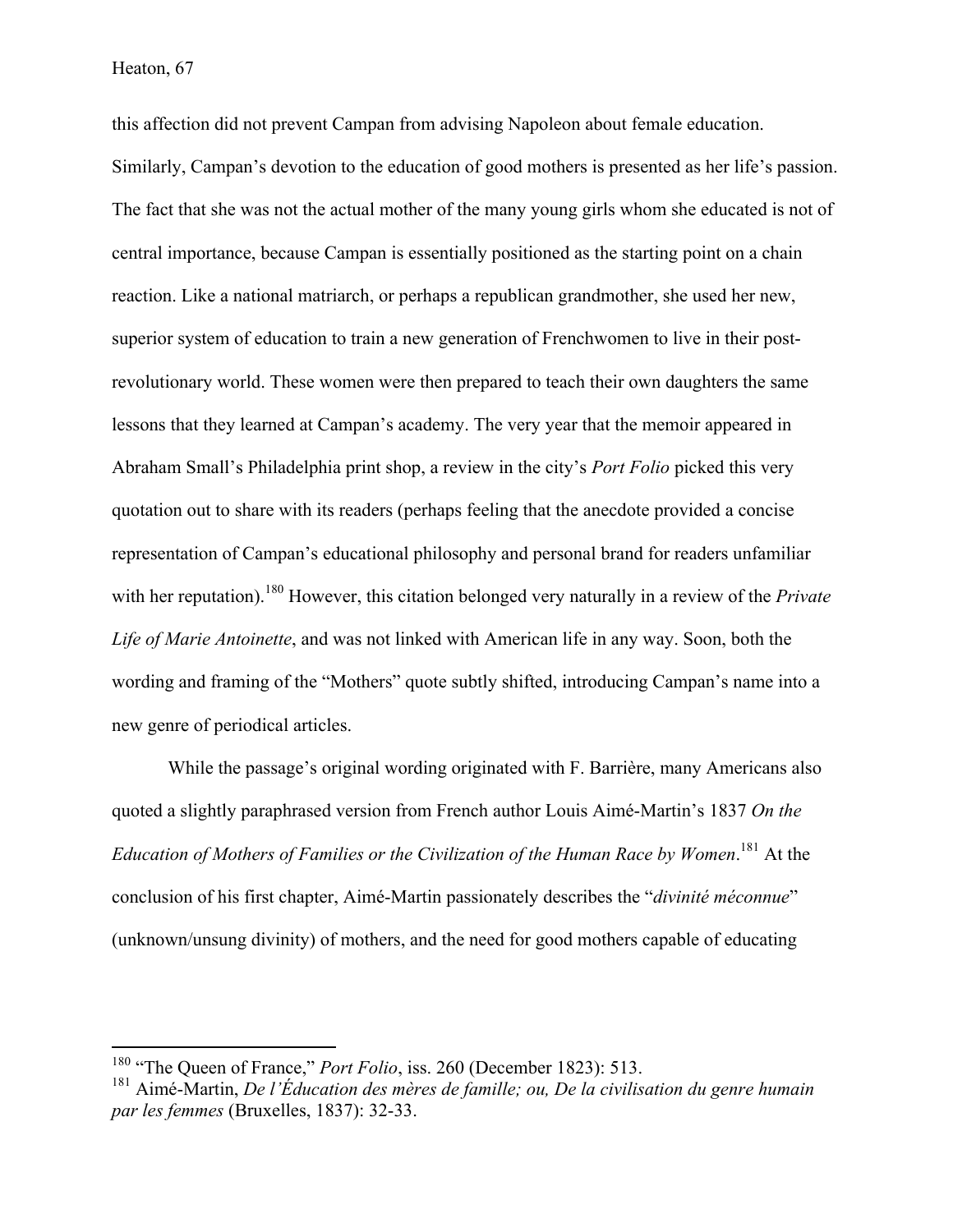this affection did not prevent Campan from advising Napoleon about female education. Similarly, Campan's devotion to the education of good mothers is presented as her life's passion. The fact that she was not the actual mother of the many young girls whom she educated is not of central importance, because Campan is essentially positioned as the starting point on a chain reaction. Like a national matriarch, or perhaps a republican grandmother, she used her new, superior system of education to train a new generation of Frenchwomen to live in their postrevolutionary world. These women were then prepared to teach their own daughters the same lessons that they learned at Campan's academy. The very year that the memoir appeared in Abraham Small's Philadelphia print shop, a review in the city's *Port Folio* picked this very quotation out to share with its readers (perhaps feeling that the anecdote provided a concise representation of Campan's educational philosophy and personal brand for readers unfamiliar with her reputation).<sup>180</sup> However, this citation belonged very naturally in a review of the *Private Life of Marie Antoinette*, and was not linked with American life in any way. Soon, both the wording and framing of the "Mothers" quote subtly shifted, introducing Campan's name into a new genre of periodical articles.

While the passage's original wording originated with F. Barrière, many Americans also quoted a slightly paraphrased version from French author Louis Aimé-Martin's 1837 *On the*  Education of Mothers of Families or the Civilization of the Human Race by Women.<sup>181</sup> At the conclusion of his first chapter, Aimé-Martin passionately describes the "*divinité méconnue*" (unknown/unsung divinity) of mothers, and the need for good mothers capable of educating

<sup>&</sup>lt;sup>180</sup> "The Queen of France," *Port Folio*, iss. 260 (December 1823): 513.

<sup>181</sup> Aimé-Martin, *De l'Éducation des mères de famille; ou, De la civilisation du genre humain par les femmes* (Bruxelles, 1837): 32-33.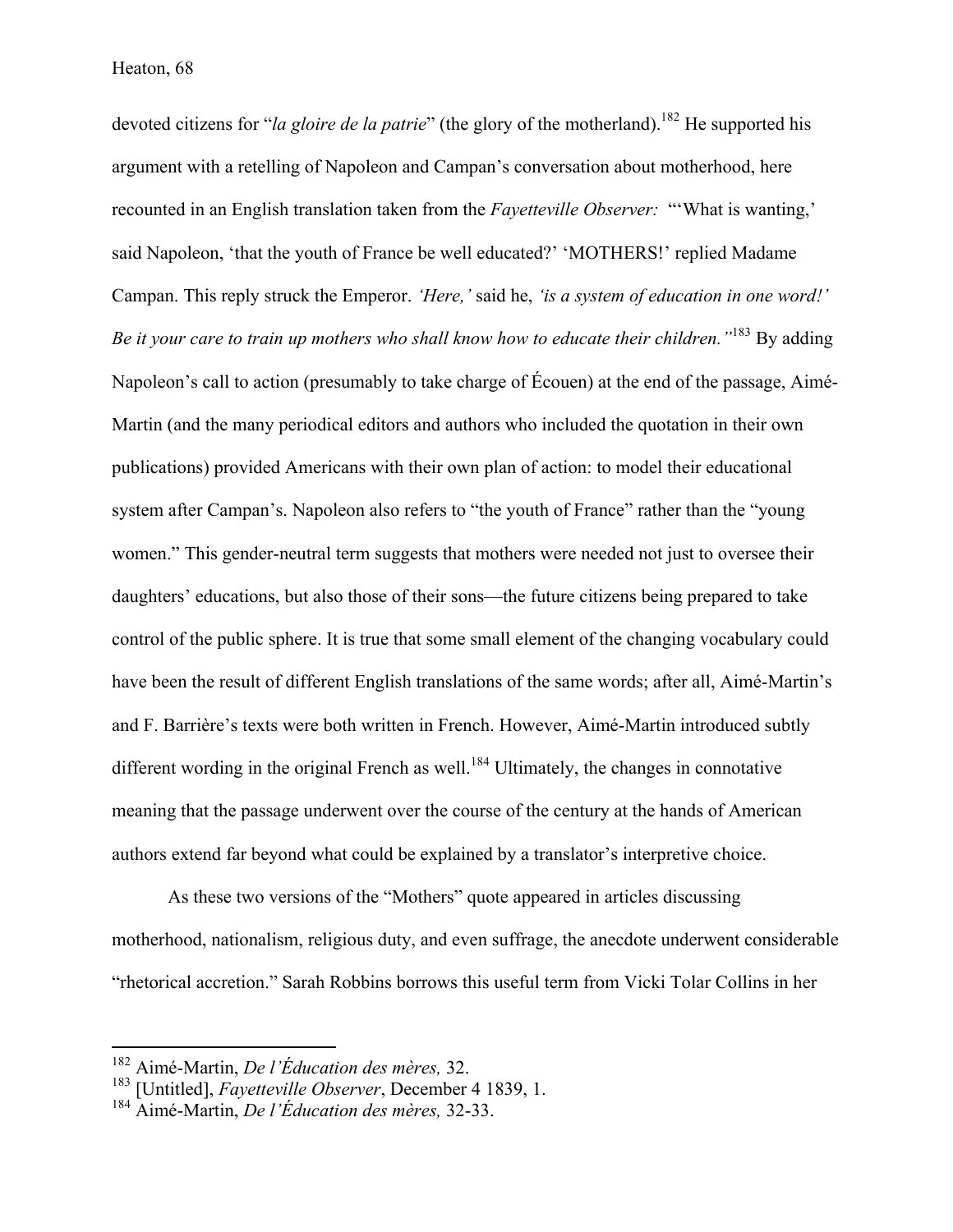devoted citizens for "*la gloire de la patrie*" (the glory of the motherland).<sup>182</sup> He supported his argument with a retelling of Napoleon and Campan's conversation about motherhood, here recounted in an English translation taken from the *Fayetteville Observer:* "'What is wanting,' said Napoleon, 'that the youth of France be well educated?' 'MOTHERS!' replied Madame Campan. This reply struck the Emperor. *'Here,'* said he, *'is a system of education in one word!' Be it your care to train up mothers who shall know how to educate their children."*<sup>183</sup> By adding Napoleon's call to action (presumably to take charge of Écouen) at the end of the passage, Aimé-Martin (and the many periodical editors and authors who included the quotation in their own publications) provided Americans with their own plan of action: to model their educational system after Campan's. Napoleon also refers to "the youth of France" rather than the "young women." This gender-neutral term suggests that mothers were needed not just to oversee their daughters' educations, but also those of their sons—the future citizens being prepared to take control of the public sphere. It is true that some small element of the changing vocabulary could have been the result of different English translations of the same words; after all, Aimé-Martin's and F. Barrière's texts were both written in French. However, Aimé-Martin introduced subtly different wording in the original French as well.<sup>184</sup> Ultimately, the changes in connotative meaning that the passage underwent over the course of the century at the hands of American authors extend far beyond what could be explained by a translator's interpretive choice.

As these two versions of the "Mothers" quote appeared in articles discussing motherhood, nationalism, religious duty, and even suffrage, the anecdote underwent considerable "rhetorical accretion." Sarah Robbins borrows this useful term from Vicki Tolar Collins in her

 <sup>182</sup> Aimé-Martin, *De l'Éducation des mères,* 32.

<sup>183</sup> [Untitled], *Fayetteville Observer*, December 4 1839, 1.

<sup>184</sup> Aimé-Martin, *De l'Éducation des mères,* 32-33.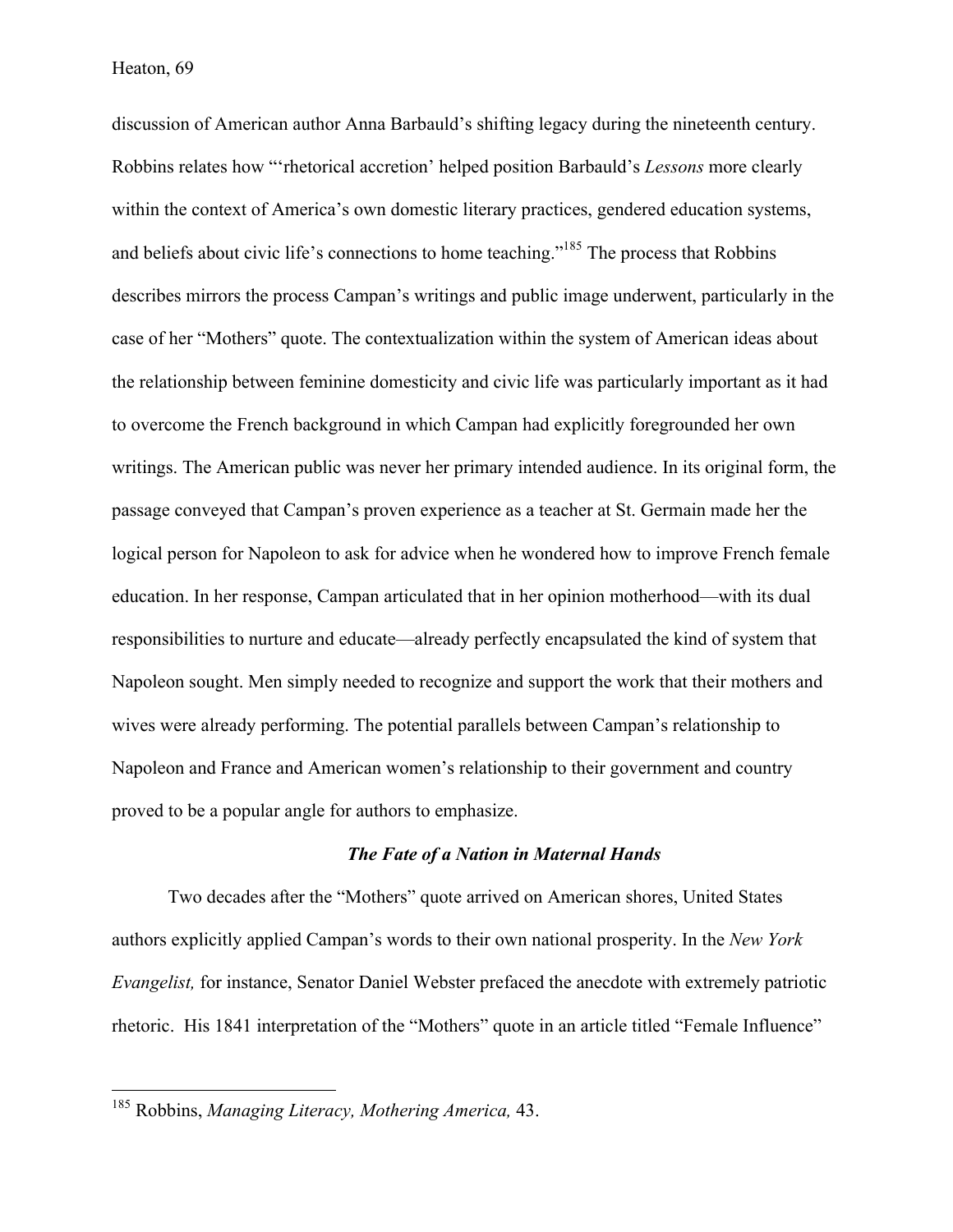discussion of American author Anna Barbauld's shifting legacy during the nineteenth century. Robbins relates how "'rhetorical accretion' helped position Barbauld's *Lessons* more clearly within the context of America's own domestic literary practices, gendered education systems, and beliefs about civic life's connections to home teaching."<sup>185</sup> The process that Robbins describes mirrors the process Campan's writings and public image underwent, particularly in the case of her "Mothers" quote. The contextualization within the system of American ideas about the relationship between feminine domesticity and civic life was particularly important as it had to overcome the French background in which Campan had explicitly foregrounded her own writings. The American public was never her primary intended audience. In its original form, the passage conveyed that Campan's proven experience as a teacher at St. Germain made her the logical person for Napoleon to ask for advice when he wondered how to improve French female education. In her response, Campan articulated that in her opinion motherhood—with its dual responsibilities to nurture and educate—already perfectly encapsulated the kind of system that Napoleon sought. Men simply needed to recognize and support the work that their mothers and wives were already performing. The potential parallels between Campan's relationship to Napoleon and France and American women's relationship to their government and country proved to be a popular angle for authors to emphasize.

## *The Fate of a Nation in Maternal Hands*

Two decades after the "Mothers" quote arrived on American shores, United States authors explicitly applied Campan's words to their own national prosperity. In the *New York Evangelist,* for instance, Senator Daniel Webster prefaced the anecdote with extremely patriotic rhetoric. His 1841 interpretation of the "Mothers" quote in an article titled "Female Influence"

 <sup>185</sup> Robbins, *Managing Literacy, Mothering America,* 43.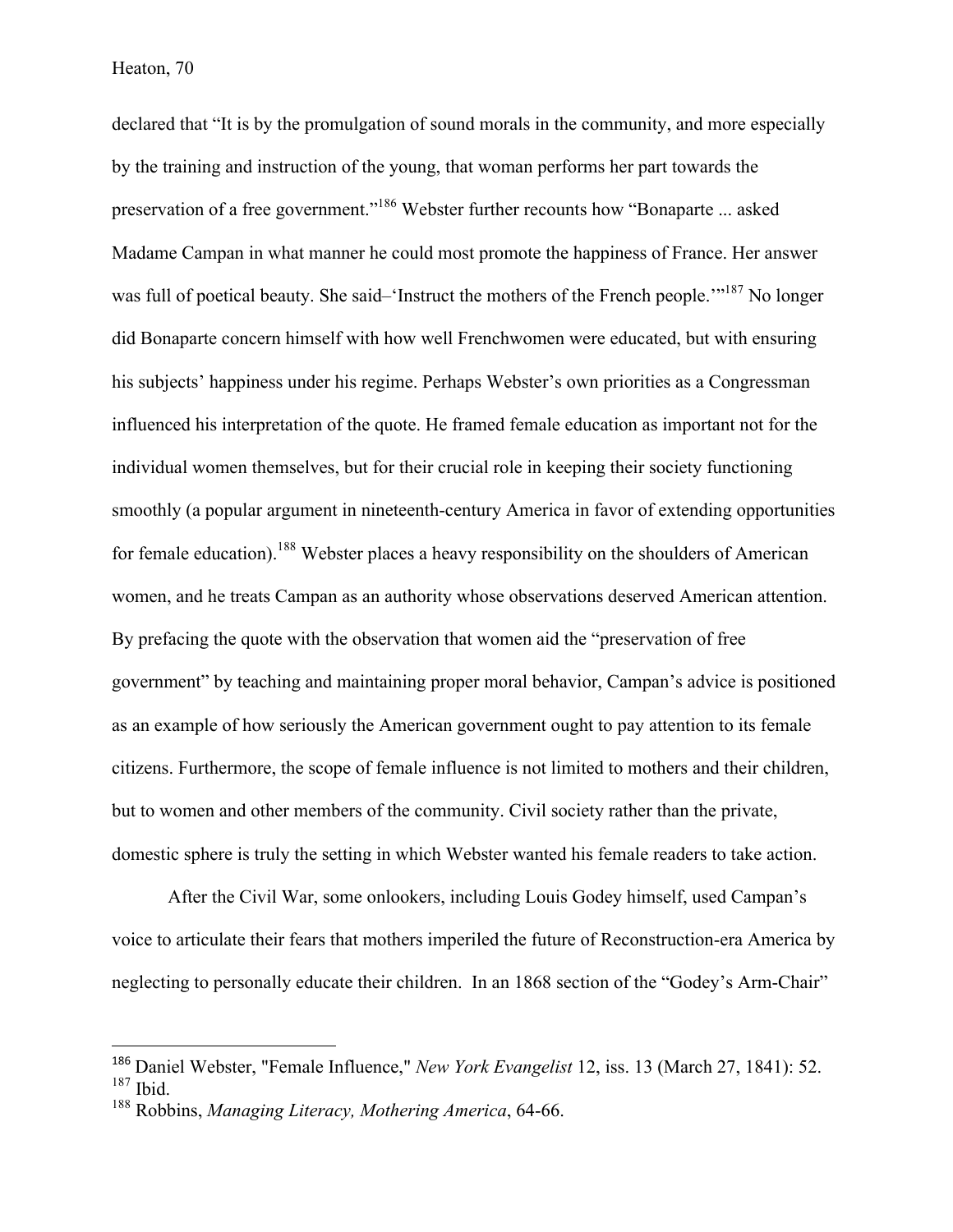declared that "It is by the promulgation of sound morals in the community, and more especially by the training and instruction of the young, that woman performs her part towards the preservation of a free government."186 Webster further recounts how "Bonaparte ... asked Madame Campan in what manner he could most promote the happiness of France. Her answer was full of poetical beauty. She said–'Instruct the mothers of the French people.'"<sup>187</sup> No longer did Bonaparte concern himself with how well Frenchwomen were educated, but with ensuring his subjects' happiness under his regime. Perhaps Webster's own priorities as a Congressman influenced his interpretation of the quote. He framed female education as important not for the individual women themselves, but for their crucial role in keeping their society functioning smoothly (a popular argument in nineteenth-century America in favor of extending opportunities for female education).<sup>188</sup> Webster places a heavy responsibility on the shoulders of American women, and he treats Campan as an authority whose observations deserved American attention. By prefacing the quote with the observation that women aid the "preservation of free government" by teaching and maintaining proper moral behavior, Campan's advice is positioned as an example of how seriously the American government ought to pay attention to its female citizens. Furthermore, the scope of female influence is not limited to mothers and their children, but to women and other members of the community. Civil society rather than the private, domestic sphere is truly the setting in which Webster wanted his female readers to take action.

After the Civil War, some onlookers, including Louis Godey himself, used Campan's voice to articulate their fears that mothers imperiled the future of Reconstruction-era America by neglecting to personally educate their children. In an 1868 section of the "Godey's Arm-Chair"

 

<sup>186</sup> Daniel Webster, "Female Influence," *New York Evangelist* 12, iss. 13 (March 27, 1841): 52. <sup>187</sup> Ibid.

<sup>188</sup> Robbins, *Managing Literacy, Mothering America*, 64-66.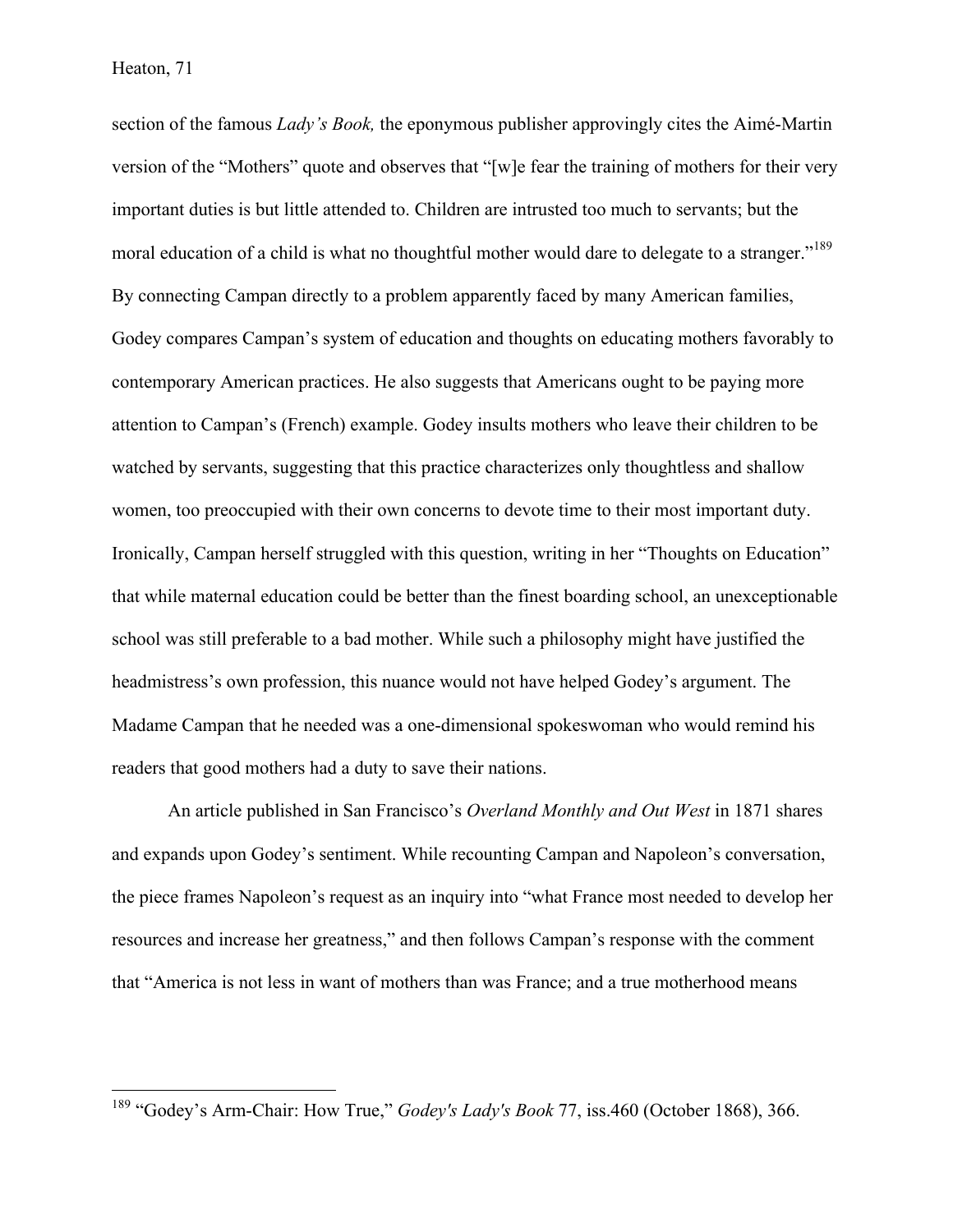section of the famous *Lady's Book,* the eponymous publisher approvingly cites the Aimé-Martin version of the "Mothers" quote and observes that "[w]e fear the training of mothers for their very important duties is but little attended to. Children are intrusted too much to servants; but the moral education of a child is what no thoughtful mother would dare to delegate to a stranger."<sup>189</sup> By connecting Campan directly to a problem apparently faced by many American families, Godey compares Campan's system of education and thoughts on educating mothers favorably to contemporary American practices. He also suggests that Americans ought to be paying more attention to Campan's (French) example. Godey insults mothers who leave their children to be watched by servants, suggesting that this practice characterizes only thoughtless and shallow women, too preoccupied with their own concerns to devote time to their most important duty. Ironically, Campan herself struggled with this question, writing in her "Thoughts on Education" that while maternal education could be better than the finest boarding school, an unexceptionable school was still preferable to a bad mother. While such a philosophy might have justified the headmistress's own profession, this nuance would not have helped Godey's argument. The Madame Campan that he needed was a one-dimensional spokeswoman who would remind his readers that good mothers had a duty to save their nations.

An article published in San Francisco's *Overland Monthly and Out West* in 1871 shares and expands upon Godey's sentiment. While recounting Campan and Napoleon's conversation, the piece frames Napoleon's request as an inquiry into "what France most needed to develop her resources and increase her greatness," and then follows Campan's response with the comment that "America is not less in want of mothers than was France; and a true motherhood means

 <sup>189</sup> "Godey's Arm-Chair: How True," *Godey's Lady's Book* 77, iss.460 (October 1868), 366.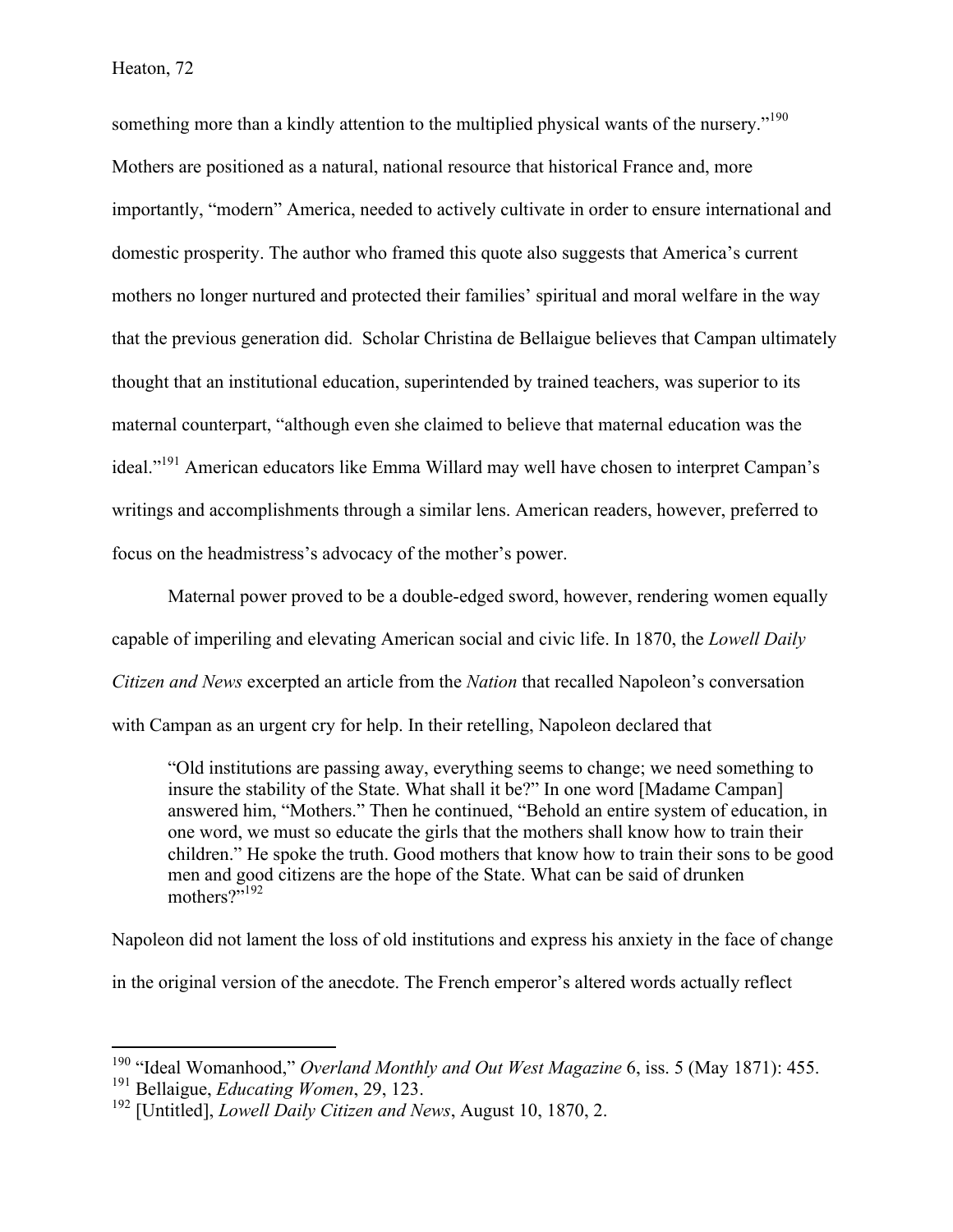something more than a kindly attention to the multiplied physical wants of the nursery.<sup>"190</sup> Mothers are positioned as a natural, national resource that historical France and, more importantly, "modern" America, needed to actively cultivate in order to ensure international and domestic prosperity. The author who framed this quote also suggests that America's current mothers no longer nurtured and protected their families' spiritual and moral welfare in the way that the previous generation did. Scholar Christina de Bellaigue believes that Campan ultimately thought that an institutional education, superintended by trained teachers, was superior to its maternal counterpart, "although even she claimed to believe that maternal education was the ideal."<sup>191</sup> American educators like Emma Willard may well have chosen to interpret Campan's writings and accomplishments through a similar lens. American readers, however, preferred to focus on the headmistress's advocacy of the mother's power.

Maternal power proved to be a double-edged sword, however, rendering women equally capable of imperiling and elevating American social and civic life. In 1870, the *Lowell Daily Citizen and News* excerpted an article from the *Nation* that recalled Napoleon's conversation with Campan as an urgent cry for help. In their retelling, Napoleon declared that

"Old institutions are passing away, everything seems to change; we need something to insure the stability of the State. What shall it be?" In one word [Madame Campan] answered him, "Mothers." Then he continued, "Behold an entire system of education, in one word, we must so educate the girls that the mothers shall know how to train their children." He spoke the truth. Good mothers that know how to train their sons to be good men and good citizens are the hope of the State. What can be said of drunken mothers?"<sup>192</sup>

Napoleon did not lament the loss of old institutions and express his anxiety in the face of change in the original version of the anecdote. The French emperor's altered words actually reflect

 <sup>190</sup> "Ideal Womanhood," *Overland Monthly and Out West Magazine* 6, iss. 5 (May 1871): 455. <sup>191</sup> Bellaigue, *Educating Women*, 29, 123.

<sup>192</sup> [Untitled], *Lowell Daily Citizen and News*, August 10, 1870, 2.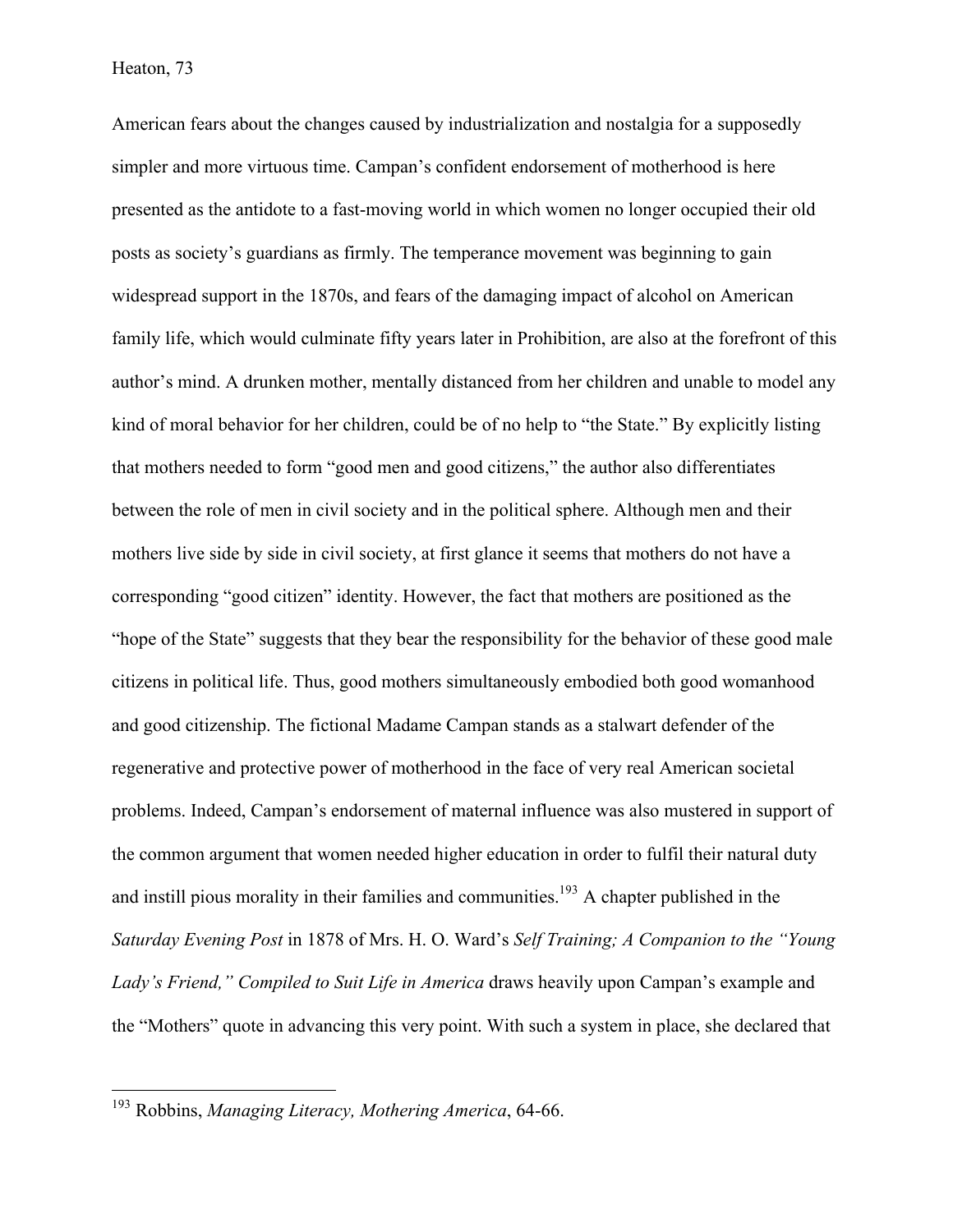American fears about the changes caused by industrialization and nostalgia for a supposedly simpler and more virtuous time. Campan's confident endorsement of motherhood is here presented as the antidote to a fast-moving world in which women no longer occupied their old posts as society's guardians as firmly. The temperance movement was beginning to gain widespread support in the 1870s, and fears of the damaging impact of alcohol on American family life, which would culminate fifty years later in Prohibition, are also at the forefront of this author's mind. A drunken mother, mentally distanced from her children and unable to model any kind of moral behavior for her children, could be of no help to "the State." By explicitly listing that mothers needed to form "good men and good citizens," the author also differentiates between the role of men in civil society and in the political sphere. Although men and their mothers live side by side in civil society, at first glance it seems that mothers do not have a corresponding "good citizen" identity. However, the fact that mothers are positioned as the "hope of the State" suggests that they bear the responsibility for the behavior of these good male citizens in political life. Thus, good mothers simultaneously embodied both good womanhood and good citizenship. The fictional Madame Campan stands as a stalwart defender of the regenerative and protective power of motherhood in the face of very real American societal problems. Indeed, Campan's endorsement of maternal influence was also mustered in support of the common argument that women needed higher education in order to fulfil their natural duty and instill pious morality in their families and communities.<sup>193</sup> A chapter published in the *Saturday Evening Post* in 1878 of Mrs. H. O. Ward's *Self Training; A Companion to the "Young Lady's Friend," Compiled to Suit Life in America* draws heavily upon Campan's example and the "Mothers" quote in advancing this very point. With such a system in place, she declared that

 <sup>193</sup> Robbins, *Managing Literacy, Mothering America*, 64-66.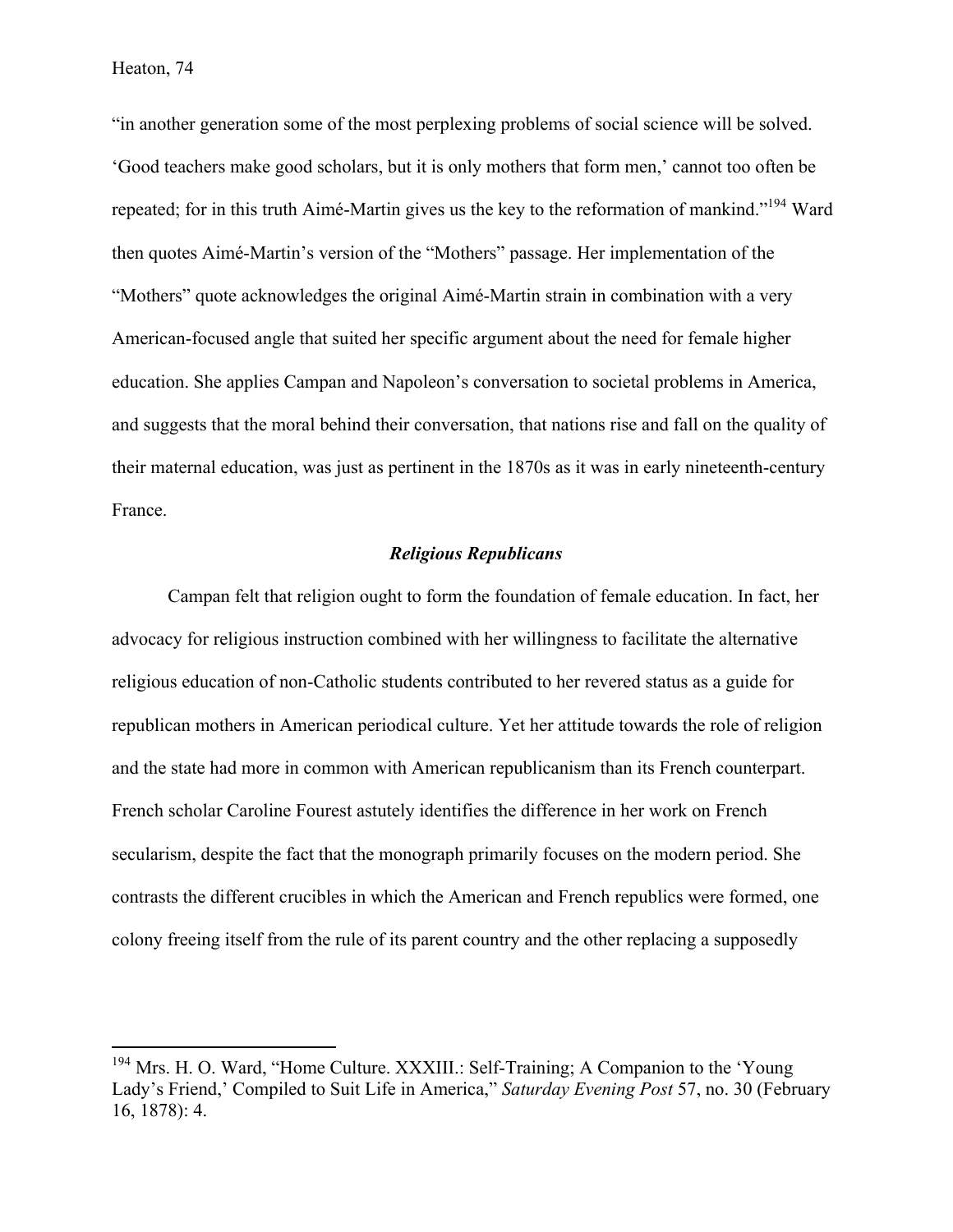"in another generation some of the most perplexing problems of social science will be solved. 'Good teachers make good scholars, but it is only mothers that form men,' cannot too often be repeated; for in this truth Aimé-Martin gives us the key to the reformation of mankind."<sup>194</sup> Ward then quotes Aimé-Martin's version of the "Mothers" passage. Her implementation of the "Mothers" quote acknowledges the original Aimé-Martin strain in combination with a very American-focused angle that suited her specific argument about the need for female higher education. She applies Campan and Napoleon's conversation to societal problems in America, and suggests that the moral behind their conversation, that nations rise and fall on the quality of their maternal education, was just as pertinent in the 1870s as it was in early nineteenth-century France.

# *Religious Republicans*

Campan felt that religion ought to form the foundation of female education. In fact, her advocacy for religious instruction combined with her willingness to facilitate the alternative religious education of non-Catholic students contributed to her revered status as a guide for republican mothers in American periodical culture. Yet her attitude towards the role of religion and the state had more in common with American republicanism than its French counterpart. French scholar Caroline Fourest astutely identifies the difference in her work on French secularism, despite the fact that the monograph primarily focuses on the modern period. She contrasts the different crucibles in which the American and French republics were formed, one colony freeing itself from the rule of its parent country and the other replacing a supposedly

 $194$  Mrs. H. O. Ward, "Home Culture. XXXIII.: Self-Training; A Companion to the 'Young' Lady's Friend,' Compiled to Suit Life in America," *Saturday Evening Post* 57, no. 30 (February 16, 1878): 4.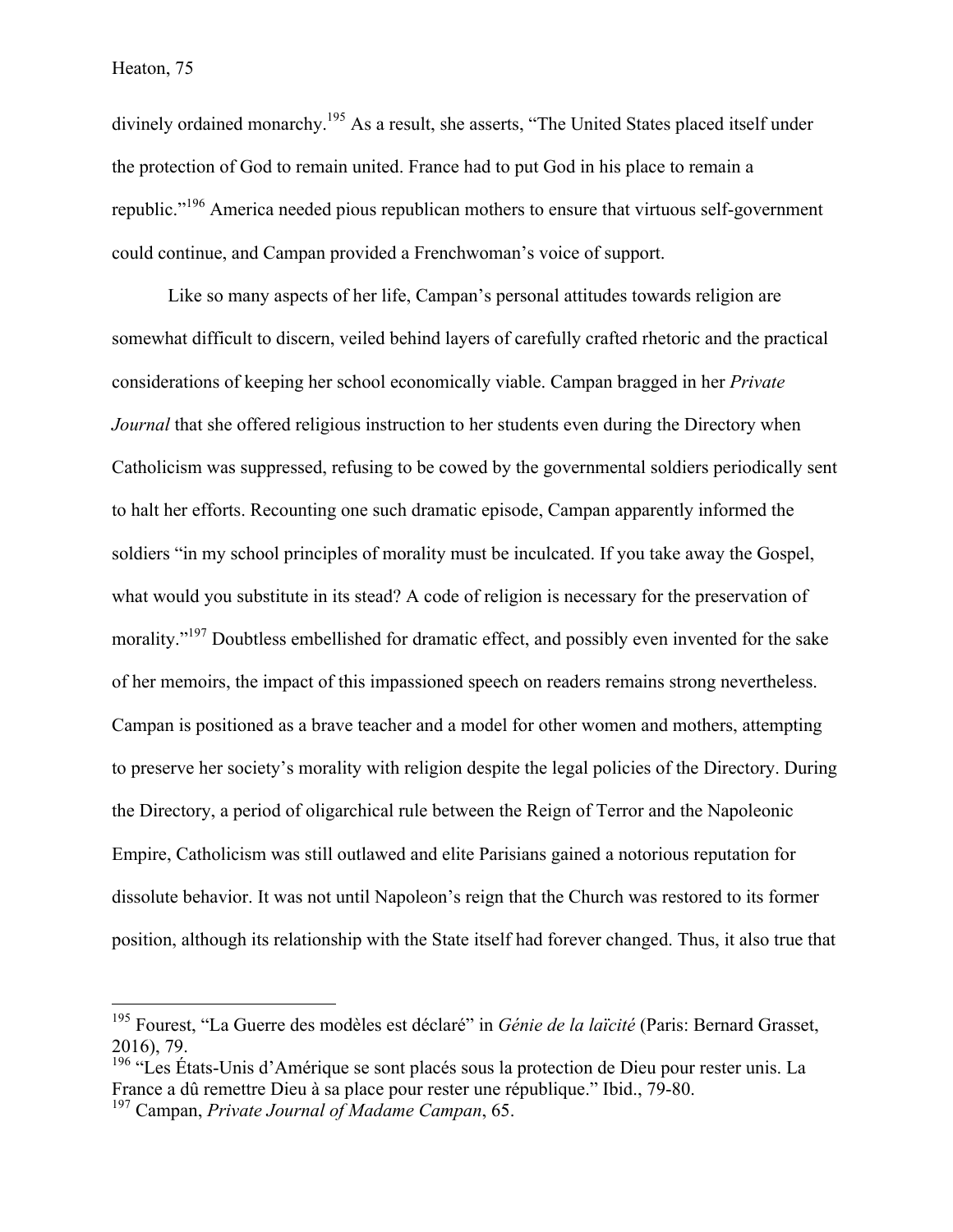divinely ordained monarchy.195 As a result, she asserts, "The United States placed itself under the protection of God to remain united. France had to put God in his place to remain a republic."<sup>196</sup> America needed pious republican mothers to ensure that virtuous self-government could continue, and Campan provided a Frenchwoman's voice of support.

Like so many aspects of her life, Campan's personal attitudes towards religion are somewhat difficult to discern, veiled behind layers of carefully crafted rhetoric and the practical considerations of keeping her school economically viable. Campan bragged in her *Private Journal* that she offered religious instruction to her students even during the Directory when Catholicism was suppressed, refusing to be cowed by the governmental soldiers periodically sent to halt her efforts. Recounting one such dramatic episode, Campan apparently informed the soldiers "in my school principles of morality must be inculcated. If you take away the Gospel, what would you substitute in its stead? A code of religion is necessary for the preservation of morality."<sup>197</sup> Doubtless embellished for dramatic effect, and possibly even invented for the sake of her memoirs, the impact of this impassioned speech on readers remains strong nevertheless. Campan is positioned as a brave teacher and a model for other women and mothers, attempting to preserve her society's morality with religion despite the legal policies of the Directory. During the Directory, a period of oligarchical rule between the Reign of Terror and the Napoleonic Empire, Catholicism was still outlawed and elite Parisians gained a notorious reputation for dissolute behavior. It was not until Napoleon's reign that the Church was restored to its former position, although its relationship with the State itself had forever changed. Thus, it also true that

 <sup>195</sup> Fourest, "La Guerre des modèles est déclaré" in *Génie de la laïcité* (Paris: Bernard Grasset, 2016), 79.

 $196$  "Les États-Unis d'Amérique se sont placés sous la protection de Dieu pour rester unis. La France a dû remettre Dieu à sa place pour rester une république." Ibid., 79-80.

<sup>197</sup> Campan, *Private Journal of Madame Campan*, 65.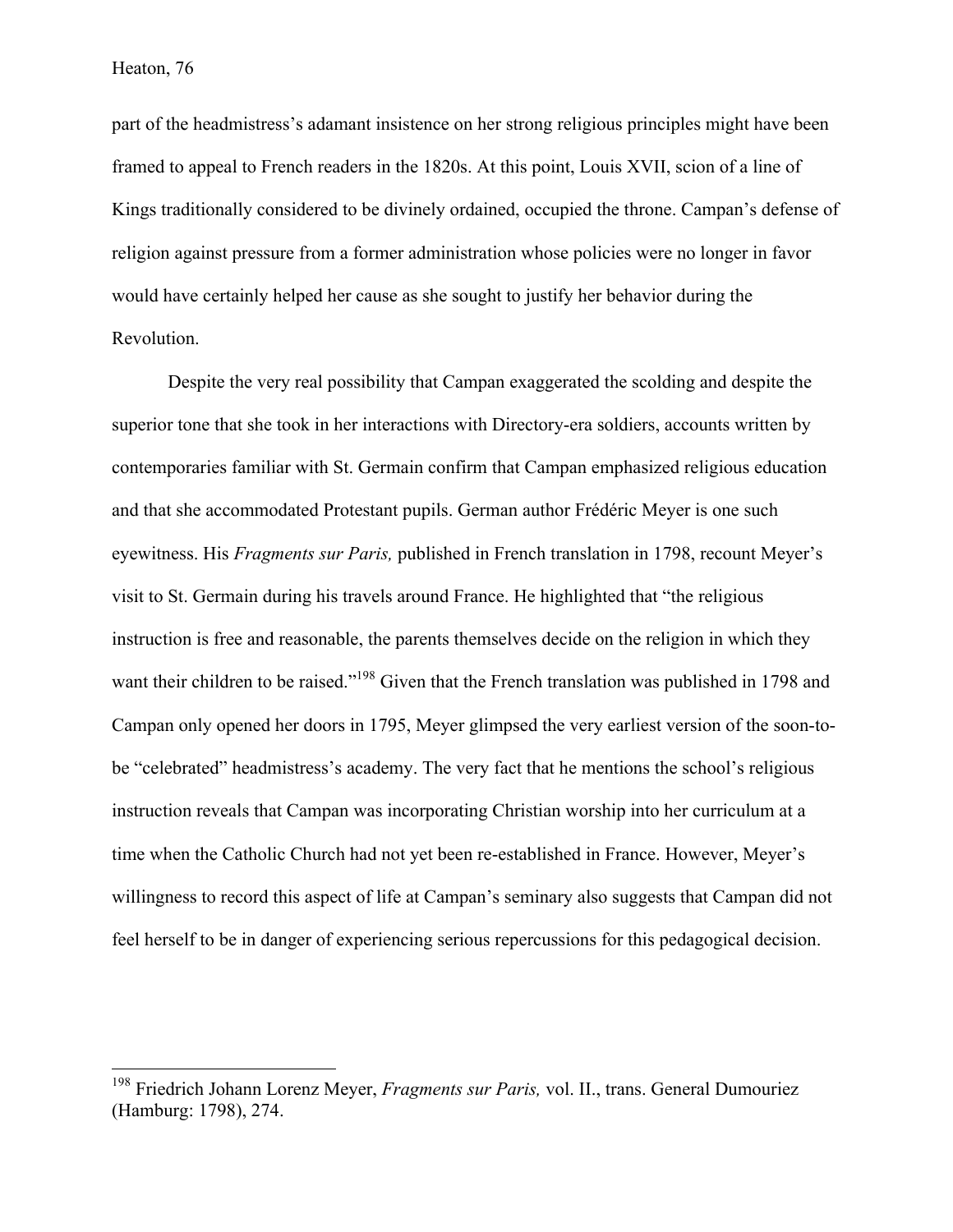part of the headmistress's adamant insistence on her strong religious principles might have been framed to appeal to French readers in the 1820s. At this point, Louis XVII, scion of a line of Kings traditionally considered to be divinely ordained, occupied the throne. Campan's defense of religion against pressure from a former administration whose policies were no longer in favor would have certainly helped her cause as she sought to justify her behavior during the Revolution.

Despite the very real possibility that Campan exaggerated the scolding and despite the superior tone that she took in her interactions with Directory-era soldiers, accounts written by contemporaries familiar with St. Germain confirm that Campan emphasized religious education and that she accommodated Protestant pupils. German author Frédéric Meyer is one such eyewitness. His *Fragments sur Paris,* published in French translation in 1798, recount Meyer's visit to St. Germain during his travels around France. He highlighted that "the religious instruction is free and reasonable, the parents themselves decide on the religion in which they want their children to be raised."<sup>198</sup> Given that the French translation was published in 1798 and Campan only opened her doors in 1795, Meyer glimpsed the very earliest version of the soon-tobe "celebrated" headmistress's academy. The very fact that he mentions the school's religious instruction reveals that Campan was incorporating Christian worship into her curriculum at a time when the Catholic Church had not yet been re-established in France. However, Meyer's willingness to record this aspect of life at Campan's seminary also suggests that Campan did not feel herself to be in danger of experiencing serious repercussions for this pedagogical decision.

 <sup>198</sup> Friedrich Johann Lorenz Meyer, *Fragments sur Paris,* vol. II., trans. General Dumouriez (Hamburg: 1798), 274.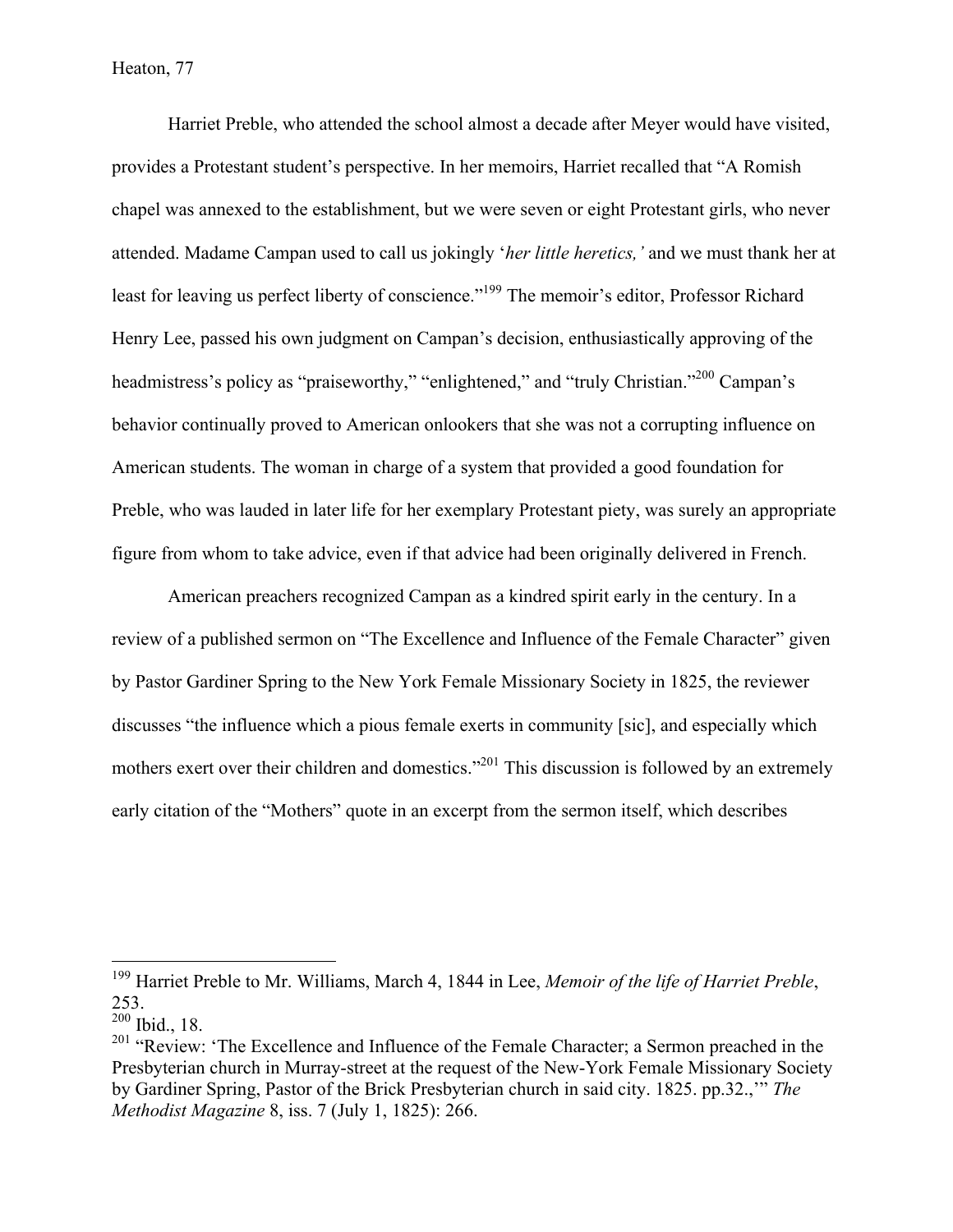Harriet Preble, who attended the school almost a decade after Meyer would have visited, provides a Protestant student's perspective. In her memoirs, Harriet recalled that "A Romish chapel was annexed to the establishment, but we were seven or eight Protestant girls, who never attended. Madame Campan used to call us jokingly '*her little heretics,'* and we must thank her at least for leaving us perfect liberty of conscience."<sup>199</sup> The memoir's editor, Professor Richard Henry Lee, passed his own judgment on Campan's decision, enthusiastically approving of the headmistress's policy as "praiseworthy," "enlightened," and "truly Christian."<sup>200</sup> Campan's behavior continually proved to American onlookers that she was not a corrupting influence on American students. The woman in charge of a system that provided a good foundation for Preble, who was lauded in later life for her exemplary Protestant piety, was surely an appropriate figure from whom to take advice, even if that advice had been originally delivered in French.

American preachers recognized Campan as a kindred spirit early in the century. In a review of a published sermon on "The Excellence and Influence of the Female Character" given by Pastor Gardiner Spring to the New York Female Missionary Society in 1825, the reviewer discusses "the influence which a pious female exerts in community [sic], and especially which mothers exert over their children and domestics."<sup>201</sup> This discussion is followed by an extremely early citation of the "Mothers" quote in an excerpt from the sermon itself, which describes

 <sup>199</sup> Harriet Preble to Mr. Williams, March 4, 1844 in Lee, *Memoir of the life of Harriet Preble*, 253.

<sup>200</sup> Ibid., 18.

 $201$  "Review: 'The Excellence and Influence of the Female Character; a Sermon preached in the Presbyterian church in Murray-street at the request of the New-York Female Missionary Society by Gardiner Spring, Pastor of the Brick Presbyterian church in said city. 1825. pp.32.,'" *The Methodist Magazine* 8, iss. 7 (July 1, 1825): 266.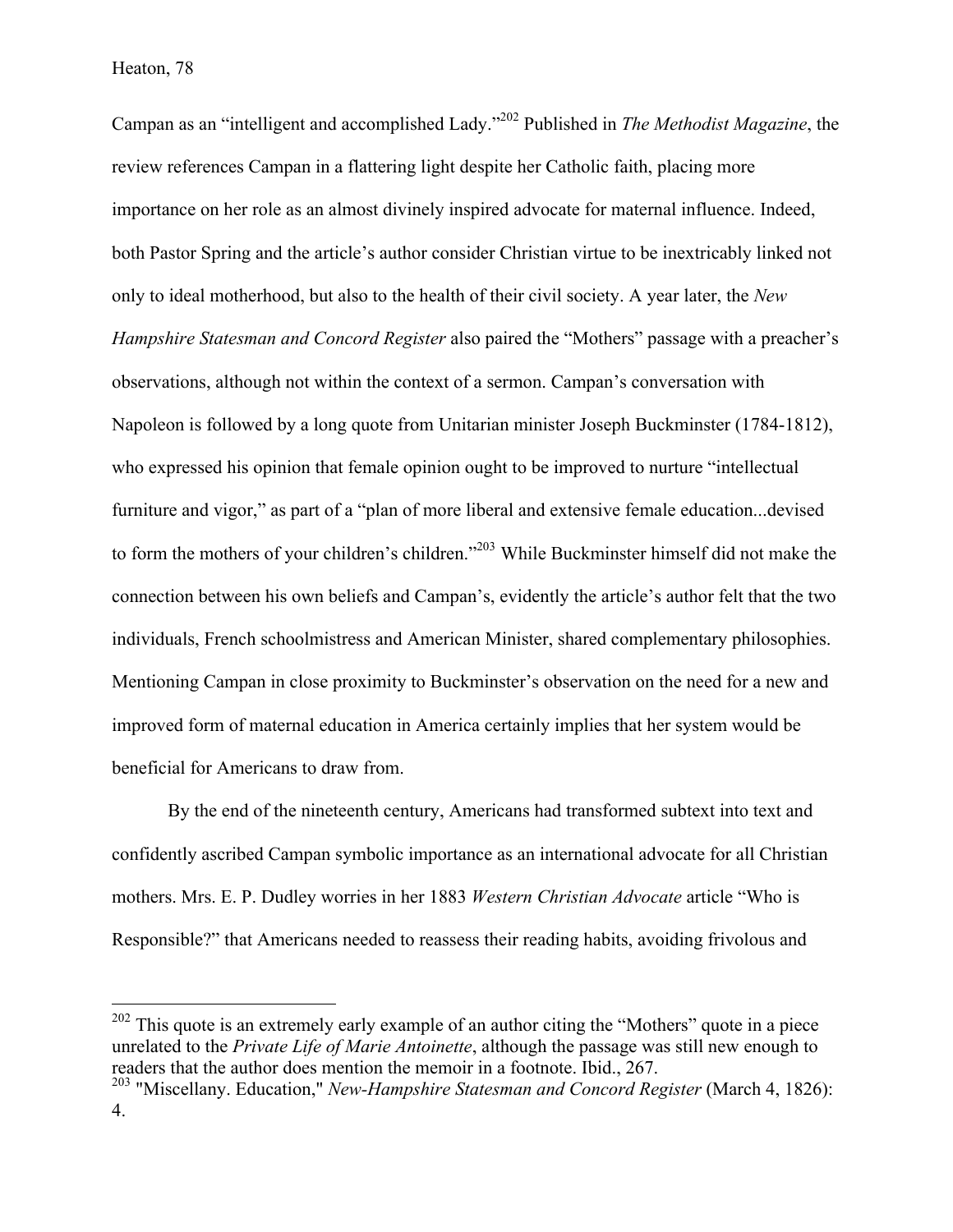Campan as an "intelligent and accomplished Lady."<sup>202</sup> Published in *The Methodist Magazine*, the review references Campan in a flattering light despite her Catholic faith, placing more importance on her role as an almost divinely inspired advocate for maternal influence. Indeed, both Pastor Spring and the article's author consider Christian virtue to be inextricably linked not only to ideal motherhood, but also to the health of their civil society. A year later, the *New Hampshire Statesman and Concord Register* also paired the "Mothers" passage with a preacher's observations, although not within the context of a sermon. Campan's conversation with Napoleon is followed by a long quote from Unitarian minister Joseph Buckminster (1784-1812), who expressed his opinion that female opinion ought to be improved to nurture "intellectual furniture and vigor," as part of a "plan of more liberal and extensive female education...devised to form the mothers of your children's children."<sup>203</sup> While Buckminster himself did not make the connection between his own beliefs and Campan's, evidently the article's author felt that the two individuals, French schoolmistress and American Minister, shared complementary philosophies. Mentioning Campan in close proximity to Buckminster's observation on the need for a new and improved form of maternal education in America certainly implies that her system would be beneficial for Americans to draw from.

By the end of the nineteenth century, Americans had transformed subtext into text and confidently ascribed Campan symbolic importance as an international advocate for all Christian mothers. Mrs. E. P. Dudley worries in her 1883 *Western Christian Advocate* article "Who is Responsible?" that Americans needed to reassess their reading habits, avoiding frivolous and

<sup>&</sup>lt;sup>202</sup> This quote is an extremely early example of an author citing the "Mothers" quote in a piece unrelated to the *Private Life of Marie Antoinette*, although the passage was still new enough to readers that the author does mention the memoir in a footnote. Ibid., 267. <sup>203</sup> "Miscellany. Education," *New-Hampshire Statesman and Concord Register* (March 4, 1826):

<sup>4.</sup>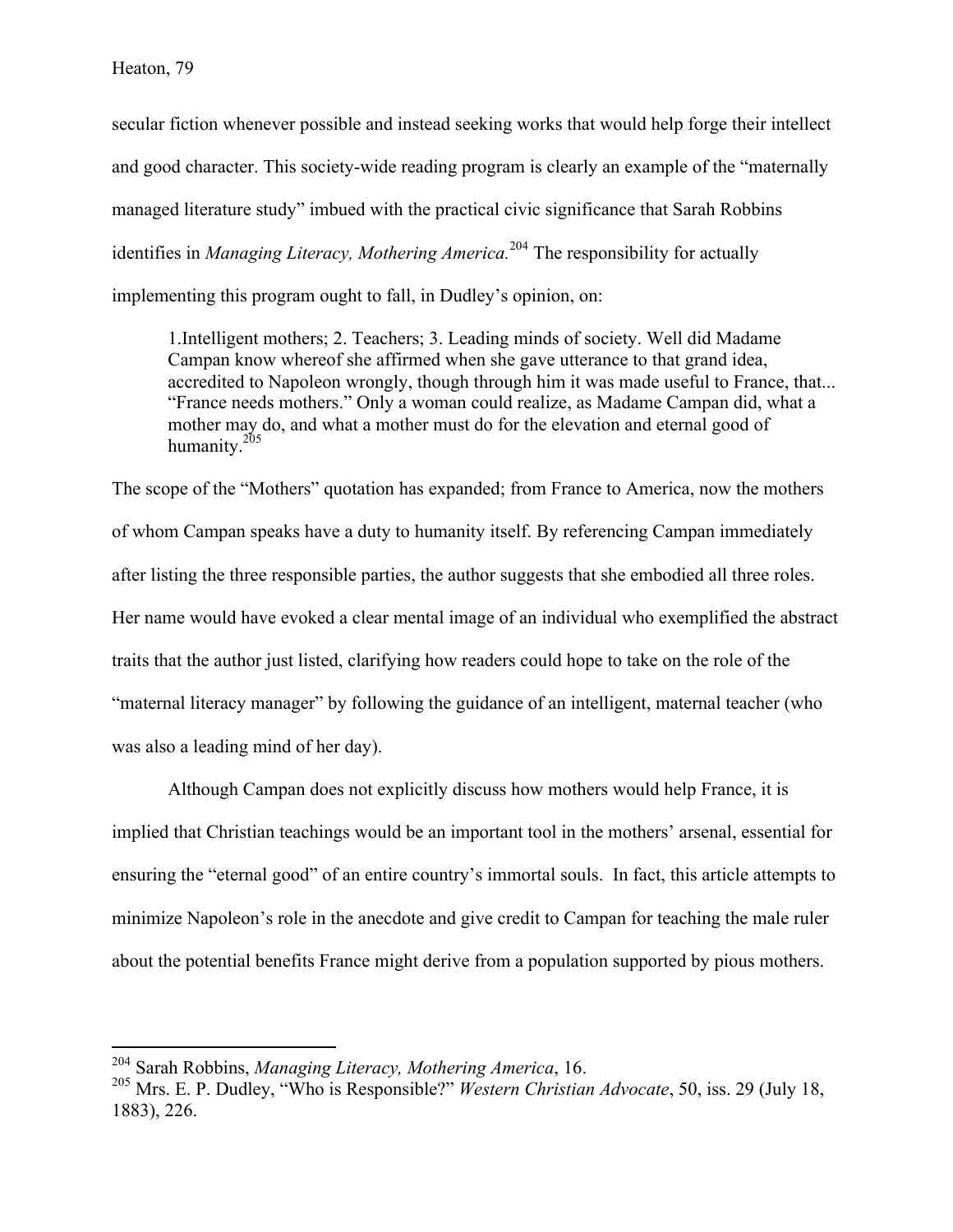secular fiction whenever possible and instead seeking works that would help forge their intellect and good character. This society-wide reading program is clearly an example of the "maternally managed literature study" imbued with the practical civic significance that Sarah Robbins identifies in *Managing Literacy, Mothering America.*<sup>204</sup> The responsibility for actually implementing this program ought to fall, in Dudley's opinion, on:

1.Intelligent mothers; 2. Teachers; 3. Leading minds of society. Well did Madame Campan know whereof she affirmed when she gave utterance to that grand idea, accredited to Napoleon wrongly, though through him it was made useful to France, that... "France needs mothers." Only a woman could realize, as Madame Campan did, what a mother may do, and what a mother must do for the elevation and eternal good of humanity. $2^{05}$ 

The scope of the "Mothers" quotation has expanded; from France to America, now the mothers of whom Campan speaks have a duty to humanity itself. By referencing Campan immediately after listing the three responsible parties, the author suggests that she embodied all three roles. Her name would have evoked a clear mental image of an individual who exemplified the abstract traits that the author just listed, clarifying how readers could hope to take on the role of the "maternal literacy manager" by following the guidance of an intelligent, maternal teacher (who was also a leading mind of her day).

Although Campan does not explicitly discuss how mothers would help France, it is implied that Christian teachings would be an important tool in the mothers' arsenal, essential for ensuring the "eternal good" of an entire country's immortal souls. In fact, this article attempts to minimize Napoleon's role in the anecdote and give credit to Campan for teaching the male ruler about the potential benefits France might derive from a population supported by pious mothers.

 <sup>204</sup> Sarah Robbins, *Managing Literacy, Mothering America*, 16.

<sup>205</sup> Mrs. E. P. Dudley, "Who is Responsible?" *Western Christian Advocate*, 50, iss. 29 (July 18, 1883), 226.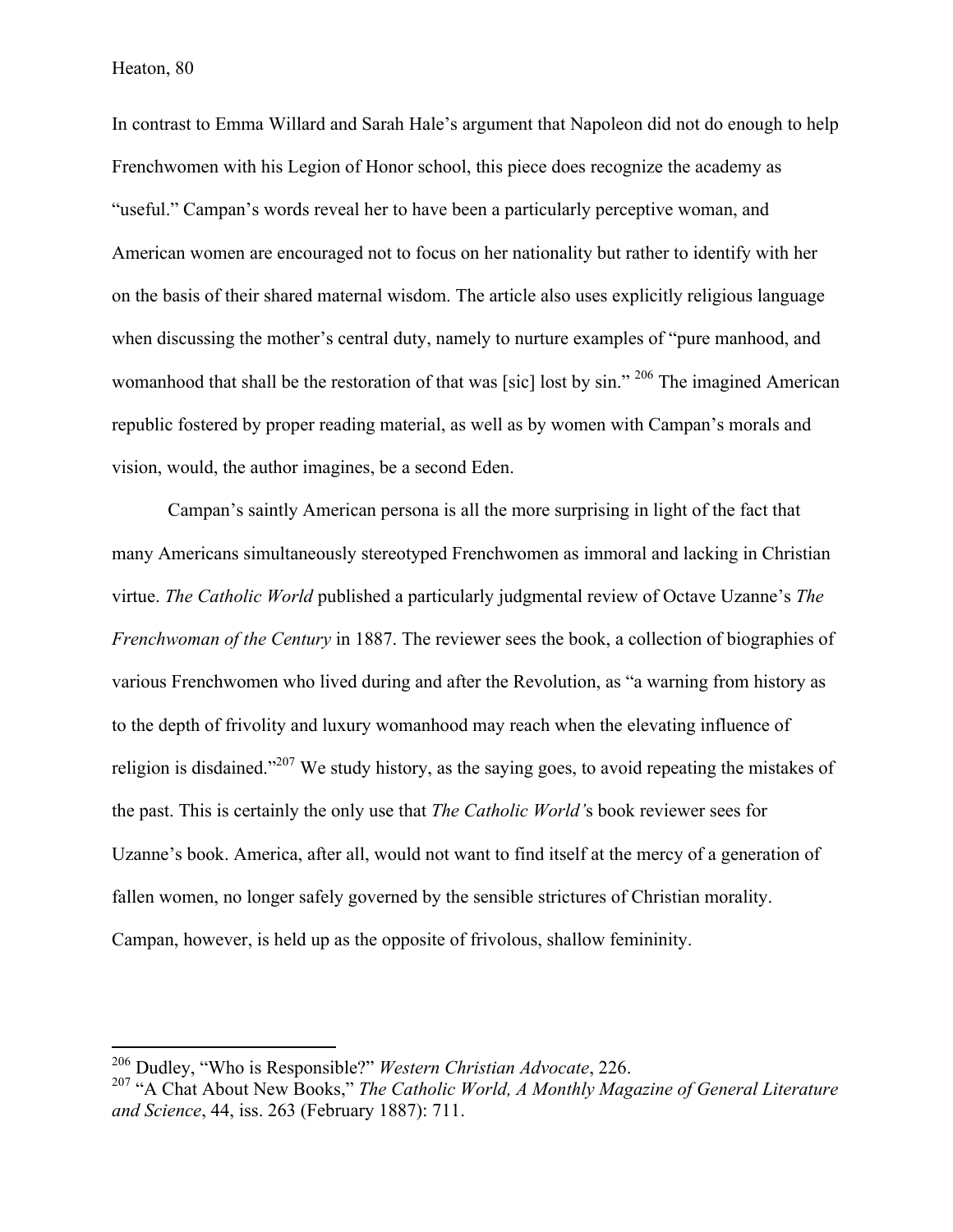In contrast to Emma Willard and Sarah Hale's argument that Napoleon did not do enough to help Frenchwomen with his Legion of Honor school, this piece does recognize the academy as "useful." Campan's words reveal her to have been a particularly perceptive woman, and American women are encouraged not to focus on her nationality but rather to identify with her on the basis of their shared maternal wisdom. The article also uses explicitly religious language when discussing the mother's central duty, namely to nurture examples of "pure manhood, and womanhood that shall be the restoration of that was [sic] lost by sin." <sup>206</sup> The imagined American republic fostered by proper reading material, as well as by women with Campan's morals and vision, would, the author imagines, be a second Eden.

Campan's saintly American persona is all the more surprising in light of the fact that many Americans simultaneously stereotyped Frenchwomen as immoral and lacking in Christian virtue. *The Catholic World* published a particularly judgmental review of Octave Uzanne's *The Frenchwoman of the Century* in 1887. The reviewer sees the book, a collection of biographies of various Frenchwomen who lived during and after the Revolution, as "a warning from history as to the depth of frivolity and luxury womanhood may reach when the elevating influence of religion is disdained."207 We study history, as the saying goes, to avoid repeating the mistakes of the past. This is certainly the only use that *The Catholic World'*s book reviewer sees for Uzanne's book. America, after all, would not want to find itself at the mercy of a generation of fallen women, no longer safely governed by the sensible strictures of Christian morality. Campan, however, is held up as the opposite of frivolous, shallow femininity.

 <sup>206</sup> Dudley, "Who is Responsible?" *Western Christian Advocate*, 226.

<sup>&</sup>lt;sup>207</sup> "A Chat About New Books," The Catholic World, A Monthly Magazine of General Literature *and Science*, 44, iss. 263 (February 1887): 711.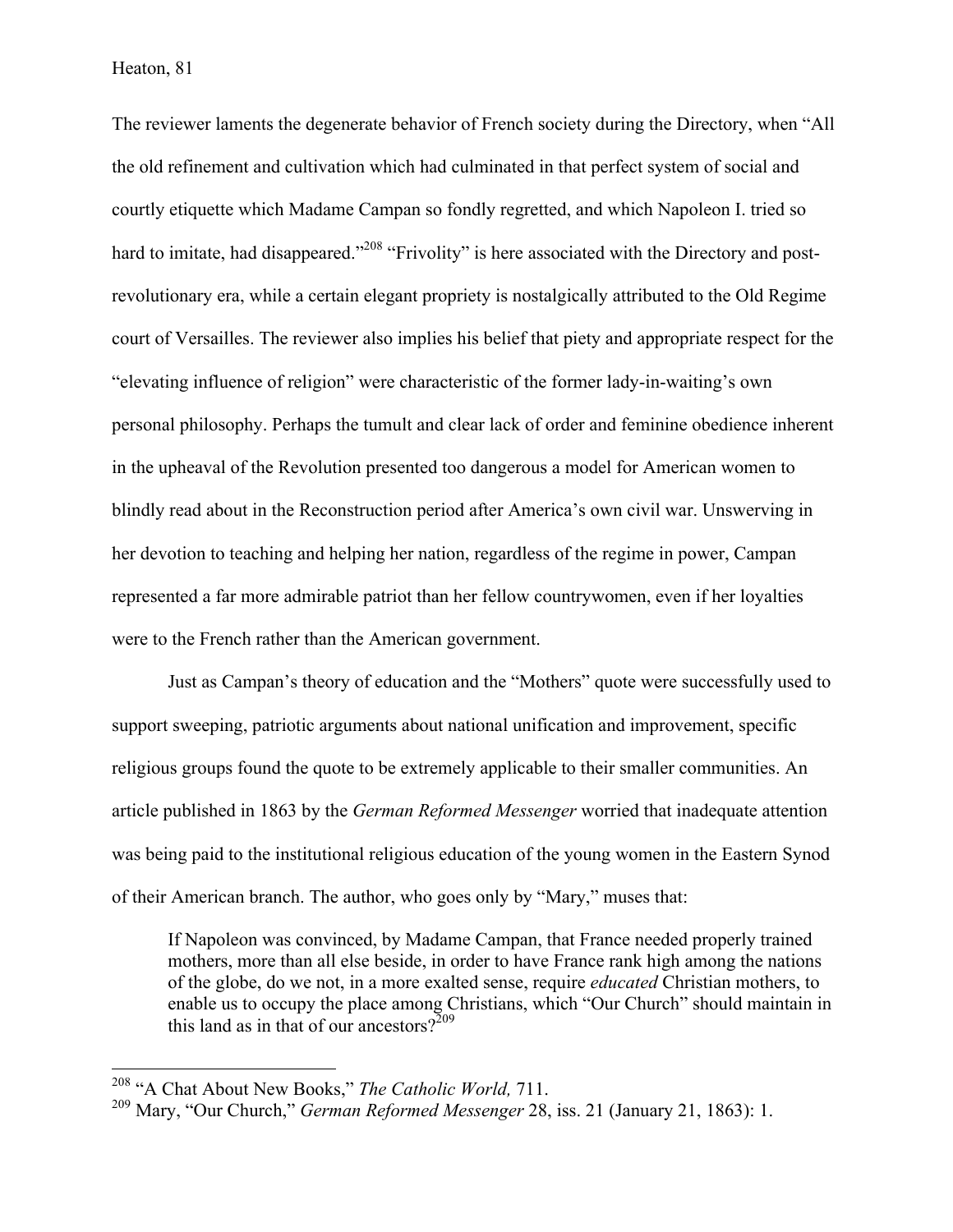The reviewer laments the degenerate behavior of French society during the Directory, when "All the old refinement and cultivation which had culminated in that perfect system of social and courtly etiquette which Madame Campan so fondly regretted, and which Napoleon I. tried so hard to imitate, had disappeared."<sup>208</sup> "Frivolity" is here associated with the Directory and postrevolutionary era, while a certain elegant propriety is nostalgically attributed to the Old Regime court of Versailles. The reviewer also implies his belief that piety and appropriate respect for the "elevating influence of religion" were characteristic of the former lady-in-waiting's own personal philosophy. Perhaps the tumult and clear lack of order and feminine obedience inherent in the upheaval of the Revolution presented too dangerous a model for American women to blindly read about in the Reconstruction period after America's own civil war. Unswerving in her devotion to teaching and helping her nation, regardless of the regime in power, Campan represented a far more admirable patriot than her fellow countrywomen, even if her loyalties were to the French rather than the American government.

Just as Campan's theory of education and the "Mothers" quote were successfully used to support sweeping, patriotic arguments about national unification and improvement, specific religious groups found the quote to be extremely applicable to their smaller communities. An article published in 1863 by the *German Reformed Messenger* worried that inadequate attention was being paid to the institutional religious education of the young women in the Eastern Synod of their American branch. The author, who goes only by "Mary," muses that:

If Napoleon was convinced, by Madame Campan, that France needed properly trained mothers, more than all else beside, in order to have France rank high among the nations of the globe, do we not, in a more exalted sense, require *educated* Christian mothers, to enable us to occupy the place among Christians, which "Our Church" should maintain in this land as in that of our ancestors?  $2^{209}$ 

 <sup>208</sup> "A Chat About New Books," *The Catholic World,* 711.

<sup>209</sup> Mary, "Our Church," *German Reformed Messenger* 28, iss. 21 (January 21, 1863): 1.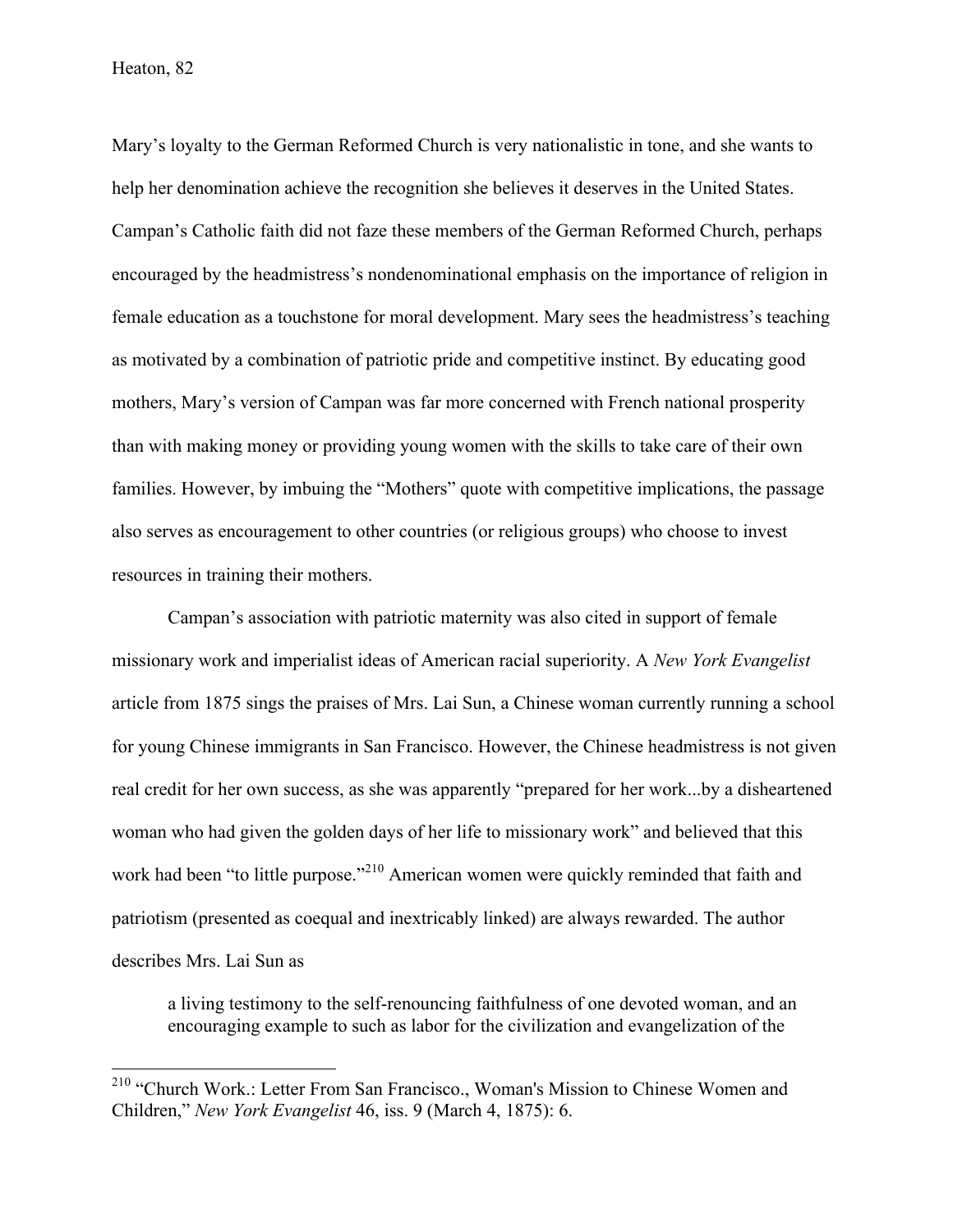Mary's loyalty to the German Reformed Church is very nationalistic in tone, and she wants to help her denomination achieve the recognition she believes it deserves in the United States. Campan's Catholic faith did not faze these members of the German Reformed Church, perhaps encouraged by the headmistress's nondenominational emphasis on the importance of religion in female education as a touchstone for moral development. Mary sees the headmistress's teaching as motivated by a combination of patriotic pride and competitive instinct. By educating good mothers, Mary's version of Campan was far more concerned with French national prosperity than with making money or providing young women with the skills to take care of their own families. However, by imbuing the "Mothers" quote with competitive implications, the passage also serves as encouragement to other countries (or religious groups) who choose to invest resources in training their mothers.

Campan's association with patriotic maternity was also cited in support of female missionary work and imperialist ideas of American racial superiority. A *New York Evangelist*  article from 1875 sings the praises of Mrs. Lai Sun, a Chinese woman currently running a school for young Chinese immigrants in San Francisco. However, the Chinese headmistress is not given real credit for her own success, as she was apparently "prepared for her work...by a disheartened woman who had given the golden days of her life to missionary work" and believed that this work had been "to little purpose."<sup>210</sup> American women were quickly reminded that faith and patriotism (presented as coequal and inextricably linked) are always rewarded. The author describes Mrs. Lai Sun as

a living testimony to the self-renouncing faithfulness of one devoted woman, and an encouraging example to such as labor for the civilization and evangelization of the

 <sup>210</sup> "Church Work.: Letter From San Francisco., Woman's Mission to Chinese Women and Children," *New York Evangelist* 46, iss. 9 (March 4, 1875): 6.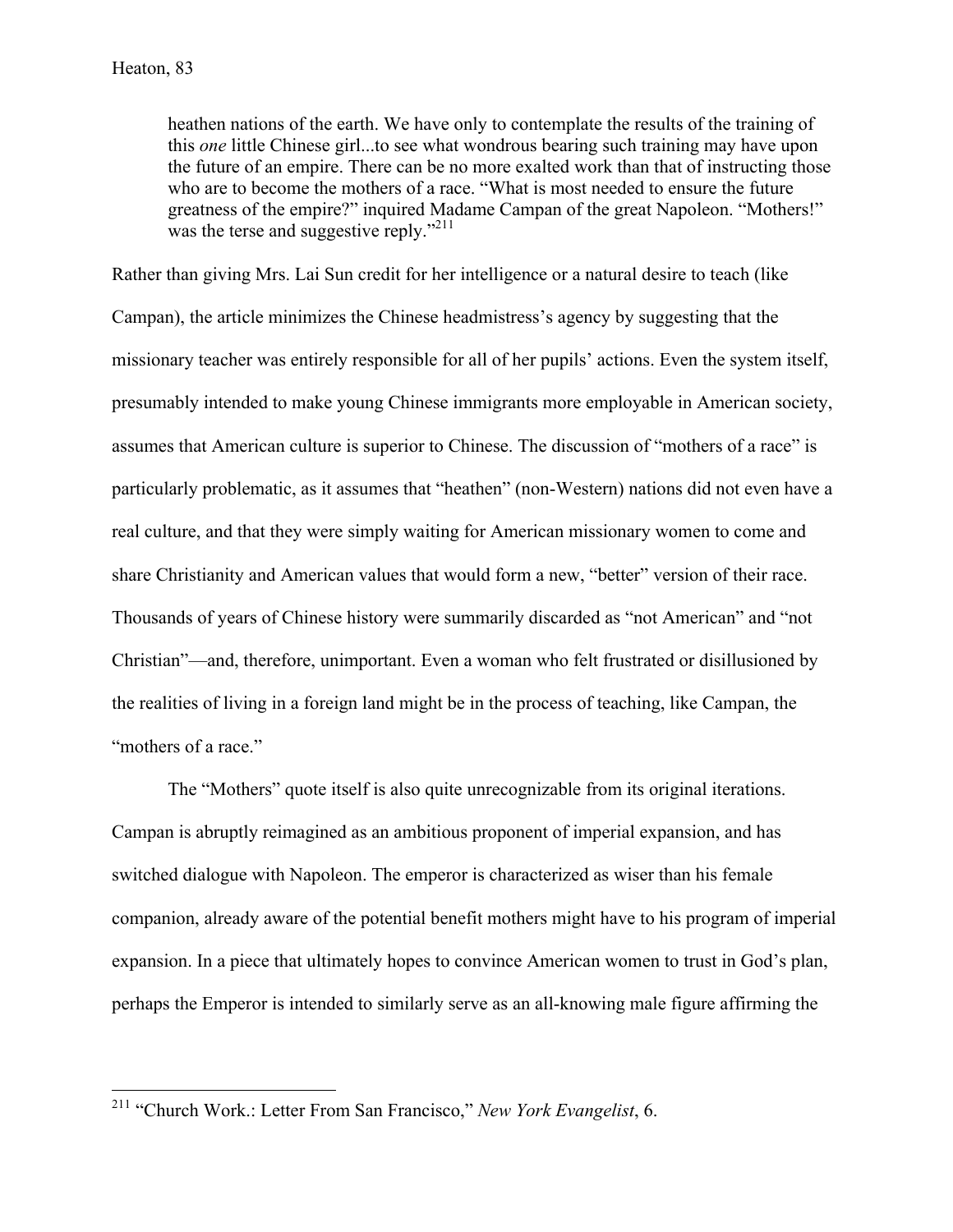heathen nations of the earth. We have only to contemplate the results of the training of this *one* little Chinese girl...to see what wondrous bearing such training may have upon the future of an empire. There can be no more exalted work than that of instructing those who are to become the mothers of a race. "What is most needed to ensure the future greatness of the empire?" inquired Madame Campan of the great Napoleon. "Mothers!" was the terse and suggestive reply."<sup>211</sup>

Rather than giving Mrs. Lai Sun credit for her intelligence or a natural desire to teach (like Campan), the article minimizes the Chinese headmistress's agency by suggesting that the missionary teacher was entirely responsible for all of her pupils' actions. Even the system itself, presumably intended to make young Chinese immigrants more employable in American society, assumes that American culture is superior to Chinese. The discussion of "mothers of a race" is particularly problematic, as it assumes that "heathen" (non-Western) nations did not even have a real culture, and that they were simply waiting for American missionary women to come and share Christianity and American values that would form a new, "better" version of their race. Thousands of years of Chinese history were summarily discarded as "not American" and "not Christian"—and, therefore, unimportant. Even a woman who felt frustrated or disillusioned by the realities of living in a foreign land might be in the process of teaching, like Campan, the "mothers of a race."

The "Mothers" quote itself is also quite unrecognizable from its original iterations. Campan is abruptly reimagined as an ambitious proponent of imperial expansion, and has switched dialogue with Napoleon. The emperor is characterized as wiser than his female companion, already aware of the potential benefit mothers might have to his program of imperial expansion. In a piece that ultimately hopes to convince American women to trust in God's plan, perhaps the Emperor is intended to similarly serve as an all-knowing male figure affirming the

 <sup>211</sup> "Church Work.: Letter From San Francisco," *New York Evangelist*, 6.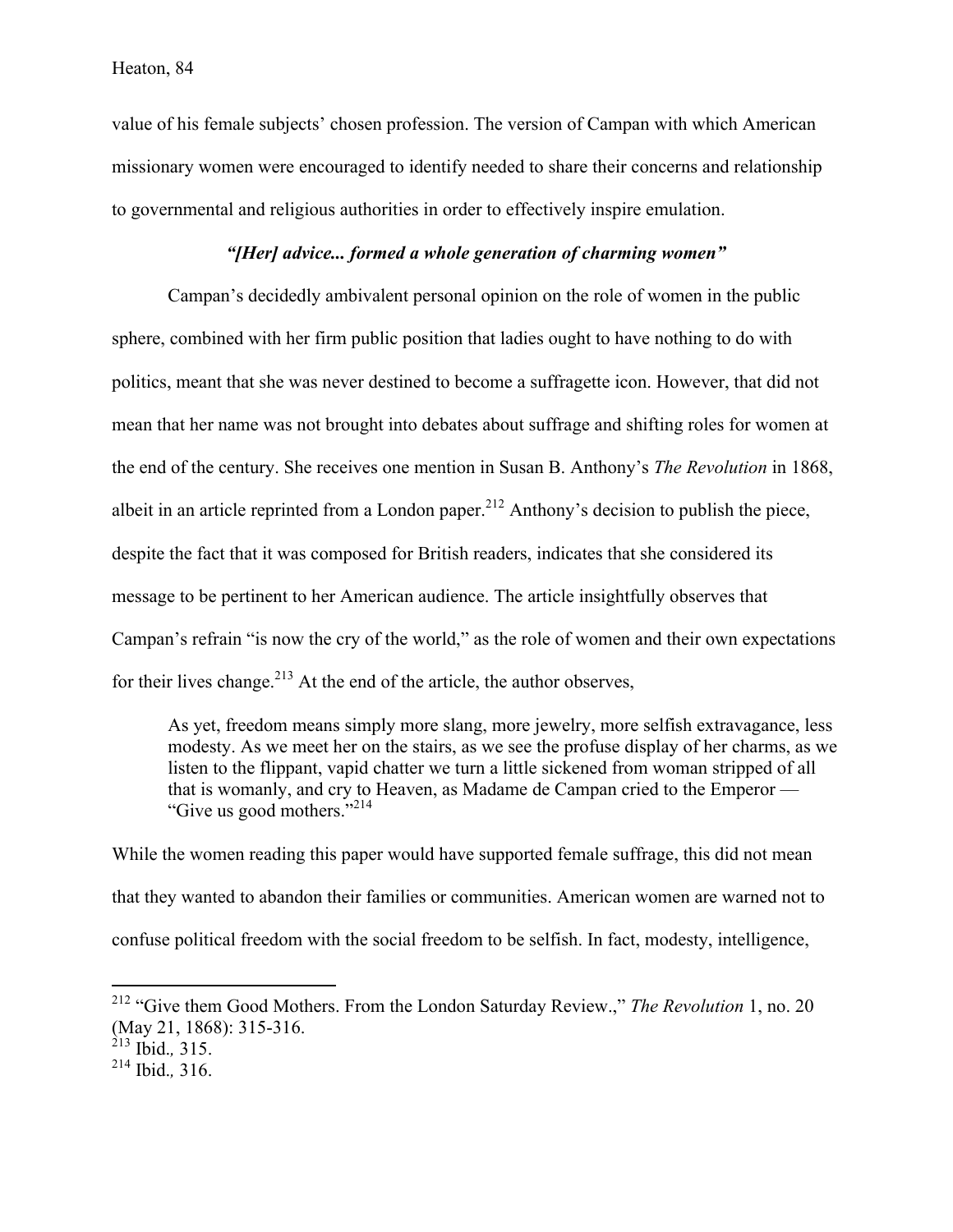value of his female subjects' chosen profession. The version of Campan with which American missionary women were encouraged to identify needed to share their concerns and relationship to governmental and religious authorities in order to effectively inspire emulation.

# *"[Her] advice... formed a whole generation of charming women"*

Campan's decidedly ambivalent personal opinion on the role of women in the public sphere, combined with her firm public position that ladies ought to have nothing to do with politics, meant that she was never destined to become a suffragette icon. However, that did not mean that her name was not brought into debates about suffrage and shifting roles for women at the end of the century. She receives one mention in Susan B. Anthony's *The Revolution* in 1868, albeit in an article reprinted from a London paper.<sup>212</sup> Anthony's decision to publish the piece, despite the fact that it was composed for British readers, indicates that she considered its message to be pertinent to her American audience. The article insightfully observes that Campan's refrain "is now the cry of the world," as the role of women and their own expectations for their lives change.<sup>213</sup> At the end of the article, the author observes,

As yet, freedom means simply more slang, more jewelry, more selfish extravagance, less modesty. As we meet her on the stairs, as we see the profuse display of her charms, as we listen to the flippant, vapid chatter we turn a little sickened from woman stripped of all that is womanly, and cry to Heaven, as Madame de Campan cried to the Emperor — "Give us good mothers."214

While the women reading this paper would have supported female suffrage, this did not mean that they wanted to abandon their families or communities. American women are warned not to confuse political freedom with the social freedom to be selfish. In fact, modesty, intelligence,

 <sup>212</sup> "Give them Good Mothers. From the London Saturday Review.," *The Revolution* 1, no. 20 (May 21, 1868): 315-316. <sup>213</sup> Ibid.*,* 315.

<sup>214</sup> Ibid.*,* 316.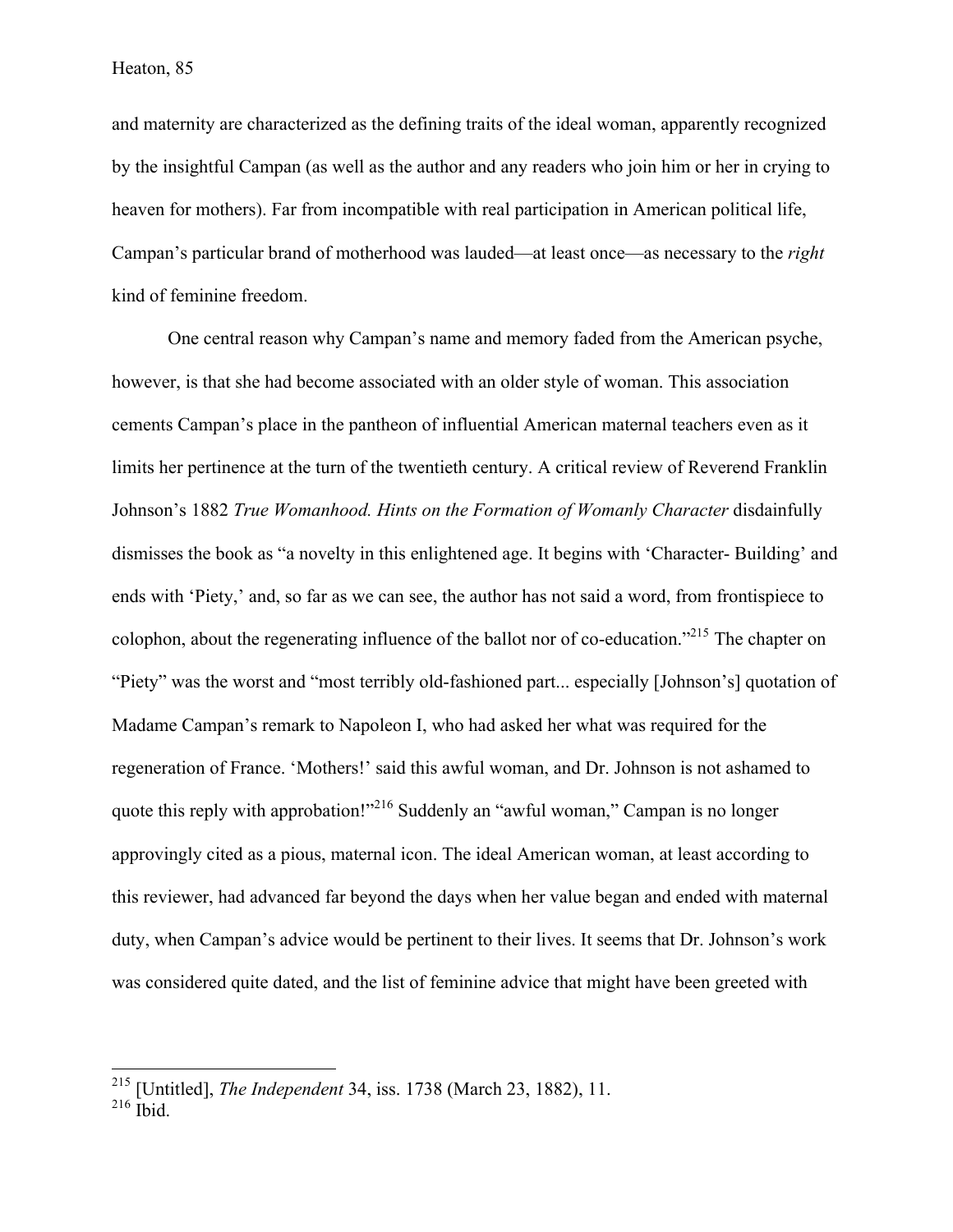and maternity are characterized as the defining traits of the ideal woman, apparently recognized by the insightful Campan (as well as the author and any readers who join him or her in crying to heaven for mothers). Far from incompatible with real participation in American political life, Campan's particular brand of motherhood was lauded—at least once—as necessary to the *right*  kind of feminine freedom.

One central reason why Campan's name and memory faded from the American psyche, however, is that she had become associated with an older style of woman. This association cements Campan's place in the pantheon of influential American maternal teachers even as it limits her pertinence at the turn of the twentieth century. A critical review of Reverend Franklin Johnson's 1882 *True Womanhood. Hints on the Formation of Womanly Character* disdainfully dismisses the book as "a novelty in this enlightened age. It begins with 'Character- Building' and ends with 'Piety,' and, so far as we can see, the author has not said a word, from frontispiece to colophon, about the regenerating influence of the ballot nor of co-education."215 The chapter on "Piety" was the worst and "most terribly old-fashioned part... especially [Johnson's] quotation of Madame Campan's remark to Napoleon I, who had asked her what was required for the regeneration of France. 'Mothers!' said this awful woman, and Dr. Johnson is not ashamed to quote this reply with approbation!"<sup>216</sup> Suddenly an "awful woman," Campan is no longer approvingly cited as a pious, maternal icon. The ideal American woman, at least according to this reviewer, had advanced far beyond the days when her value began and ended with maternal duty, when Campan's advice would be pertinent to their lives. It seems that Dr. Johnson's work was considered quite dated, and the list of feminine advice that might have been greeted with

 <sup>215</sup> [Untitled], *The Independent* 34, iss. 1738 (March 23, 1882), 11.

 $216$  Ibid.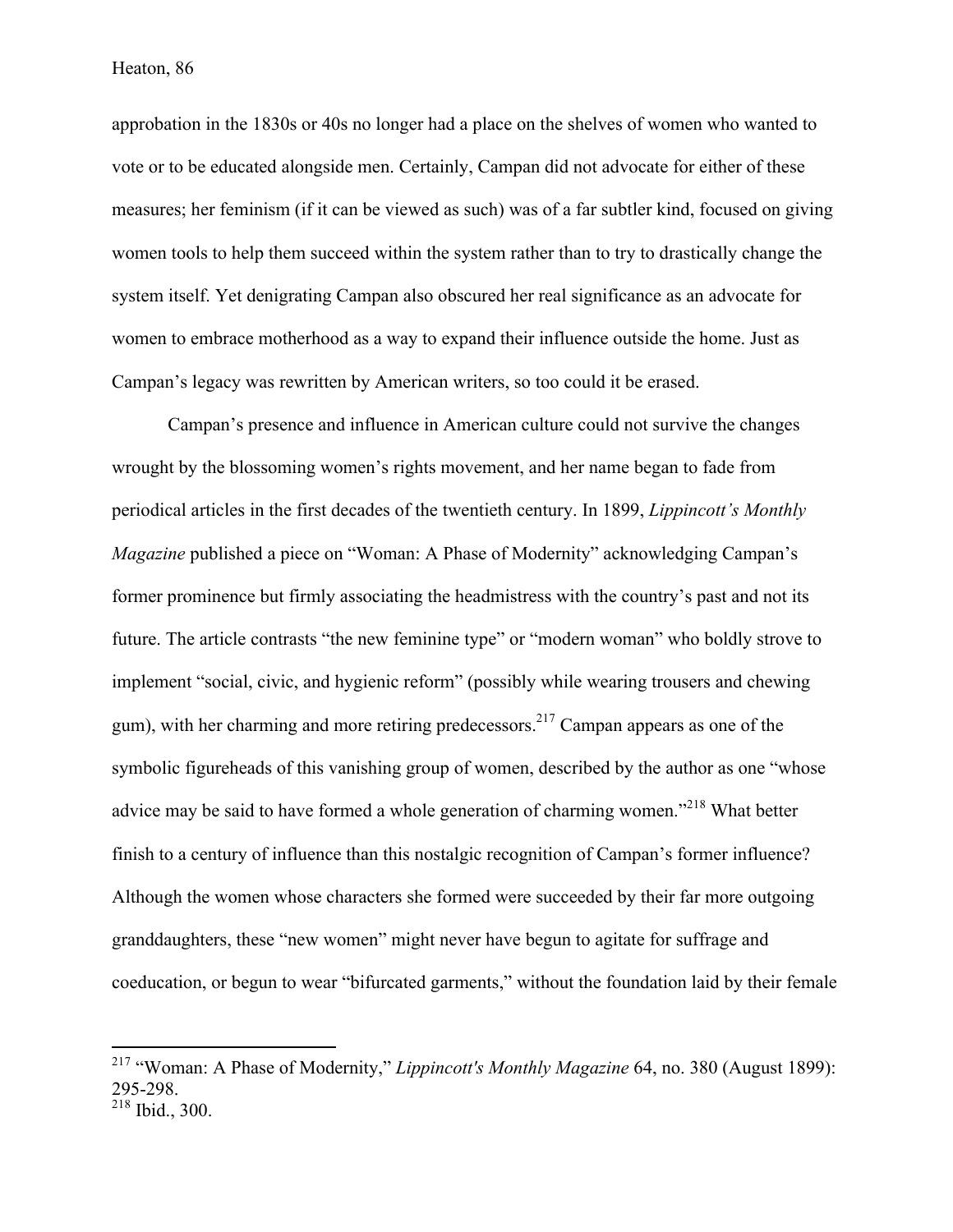approbation in the 1830s or 40s no longer had a place on the shelves of women who wanted to vote or to be educated alongside men. Certainly, Campan did not advocate for either of these measures; her feminism (if it can be viewed as such) was of a far subtler kind, focused on giving women tools to help them succeed within the system rather than to try to drastically change the system itself. Yet denigrating Campan also obscured her real significance as an advocate for women to embrace motherhood as a way to expand their influence outside the home. Just as Campan's legacy was rewritten by American writers, so too could it be erased.

Campan's presence and influence in American culture could not survive the changes wrought by the blossoming women's rights movement, and her name began to fade from periodical articles in the first decades of the twentieth century. In 1899, *Lippincott's Monthly Magazine* published a piece on "Woman: A Phase of Modernity" acknowledging Campan's former prominence but firmly associating the headmistress with the country's past and not its future. The article contrasts "the new feminine type" or "modern woman" who boldly strove to implement "social, civic, and hygienic reform" (possibly while wearing trousers and chewing gum), with her charming and more retiring predecessors.<sup>217</sup> Campan appears as one of the symbolic figureheads of this vanishing group of women, described by the author as one "whose advice may be said to have formed a whole generation of charming women.<sup>2218</sup> What better finish to a century of influence than this nostalgic recognition of Campan's former influence? Although the women whose characters she formed were succeeded by their far more outgoing granddaughters, these "new women" might never have begun to agitate for suffrage and coeducation, or begun to wear "bifurcated garments," without the foundation laid by their female

 <sup>217</sup> "Woman: A Phase of Modernity," *Lippincott's Monthly Magazine* 64, no. 380 (August 1899): 295-298.

<sup>218</sup> Ibid., 300.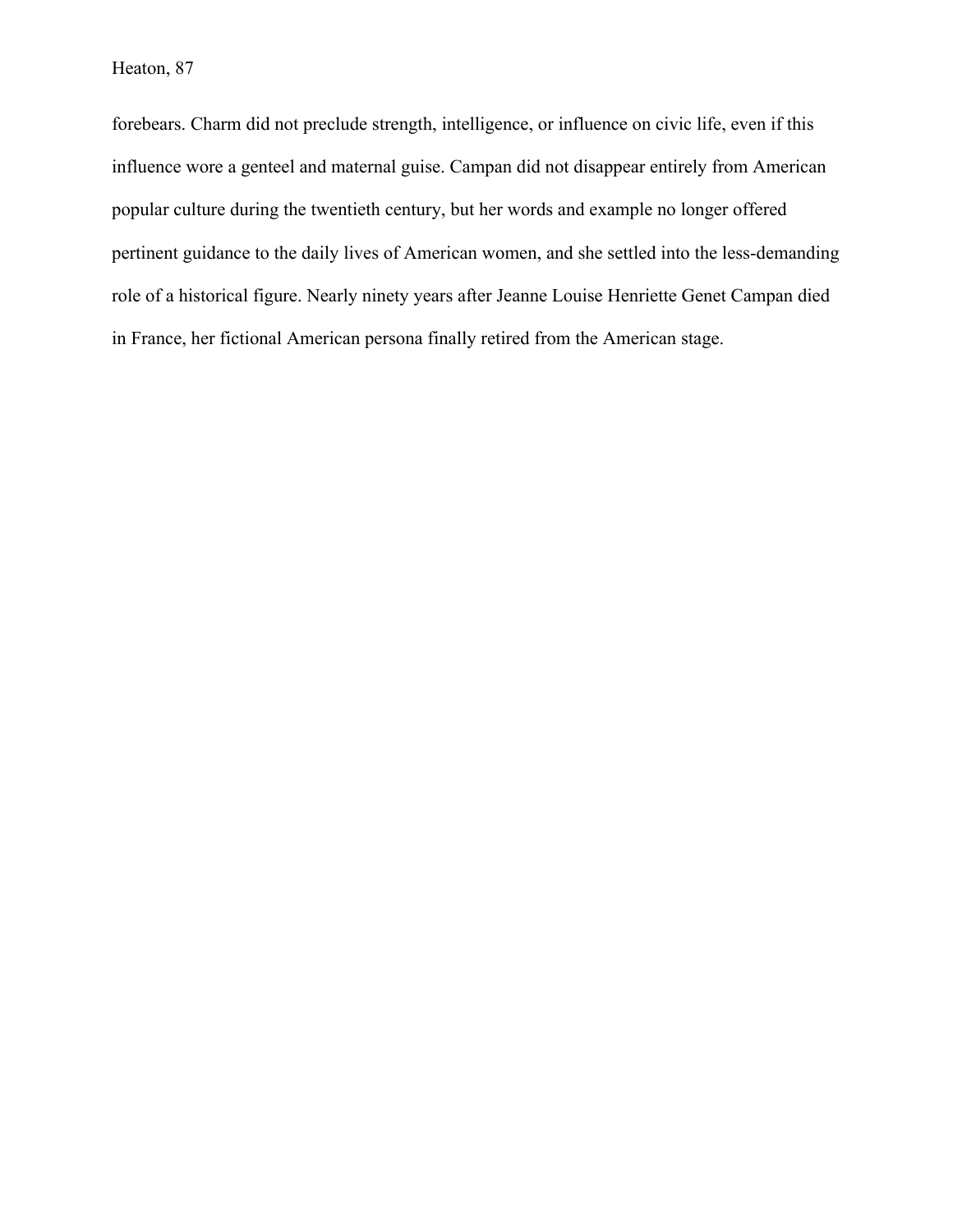forebears. Charm did not preclude strength, intelligence, or influence on civic life, even if this influence wore a genteel and maternal guise. Campan did not disappear entirely from American popular culture during the twentieth century, but her words and example no longer offered pertinent guidance to the daily lives of American women, and she settled into the less-demanding role of a historical figure. Nearly ninety years after Jeanne Louise Henriette Genet Campan died in France, her fictional American persona finally retired from the American stage.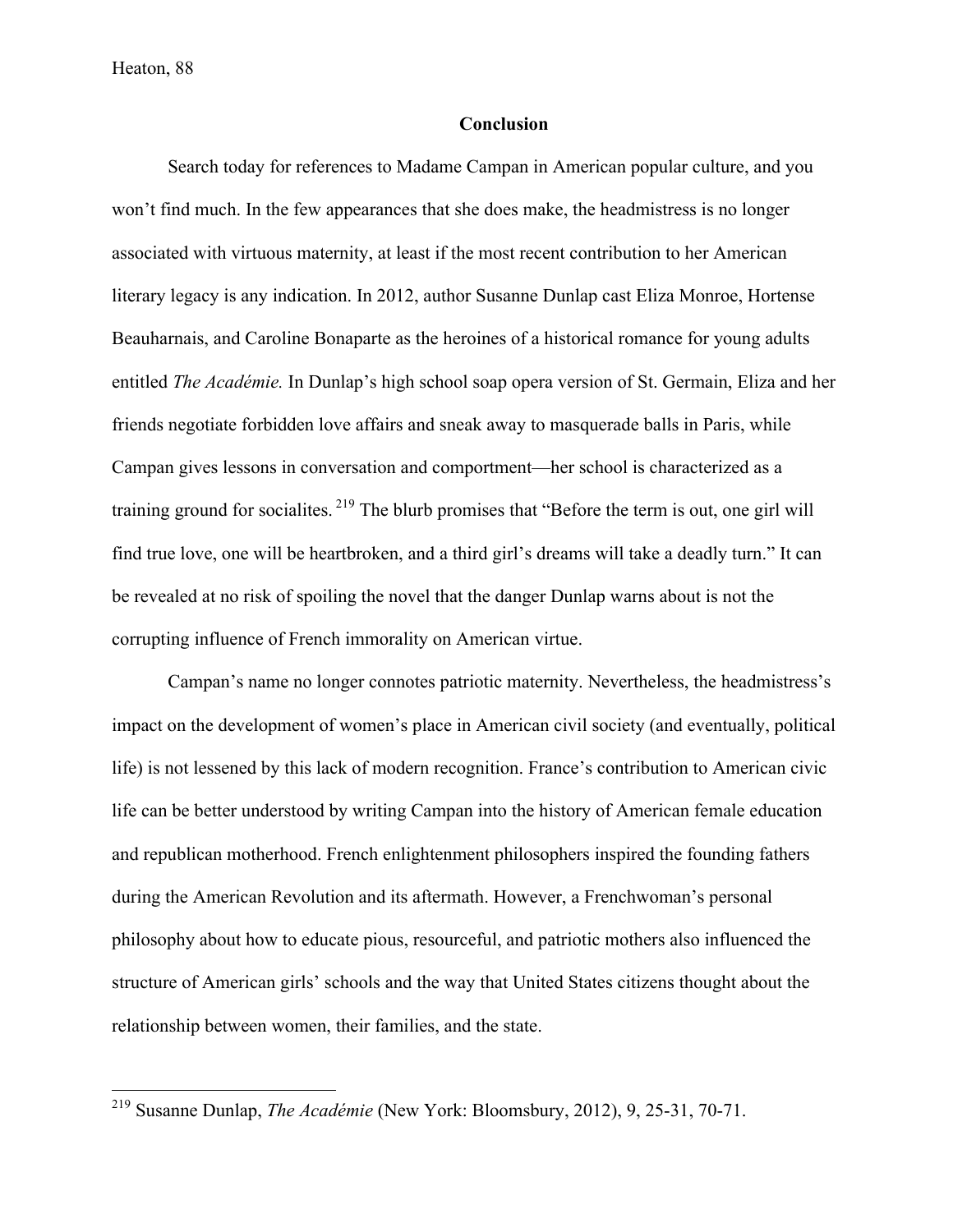## **Conclusion**

Search today for references to Madame Campan in American popular culture, and you won't find much. In the few appearances that she does make, the headmistress is no longer associated with virtuous maternity, at least if the most recent contribution to her American literary legacy is any indication. In 2012, author Susanne Dunlap cast Eliza Monroe, Hortense Beauharnais, and Caroline Bonaparte as the heroines of a historical romance for young adults entitled *The Académie.* In Dunlap's high school soap opera version of St. Germain, Eliza and her friends negotiate forbidden love affairs and sneak away to masquerade balls in Paris, while Campan gives lessons in conversation and comportment—her school is characterized as a training ground for socialites. <sup>219</sup> The blurb promises that "Before the term is out, one girl will find true love, one will be heartbroken, and a third girl's dreams will take a deadly turn." It can be revealed at no risk of spoiling the novel that the danger Dunlap warns about is not the corrupting influence of French immorality on American virtue.

Campan's name no longer connotes patriotic maternity. Nevertheless, the headmistress's impact on the development of women's place in American civil society (and eventually, political life) is not lessened by this lack of modern recognition. France's contribution to American civic life can be better understood by writing Campan into the history of American female education and republican motherhood. French enlightenment philosophers inspired the founding fathers during the American Revolution and its aftermath. However, a Frenchwoman's personal philosophy about how to educate pious, resourceful, and patriotic mothers also influenced the structure of American girls' schools and the way that United States citizens thought about the relationship between women, their families, and the state.

 <sup>219</sup> Susanne Dunlap, *The Académie* (New York: Bloomsbury, 2012), 9, 25-31, 70-71.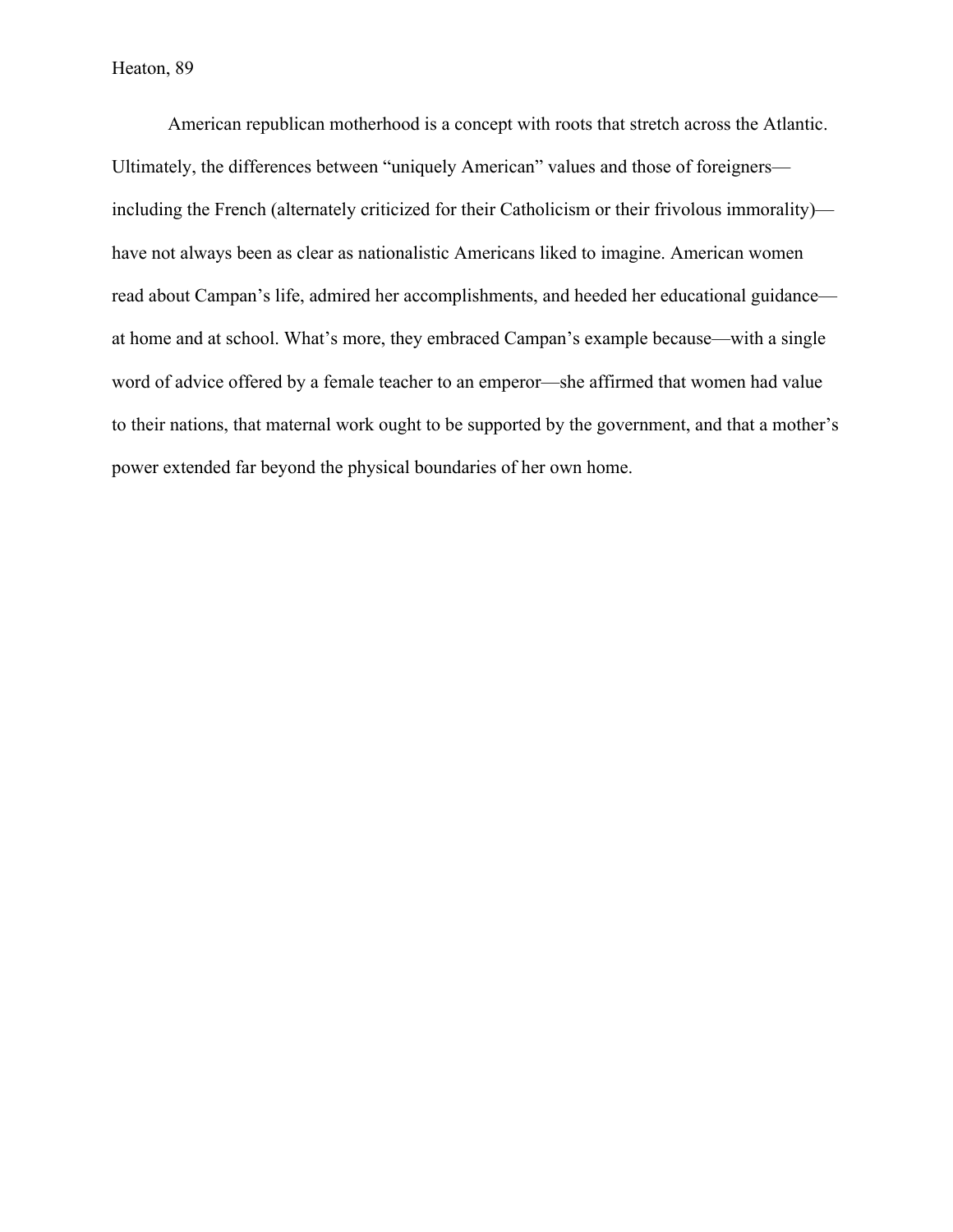American republican motherhood is a concept with roots that stretch across the Atlantic. Ultimately, the differences between "uniquely American" values and those of foreigners including the French (alternately criticized for their Catholicism or their frivolous immorality) have not always been as clear as nationalistic Americans liked to imagine. American women read about Campan's life, admired her accomplishments, and heeded her educational guidance at home and at school. What's more, they embraced Campan's example because—with a single word of advice offered by a female teacher to an emperor—she affirmed that women had value to their nations, that maternal work ought to be supported by the government, and that a mother's power extended far beyond the physical boundaries of her own home.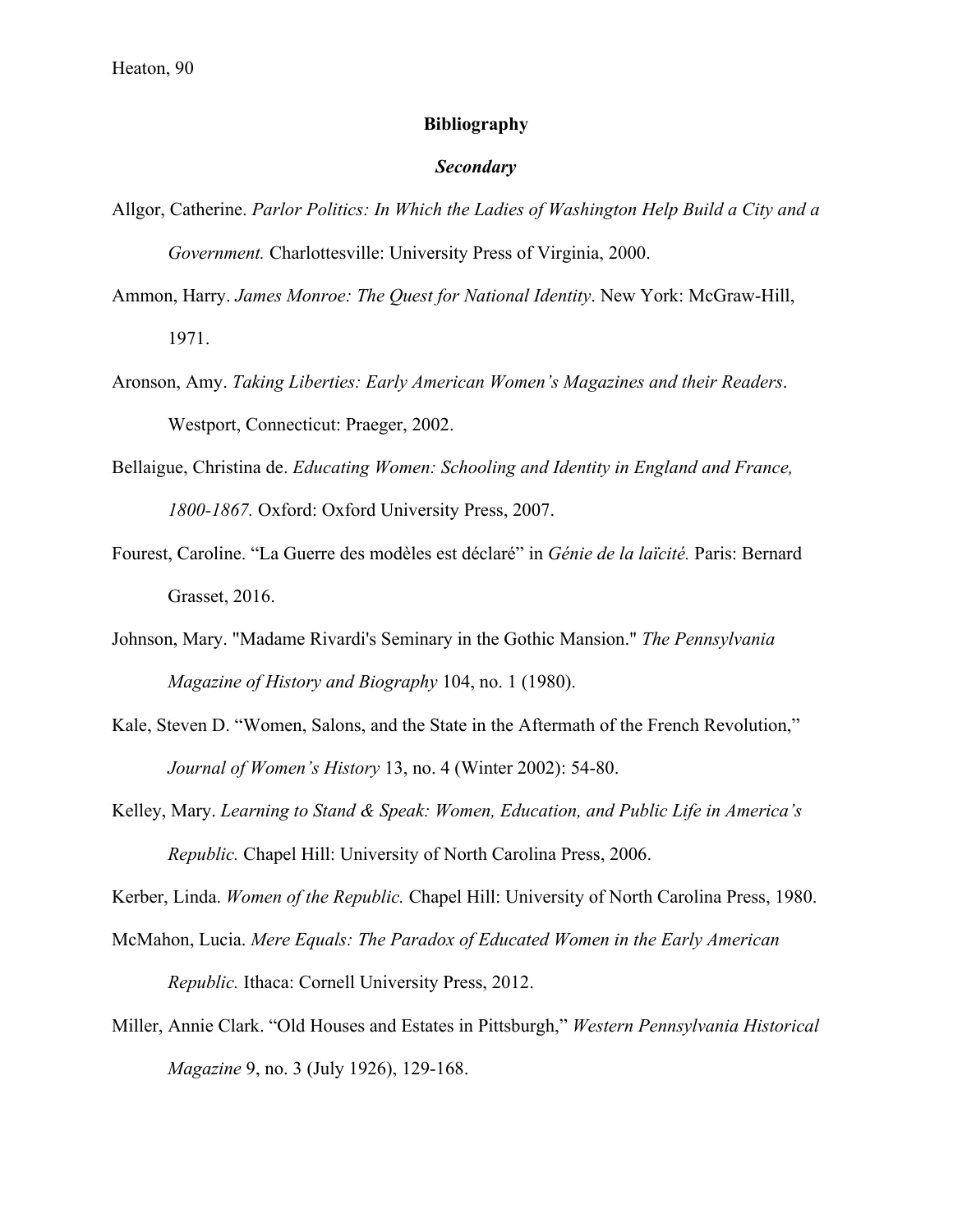## **Bibliography**

#### *Secondary*

- Allgor, Catherine. *Parlor Politics: In Which the Ladies of Washington Help Build a City and a Government.* Charlottesville: University Press of Virginia, 2000.
- Ammon, Harry. *James Monroe: The Quest for National Identity*. New York: McGraw-Hill, 1971.
- Aronson, Amy. *Taking Liberties: Early American Women's Magazines and their Readers*. Westport, Connecticut: Praeger, 2002.
- Bellaigue, Christina de. *Educating Women: Schooling and Identity in England and France, 1800-1867.* Oxford: Oxford University Press, 2007.
- Fourest, Caroline. "La Guerre des modèles est déclaré" in *Génie de la laïcité.* Paris: Bernard Grasset, 2016.
- Johnson, Mary. "Madame Rivardi's Seminary in the Gothic Mansion." *The Pennsylvania Magazine of History and Biography* 104, no. 1 (1980).
- Kale, Steven D. "Women, Salons, and the State in the Aftermath of the French Revolution," *Journal of Women's History* 13, no. 4 (Winter 2002): 54-80.
- Kelley, Mary. *Learning to Stand & Speak: Women, Education, and Public Life in America's Republic.* Chapel Hill: University of North Carolina Press, 2006.

Kerber, Linda. *Women of the Republic.* Chapel Hill: University of North Carolina Press, 1980.

- McMahon, Lucia. *Mere Equals: The Paradox of Educated Women in the Early American Republic.* Ithaca: Cornell University Press, 2012.
- Miller, Annie Clark. "Old Houses and Estates in Pittsburgh," *Western Pennsylvania Historical Magazine* 9, no. 3 (July 1926), 129-168.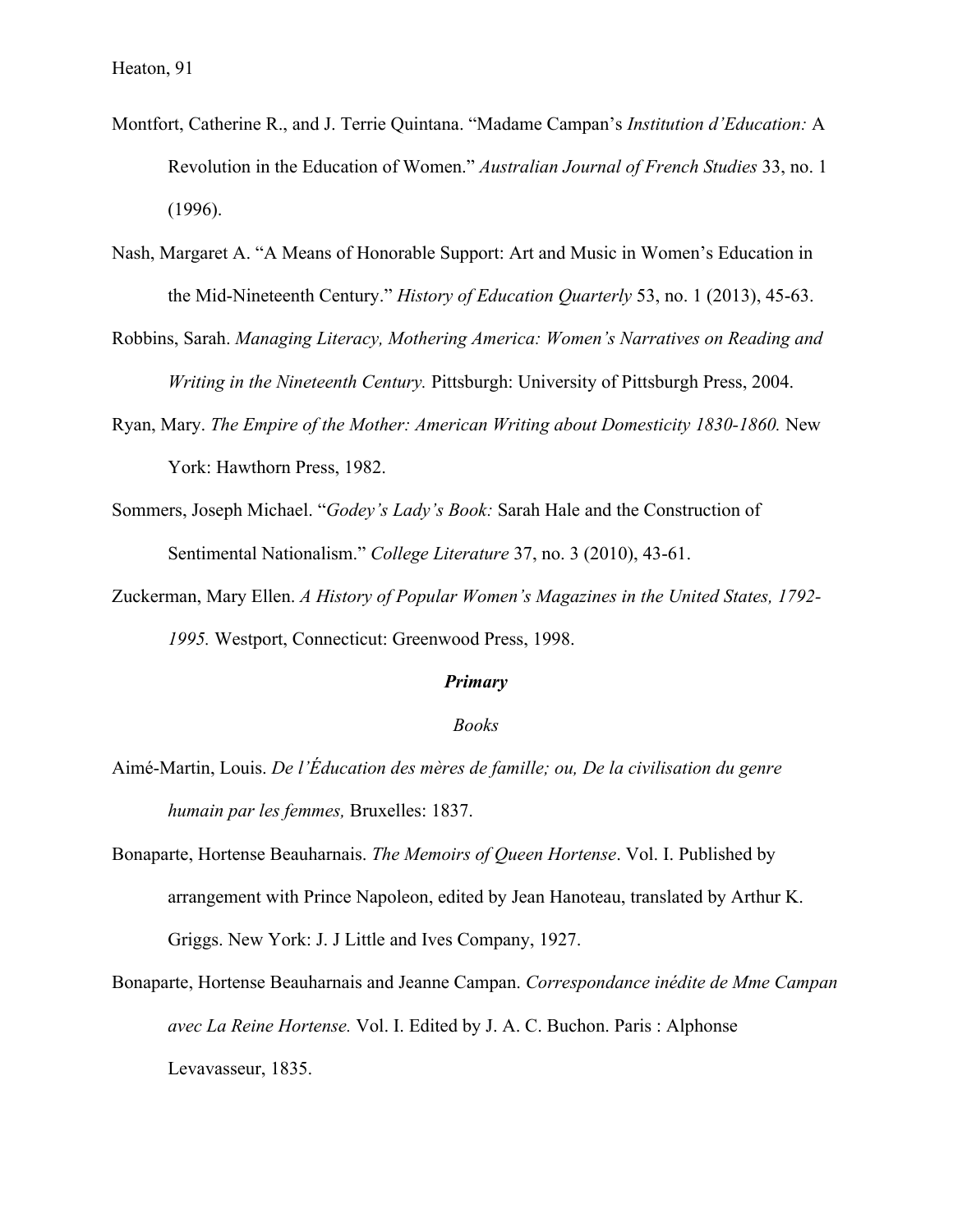- Montfort, Catherine R., and J. Terrie Quintana. "Madame Campan's *Institution d'Education:* A Revolution in the Education of Women." *Australian Journal of French Studies* 33, no. 1 (1996).
- Nash, Margaret A. "A Means of Honorable Support: Art and Music in Women's Education in the Mid-Nineteenth Century." *History of Education Quarterly* 53, no. 1 (2013), 45-63.
- Robbins, Sarah. *Managing Literacy, Mothering America: Women's Narratives on Reading and Writing in the Nineteenth Century.* Pittsburgh: University of Pittsburgh Press, 2004.
- Ryan, Mary. *The Empire of the Mother: American Writing about Domesticity 1830-1860.* New York: Hawthorn Press, 1982.
- Sommers, Joseph Michael. "*Godey's Lady's Book:* Sarah Hale and the Construction of Sentimental Nationalism." *College Literature* 37, no. 3 (2010), 43-61.
- Zuckerman, Mary Ellen. *A History of Popular Women's Magazines in the United States, 1792- 1995.* Westport, Connecticut: Greenwood Press, 1998.

#### *Primary*

#### *Books*

- Aimé-Martin, Louis. *De l'Éducation des mères de famille; ou, De la civilisation du genre humain par les femmes,* Bruxelles: 1837.
- Bonaparte, Hortense Beauharnais. *The Memoirs of Queen Hortense*. Vol. I. Published by arrangement with Prince Napoleon, edited by Jean Hanoteau, translated by Arthur K. Griggs. New York: J. J Little and Ives Company, 1927.
- Bonaparte, Hortense Beauharnais and Jeanne Campan. *Correspondance inédite de Mme Campan avec La Reine Hortense.* Vol. I. Edited by J. A. C. Buchon. Paris : Alphonse Levavasseur, 1835.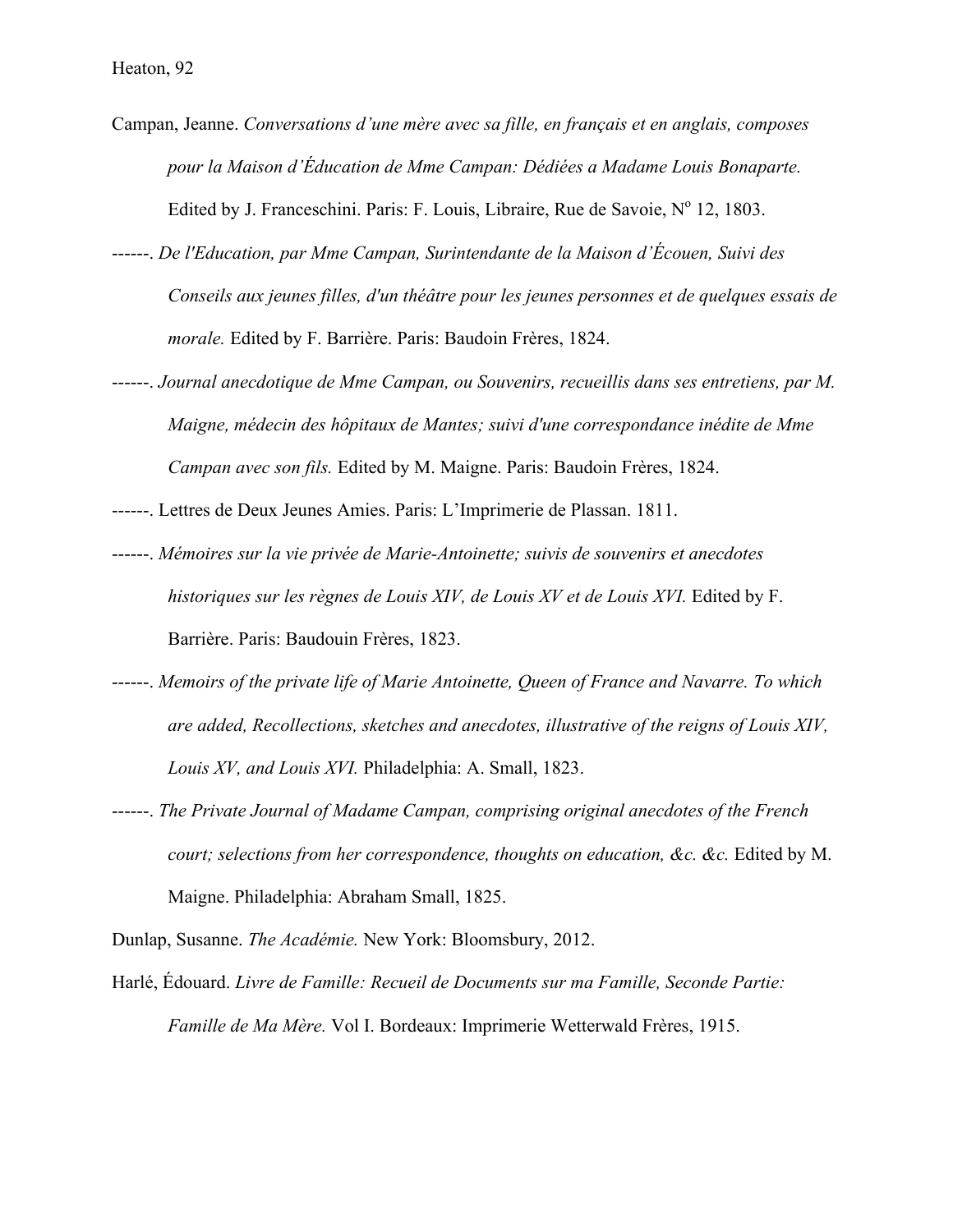- Campan, Jeanne. *Conversations d'une mère avec sa fille, en français et en anglais, composes pour la Maison d'Éducation de Mme Campan: Dédiées a Madame Louis Bonaparte.*  Edited by J. Franceschini. Paris: F. Louis, Libraire, Rue de Savoie,  $N^{\circ}$  12, 1803.
- ------. *De l'Education, par Mme Campan, Surintendante de la Maison d'Écouen, Suivi des Conseils aux jeunes filles, d'un théâtre pour les jeunes personnes et de quelques essais de morale.* Edited by F. Barrière. Paris: Baudoin Frères, 1824.
- ------. *Journal anecdotique de Mme Campan, ou Souvenirs, recueillis dans ses entretiens, par M. Maigne, médecin des hôpitaux de Mantes; suivi d'une correspondance inédite de Mme Campan avec son fils.* Edited by M. Maigne. Paris: Baudoin Frères, 1824.
- ------. Lettres de Deux Jeunes Amies. Paris: L'Imprimerie de Plassan. 1811.
- ------. *Mémoires sur la vie privée de Marie-Antoinette; suivis de souvenirs et anecdotes historiques sur les règnes de Louis XIV, de Louis XV et de Louis XVI.* Edited by F. Barrière. Paris: Baudouin Frères, 1823.
- ------. *Memoirs of the private life of Marie Antoinette, Queen of France and Navarre. To which are added, Recollections, sketches and anecdotes, illustrative of the reigns of Louis XIV, Louis XV, and Louis XVI.* Philadelphia: A. Small, 1823.
- ------. *The Private Journal of Madame Campan, comprising original anecdotes of the French court; selections from her correspondence, thoughts on education, &c. &c.* Edited by M. Maigne. Philadelphia: Abraham Small, 1825.
- Dunlap, Susanne. *The Académie.* New York: Bloomsbury, 2012.
- Harlé, Édouard. *Livre de Famille: Recueil de Documents sur ma Famille, Seconde Partie: Famille de Ma Mère.* Vol I. Bordeaux: Imprimerie Wetterwald Frères, 1915.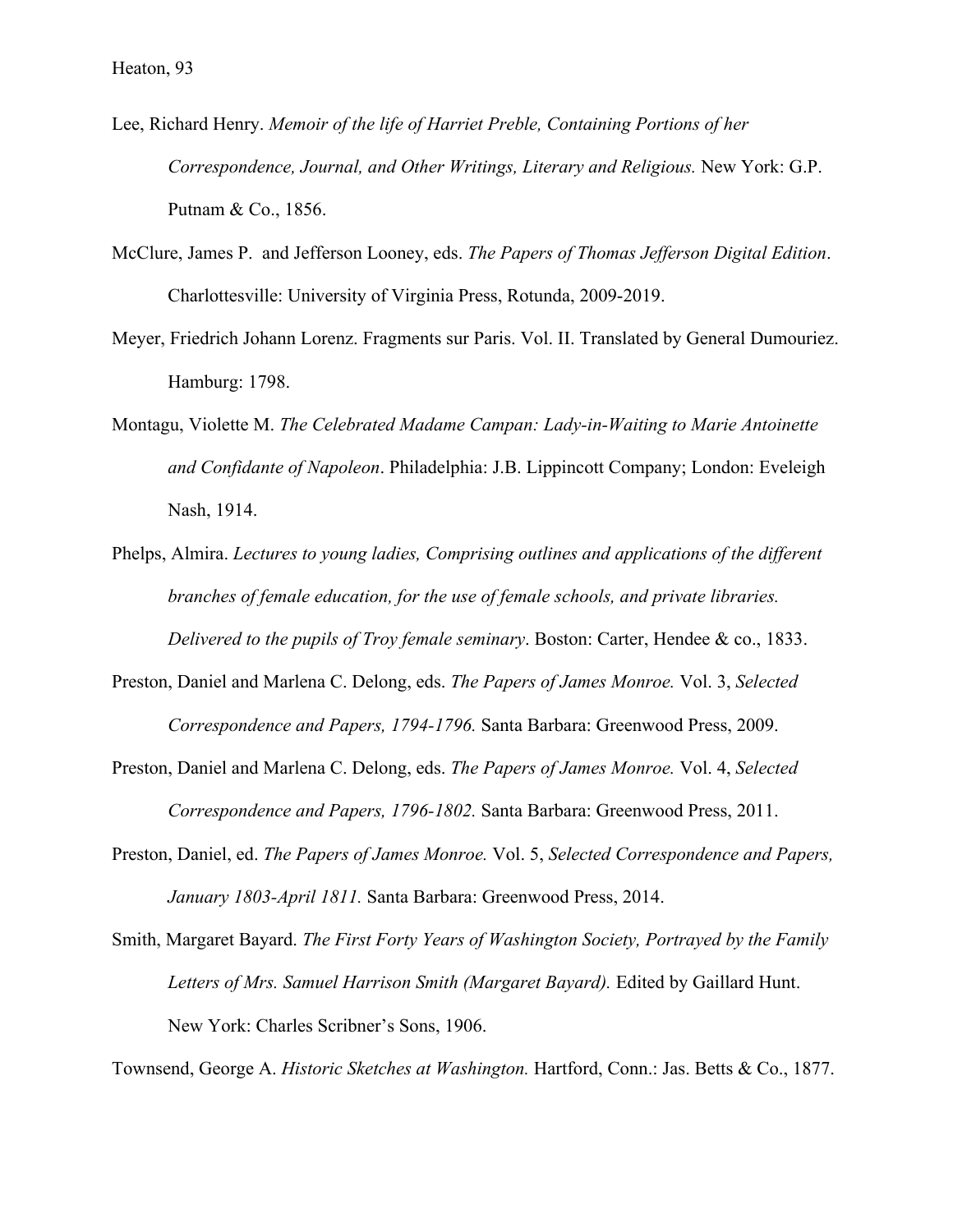- Lee, Richard Henry. *Memoir of the life of Harriet Preble, Containing Portions of her Correspondence, Journal, and Other Writings, Literary and Religious.* New York: G.P. Putnam & Co., 1856.
- McClure, James P. and Jefferson Looney, eds. *The Papers of Thomas Jefferson Digital Edition*. Charlottesville: University of Virginia Press, Rotunda, 2009-2019.
- Meyer, Friedrich Johann Lorenz. Fragments sur Paris. Vol. II. Translated by General Dumouriez. Hamburg: 1798.
- Montagu, Violette M. *The Celebrated Madame Campan: Lady-in-Waiting to Marie Antoinette and Confidante of Napoleon*. Philadelphia: J.B. Lippincott Company; London: Eveleigh Nash, 1914.
- Phelps, Almira. *Lectures to young ladies, Comprising outlines and applications of the different branches of female education, for the use of female schools, and private libraries. Delivered to the pupils of Troy female seminary*. Boston: Carter, Hendee & co., 1833.
- Preston, Daniel and Marlena C. Delong, eds. *The Papers of James Monroe.* Vol. 3, *Selected Correspondence and Papers, 1794-1796.* Santa Barbara: Greenwood Press, 2009.
- Preston, Daniel and Marlena C. Delong, eds. *The Papers of James Monroe.* Vol. 4, *Selected Correspondence and Papers, 1796-1802.* Santa Barbara: Greenwood Press, 2011.
- Preston, Daniel, ed. *The Papers of James Monroe.* Vol. 5, *Selected Correspondence and Papers, January 1803-April 1811.* Santa Barbara: Greenwood Press, 2014.
- Smith, Margaret Bayard. *The First Forty Years of Washington Society, Portrayed by the Family Letters of Mrs. Samuel Harrison Smith (Margaret Bayard).* Edited by Gaillard Hunt. New York: Charles Scribner's Sons, 1906.

Townsend, George A. *Historic Sketches at Washington.* Hartford, Conn.: Jas. Betts & Co., 1877.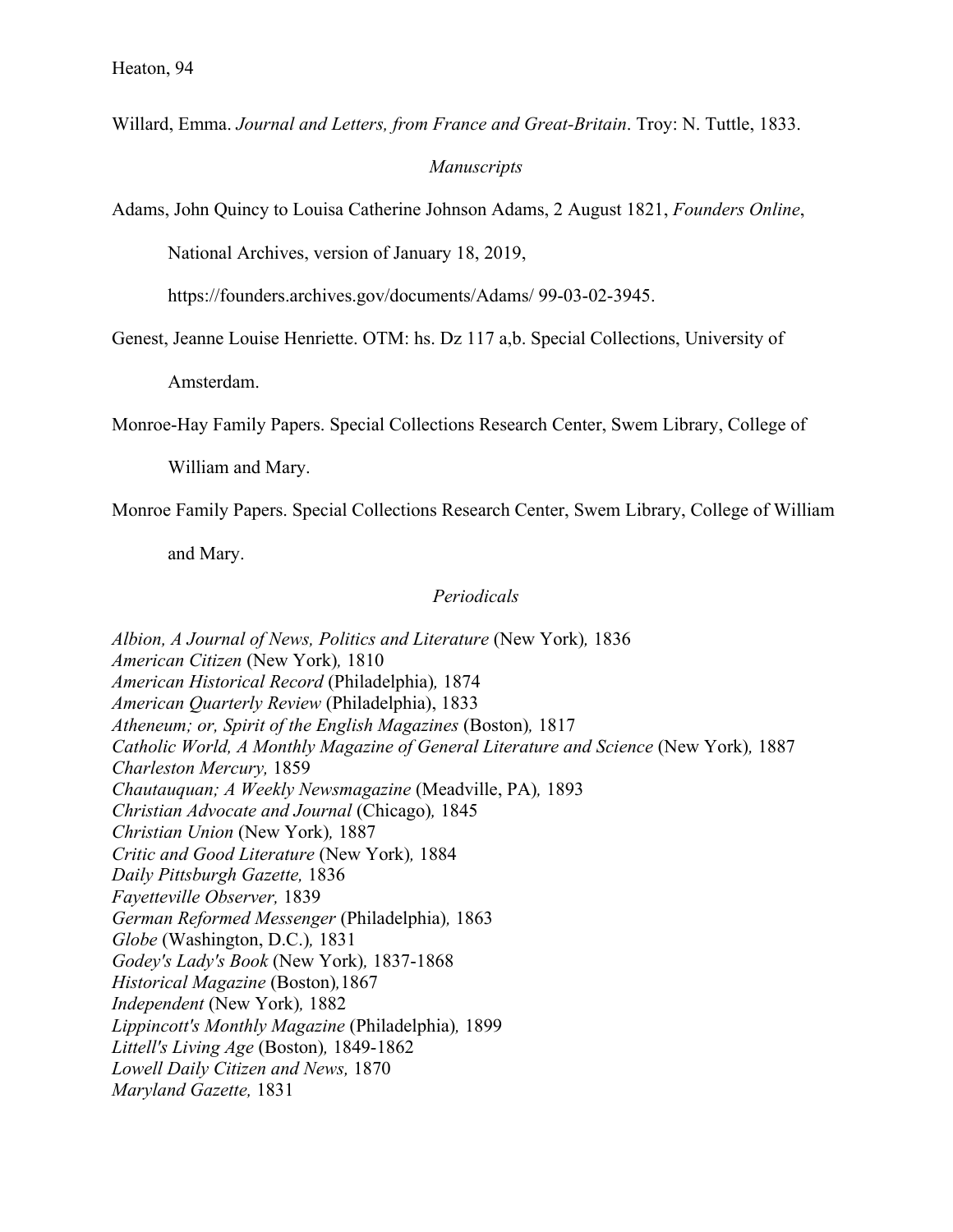Willard, Emma. *Journal and Letters, from France and Great-Britain*. Troy: N. Tuttle, 1833.

# *Manuscripts*

Adams, John Quincy to Louisa Catherine Johnson Adams, 2 August 1821, *Founders Online*,

National Archives, version of January 18, 2019,

https://founders.archives.gov/documents/Adams/ 99-03-02-3945.

Genest, Jeanne Louise Henriette. OTM: hs. Dz 117 a,b. Special Collections, University of

Amsterdam.

Monroe-Hay Family Papers. Special Collections Research Center, Swem Library, College of

William and Mary.

Monroe Family Papers. Special Collections Research Center, Swem Library, College of William

and Mary.

## *Periodicals*

*Albion, A Journal of News, Politics and Literature* (New York)*,* 1836 *American Citizen* (New York)*,* 1810 *American Historical Record* (Philadelphia)*,* 1874 *American Quarterly Review* (Philadelphia), 1833 *Atheneum; or, Spirit of the English Magazines* (Boston)*,* 1817 *Catholic World, A Monthly Magazine of General Literature and Science* (New York)*,* 1887 *Charleston Mercury,* 1859 *Chautauquan; A Weekly Newsmagazine* (Meadville, PA)*,* 1893 *Christian Advocate and Journal* (Chicago)*,* 1845 *Christian Union* (New York)*,* 1887 *Critic and Good Literature* (New York)*,* 1884 *Daily Pittsburgh Gazette,* 1836 *Fayetteville Observer,* 1839 *German Reformed Messenger* (Philadelphia)*,* 1863 *Globe* (Washington, D.C.)*,* 1831 *Godey's Lady's Book* (New York)*,* 1837-1868 *Historical Magazine* (Boston)*,*1867 *Independent* (New York)*,* 1882 *Lippincott's Monthly Magazine* (Philadelphia)*,* 1899 *Littell's Living Age* (Boston)*,* 1849-1862 *Lowell Daily Citizen and News,* 1870 *Maryland Gazette,* 1831